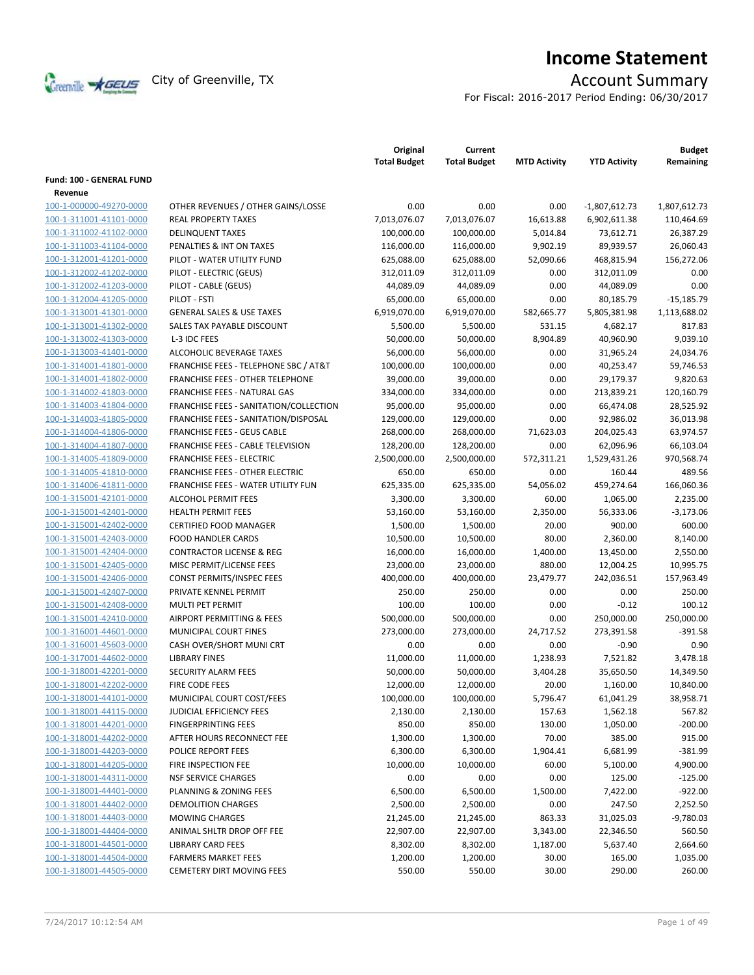

# **Income Statement**

For Fiscal: 2016-2017 Period Ending: 06/30/2017

|                                 |                                        | Original<br><b>Total Budget</b> | Current<br><b>Total Budget</b> | <b>MTD Activity</b> | <b>YTD Activity</b> | <b>Budget</b><br>Remaining |
|---------------------------------|----------------------------------------|---------------------------------|--------------------------------|---------------------|---------------------|----------------------------|
| <b>Fund: 100 - GENERAL FUND</b> |                                        |                                 |                                |                     |                     |                            |
| Revenue                         |                                        |                                 |                                |                     |                     |                            |
| 100-1-000000-49270-0000         | OTHER REVENUES / OTHER GAINS/LOSSE     | 0.00                            | 0.00                           | 0.00                | $-1,807,612.73$     | 1,807,612.73               |
| 100-1-311001-41101-0000         | <b>REAL PROPERTY TAXES</b>             | 7,013,076.07                    | 7,013,076.07                   | 16,613.88           | 6,902,611.38        | 110,464.69                 |
| 100-1-311002-41102-0000         | <b>DELINQUENT TAXES</b>                | 100,000.00                      | 100,000.00                     | 5,014.84            | 73,612.71           | 26,387.29                  |
| 100-1-311003-41104-0000         | PENALTIES & INT ON TAXES               | 116,000.00                      | 116,000.00                     | 9,902.19            | 89,939.57           | 26,060.43                  |
| 100-1-312001-41201-0000         | PILOT - WATER UTILITY FUND             | 625,088.00                      | 625,088.00                     | 52,090.66           | 468,815.94          | 156,272.06                 |
| 100-1-312002-41202-0000         | PILOT - ELECTRIC (GEUS)                | 312,011.09                      | 312,011.09                     | 0.00                | 312,011.09          | 0.00                       |
| 100-1-312002-41203-0000         | PILOT - CABLE (GEUS)                   | 44,089.09                       | 44,089.09                      | 0.00                | 44,089.09           | 0.00                       |
| 100-1-312004-41205-0000         | PILOT - FSTI                           | 65,000.00                       | 65,000.00                      | 0.00                | 80,185.79           | $-15,185.79$               |
| 100-1-313001-41301-0000         | <b>GENERAL SALES &amp; USE TAXES</b>   | 6,919,070.00                    | 6,919,070.00                   | 582,665.77          | 5,805,381.98        | 1,113,688.02               |
| 100-1-313001-41302-0000         | SALES TAX PAYABLE DISCOUNT             | 5,500.00                        | 5,500.00                       | 531.15              | 4,682.17            | 817.83                     |
| 100-1-313002-41303-0000         | L-3 IDC FEES                           | 50,000.00                       | 50,000.00                      | 8,904.89            | 40,960.90           | 9,039.10                   |
| 100-1-313003-41401-0000         | ALCOHOLIC BEVERAGE TAXES               | 56,000.00                       | 56,000.00                      | 0.00                | 31,965.24           | 24,034.76                  |
| 100-1-314001-41801-0000         | FRANCHISE FEES - TELEPHONE SBC / AT&T  | 100,000.00                      | 100,000.00                     | 0.00                | 40,253.47           | 59,746.53                  |
| 100-1-314001-41802-0000         | FRANCHISE FEES - OTHER TELEPHONE       | 39,000.00                       | 39,000.00                      | 0.00                | 29,179.37           | 9,820.63                   |
| 100-1-314002-41803-0000         | <b>FRANCHISE FEES - NATURAL GAS</b>    | 334,000.00                      | 334,000.00                     | 0.00                | 213,839.21          | 120,160.79                 |
| 100-1-314003-41804-0000         | FRANCHISE FEES - SANITATION/COLLECTION | 95,000.00                       | 95,000.00                      | 0.00                | 66,474.08           | 28,525.92                  |
| 100-1-314003-41805-0000         | FRANCHISE FEES - SANITATION/DISPOSAL   | 129,000.00                      | 129,000.00                     | 0.00                | 92,986.02           | 36,013.98                  |
| 100-1-314004-41806-0000         | <b>FRANCHISE FEES - GEUS CABLE</b>     | 268,000.00                      | 268,000.00                     | 71,623.03           | 204,025.43          | 63,974.57                  |
| 100-1-314004-41807-0000         | FRANCHISE FEES - CABLE TELEVISION      | 128,200.00                      | 128,200.00                     | 0.00                | 62,096.96           | 66,103.04                  |
| 100-1-314005-41809-0000         | <b>FRANCHISE FEES - ELECTRIC</b>       | 2,500,000.00                    | 2,500,000.00                   | 572,311.21          | 1,529,431.26        | 970,568.74                 |
| 100-1-314005-41810-0000         | FRANCHISE FEES - OTHER ELECTRIC        | 650.00                          | 650.00                         | 0.00                | 160.44              | 489.56                     |
| 100-1-314006-41811-0000         | FRANCHISE FEES - WATER UTILITY FUN     | 625,335.00                      | 625,335.00                     | 54,056.02           | 459,274.64          | 166,060.36                 |
| 100-1-315001-42101-0000         | <b>ALCOHOL PERMIT FEES</b>             | 3,300.00                        | 3,300.00                       | 60.00               | 1,065.00            | 2,235.00                   |
| 100-1-315001-42401-0000         | <b>HEALTH PERMIT FEES</b>              | 53,160.00                       | 53,160.00                      | 2,350.00            | 56,333.06           | $-3,173.06$                |
| 100-1-315001-42402-0000         | <b>CERTIFIED FOOD MANAGER</b>          | 1,500.00                        | 1,500.00                       | 20.00               | 900.00              | 600.00                     |
| 100-1-315001-42403-0000         | <b>FOOD HANDLER CARDS</b>              | 10,500.00                       | 10,500.00                      | 80.00               | 2,360.00            | 8,140.00                   |
| 100-1-315001-42404-0000         | <b>CONTRACTOR LICENSE &amp; REG</b>    | 16,000.00                       | 16,000.00                      | 1,400.00            | 13,450.00           | 2,550.00                   |
| 100-1-315001-42405-0000         | MISC PERMIT/LICENSE FEES               | 23,000.00                       | 23,000.00                      | 880.00              | 12,004.25           | 10,995.75                  |
| 100-1-315001-42406-0000         | CONST PERMITS/INSPEC FEES              | 400,000.00                      | 400,000.00                     | 23,479.77           | 242,036.51          | 157,963.49                 |
| 100-1-315001-42407-0000         | PRIVATE KENNEL PERMIT                  | 250.00                          | 250.00                         | 0.00                | 0.00                | 250.00                     |
| 100-1-315001-42408-0000         | <b>MULTI PET PERMIT</b>                | 100.00                          | 100.00                         | 0.00                | $-0.12$             | 100.12                     |
| 100-1-315001-42410-0000         | AIRPORT PERMITTING & FEES              | 500,000.00                      | 500,000.00                     | 0.00                | 250,000.00          | 250,000.00                 |
| 100-1-316001-44601-0000         | MUNICIPAL COURT FINES                  | 273,000.00                      | 273,000.00                     | 24,717.52           | 273,391.58          | $-391.58$                  |
| 100-1-316001-45603-0000         | CASH OVER/SHORT MUNI CRT               | 0.00                            | 0.00                           | 0.00                | $-0.90$             | 0.90                       |
| 100-1-317001-44602-0000         | <b>LIBRARY FINES</b>                   | 11,000.00                       | 11,000.00                      | 1,238.93            | 7,521.82            | 3,478.18                   |
| 100-1-318001-42201-0000         | SECURITY ALARM FEES                    | 50,000.00                       | 50,000.00                      | 3,404.28            | 35,650.50           | 14,349.50                  |
| 100-1-318001-42202-0000         | FIRE CODE FEES                         | 12,000.00                       | 12,000.00                      | 20.00               | 1,160.00            | 10,840.00                  |
| 100-1-318001-44101-0000         | MUNICIPAL COURT COST/FEES              | 100,000.00                      | 100,000.00                     | 5,796.47            | 61,041.29           | 38,958.71                  |
| 100-1-318001-44115-0000         | JUDICIAL EFFICIENCY FEES               | 2,130.00                        | 2,130.00                       | 157.63              | 1,562.18            | 567.82                     |
| 100-1-318001-44201-0000         | <b>FINGERPRINTING FEES</b>             | 850.00                          | 850.00                         | 130.00              | 1,050.00            | $-200.00$                  |
| 100-1-318001-44202-0000         | AFTER HOURS RECONNECT FEE              | 1,300.00                        | 1,300.00                       | 70.00               | 385.00              | 915.00                     |
| 100-1-318001-44203-0000         | POLICE REPORT FEES                     | 6,300.00                        | 6,300.00                       | 1,904.41            | 6,681.99            | $-381.99$                  |
| 100-1-318001-44205-0000         | FIRE INSPECTION FEE                    | 10,000.00                       | 10,000.00                      | 60.00               | 5,100.00            | 4,900.00                   |
| 100-1-318001-44311-0000         | <b>NSF SERVICE CHARGES</b>             | 0.00                            | 0.00                           | 0.00                | 125.00              | $-125.00$                  |
| 100-1-318001-44401-0000         | PLANNING & ZONING FEES                 | 6,500.00                        | 6,500.00                       | 1,500.00            | 7,422.00            | $-922.00$                  |
| 100-1-318001-44402-0000         | <b>DEMOLITION CHARGES</b>              | 2,500.00                        | 2,500.00                       | 0.00                | 247.50              | 2,252.50                   |
| 100-1-318001-44403-0000         | <b>MOWING CHARGES</b>                  | 21,245.00                       | 21,245.00                      | 863.33              | 31,025.03           | $-9,780.03$                |
| 100-1-318001-44404-0000         | ANIMAL SHLTR DROP OFF FEE              | 22,907.00                       | 22,907.00                      | 3,343.00            | 22,346.50           | 560.50                     |
| 100-1-318001-44501-0000         | LIBRARY CARD FEES                      | 8,302.00                        | 8,302.00                       | 1,187.00            | 5,637.40            | 2,664.60                   |
| 100-1-318001-44504-0000         | <b>FARMERS MARKET FEES</b>             | 1,200.00                        | 1,200.00                       | 30.00               | 165.00              | 1,035.00                   |
| 100-1-318001-44505-0000         | <b>CEMETERY DIRT MOVING FEES</b>       | 550.00                          | 550.00                         | 30.00               | 290.00              | 260.00                     |
|                                 |                                        |                                 |                                |                     |                     |                            |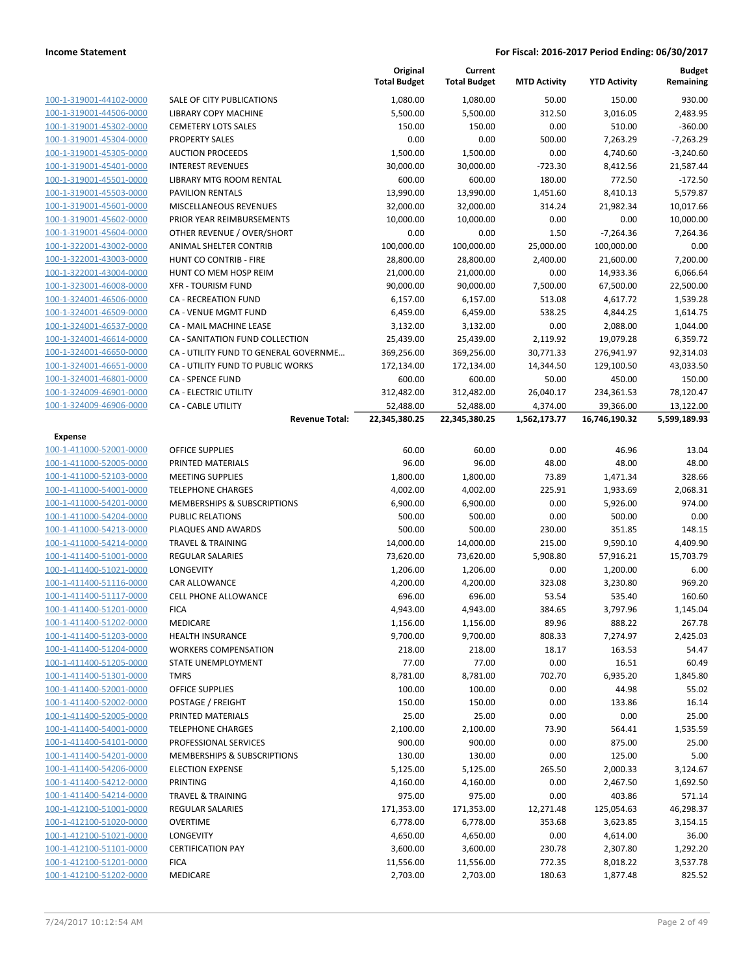|                         |                                        | Original<br><b>Total Budget</b> | Current<br><b>Total Budget</b> | <b>MTD Activity</b> | <b>YTD Activity</b> | Budget<br>Remaining |
|-------------------------|----------------------------------------|---------------------------------|--------------------------------|---------------------|---------------------|---------------------|
| 100-1-319001-44102-0000 | <b>SALE OF CITY PUBLICATIONS</b>       | 1,080.00                        | 1,080.00                       | 50.00               | 150.00              | 930.00              |
| 100-1-319001-44506-0000 | LIBRARY COPY MACHINE                   | 5,500.00                        | 5,500.00                       | 312.50              | 3,016.05            | 2,483.95            |
| 100-1-319001-45302-0000 | <b>CEMETERY LOTS SALES</b>             | 150.00                          | 150.00                         | 0.00                | 510.00              | $-360.00$           |
| 100-1-319001-45304-0000 | <b>PROPERTY SALES</b>                  | 0.00                            | 0.00                           | 500.00              | 7,263.29            | $-7,263.29$         |
| 100-1-319001-45305-0000 | <b>AUCTION PROCEEDS</b>                | 1,500.00                        | 1,500.00                       | 0.00                | 4,740.60            | $-3,240.60$         |
| 100-1-319001-45401-0000 | <b>INTEREST REVENUES</b>               | 30,000.00                       | 30,000.00                      | $-723.30$           | 8,412.56            | 21,587.44           |
| 100-1-319001-45501-0000 | LIBRARY MTG ROOM RENTAL                | 600.00                          | 600.00                         | 180.00              | 772.50              | $-172.50$           |
| 100-1-319001-45503-0000 | <b>PAVILION RENTALS</b>                | 13,990.00                       | 13,990.00                      | 1,451.60            | 8,410.13            | 5,579.87            |
| 100-1-319001-45601-0000 | MISCELLANEOUS REVENUES                 | 32,000.00                       | 32,000.00                      | 314.24              | 21,982.34           | 10,017.66           |
| 100-1-319001-45602-0000 | PRIOR YEAR REIMBURSEMENTS              | 10,000.00                       | 10,000.00                      | 0.00                | 0.00                | 10,000.00           |
| 100-1-319001-45604-0000 | OTHER REVENUE / OVER/SHORT             | 0.00                            | 0.00                           | 1.50                | $-7,264.36$         | 7,264.36            |
| 100-1-322001-43002-0000 | ANIMAL SHELTER CONTRIB                 | 100,000.00                      | 100,000.00                     | 25,000.00           | 100,000.00          | 0.00                |
| 100-1-322001-43003-0000 | HUNT CO CONTRIB - FIRE                 | 28,800.00                       | 28,800.00                      | 2,400.00            | 21,600.00           | 7,200.00            |
| 100-1-322001-43004-0000 | HUNT CO MEM HOSP REIM                  | 21,000.00                       | 21,000.00                      | 0.00                | 14,933.36           | 6,066.64            |
| 100-1-323001-46008-0000 | <b>XFR - TOURISM FUND</b>              | 90,000.00                       | 90,000.00                      | 7,500.00            | 67,500.00           | 22,500.00           |
| 100-1-324001-46506-0000 | <b>CA - RECREATION FUND</b>            | 6,157.00                        | 6,157.00                       | 513.08              | 4,617.72            | 1,539.28            |
| 100-1-324001-46509-0000 | <b>CA - VENUE MGMT FUND</b>            | 6,459.00                        | 6,459.00                       | 538.25              | 4,844.25            | 1,614.75            |
| 100-1-324001-46537-0000 | CA - MAIL MACHINE LEASE                | 3,132.00                        | 3,132.00                       | 0.00                | 2,088.00            | 1,044.00            |
| 100-1-324001-46614-0000 | CA - SANITATION FUND COLLECTION        | 25,439.00                       | 25,439.00                      | 2,119.92            | 19,079.28           | 6,359.72            |
| 100-1-324001-46650-0000 | CA - UTILITY FUND TO GENERAL GOVERNME  | 369,256.00                      | 369,256.00                     | 30,771.33           | 276,941.97          | 92,314.03           |
| 100-1-324001-46651-0000 | CA - UTILITY FUND TO PUBLIC WORKS      | 172,134.00                      | 172,134.00                     | 14,344.50           | 129,100.50          | 43,033.50           |
| 100-1-324001-46801-0000 | <b>CA - SPENCE FUND</b>                | 600.00                          | 600.00                         | 50.00               | 450.00              | 150.00              |
| 100-1-324009-46901-0000 | <b>CA - ELECTRIC UTILITY</b>           | 312,482.00                      | 312,482.00                     | 26,040.17           | 234,361.53          | 78,120.47           |
| 100-1-324009-46906-0000 | <b>CA - CABLE UTILITY</b>              | 52,488.00                       | 52,488.00                      | 4,374.00            | 39,366.00           | 13,122.00           |
|                         | <b>Revenue Total:</b>                  | 22,345,380.25                   | 22,345,380.25                  | 1,562,173.77        | 16,746,190.32       | 5,599,189.93        |
| <b>Expense</b>          |                                        |                                 |                                |                     |                     |                     |
| 100-1-411000-52001-0000 | <b>OFFICE SUPPLIES</b>                 | 60.00                           | 60.00                          | 0.00                | 46.96               | 13.04               |
| 100-1-411000-52005-0000 | PRINTED MATERIALS                      | 96.00                           | 96.00                          | 48.00               | 48.00               | 48.00               |
| 100-1-411000-52103-0000 | <b>MEETING SUPPLIES</b>                | 1,800.00                        | 1,800.00                       | 73.89               | 1,471.34            | 328.66              |
| 100-1-411000-54001-0000 | <b>TELEPHONE CHARGES</b>               | 4,002.00                        | 4,002.00                       | 225.91              | 1,933.69            | 2,068.31            |
| 100-1-411000-54201-0000 | MEMBERSHIPS & SUBSCRIPTIONS            | 6,900.00                        | 6,900.00                       | 0.00                | 5,926.00            | 974.00              |
| 100-1-411000-54204-0000 | <b>PUBLIC RELATIONS</b>                | 500.00                          | 500.00                         | 0.00                | 500.00              | 0.00                |
| 100-1-411000-54213-0000 | PLAQUES AND AWARDS                     | 500.00                          | 500.00                         | 230.00              | 351.85              | 148.15              |
| 100-1-411000-54214-0000 | <b>TRAVEL &amp; TRAINING</b>           | 14,000.00                       | 14,000.00                      | 215.00              | 9,590.10            | 4,409.90            |
| 100-1-411400-51001-0000 | REGULAR SALARIES                       | 73,620.00                       | 73,620.00                      | 5,908.80            | 57,916.21           | 15,703.79           |
| 100-1-411400-51021-0000 | <b>LONGEVITY</b>                       | 1,206.00                        | 1,206.00                       | 0.00                | 1,200.00            | 6.00                |
| 100-1-411400-51116-0000 | CAR ALLOWANCE                          | 4,200.00                        | 4,200.00                       | 323.08              | 3,230.80            | 969.20              |
| 100-1-411400-51117-0000 | <b>CELL PHONE ALLOWANCE</b>            | 696.00                          | 696.00                         | 53.54               | 535.40              | 160.60              |
| 100-1-411400-51201-0000 | <b>FICA</b>                            | 4,943.00                        | 4,943.00                       | 384.65              | 3,797.96            | 1,145.04            |
| 100-1-411400-51202-0000 | MEDICARE                               | 1,156.00                        | 1,156.00                       | 89.96               | 888.22              | 267.78              |
| 100-1-411400-51203-0000 | <b>HEALTH INSURANCE</b>                | 9,700.00                        | 9,700.00                       | 808.33              | 7,274.97            | 2,425.03            |
| 100-1-411400-51204-0000 | <b>WORKERS COMPENSATION</b>            | 218.00                          | 218.00                         | 18.17               | 163.53              | 54.47               |
| 100-1-411400-51205-0000 | STATE UNEMPLOYMENT                     | 77.00                           | 77.00                          | 0.00                | 16.51               | 60.49               |
| 100-1-411400-51301-0000 | <b>TMRS</b>                            | 8,781.00                        | 8,781.00                       | 702.70              | 6,935.20            | 1,845.80            |
| 100-1-411400-52001-0000 | <b>OFFICE SUPPLIES</b>                 | 100.00                          | 100.00                         | 0.00                | 44.98               | 55.02               |
| 100-1-411400-52002-0000 | POSTAGE / FREIGHT                      | 150.00                          | 150.00                         | 0.00                | 133.86              | 16.14               |
| 100-1-411400-52005-0000 | PRINTED MATERIALS                      | 25.00                           | 25.00                          | 0.00                | 0.00                | 25.00               |
| 100-1-411400-54001-0000 | <b>TELEPHONE CHARGES</b>               | 2,100.00                        | 2,100.00                       | 73.90               | 564.41              | 1,535.59            |
| 100-1-411400-54101-0000 | PROFESSIONAL SERVICES                  | 900.00                          | 900.00                         | 0.00                | 875.00              | 25.00               |
| 100-1-411400-54201-0000 | <b>MEMBERSHIPS &amp; SUBSCRIPTIONS</b> | 130.00                          | 130.00                         | 0.00                | 125.00              | 5.00                |
| 100-1-411400-54206-0000 | <b>ELECTION EXPENSE</b>                | 5,125.00                        | 5,125.00                       | 265.50              | 2,000.33            | 3,124.67            |
| 100-1-411400-54212-0000 | <b>PRINTING</b>                        | 4,160.00                        | 4,160.00                       | 0.00                | 2,467.50            | 1,692.50            |
| 100-1-411400-54214-0000 | <b>TRAVEL &amp; TRAINING</b>           | 975.00                          | 975.00                         | 0.00                | 403.86              | 571.14              |
| 100-1-412100-51001-0000 | REGULAR SALARIES                       | 171,353.00                      | 171,353.00                     | 12,271.48           | 125,054.63          | 46,298.37           |
| 100-1-412100-51020-0000 | <b>OVERTIME</b>                        | 6,778.00                        | 6,778.00                       | 353.68              | 3,623.85            | 3,154.15            |
| 100-1-412100-51021-0000 | LONGEVITY                              | 4,650.00                        | 4,650.00                       | 0.00                | 4,614.00            | 36.00               |
| 100-1-412100-51101-0000 | <b>CERTIFICATION PAY</b>               | 3,600.00                        | 3,600.00                       | 230.78              | 2,307.80            | 1,292.20            |
| 100-1-412100-51201-0000 | <b>FICA</b>                            | 11,556.00                       | 11,556.00                      | 772.35              | 8,018.22            | 3,537.78            |
| 100-1-412100-51202-0000 | MEDICARE                               | 2,703.00                        | 2,703.00                       | 180.63              | 1,877.48            | 825.52              |
|                         |                                        |                                 |                                |                     |                     |                     |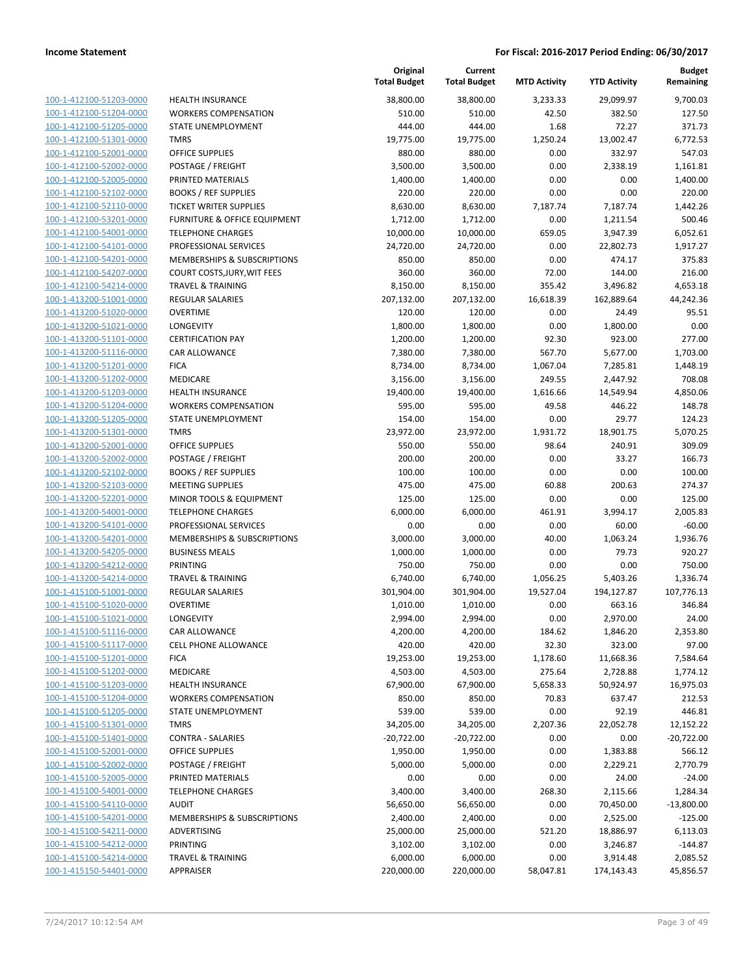| 100-1-412100-51203-0000        |
|--------------------------------|
| 100-1-412100-51204-0000        |
| 100-1-412100-51205-0000        |
| <u>100-1-412100-51301-0000</u> |
| 100-1-412100-52001-0000        |
| 100-1-412100-52002-0000        |
| 100-1-412100-52005-0000        |
| 100-1-412100-52102-0000        |
| <u>100-1-412100-52110-0000</u> |
| 100-1-412100-53201-0000        |
| 100-1-412100-54001-0000        |
| 100-1-412100-54101-0000        |
| 100-1-412100-54201-0000        |
| 100-1-412100-54207-0000        |
| 100-1-412100-54214-0000        |
| 100-1-413200-51001-0000        |
| 100-1-413200-51020-0000        |
| 100-1-413200-51021-0000        |
| 100-1-413200-51101-0000        |
| 100-1-413200-51116-0000        |
| 100-1-413200-51201-0000        |
| 100-1-413200-51202-0000        |
| 100-1-413200-51203-0000        |
| <u>100-1-413200-51204-0000</u> |
| 100-1-413200-51205-0000        |
| 100-1-413200-51301-0000        |
| 100-1-413200-52001-0000        |
| 100-1-413200-52002-0000        |
| 100-1-413200-52102-0000        |
| 100-1-413200-52103-0000        |
| 100-1-413200-52201-0000        |
| 100-1-413200-54001-0000        |
| 100-1-413200-54101-0000        |
| <u>100-1-413200-54201-0000</u> |
| 100-1-413200-54205-0000        |
| 100-1-413200-54212-0000        |
| 100-1-413200-54214-0000        |
|                                |
| 100-1-415100-51001-0000        |
| 100-1-415100-51020-0000        |
| 100-1-415100-51021-0000        |
| 100-1-415100-51116-0000        |
| <u>100-1-415100-51117-0000</u> |
| 100-1-415100-51201-0000        |
| 100-1-415100-51202-0000        |
| <u>100-1-415100-51203-0000</u> |
| <u>100-1-415100-51204-0000</u> |
| <u>100-1-415100-51205-0000</u> |
| 100-1-415100-51301-0000        |
| 100-1-415100-51401-0000        |
| 100-1-415100-52001-0000        |
| 100-1-415100-52002-0000        |
| 100-1-415100-52005-0000        |
| 100-1-415100-54001-0000        |
| 100-1-415100-54110-0000        |
| <u>100-1-415100-54201-0000</u> |
| 100-1-415100-54211-0000        |
| <u>100-1-415100-54212-0000</u> |
| 100-1-415100-54214-0000        |
| <u>100-1-415150-54401-0000</u> |
|                                |

|                         |                               | Original<br><b>Total Budget</b> | Current<br><b>Total Budget</b> | <b>MTD Activity</b> | <b>YTD Activity</b> | <b>Budget</b><br>Remaining |
|-------------------------|-------------------------------|---------------------------------|--------------------------------|---------------------|---------------------|----------------------------|
| 100-1-412100-51203-0000 | <b>HEALTH INSURANCE</b>       | 38,800.00                       | 38,800.00                      | 3,233.33            | 29,099.97           | 9,700.03                   |
| 100-1-412100-51204-0000 | <b>WORKERS COMPENSATION</b>   | 510.00                          | 510.00                         | 42.50               | 382.50              | 127.50                     |
| 100-1-412100-51205-0000 | STATE UNEMPLOYMENT            | 444.00                          | 444.00                         | 1.68                | 72.27               | 371.73                     |
| 100-1-412100-51301-0000 | <b>TMRS</b>                   | 19,775.00                       | 19,775.00                      | 1,250.24            | 13,002.47           | 6,772.53                   |
| 100-1-412100-52001-0000 | <b>OFFICE SUPPLIES</b>        | 880.00                          | 880.00                         | 0.00                | 332.97              | 547.03                     |
| 100-1-412100-52002-0000 | POSTAGE / FREIGHT             | 3,500.00                        | 3,500.00                       | 0.00                | 2,338.19            | 1,161.81                   |
| 100-1-412100-52005-0000 | PRINTED MATERIALS             | 1,400.00                        | 1,400.00                       | 0.00                | 0.00                | 1,400.00                   |
| 100-1-412100-52102-0000 | <b>BOOKS / REF SUPPLIES</b>   | 220.00                          | 220.00                         | 0.00                | 0.00                | 220.00                     |
| 100-1-412100-52110-0000 | <b>TICKET WRITER SUPPLIES</b> | 8,630.00                        | 8,630.00                       | 7,187.74            | 7,187.74            | 1,442.26                   |
| 100-1-412100-53201-0000 | FURNITURE & OFFICE EQUIPMENT  | 1,712.00                        | 1,712.00                       | 0.00                | 1,211.54            | 500.46                     |
| 100-1-412100-54001-0000 | <b>TELEPHONE CHARGES</b>      | 10,000.00                       | 10,000.00                      | 659.05              | 3,947.39            | 6,052.61                   |
| 100-1-412100-54101-0000 | PROFESSIONAL SERVICES         | 24,720.00                       | 24,720.00                      | 0.00                | 22,802.73           | 1,917.27                   |
| 100-1-412100-54201-0000 | MEMBERSHIPS & SUBSCRIPTIONS   | 850.00                          | 850.00                         | 0.00                | 474.17              | 375.83                     |
| 100-1-412100-54207-0000 | COURT COSTS, JURY, WIT FEES   | 360.00                          | 360.00                         | 72.00               | 144.00              | 216.00                     |
| 100-1-412100-54214-0000 | <b>TRAVEL &amp; TRAINING</b>  | 8,150.00                        | 8,150.00                       | 355.42              | 3,496.82            | 4,653.18                   |
| 100-1-413200-51001-0000 | REGULAR SALARIES              | 207,132.00                      | 207,132.00                     | 16,618.39           | 162,889.64          | 44,242.36                  |
| 100-1-413200-51020-0000 | <b>OVERTIME</b>               | 120.00                          | 120.00                         | 0.00                | 24.49               | 95.51                      |
| 100-1-413200-51021-0000 | LONGEVITY                     | 1,800.00                        | 1,800.00                       | 0.00                | 1,800.00            | 0.00                       |
| 100-1-413200-51101-0000 | <b>CERTIFICATION PAY</b>      | 1,200.00                        | 1,200.00                       | 92.30               | 923.00              | 277.00                     |
| 100-1-413200-51116-0000 | CAR ALLOWANCE                 | 7,380.00                        | 7,380.00                       | 567.70              | 5,677.00            | 1,703.00                   |
| 100-1-413200-51201-0000 | <b>FICA</b>                   | 8,734.00                        | 8,734.00                       | 1,067.04            | 7,285.81            | 1,448.19                   |
| 100-1-413200-51202-0000 | MEDICARE                      | 3,156.00                        | 3,156.00                       | 249.55              | 2,447.92            | 708.08                     |
| 100-1-413200-51203-0000 | <b>HEALTH INSURANCE</b>       | 19,400.00                       | 19,400.00                      | 1,616.66            | 14,549.94           | 4,850.06                   |
| 100-1-413200-51204-0000 | <b>WORKERS COMPENSATION</b>   | 595.00                          | 595.00                         | 49.58               | 446.22              | 148.78                     |
| 100-1-413200-51205-0000 | STATE UNEMPLOYMENT            | 154.00                          | 154.00                         | 0.00                | 29.77               | 124.23                     |
| 100-1-413200-51301-0000 | <b>TMRS</b>                   | 23,972.00                       | 23,972.00                      | 1,931.72            | 18,901.75           | 5,070.25                   |
| 100-1-413200-52001-0000 | <b>OFFICE SUPPLIES</b>        | 550.00                          | 550.00                         | 98.64               | 240.91              | 309.09                     |
| 100-1-413200-52002-0000 | POSTAGE / FREIGHT             | 200.00                          | 200.00                         | 0.00                | 33.27               | 166.73                     |
| 100-1-413200-52102-0000 | <b>BOOKS / REF SUPPLIES</b>   | 100.00                          | 100.00                         | 0.00                | 0.00                | 100.00                     |
| 100-1-413200-52103-0000 | <b>MEETING SUPPLIES</b>       | 475.00                          | 475.00                         | 60.88               | 200.63              | 274.37                     |
| 100-1-413200-52201-0000 | MINOR TOOLS & EQUIPMENT       | 125.00                          | 125.00                         | 0.00                | 0.00                | 125.00                     |
| 100-1-413200-54001-0000 | <b>TELEPHONE CHARGES</b>      | 6,000.00                        | 6,000.00                       | 461.91              | 3,994.17            | 2,005.83                   |
| 100-1-413200-54101-0000 | PROFESSIONAL SERVICES         | 0.00                            | 0.00                           | 0.00                | 60.00               | $-60.00$                   |
| 100-1-413200-54201-0000 | MEMBERSHIPS & SUBSCRIPTIONS   | 3,000.00                        | 3,000.00                       | 40.00               | 1,063.24            | 1,936.76                   |
| 100-1-413200-54205-0000 | <b>BUSINESS MEALS</b>         | 1,000.00                        | 1,000.00                       | 0.00                | 79.73               | 920.27                     |
| 100-1-413200-54212-0000 | PRINTING                      | 750.00                          | 750.00                         | 0.00                | 0.00                | 750.00                     |
| 100-1-413200-54214-0000 | <b>TRAVEL &amp; TRAINING</b>  | 6,740.00                        | 6,740.00                       | 1,056.25            | 5,403.26            | 1,336.74                   |
| 100-1-415100-51001-0000 | REGULAR SALARIES              | 301,904.00                      | 301,904.00                     | 19,527.04           | 194,127.87          | 107,776.13                 |
| 100-1-415100-51020-0000 | <b>OVERTIME</b>               | 1,010.00                        | 1,010.00                       | 0.00                | 663.16              | 346.84                     |
| 100-1-415100-51021-0000 | LONGEVITY                     | 2,994.00                        | 2,994.00                       | 0.00                | 2,970.00            | 24.00                      |
| 100-1-415100-51116-0000 | CAR ALLOWANCE                 | 4,200.00                        | 4,200.00                       | 184.62              | 1,846.20            | 2,353.80                   |
| 100-1-415100-51117-0000 | CELL PHONE ALLOWANCE          | 420.00                          | 420.00                         | 32.30               | 323.00              | 97.00                      |
| 100-1-415100-51201-0000 | <b>FICA</b>                   | 19,253.00                       | 19,253.00                      | 1,178.60            | 11,668.36           | 7,584.64                   |
| 100-1-415100-51202-0000 | MEDICARE                      | 4,503.00                        | 4,503.00                       | 275.64              | 2,728.88            | 1,774.12                   |
| 100-1-415100-51203-0000 | <b>HEALTH INSURANCE</b>       | 67,900.00                       | 67,900.00                      | 5,658.33            | 50,924.97           | 16,975.03                  |
| 100-1-415100-51204-0000 | <b>WORKERS COMPENSATION</b>   | 850.00                          | 850.00                         | 70.83               | 637.47              | 212.53                     |
| 100-1-415100-51205-0000 | STATE UNEMPLOYMENT            | 539.00                          | 539.00                         | 0.00                | 92.19               | 446.81                     |
| 100-1-415100-51301-0000 | <b>TMRS</b>                   | 34,205.00                       | 34,205.00                      | 2,207.36            | 22,052.78           | 12,152.22                  |
| 100-1-415100-51401-0000 | <b>CONTRA - SALARIES</b>      | $-20,722.00$                    | $-20,722.00$                   | 0.00                | 0.00                | $-20,722.00$               |
| 100-1-415100-52001-0000 | <b>OFFICE SUPPLIES</b>        | 1,950.00                        | 1,950.00                       | 0.00                | 1,383.88            | 566.12                     |
| 100-1-415100-52002-0000 | POSTAGE / FREIGHT             | 5,000.00                        | 5,000.00                       | 0.00                | 2,229.21            | 2,770.79                   |
| 100-1-415100-52005-0000 | PRINTED MATERIALS             | 0.00                            | 0.00                           | 0.00                | 24.00               | $-24.00$                   |
| 100-1-415100-54001-0000 | <b>TELEPHONE CHARGES</b>      | 3,400.00                        | 3,400.00                       | 268.30              | 2,115.66            | 1,284.34                   |
| 100-1-415100-54110-0000 | <b>AUDIT</b>                  | 56,650.00                       | 56,650.00                      | 0.00                | 70,450.00           | $-13,800.00$               |
| 100-1-415100-54201-0000 | MEMBERSHIPS & SUBSCRIPTIONS   | 2,400.00                        | 2,400.00                       | 0.00                | 2,525.00            | $-125.00$                  |
| 100-1-415100-54211-0000 | ADVERTISING                   | 25,000.00                       | 25,000.00                      | 521.20              | 18,886.97           | 6,113.03                   |
| 100-1-415100-54212-0000 | <b>PRINTING</b>               | 3,102.00                        | 3,102.00                       | 0.00                | 3,246.87            | $-144.87$                  |
| 100-1-415100-54214-0000 | <b>TRAVEL &amp; TRAINING</b>  | 6,000.00                        | 6,000.00                       | 0.00                | 3,914.48            | 2,085.52                   |
| 100-1-415150-54401-0000 | APPRAISER                     | 220,000.00                      | 220,000.00                     | 58,047.81           | 174,143.43          | 45,856.57                  |
|                         |                               |                                 |                                |                     |                     |                            |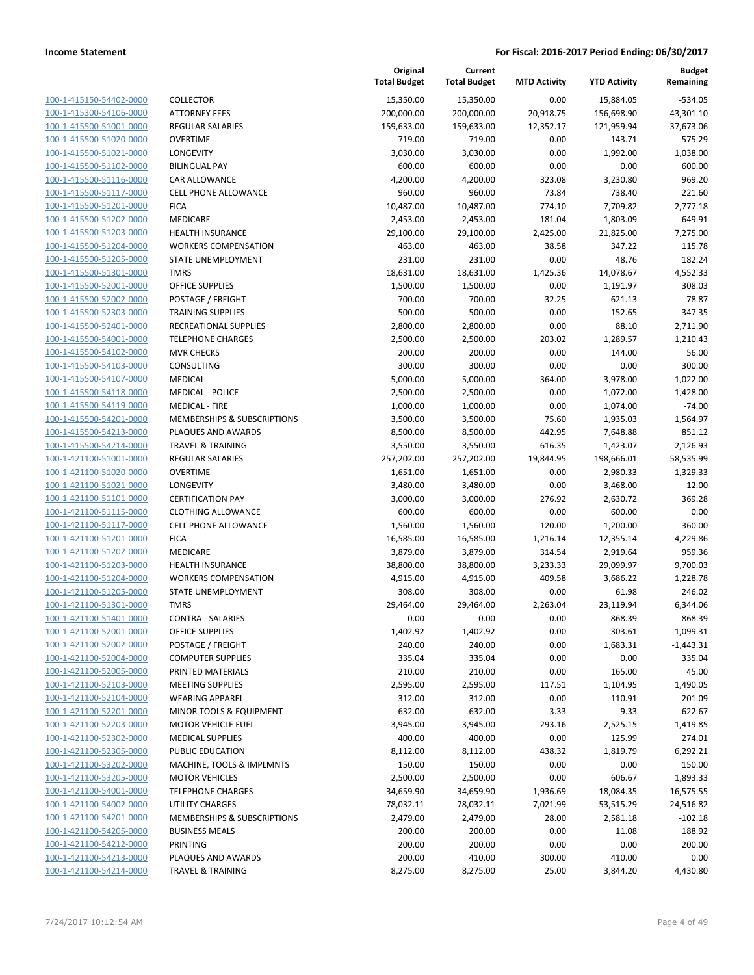| 100-1-415150-54402-0000                                          |
|------------------------------------------------------------------|
| 100-1-415300-54106-0000                                          |
| 100-1-415500-51001-0000                                          |
| 100-1-415500-51020-0000                                          |
| 100-1-415500-51021-0000                                          |
| 100-1-415500-51102-0000                                          |
| 100-1-415500-51116-0000                                          |
| 100-1-415500-51117-0000                                          |
| 100-1-415500-51201-0000                                          |
| 100-1-415500-51202-0000                                          |
| 100-1-415500-51203-0000                                          |
| 100-1-415500-51204-0000                                          |
| 100-1-415500-51205-0000                                          |
| <u>100-1-415500-51301-0000</u>                                   |
| 100-1-415500-52001-0000                                          |
| 100-1-415500-52002-0000                                          |
|                                                                  |
| 100-1-415500-52303-0000                                          |
| 100-1-415500-52401-0000                                          |
| <u>100-1-415500-54001-0000</u>                                   |
| 100-1-415500-54102-0000                                          |
| 100-1-415500-54103-0000                                          |
| 100-1-415500-54107-0000                                          |
| 100-1-415500-54118-0000                                          |
| <u>100-1-415500-54119-0000</u>                                   |
| 100-1-415500-54201-0000                                          |
| 100-1-415500-54213-0000                                          |
| 100-1-415500-54214-0000                                          |
| 100-1-421100-51001-0000                                          |
| 100-1-421100-51020-0000                                          |
| 100-1-421100-51021-0000                                          |
| 100-1-421100-51101-0000                                          |
| 100-1-421100-51115-0000                                          |
| 100-1-421100-51117-0000                                          |
| <u>100-1-421100-51201-0000</u>                                   |
| 100-1-421100-51202-0000                                          |
| 100-1-421100-51203-0000                                          |
| 100-1-421100-51204-0000                                          |
|                                                                  |
| 100-1-421100-51205-0000                                          |
| <u>100-1-421100-51301-0000</u>                                   |
| 100-1-421100-51401-0000                                          |
| 100-1-421100-52001-0000                                          |
| <u>100-1-421100-52002-0000</u>                                   |
| <u>100-1-421100-52004-0000</u>                                   |
| 100-1-421100-52005-0000                                          |
| <u>100-1-421100-52103-0000</u>                                   |
| 100-1-421100-52104-0000                                          |
| 100-1-421100-52201-0000                                          |
| 100-1-421100-52203-0000                                          |
|                                                                  |
| <u>100-1-421100-52302-0000</u>                                   |
| <u>100-1-421100-52305-0000</u>                                   |
| 100-1-421100-53202-0000                                          |
|                                                                  |
| 100-1-421100-53205-0000                                          |
| <u>100-1-421100-54001-0000</u>                                   |
| <u>100-1-421100-54002-0000</u>                                   |
| <u>100-1-421100-54201-0000</u>                                   |
| <u>100-1-421100-54205-0000</u>                                   |
| 100-1-421100-54212-0000                                          |
| <u>100-1-421100-54213-0000</u><br><u>100-1-421100-54214-0000</u> |

|                                                    |                                                        | Original<br><b>Total Budget</b> | Current<br><b>Total Budget</b> | <b>MTD Activity</b> | <b>YTD Activity</b>   | <b>Budget</b><br>Remaining |
|----------------------------------------------------|--------------------------------------------------------|---------------------------------|--------------------------------|---------------------|-----------------------|----------------------------|
| 100-1-415150-54402-0000                            | COLLECTOR                                              | 15,350.00                       | 15,350.00                      | 0.00                | 15,884.05             | $-534.05$                  |
| 100-1-415300-54106-0000                            | <b>ATTORNEY FEES</b>                                   | 200,000.00                      | 200,000.00                     | 20,918.75           | 156,698.90            | 43,301.10                  |
| 100-1-415500-51001-0000                            | <b>REGULAR SALARIES</b>                                | 159,633.00                      | 159,633.00                     | 12,352.17           | 121,959.94            | 37,673.06                  |
| 100-1-415500-51020-0000                            | <b>OVERTIME</b>                                        | 719.00                          | 719.00                         | 0.00                | 143.71                | 575.29                     |
| 100-1-415500-51021-0000                            | <b>LONGEVITY</b>                                       | 3,030.00                        | 3,030.00                       | 0.00                | 1,992.00              | 1,038.00                   |
| 100-1-415500-51102-0000                            | <b>BILINGUAL PAY</b>                                   | 600.00                          | 600.00                         | 0.00                | 0.00                  | 600.00                     |
| 100-1-415500-51116-0000                            | CAR ALLOWANCE                                          | 4,200.00                        | 4,200.00                       | 323.08              | 3,230.80              | 969.20                     |
| 100-1-415500-51117-0000                            | <b>CELL PHONE ALLOWANCE</b>                            | 960.00                          | 960.00                         | 73.84               | 738.40                | 221.60                     |
| 100-1-415500-51201-0000                            | <b>FICA</b>                                            | 10,487.00                       | 10,487.00                      | 774.10              | 7,709.82              | 2,777.18                   |
| 100-1-415500-51202-0000                            | MEDICARE                                               | 2,453.00                        | 2,453.00                       | 181.04              | 1,803.09              | 649.91                     |
| 100-1-415500-51203-0000                            | <b>HEALTH INSURANCE</b>                                | 29,100.00                       | 29,100.00                      | 2,425.00            | 21,825.00             | 7,275.00                   |
| 100-1-415500-51204-0000                            | <b>WORKERS COMPENSATION</b>                            | 463.00                          | 463.00                         | 38.58               | 347.22                | 115.78                     |
| 100-1-415500-51205-0000                            | STATE UNEMPLOYMENT                                     | 231.00                          | 231.00                         | 0.00                | 48.76                 | 182.24                     |
| 100-1-415500-51301-0000                            | <b>TMRS</b>                                            | 18,631.00                       | 18,631.00                      | 1,425.36            | 14,078.67             | 4,552.33                   |
| 100-1-415500-52001-0000                            | <b>OFFICE SUPPLIES</b>                                 | 1,500.00                        | 1,500.00                       | 0.00                | 1,191.97              | 308.03                     |
| 100-1-415500-52002-0000                            | POSTAGE / FREIGHT                                      | 700.00                          | 700.00                         | 32.25               | 621.13                | 78.87                      |
| 100-1-415500-52303-0000                            | <b>TRAINING SUPPLIES</b>                               | 500.00                          | 500.00                         | 0.00                | 152.65                | 347.35                     |
| 100-1-415500-52401-0000                            | <b>RECREATIONAL SUPPLIES</b>                           | 2,800.00                        | 2,800.00                       | 0.00                | 88.10                 | 2,711.90                   |
| 100-1-415500-54001-0000                            | <b>TELEPHONE CHARGES</b>                               | 2,500.00                        | 2,500.00                       | 203.02              | 1,289.57              | 1,210.43                   |
| 100-1-415500-54102-0000                            | <b>MVR CHECKS</b>                                      | 200.00                          | 200.00                         | 0.00                | 144.00                | 56.00                      |
| 100-1-415500-54103-0000                            | CONSULTING                                             | 300.00                          | 300.00                         | 0.00                | 0.00                  | 300.00                     |
| 100-1-415500-54107-0000                            | <b>MEDICAL</b>                                         | 5,000.00                        | 5,000.00                       | 364.00              | 3,978.00              | 1,022.00                   |
| 100-1-415500-54118-0000                            | <b>MEDICAL - POLICE</b>                                | 2,500.00                        | 2,500.00                       | 0.00                | 1,072.00              | 1,428.00                   |
| 100-1-415500-54119-0000                            | <b>MEDICAL - FIRE</b>                                  | 1,000.00                        | 1,000.00                       | 0.00                | 1,074.00              | $-74.00$                   |
| 100-1-415500-54201-0000                            | MEMBERSHIPS & SUBSCRIPTIONS                            | 3,500.00                        | 3,500.00                       | 75.60               | 1,935.03              | 1,564.97                   |
| 100-1-415500-54213-0000                            | PLAQUES AND AWARDS                                     | 8,500.00                        | 8,500.00                       | 442.95              | 7,648.88              | 851.12                     |
| 100-1-415500-54214-0000                            | TRAVEL & TRAINING                                      | 3,550.00                        | 3,550.00                       | 616.35              | 1,423.07              | 2,126.93                   |
| 100-1-421100-51001-0000                            | REGULAR SALARIES                                       | 257,202.00                      | 257,202.00                     | 19,844.95           | 198,666.01            | 58,535.99                  |
| 100-1-421100-51020-0000                            | <b>OVERTIME</b>                                        | 1,651.00                        | 1,651.00                       | 0.00                | 2,980.33              | $-1,329.33$                |
| 100-1-421100-51021-0000                            | LONGEVITY                                              | 3,480.00                        | 3,480.00                       | 0.00                | 3,468.00              | 12.00                      |
| 100-1-421100-51101-0000                            | <b>CERTIFICATION PAY</b>                               | 3,000.00                        | 3,000.00                       | 276.92              | 2,630.72              | 369.28                     |
| 100-1-421100-51115-0000                            | <b>CLOTHING ALLOWANCE</b>                              | 600.00                          | 600.00                         | 0.00                | 600.00                | 0.00                       |
| 100-1-421100-51117-0000                            | CELL PHONE ALLOWANCE                                   | 1,560.00                        | 1,560.00                       | 120.00              | 1,200.00              | 360.00                     |
| 100-1-421100-51201-0000                            | <b>FICA</b><br>MEDICARE                                | 16,585.00                       | 16,585.00                      | 1,216.14            | 12,355.14<br>2,919.64 | 4,229.86                   |
| 100-1-421100-51202-0000<br>100-1-421100-51203-0000 |                                                        | 3,879.00                        | 3,879.00                       | 314.54<br>3,233.33  | 29,099.97             | 959.36<br>9,700.03         |
| 100-1-421100-51204-0000                            | <b>HEALTH INSURANCE</b><br><b>WORKERS COMPENSATION</b> | 38,800.00<br>4,915.00           | 38,800.00<br>4,915.00          | 409.58              | 3,686.22              |                            |
| 100-1-421100-51205-0000                            | STATE UNEMPLOYMENT                                     | 308.00                          | 308.00                         | 0.00                |                       | 1,228.78<br>246.02         |
| 100-1-421100-51301-0000                            | <b>TMRS</b>                                            | 29,464.00                       | 29,464.00                      | 2,263.04            | 61.98<br>23,119.94    | 6,344.06                   |
| 100-1-421100-51401-0000                            | <b>CONTRA - SALARIES</b>                               | 0.00                            | 0.00                           | 0.00                | $-868.39$             | 868.39                     |
| 100-1-421100-52001-0000                            | <b>OFFICE SUPPLIES</b>                                 | 1,402.92                        | 1,402.92                       | 0.00                | 303.61                | 1,099.31                   |
| 100-1-421100-52002-0000                            | POSTAGE / FREIGHT                                      | 240.00                          | 240.00                         | 0.00                | 1,683.31              | $-1,443.31$                |
| 100-1-421100-52004-0000                            | <b>COMPUTER SUPPLIES</b>                               | 335.04                          | 335.04                         | 0.00                | 0.00                  | 335.04                     |
| 100-1-421100-52005-0000                            | PRINTED MATERIALS                                      | 210.00                          | 210.00                         | 0.00                | 165.00                | 45.00                      |
| 100-1-421100-52103-0000                            | <b>MEETING SUPPLIES</b>                                | 2,595.00                        | 2,595.00                       | 117.51              | 1,104.95              | 1,490.05                   |
| 100-1-421100-52104-0000                            | <b>WEARING APPAREL</b>                                 | 312.00                          | 312.00                         | 0.00                | 110.91                | 201.09                     |
| 100-1-421100-52201-0000                            | <b>MINOR TOOLS &amp; EQUIPMENT</b>                     | 632.00                          | 632.00                         | 3.33                | 9.33                  | 622.67                     |
| 100-1-421100-52203-0000                            | <b>MOTOR VEHICLE FUEL</b>                              | 3,945.00                        | 3,945.00                       | 293.16              | 2,525.15              | 1,419.85                   |
| 100-1-421100-52302-0000                            | <b>MEDICAL SUPPLIES</b>                                | 400.00                          | 400.00                         | 0.00                | 125.99                | 274.01                     |
| 100-1-421100-52305-0000                            | PUBLIC EDUCATION                                       | 8,112.00                        | 8,112.00                       | 438.32              | 1,819.79              | 6,292.21                   |
| 100-1-421100-53202-0000                            | MACHINE, TOOLS & IMPLMNTS                              | 150.00                          | 150.00                         | 0.00                | 0.00                  | 150.00                     |
| 100-1-421100-53205-0000                            | <b>MOTOR VEHICLES</b>                                  | 2,500.00                        | 2,500.00                       | 0.00                | 606.67                | 1,893.33                   |
| 100-1-421100-54001-0000                            | <b>TELEPHONE CHARGES</b>                               | 34,659.90                       | 34,659.90                      | 1,936.69            | 18,084.35             | 16,575.55                  |
| 100-1-421100-54002-0000                            | <b>UTILITY CHARGES</b>                                 | 78,032.11                       | 78,032.11                      | 7,021.99            | 53,515.29             | 24,516.82                  |
| 100-1-421100-54201-0000                            | MEMBERSHIPS & SUBSCRIPTIONS                            | 2,479.00                        | 2,479.00                       | 28.00               | 2,581.18              | $-102.18$                  |
| 100-1-421100-54205-0000                            | <b>BUSINESS MEALS</b>                                  | 200.00                          | 200.00                         | 0.00                | 11.08                 | 188.92                     |
| 100-1-421100-54212-0000                            | PRINTING                                               | 200.00                          | 200.00                         | 0.00                | 0.00                  | 200.00                     |
| 100-1-421100-54213-0000                            | PLAQUES AND AWARDS                                     | 200.00                          | 410.00                         | 300.00              | 410.00                | 0.00                       |
| 100-1-421100-54214-0000                            | <b>TRAVEL &amp; TRAINING</b>                           | 8,275.00                        | 8,275.00                       | 25.00               | 3,844.20              | 4,430.80                   |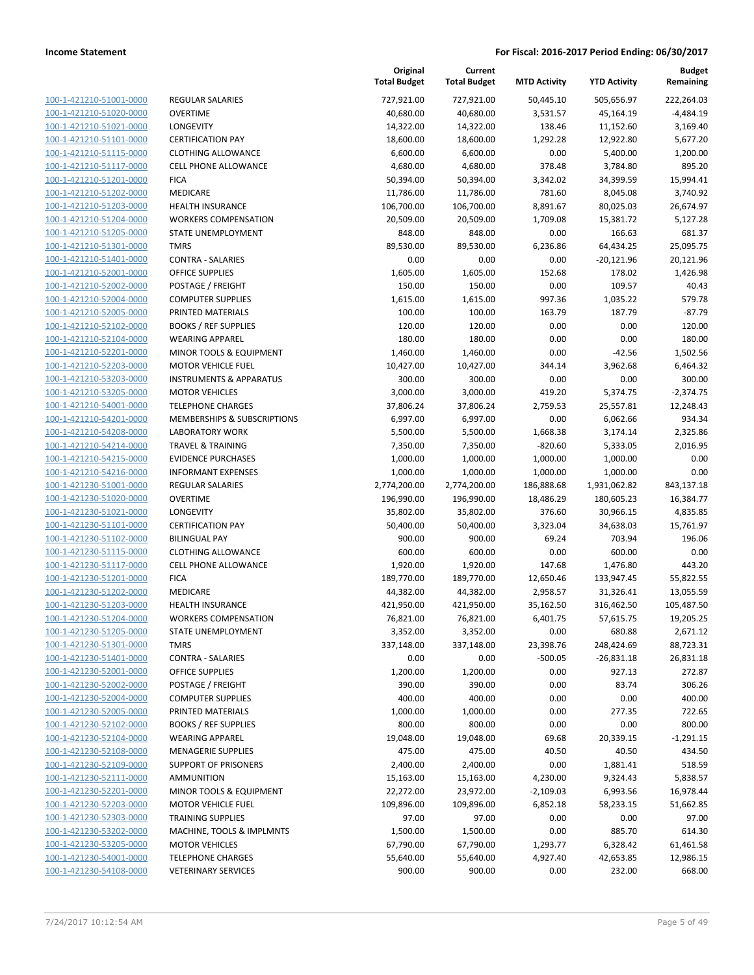| 100-1-421210-51001-0000                 |
|-----------------------------------------|
| 100-1-421210-51020-0000                 |
| 100-1-421210-51021-0000                 |
| 100-1-421210-51101-0000                 |
| 100-1-421210-51115-0000                 |
| 100-1-421210-51117-0000                 |
| 100-1-421210-51201-0000                 |
| 100-1-421210-51202-0000                 |
| 100-1-421210-51203-0000                 |
| 100-1-421210-51204-0000                 |
| 100-1-421210-51205-0000                 |
| $-421210 - 51301$<br>$100 - 1$<br>-0000 |
| 100-1-421210-51401-0000                 |
| 100-1-421210-52001-0000                 |
| <u>100-1-421210-52002-0000</u>          |
| <u>100-1-421210-52004-0000</u>          |
| 100-1-421210-52005-0000                 |
| 100-1-421210-52102-0000                 |
| 100-1-421210-52104-0000                 |
| 100-1-421210-52201-0000                 |
| 100-1-421210-52203-0000                 |
| -421210-53203-0000<br>$100 - 1$         |
| 100-1-421210-53205-0000                 |
| 100-1-421210-54001-0000                 |
| <u>100-1-421210-54201-0000</u>          |
| <u>100-1-421210-54208-0000</u>          |
| 100-1-421210-54214-0000                 |
| 100-1-421210-54215-0000                 |
| 100-1-421210-54216-0000                 |
| 100-1-421230-51001-0000                 |
| 100-1-421230-51020-0000                 |
| 100-1-421230-51021-0000                 |
| 100-1-421230-51101-0000                 |
| 100-1-421230-51102-0000                 |
| 100-1-421230-51115-0000                 |
| 100-1-421230-51117-0000                 |
| 100-1-421230-51201-0000                 |
| 100-1-421230-51202-0000                 |
| 100-1-421230-51203-0000                 |
| 100-1-421230-51204-0000                 |
| 100-1-421230-51205-0000                 |
| 100-1-421230-51301-0000                 |
| 100-1-421230-51401-0000                 |
| 100-1-421230-52001-0000                 |
| <u>100-1-421230-52002-0000</u>          |
| 100-1-421230-52004-0000                 |
| 100-1-421230-52005-0000                 |
| 100-1-421230-52102-0000                 |
| <u>100-1-421230-52104-0000</u>          |
| 100-1-421230-52108-0000                 |
| <u>100-1-421230-52109-0000</u>          |
| 100-1-421230-52111-0000                 |
| 100-1-421230-52201-0000                 |
| <u>100-1-421230-52203-0000</u>          |
| <u>100-1-421230-52303-0000</u>          |
| <u>100-1-421230-53202-0000</u>          |
| <u>100-1-421230-53205-0000</u>          |
| 100-1-421230-54001-0000                 |
| 100-1-421230-54108-0000                 |

| REGULAR SALARIES                       |
|----------------------------------------|
| OVERTIME                               |
| LONGEVITY                              |
| <b>CERTIFICATION PAY</b>               |
| CLOTHING ALLOWANCE                     |
| <b>CELL PHONE ALLOWANCE</b>            |
| FICA                                   |
| MEDICARE                               |
| <b>HEALTH INSURANCE</b>                |
| <b>WORKERS COMPENSATION</b>            |
| STATE UNEMPLOYMENT                     |
| TMRS                                   |
| CONTRA - SALARIES                      |
| OFFICE SUPPLIES                        |
| POSTAGE / FREIGHT                      |
| <b>COMPUTER SUPPLIES</b>               |
| PRINTED MATERIALS                      |
| <b>BOOKS / REF SUPPLIES</b>            |
| WEARING APPAREL                        |
| MINOR TOOLS & EQUIPMENT                |
| <b>MOTOR VEHICLE FUEL</b>              |
| <b>INSTRUMENTS &amp; APPARATUS</b>     |
| <b>MOTOR VEHICLES</b>                  |
| <b>TELEPHONE CHARGES</b>               |
| <b>MEMBERSHIPS &amp; SUBSCRIPTIONS</b> |
| <b>LABORATORY WORK</b>                 |
| TRAVEL & TRAINING                      |
| <b>EVIDENCE PURCHASES</b>              |
| <b>INFORMANT EXPENSES</b>              |
| REGULAR SALARIES                       |
| OVERTIME                               |
| LONGEVITY                              |
| <b>CERTIFICATION PAY</b>               |
| <b>BILINGUAL PAY</b>                   |
| CLOTHING ALLOWANCE                     |
| <b>CELL PHONE ALLOWANCE</b>            |
| FICA                                   |
| <b>MEDICARE</b>                        |
| <b>HEALTH INSURANCE</b>                |
| WORKERS COMPENSATION                   |
| STATE UNEMPLOYMENT                     |
| TMRS                                   |
| CONTRA - SALARIES                      |
| OFFICE SUPPLIES                        |
| POSTAGE / FREIGHT                      |
| <b>COMPUTER SUPPLIES</b>               |
| PRINTED MATERIALS                      |
| <b>BOOKS / REF SUPPLIES</b>            |
| WEARING APPAREL                        |
| <b>MENAGERIE SUPPLIES</b>              |
| <b>SUPPORT OF PRISONERS</b>            |
| AMMUNITION                             |
| MINOR TOOLS & EQUIPMENT                |
| <b>MOTOR VEHICLE FUEL</b>              |
| TRAINING SUPPLIES                      |
| MACHINE, TOOLS & IMPLMNTS              |
| <b>MOTOR VEHICLES</b>                  |
| <b>TELEPHONE CHARGES</b>               |

|                         |                                    | Original<br><b>Total Budget</b> | Current<br><b>Total Budget</b> | <b>MTD Activity</b> | <b>YTD Activity</b> | <b>Budget</b><br>Remaining |
|-------------------------|------------------------------------|---------------------------------|--------------------------------|---------------------|---------------------|----------------------------|
| 100-1-421210-51001-0000 | <b>REGULAR SALARIES</b>            | 727,921.00                      | 727,921.00                     | 50,445.10           | 505,656.97          | 222,264.03                 |
| 100-1-421210-51020-0000 | <b>OVERTIME</b>                    | 40,680.00                       | 40,680.00                      | 3,531.57            | 45,164.19           | $-4,484.19$                |
| 100-1-421210-51021-0000 | LONGEVITY                          | 14,322.00                       | 14,322.00                      | 138.46              | 11,152.60           | 3,169.40                   |
| 100-1-421210-51101-0000 | <b>CERTIFICATION PAY</b>           | 18,600.00                       | 18,600.00                      | 1,292.28            | 12,922.80           | 5,677.20                   |
| 100-1-421210-51115-0000 | <b>CLOTHING ALLOWANCE</b>          | 6,600.00                        | 6,600.00                       | 0.00                | 5,400.00            | 1,200.00                   |
| 100-1-421210-51117-0000 | <b>CELL PHONE ALLOWANCE</b>        | 4,680.00                        | 4,680.00                       | 378.48              | 3,784.80            | 895.20                     |
| 100-1-421210-51201-0000 | <b>FICA</b>                        | 50,394.00                       | 50,394.00                      | 3,342.02            | 34,399.59           | 15,994.41                  |
| 100-1-421210-51202-0000 | MEDICARE                           | 11,786.00                       | 11,786.00                      | 781.60              | 8,045.08            | 3,740.92                   |
| 100-1-421210-51203-0000 | HEALTH INSURANCE                   | 106,700.00                      | 106,700.00                     | 8,891.67            | 80,025.03           | 26,674.97                  |
| 100-1-421210-51204-0000 | <b>WORKERS COMPENSATION</b>        | 20,509.00                       | 20,509.00                      | 1,709.08            | 15,381.72           | 5,127.28                   |
| 100-1-421210-51205-0000 | STATE UNEMPLOYMENT                 | 848.00                          | 848.00                         | 0.00                | 166.63              | 681.37                     |
| 100-1-421210-51301-0000 | <b>TMRS</b>                        | 89,530.00                       | 89,530.00                      | 6,236.86            | 64,434.25           | 25,095.75                  |
| 100-1-421210-51401-0000 | <b>CONTRA - SALARIES</b>           | 0.00                            | 0.00                           | 0.00                | $-20,121.96$        | 20,121.96                  |
| 100-1-421210-52001-0000 | <b>OFFICE SUPPLIES</b>             | 1,605.00                        | 1,605.00                       | 152.68              | 178.02              | 1,426.98                   |
| 100-1-421210-52002-0000 | POSTAGE / FREIGHT                  | 150.00                          | 150.00                         | 0.00                | 109.57              | 40.43                      |
| 100-1-421210-52004-0000 | <b>COMPUTER SUPPLIES</b>           | 1,615.00                        | 1,615.00                       | 997.36              | 1,035.22            | 579.78                     |
| 100-1-421210-52005-0000 | PRINTED MATERIALS                  | 100.00                          | 100.00                         | 163.79              | 187.79              | $-87.79$                   |
| 100-1-421210-52102-0000 | <b>BOOKS / REF SUPPLIES</b>        | 120.00                          | 120.00                         | 0.00                | 0.00                | 120.00                     |
| 100-1-421210-52104-0000 | <b>WEARING APPAREL</b>             | 180.00                          | 180.00                         | 0.00                | 0.00                | 180.00                     |
| 100-1-421210-52201-0000 | MINOR TOOLS & EQUIPMENT            | 1,460.00                        | 1,460.00                       | 0.00                | $-42.56$            | 1,502.56                   |
| 100-1-421210-52203-0000 | <b>MOTOR VEHICLE FUEL</b>          | 10,427.00                       | 10,427.00                      | 344.14              | 3,962.68            | 6,464.32                   |
| 100-1-421210-53203-0000 | <b>INSTRUMENTS &amp; APPARATUS</b> | 300.00                          | 300.00                         | 0.00                | 0.00                | 300.00                     |
| 100-1-421210-53205-0000 | <b>MOTOR VEHICLES</b>              | 3,000.00                        | 3,000.00                       | 419.20              | 5,374.75            | $-2,374.75$                |
| 100-1-421210-54001-0000 | <b>TELEPHONE CHARGES</b>           | 37,806.24                       | 37,806.24                      | 2,759.53            | 25,557.81           | 12,248.43                  |
| 100-1-421210-54201-0000 | MEMBERSHIPS & SUBSCRIPTIONS        | 6,997.00                        | 6,997.00                       | 0.00                | 6,062.66            | 934.34                     |
| 100-1-421210-54208-0000 | <b>LABORATORY WORK</b>             | 5,500.00                        | 5,500.00                       | 1,668.38            | 3,174.14            | 2,325.86                   |
| 100-1-421210-54214-0000 | <b>TRAVEL &amp; TRAINING</b>       | 7,350.00                        | 7,350.00                       | $-820.60$           | 5,333.05            | 2,016.95                   |
| 100-1-421210-54215-0000 | <b>EVIDENCE PURCHASES</b>          | 1,000.00                        | 1,000.00                       | 1,000.00            | 1,000.00            | 0.00                       |
| 100-1-421210-54216-0000 | <b>INFORMANT EXPENSES</b>          | 1,000.00                        | 1,000.00                       | 1,000.00            | 1,000.00            | 0.00                       |
| 100-1-421230-51001-0000 | REGULAR SALARIES                   | 2,774,200.00                    | 2,774,200.00                   | 186,888.68          | 1,931,062.82        | 843,137.18                 |
| 100-1-421230-51020-0000 | <b>OVERTIME</b>                    | 196,990.00                      | 196,990.00                     | 18,486.29           | 180,605.23          | 16,384.77                  |
| 100-1-421230-51021-0000 | LONGEVITY                          | 35,802.00                       | 35,802.00                      | 376.60              | 30,966.15           | 4,835.85                   |
| 100-1-421230-51101-0000 | <b>CERTIFICATION PAY</b>           | 50,400.00                       | 50,400.00                      | 3,323.04            | 34,638.03           | 15,761.97                  |
| 100-1-421230-51102-0000 | <b>BILINGUAL PAY</b>               | 900.00                          | 900.00                         | 69.24               | 703.94              | 196.06                     |
| 100-1-421230-51115-0000 | <b>CLOTHING ALLOWANCE</b>          | 600.00                          | 600.00                         | 0.00                | 600.00              | 0.00                       |
| 100-1-421230-51117-0000 | <b>CELL PHONE ALLOWANCE</b>        | 1,920.00                        | 1,920.00                       | 147.68              | 1,476.80            | 443.20                     |
| 100-1-421230-51201-0000 | <b>FICA</b>                        | 189,770.00                      | 189,770.00                     | 12,650.46           | 133,947.45          | 55,822.55                  |
| 100-1-421230-51202-0000 | MEDICARE                           | 44,382.00                       | 44,382.00                      | 2,958.57            | 31,326.41           | 13,055.59                  |
| 100-1-421230-51203-0000 | HEALTH INSURANCE                   | 421,950.00                      | 421,950.00                     | 35,162.50           | 316,462.50          | 105,487.50                 |
| 100-1-421230-51204-0000 | <b>WORKERS COMPENSATION</b>        | 76,821.00                       | 76,821.00                      | 6,401.75            | 57,615.75           | 19,205.25                  |
| 100-1-421230-51205-0000 | STATE UNEMPLOYMENT                 | 3,352.00                        | 3,352.00                       | 0.00                | 680.88              | 2,671.12                   |
| 100-1-421230-51301-0000 | <b>TMRS</b>                        | 337,148.00                      | 337,148.00                     | 23,398.76           | 248,424.69          | 88,723.31                  |
| 100-1-421230-51401-0000 | <b>CONTRA - SALARIES</b>           | 0.00                            | 0.00                           | $-500.05$           | $-26,831.18$        | 26,831.18                  |
| 100-1-421230-52001-0000 | <b>OFFICE SUPPLIES</b>             | 1,200.00                        | 1,200.00                       | 0.00                | 927.13              | 272.87                     |
| 100-1-421230-52002-0000 | POSTAGE / FREIGHT                  | 390.00                          | 390.00                         | 0.00                | 83.74               | 306.26                     |
| 100-1-421230-52004-0000 | <b>COMPUTER SUPPLIES</b>           | 400.00                          | 400.00                         | 0.00                | 0.00                | 400.00                     |
| 100-1-421230-52005-0000 | PRINTED MATERIALS                  | 1,000.00                        | 1,000.00                       | 0.00                | 277.35              | 722.65                     |
| 100-1-421230-52102-0000 | <b>BOOKS / REF SUPPLIES</b>        | 800.00                          | 800.00                         | 0.00                | 0.00                | 800.00                     |
| 100-1-421230-52104-0000 | <b>WEARING APPAREL</b>             | 19,048.00                       | 19,048.00                      | 69.68               | 20,339.15           | $-1,291.15$                |
| 100-1-421230-52108-0000 | <b>MENAGERIE SUPPLIES</b>          | 475.00                          | 475.00                         | 40.50               | 40.50               | 434.50                     |
| 100-1-421230-52109-0000 | <b>SUPPORT OF PRISONERS</b>        | 2,400.00                        | 2,400.00                       | 0.00                | 1,881.41            | 518.59                     |
| 100-1-421230-52111-0000 | AMMUNITION                         | 15,163.00                       | 15,163.00                      | 4,230.00            | 9,324.43            | 5,838.57                   |
| 100-1-421230-52201-0000 | MINOR TOOLS & EQUIPMENT            | 22,272.00                       | 23,972.00                      | $-2,109.03$         | 6,993.56            | 16,978.44                  |
| 100-1-421230-52203-0000 | <b>MOTOR VEHICLE FUEL</b>          | 109,896.00                      | 109,896.00                     | 6,852.18            | 58,233.15           | 51,662.85                  |
| 100-1-421230-52303-0000 | <b>TRAINING SUPPLIES</b>           | 97.00                           | 97.00                          | 0.00                | 0.00                | 97.00                      |
| 100-1-421230-53202-0000 | MACHINE, TOOLS & IMPLMNTS          | 1,500.00                        | 1,500.00                       | 0.00                | 885.70              | 614.30                     |
| 100-1-421230-53205-0000 | <b>MOTOR VEHICLES</b>              | 67,790.00                       | 67,790.00                      | 1,293.77            | 6,328.42            | 61,461.58                  |
| 100-1-421230-54001-0000 | <b>TELEPHONE CHARGES</b>           | 55,640.00                       | 55,640.00                      | 4,927.40            | 42,653.85           | 12,986.15                  |
| 100-1-421230-54108-0000 | <b>VETERINARY SERVICES</b>         | 900.00                          | 900.00                         | 0.00                | 232.00              | 668.00                     |
|                         |                                    |                                 |                                |                     |                     |                            |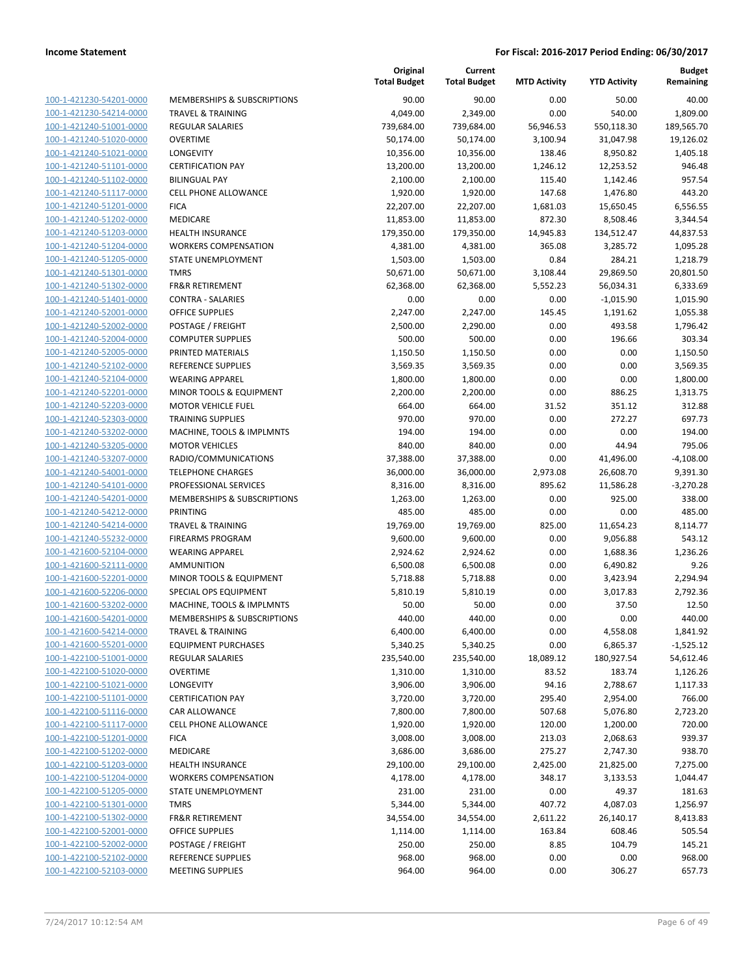| 100-1-421230-54201-0000        |
|--------------------------------|
| 100-1-421230-54214-0000        |
| 100-1-421240-51001-0000        |
| 100-1-421240-51020-0000        |
| 100-1-421240-51021-0000        |
| 100-1-421240-51101-0000        |
| 100-1-421240-51102-0000        |
| 100-1-421240-51117-0000        |
| 100-1-421240-51201-0000        |
| 100-1-421240-51202-0000        |
| 100-1-421240-51203-0000        |
| 100-1-421240-51204-0000        |
| 100-1-421240-51205-0000        |
| 100-1-421240-51301-0000        |
| <u>100-1-421240-51302-0000</u> |
| 100-1-421240-51401-0000        |
| 100-1-421240-52001-0000        |
| 100-1-421240-52002-0000        |
| 100-1-421240-52004-0000        |
| <u>100-1-421240-52005-0000</u> |
| 100-1-421240-52102-0000        |
| 100-1-421240-52104-0000        |
| 100-1-421240-52201-0000        |
| 100-1-421240-52203-0000        |
| <u>100-1-421240-52303-0000</u> |
| 100-1-421240-53202-0000        |
| 100-1-421240-53205-0000        |
|                                |
| 100-1-421240-53207-0000        |
| 100-1-421240-54001-0000        |
| 100-1-421240-54101-0000        |
| 100-1-421240-54201-0000        |
| 100-1-421240-54212-0000        |
| 100-1-421240-54214-0000        |
| 100-1-421240-55232-0000        |
| 100-1-421600-52104-0000        |
| 100-1-421600-52111-0000        |
| 100-1-421600-52201-0000        |
| 100-1-421600-52206-0000        |
| 100-1-421600-53202-0000        |
| 100-1-421600-54201-0000        |
| 100-1-421600-54214-0000        |
| <u>100-1-421600-55201-0000</u> |
| 100-1-422100-51001-0000        |
| <u>100-1-422100-51020-0000</u> |
| 100-1-422100-51021-0000        |
| 100-1-422100-51101-0000        |
| 100-1-422100-51116-0000        |
| 100-1-422100-51117-0000        |
| <u>100-1-422100-51201-0000</u> |
| <u>100-1-422100-51202-0000</u> |
| <u>100-1-422100-51203-0000</u> |
| 100-1-422100-51204-0000        |
| 100-1-422100-51205-0000        |
| <u>100-1-422100-51301-0000</u> |
| <u>100-1-422100-51302-0000</u> |
| <u>100-1-422100-52001-0000</u> |
| <u>100-1-422100-52002-0000</u> |
| 100-1-422100-52102-0000        |
| <u>100-1-422100-52103-0000</u> |
|                                |

|                         |                                    | Original<br><b>Total Budget</b> | Current<br><b>Total Budget</b> | <b>MTD Activity</b> | <b>YTD Activity</b> | Budget<br>Remaining |
|-------------------------|------------------------------------|---------------------------------|--------------------------------|---------------------|---------------------|---------------------|
| 100-1-421230-54201-0000 | MEMBERSHIPS & SUBSCRIPTIONS        | 90.00                           | 90.00                          | 0.00                | 50.00               | 40.00               |
| 100-1-421230-54214-0000 | <b>TRAVEL &amp; TRAINING</b>       | 4,049.00                        | 2,349.00                       | 0.00                | 540.00              | 1,809.00            |
| 100-1-421240-51001-0000 | <b>REGULAR SALARIES</b>            | 739,684.00                      | 739,684.00                     | 56,946.53           | 550,118.30          | 189,565.70          |
| 100-1-421240-51020-0000 | <b>OVERTIME</b>                    | 50,174.00                       | 50,174.00                      | 3,100.94            | 31,047.98           | 19,126.02           |
| 100-1-421240-51021-0000 | LONGEVITY                          | 10,356.00                       | 10,356.00                      | 138.46              | 8,950.82            | 1,405.18            |
| 100-1-421240-51101-0000 | <b>CERTIFICATION PAY</b>           | 13,200.00                       | 13,200.00                      | 1,246.12            | 12,253.52           | 946.48              |
| 100-1-421240-51102-0000 | <b>BILINGUAL PAY</b>               | 2,100.00                        | 2,100.00                       | 115.40              | 1,142.46            | 957.54              |
| 100-1-421240-51117-0000 | CELL PHONE ALLOWANCE               | 1,920.00                        | 1,920.00                       | 147.68              | 1,476.80            | 443.20              |
| 100-1-421240-51201-0000 | <b>FICA</b>                        | 22,207.00                       | 22,207.00                      | 1,681.03            | 15,650.45           | 6,556.55            |
| 100-1-421240-51202-0000 | MEDICARE                           | 11,853.00                       | 11,853.00                      | 872.30              | 8,508.46            | 3,344.54            |
| 100-1-421240-51203-0000 | <b>HEALTH INSURANCE</b>            | 179,350.00                      | 179,350.00                     | 14,945.83           | 134,512.47          | 44,837.53           |
| 100-1-421240-51204-0000 | <b>WORKERS COMPENSATION</b>        | 4,381.00                        | 4,381.00                       | 365.08              | 3,285.72            | 1,095.28            |
| 100-1-421240-51205-0000 | STATE UNEMPLOYMENT                 | 1,503.00                        | 1,503.00                       | 0.84                | 284.21              | 1,218.79            |
| 100-1-421240-51301-0000 | <b>TMRS</b>                        | 50,671.00                       | 50,671.00                      | 3,108.44            | 29,869.50           | 20,801.50           |
| 100-1-421240-51302-0000 | <b>FR&amp;R RETIREMENT</b>         | 62,368.00                       | 62,368.00                      | 5,552.23            | 56,034.31           | 6,333.69            |
| 100-1-421240-51401-0000 | <b>CONTRA - SALARIES</b>           | 0.00                            | 0.00                           | 0.00                | $-1,015.90$         | 1,015.90            |
| 100-1-421240-52001-0000 | <b>OFFICE SUPPLIES</b>             | 2,247.00                        | 2,247.00                       | 145.45              | 1,191.62            | 1,055.38            |
| 100-1-421240-52002-0000 | POSTAGE / FREIGHT                  | 2,500.00                        | 2,290.00                       | 0.00                | 493.58              | 1,796.42            |
| 100-1-421240-52004-0000 | <b>COMPUTER SUPPLIES</b>           | 500.00                          | 500.00                         | 0.00                | 196.66              | 303.34              |
| 100-1-421240-52005-0000 | PRINTED MATERIALS                  | 1,150.50                        | 1,150.50                       | 0.00                | 0.00                | 1,150.50            |
| 100-1-421240-52102-0000 | REFERENCE SUPPLIES                 | 3,569.35                        | 3,569.35                       | 0.00                | 0.00                | 3,569.35            |
| 100-1-421240-52104-0000 | <b>WEARING APPAREL</b>             | 1,800.00                        | 1,800.00                       | 0.00                | 0.00                | 1,800.00            |
| 100-1-421240-52201-0000 | <b>MINOR TOOLS &amp; EQUIPMENT</b> | 2,200.00                        | 2,200.00                       | 0.00                | 886.25              | 1,313.75            |
| 100-1-421240-52203-0000 | <b>MOTOR VEHICLE FUEL</b>          | 664.00                          | 664.00                         | 31.52               | 351.12              | 312.88              |
| 100-1-421240-52303-0000 | <b>TRAINING SUPPLIES</b>           | 970.00                          | 970.00                         | 0.00                | 272.27              | 697.73              |
| 100-1-421240-53202-0000 | MACHINE, TOOLS & IMPLMNTS          | 194.00                          | 194.00                         | 0.00                | 0.00                | 194.00              |
| 100-1-421240-53205-0000 | <b>MOTOR VEHICLES</b>              | 840.00                          | 840.00                         | 0.00                | 44.94               | 795.06              |
| 100-1-421240-53207-0000 | RADIO/COMMUNICATIONS               | 37,388.00                       | 37,388.00                      | 0.00                | 41,496.00           | $-4,108.00$         |
| 100-1-421240-54001-0000 | <b>TELEPHONE CHARGES</b>           | 36,000.00                       | 36,000.00                      | 2,973.08            | 26,608.70           | 9,391.30            |
| 100-1-421240-54101-0000 | PROFESSIONAL SERVICES              | 8,316.00                        | 8,316.00                       | 895.62              | 11,586.28           | $-3,270.28$         |
| 100-1-421240-54201-0000 | MEMBERSHIPS & SUBSCRIPTIONS        | 1,263.00                        | 1,263.00                       | 0.00                | 925.00              | 338.00              |
| 100-1-421240-54212-0000 | <b>PRINTING</b>                    | 485.00                          | 485.00                         | 0.00                | 0.00                | 485.00              |
| 100-1-421240-54214-0000 | <b>TRAVEL &amp; TRAINING</b>       | 19,769.00                       | 19,769.00                      | 825.00              | 11,654.23           | 8,114.77            |
| 100-1-421240-55232-0000 | <b>FIREARMS PROGRAM</b>            | 9,600.00                        | 9,600.00                       | 0.00                | 9,056.88            | 543.12              |
| 100-1-421600-52104-0000 | <b>WEARING APPAREL</b>             | 2,924.62                        | 2,924.62                       | 0.00                | 1,688.36            | 1,236.26            |
| 100-1-421600-52111-0000 | AMMUNITION                         | 6,500.08                        | 6,500.08                       | 0.00                | 6,490.82            | 9.26                |
| 100-1-421600-52201-0000 | MINOR TOOLS & EQUIPMENT            | 5,718.88                        | 5,718.88                       | 0.00                | 3,423.94            | 2,294.94            |
| 100-1-421600-52206-0000 | SPECIAL OPS EQUIPMENT              | 5,810.19                        | 5,810.19                       | 0.00                | 3,017.83            | 2,792.36            |
| 100-1-421600-53202-0000 | MACHINE, TOOLS & IMPLMNTS          | 50.00                           | 50.00                          | 0.00                | 37.50               | 12.50               |
| 100-1-421600-54201-0000 | MEMBERSHIPS & SUBSCRIPTIONS        | 440.00                          | 440.00                         | 0.00                | 0.00                | 440.00              |
| 100-1-421600-54214-0000 | TRAVEL & TRAINING                  | 6,400.00                        | 6,400.00                       | 0.00                | 4,558.08            | 1,841.92            |
| 100-1-421600-55201-0000 | <b>EQUIPMENT PURCHASES</b>         | 5,340.25                        | 5,340.25                       | 0.00                | 6,865.37            | $-1,525.12$         |
| 100-1-422100-51001-0000 | REGULAR SALARIES                   | 235,540.00                      | 235,540.00                     | 18,089.12           | 180,927.54          | 54,612.46           |
| 100-1-422100-51020-0000 | <b>OVERTIME</b>                    | 1,310.00                        | 1,310.00                       | 83.52               | 183.74              | 1,126.26            |
| 100-1-422100-51021-0000 | LONGEVITY                          | 3,906.00                        | 3,906.00                       | 94.16               | 2,788.67            | 1,117.33            |
| 100-1-422100-51101-0000 | <b>CERTIFICATION PAY</b>           | 3,720.00                        | 3,720.00                       | 295.40              | 2,954.00            | 766.00              |
| 100-1-422100-51116-0000 | CAR ALLOWANCE                      | 7,800.00                        | 7,800.00                       | 507.68              | 5,076.80            | 2,723.20            |
| 100-1-422100-51117-0000 | CELL PHONE ALLOWANCE               | 1,920.00                        | 1,920.00                       | 120.00              | 1,200.00            | 720.00              |
| 100-1-422100-51201-0000 | <b>FICA</b>                        | 3,008.00                        | 3,008.00                       | 213.03              | 2,068.63            | 939.37              |
| 100-1-422100-51202-0000 | MEDICARE                           | 3,686.00                        | 3,686.00                       | 275.27              | 2,747.30            | 938.70              |
| 100-1-422100-51203-0000 | <b>HEALTH INSURANCE</b>            | 29,100.00                       | 29,100.00                      | 2,425.00            | 21,825.00           | 7,275.00            |
| 100-1-422100-51204-0000 | <b>WORKERS COMPENSATION</b>        | 4,178.00                        | 4,178.00                       | 348.17              | 3,133.53            | 1,044.47            |
| 100-1-422100-51205-0000 | STATE UNEMPLOYMENT                 | 231.00                          | 231.00                         | 0.00                | 49.37               | 181.63              |
| 100-1-422100-51301-0000 | <b>TMRS</b>                        | 5,344.00                        | 5,344.00                       | 407.72              | 4,087.03            | 1,256.97            |
| 100-1-422100-51302-0000 | <b>FR&amp;R RETIREMENT</b>         | 34,554.00                       | 34,554.00                      | 2,611.22            | 26,140.17           | 8,413.83            |
| 100-1-422100-52001-0000 | OFFICE SUPPLIES                    | 1,114.00                        | 1,114.00                       | 163.84              | 608.46              | 505.54              |
| 100-1-422100-52002-0000 | POSTAGE / FREIGHT                  | 250.00                          | 250.00                         | 8.85                | 104.79              | 145.21              |
| 100-1-422100-52102-0000 | REFERENCE SUPPLIES                 | 968.00                          | 968.00                         | 0.00                | 0.00                | 968.00              |
| 100-1-422100-52103-0000 | <b>MEETING SUPPLIES</b>            | 964.00                          | 964.00                         | 0.00                | 306.27              | 657.73              |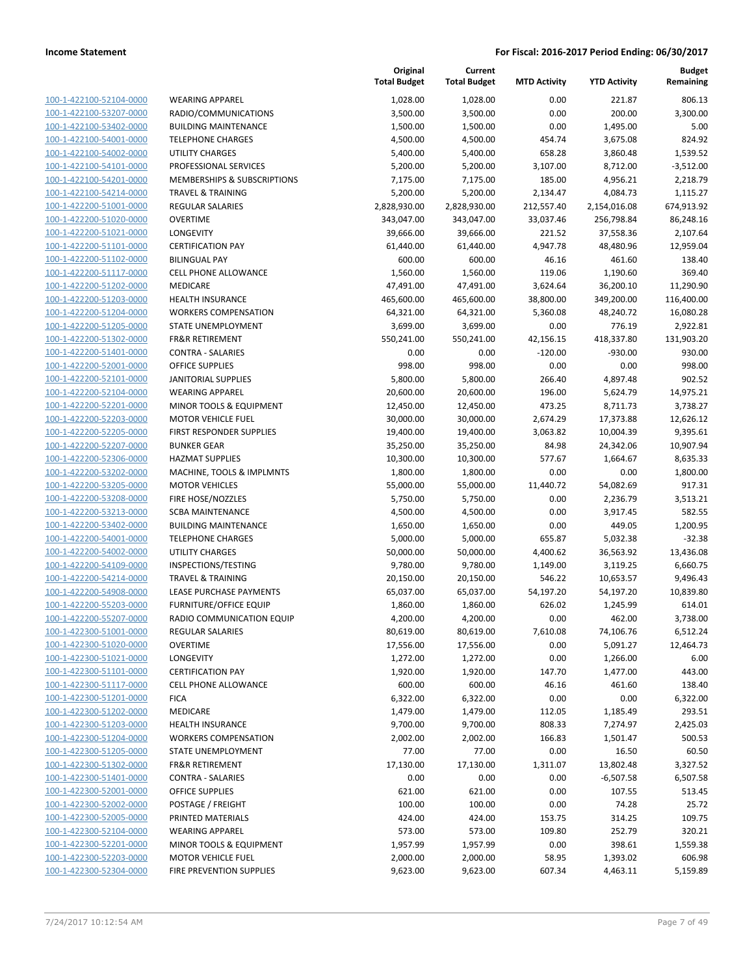| 100-1-422100-52104-0000        |
|--------------------------------|
| 100-1-422100-53207-0000        |
| 100-1-422100-53402-0000        |
| <u>100-1-422100-54001-0000</u> |
| 100-1-422100-54002-0000        |
| 100-1-422100-54101-0000        |
| 100-1-422100-54201-0000        |
| 100-1-422100-54214-0000        |
| <u>100-1-422200-51001-0000</u> |
| 100-1-422200-51020-0000        |
| 100-1-422200-51021-0000        |
| 100-1-422200-51101-0000        |
| 100-1-422200-51102-0000        |
| <u>100-1-422200-51117-0000</u> |
| 100-1-422200-51202-0000        |
| 100-1-422200-51203-0000        |
| 100-1-422200-51204-0000        |
| 100-1-422200-51205-0000        |
| <u>100-1-422200-51302-0000</u> |
| 100-1-422200-51401-0000        |
| 100-1-422200-52001-<br>-0000   |
| 100-1-422200-52101-0000        |
| 100-1-422200-52104-0000        |
| 100-1-422200-52201-0000        |
| 100-1-422200-52203-0000        |
| 100-1-422200-52205-0000        |
| 100-1-422200-52207-0000        |
|                                |
| 100-1-422200-52306-0000        |
| <u>100-1-422200-53202-0000</u> |
| 100-1-422200-53205-0000        |
| 100-1-422200-53208-0000        |
| 100-1-422200-53213-0000        |
| 100-1-422200-53402-0000        |
| <u>100-1-422200-54001-0000</u> |
| 100-1-422200-54002-0000        |
| 100-1-422200-54109-0000        |
| 100-1-422200-54214-0000        |
| 100-1-422200-54908-0000        |
| 100-1-422200-55203-0000        |
| 100-1-422200-55207-0000        |
| 100-1-422300-51001-0000        |
| <u>100-1-422300-51020-0000</u> |
| 100-1-422300-51021-0000        |
| <u>100-1-422300-51101-0000</u> |
| <u>100-1-422300-51117-0000</u> |
| <u>100-1-422300-51201-0000</u> |
| 100-1-422300-51202-0000        |
| 100-1-422300-51203-0000        |
| <u>100-1-422300-51204-0000</u> |
| 100-1-422300-51205-0000        |
| 100-1-422300-51302-0000        |
| 100-1-422300-51401-0000        |
| <u>100-1-422300-52001-0000</u> |
| <u>100-1-422300-52002-0000</u> |
| <u>100-1-422300-52005-0000</u> |
| 100-1-422300-52104-0000        |
| <u>100-1-422300-52201-0000</u> |
| 100-1-422300-52203-0000        |
| <u>100-1-422300-52304-0000</u> |
|                                |

|                               | <b>Total Budget</b> | <b>Total B</b>           |
|-------------------------------|---------------------|--------------------------|
| <b>WEARING APPAREL</b>        | 1,028.00            | 1,0                      |
| RADIO/COMMUNICATIONS          | 3,500.00            | 3,5                      |
| <b>BUILDING MAINTENANCE</b>   | 1,500.00            | 1,5                      |
| <b>TELEPHONE CHARGES</b>      | 4,500.00            | 4,5                      |
| <b>UTILITY CHARGES</b>        | 5,400.00            | 5,4                      |
| PROFESSIONAL SERVICES         | 5,200.00            | 5,2                      |
| MEMBERSHIPS & SUBSCRIPTIONS   | 7,175.00            | 7,1                      |
| TRAVEL & TRAINING             | 5,200.00            | 5,2                      |
| <b>REGULAR SALARIES</b>       | 2,828,930.00        | 2,828,9                  |
| <b>OVERTIME</b>               | 343,047.00          | 343,0                    |
| LONGEVITY                     | 39,666.00           | 39,6                     |
| <b>CERTIFICATION PAY</b>      | 61,440.00           | 61,4                     |
| <b>BILINGUAL PAY</b>          | 600.00              | Е                        |
| <b>CELL PHONE ALLOWANCE</b>   | 1,560.00            | 1,5                      |
| MEDICARE                      | 47,491.00           | 47,4                     |
| <b>HEALTH INSURANCE</b>       | 465,600.00          | 465,6                    |
| <b>WORKERS COMPENSATION</b>   | 64,321.00           | 64,3                     |
| STATE UNEMPLOYMENT            | 3,699.00            | 3,6                      |
| <b>FR&amp;R RETIREMENT</b>    | 550,241.00          | 550,2                    |
| <b>CONTRA - SALARIES</b>      | 0.00                |                          |
| OFFICE SUPPLIES               | 998.00              | c                        |
| <b>JANITORIAL SUPPLIES</b>    | 5,800.00            | 5,8                      |
| <b>WEARING APPAREL</b>        | 20,600.00           | 20,6                     |
| MINOR TOOLS & EQUIPMENT       | 12,450.00           | 12,4                     |
| <b>MOTOR VEHICLE FUEL</b>     | 30,000.00           | 30,0                     |
| FIRST RESPONDER SUPPLIES      | 19,400.00           | 19,4                     |
| <b>BUNKER GEAR</b>            | 35,250.00           | 35,2                     |
| <b>HAZMAT SUPPLIES</b>        | 10,300.00           | 10,3                     |
| MACHINE, TOOLS & IMPLMNTS     | 1,800.00            | 1,8                      |
| <b>MOTOR VEHICLES</b>         | 55,000.00           | 55,0                     |
| FIRE HOSE/NOZZLES             | 5,750.00            | 5,7                      |
| <b>SCBA MAINTENANCE</b>       | 4,500.00            | 4,5                      |
| <b>BUILDING MAINTENANCE</b>   | 1,650.00            | 1,6                      |
| <b>TELEPHONE CHARGES</b>      | 5,000.00            | 5,0                      |
| <b>UTILITY CHARGES</b>        | 50,000.00           | 50,0                     |
| INSPECTIONS/TESTING           | 9,780.00            | 9,7                      |
| <b>TRAVEL &amp; TRAINING</b>  | 20,150.00           | 20,1                     |
| LEASE PURCHASE PAYMENTS       | 65,037.00           | 65,0                     |
| <b>FURNITURE/OFFICE EQUIP</b> | 1,860.00            | 1,8                      |
| RADIO COMMUNICATION EQUIP     | 4,200.00            | 4,2                      |
| REGULAR SALARIES              | 80,619.00           | 80,6                     |
| OVERTIME                      | 17,556.00           | 17,5                     |
| LONGEVITY                     | 1,272.00            | 1,2                      |
| <b>CERTIFICATION PAY</b>      | 1,920.00            | 1,9                      |
| CELL PHONE ALLOWANCE          | 600.00              | Е                        |
| <b>FICA</b>                   | 6,322.00            | 6,3                      |
| MEDICARE                      | 1,479.00            | 1,4                      |
| <b>HEALTH INSURANCE</b>       | 9,700.00            | 9,7                      |
| <b>WORKERS COMPENSATION</b>   | 2,002.00            | 2,0                      |
| STATE UNEMPLOYMENT            | 77.00               |                          |
| <b>FR&amp;R RETIREMENT</b>    | 17,130.00           | 17,1                     |
| <b>CONTRA - SALARIES</b>      | 0.00                |                          |
| <b>OFFICE SUPPLIES</b>        | 621.00              | Е                        |
| POSTAGE / FREIGHT             | 100.00              | 1                        |
| PRINTED MATERIALS             | 424.00              | $\overline{\phantom{a}}$ |
| <b>WEARING APPAREL</b>        | 573.00              | 5                        |
| MINOR TOOLS & EQUIPMENT       | 1,957.99            | 1,9                      |
| <b>MOTOR VEHICLE FUEL</b>     | 2,000.00            | 2,0                      |
| FIRE PREVENTION SUPPLIES      | 9,623.00            | 9,6                      |

|                                                    |                                                   | Original<br><b>Total Budget</b> | Current<br><b>Total Budget</b> | <b>MTD Activity</b> | <b>YTD Activity</b> | Budget<br>Remaining  |
|----------------------------------------------------|---------------------------------------------------|---------------------------------|--------------------------------|---------------------|---------------------|----------------------|
| 100-1-422100-52104-0000                            | <b>WEARING APPAREL</b>                            | 1,028.00                        | 1,028.00                       | 0.00                | 221.87              | 806.13               |
| 100-1-422100-53207-0000                            | RADIO/COMMUNICATIONS                              | 3,500.00                        | 3,500.00                       | 0.00                | 200.00              | 3,300.00             |
| 100-1-422100-53402-0000                            | <b>BUILDING MAINTENANCE</b>                       | 1,500.00                        | 1,500.00                       | 0.00                | 1,495.00            | 5.00                 |
| 100-1-422100-54001-0000                            | <b>TELEPHONE CHARGES</b>                          | 4,500.00                        | 4,500.00                       | 454.74              | 3,675.08            | 824.92               |
| 100-1-422100-54002-0000                            | <b>UTILITY CHARGES</b>                            | 5,400.00                        | 5,400.00                       | 658.28              | 3,860.48            | 1,539.52             |
| 100-1-422100-54101-0000                            | PROFESSIONAL SERVICES                             | 5,200.00                        | 5,200.00                       | 3,107.00            | 8,712.00            | $-3,512.00$          |
| 100-1-422100-54201-0000                            | MEMBERSHIPS & SUBSCRIPTIONS                       | 7,175.00                        | 7,175.00                       | 185.00              | 4,956.21            | 2,218.79             |
| 100-1-422100-54214-0000                            | <b>TRAVEL &amp; TRAINING</b>                      | 5,200.00                        | 5,200.00                       | 2,134.47            | 4,084.73            | 1,115.27             |
| 100-1-422200-51001-0000                            | <b>REGULAR SALARIES</b>                           | 2,828,930.00                    | 2,828,930.00                   | 212,557.40          | 2,154,016.08        | 674,913.92           |
| 100-1-422200-51020-0000                            | <b>OVERTIME</b>                                   | 343,047.00                      | 343,047.00                     | 33,037.46           | 256,798.84          | 86,248.16            |
| 100-1-422200-51021-0000                            | LONGEVITY                                         | 39,666.00                       | 39,666.00                      | 221.52              | 37,558.36           | 2,107.64             |
| 100-1-422200-51101-0000                            | <b>CERTIFICATION PAY</b>                          | 61,440.00                       | 61,440.00                      | 4,947.78            | 48,480.96           | 12,959.04            |
| 100-1-422200-51102-0000                            | <b>BILINGUAL PAY</b>                              | 600.00                          | 600.00                         | 46.16               | 461.60              | 138.40               |
| 100-1-422200-51117-0000                            | <b>CELL PHONE ALLOWANCE</b>                       | 1,560.00                        | 1,560.00                       | 119.06              | 1,190.60            | 369.40               |
| 100-1-422200-51202-0000                            | MEDICARE                                          | 47,491.00                       | 47,491.00                      | 3,624.64            | 36,200.10           | 11,290.90            |
| 100-1-422200-51203-0000                            | <b>HEALTH INSURANCE</b>                           | 465,600.00                      | 465,600.00                     | 38,800.00           | 349,200.00          | 116,400.00           |
| 100-1-422200-51204-0000                            | <b>WORKERS COMPENSATION</b>                       | 64,321.00                       | 64,321.00                      | 5,360.08            | 48,240.72           | 16,080.28            |
| 100-1-422200-51205-0000                            | STATE UNEMPLOYMENT                                | 3,699.00                        | 3,699.00                       | 0.00                | 776.19              | 2,922.81             |
| 100-1-422200-51302-0000                            | <b>FR&amp;R RETIREMENT</b>                        | 550,241.00                      | 550,241.00                     | 42,156.15           | 418,337.80          | 131,903.20           |
| 100-1-422200-51401-0000                            | <b>CONTRA - SALARIES</b>                          | 0.00                            | 0.00                           | $-120.00$           | $-930.00$           | 930.00               |
| 100-1-422200-52001-0000                            | OFFICE SUPPLIES                                   | 998.00                          | 998.00                         | 0.00                | 0.00                | 998.00               |
| 100-1-422200-52101-0000                            | JANITORIAL SUPPLIES                               | 5,800.00                        | 5,800.00                       | 266.40              | 4,897.48            | 902.52               |
| 100-1-422200-52104-0000                            | <b>WEARING APPAREL</b>                            | 20,600.00                       | 20,600.00                      | 196.00              | 5,624.79            | 14,975.21            |
| 100-1-422200-52201-0000                            | MINOR TOOLS & EQUIPMENT                           | 12,450.00                       | 12,450.00                      | 473.25              | 8,711.73            | 3,738.27             |
| 100-1-422200-52203-0000                            | <b>MOTOR VEHICLE FUEL</b>                         | 30,000.00                       | 30,000.00                      | 2,674.29            | 17,373.88           | 12,626.12            |
| 100-1-422200-52205-0000                            | FIRST RESPONDER SUPPLIES                          | 19,400.00                       | 19,400.00                      | 3,063.82            | 10,004.39           | 9,395.61             |
| 100-1-422200-52207-0000                            | <b>BUNKER GEAR</b>                                | 35,250.00                       | 35,250.00                      | 84.98               | 24,342.06           | 10,907.94            |
| 100-1-422200-52306-0000                            | <b>HAZMAT SUPPLIES</b>                            | 10,300.00                       | 10,300.00                      | 577.67              | 1,664.67            | 8,635.33             |
| 100-1-422200-53202-0000                            | MACHINE, TOOLS & IMPLMNTS                         | 1,800.00                        | 1,800.00                       | 0.00                | 0.00                | 1,800.00             |
| 100-1-422200-53205-0000                            | <b>MOTOR VEHICLES</b>                             | 55,000.00                       | 55,000.00                      | 11,440.72           | 54,082.69           | 917.31               |
| 100-1-422200-53208-0000                            | FIRE HOSE/NOZZLES                                 | 5,750.00                        | 5,750.00                       | 0.00                | 2,236.79            | 3,513.21             |
| 100-1-422200-53213-0000                            | <b>SCBA MAINTENANCE</b>                           | 4,500.00                        | 4,500.00                       | 0.00                | 3,917.45            | 582.55               |
| 100-1-422200-53402-0000                            | <b>BUILDING MAINTENANCE</b>                       | 1,650.00                        | 1,650.00                       | 0.00                | 449.05              | 1,200.95             |
| 100-1-422200-54001-0000                            | <b>TELEPHONE CHARGES</b>                          | 5,000.00                        | 5,000.00                       | 655.87              | 5,032.38            | $-32.38$             |
| 100-1-422200-54002-0000                            | UTILITY CHARGES                                   | 50,000.00                       | 50,000.00                      | 4,400.62            | 36,563.92           | 13,436.08            |
| 100-1-422200-54109-0000                            | INSPECTIONS/TESTING                               | 9,780.00                        | 9,780.00                       | 1,149.00            | 3,119.25            | 6,660.75             |
| 100-1-422200-54214-0000                            | <b>TRAVEL &amp; TRAINING</b>                      | 20,150.00                       | 20,150.00                      | 546.22              | 10,653.57           | 9,496.43             |
| 100-1-422200-54908-0000                            | LEASE PURCHASE PAYMENTS                           | 65,037.00                       | 65,037.00                      | 54,197.20           | 54,197.20           | 10,839.80            |
| 100-1-422200-55203-0000                            | <b>FURNITURE/OFFICE EQUIP</b>                     | 1,860.00                        | 1,860.00                       | 626.02              | 1,245.99            | 614.01               |
| 100-1-422200-55207-0000                            | RADIO COMMUNICATION EQUIP                         | 4,200.00                        | 4,200.00                       | 0.00                | 462.00              | 3,738.00             |
| 100-1-422300-51001-0000                            | <b>REGULAR SALARIES</b>                           | 80,619.00                       | 80,619.00                      | 7,610.08            | 74,106.76           | 6,512.24             |
| 100-1-422300-51020-0000                            | <b>OVERTIME</b>                                   | 17,556.00                       | 17,556.00                      | 0.00                | 5,091.27            | 12,464.73            |
| 100-1-422300-51021-0000                            | LONGEVITY                                         | 1,272.00                        | 1,272.00                       | 0.00                | 1,266.00            | 6.00                 |
| 100-1-422300-51101-0000                            | <b>CERTIFICATION PAY</b>                          | 1,920.00                        | 1,920.00                       | 147.70              | 1,477.00            | 443.00               |
| 100-1-422300-51117-0000                            | <b>CELL PHONE ALLOWANCE</b>                       | 600.00                          | 600.00                         | 46.16               | 461.60              | 138.40               |
| 100-1-422300-51201-0000                            | <b>FICA</b>                                       | 6,322.00                        | 6,322.00                       | 0.00                | 0.00                | 6,322.00             |
| 100-1-422300-51202-0000                            | MEDICARE<br><b>HEALTH INSURANCE</b>               | 1,479.00                        | 1,479.00                       | 112.05              | 1,185.49            | 293.51               |
| 100-1-422300-51203-0000<br>100-1-422300-51204-0000 |                                                   | 9,700.00                        | 9,700.00                       | 808.33              | 7,274.97            | 2,425.03             |
| 100-1-422300-51205-0000                            | <b>WORKERS COMPENSATION</b><br>STATE UNEMPLOYMENT | 2,002.00<br>77.00               | 2,002.00<br>77.00              | 166.83<br>0.00      | 1,501.47            | 500.53<br>60.50      |
| 100-1-422300-51302-0000                            | <b>FR&amp;R RETIREMENT</b>                        | 17,130.00                       | 17,130.00                      | 1,311.07            | 16.50<br>13,802.48  |                      |
| 100-1-422300-51401-0000                            | <b>CONTRA - SALARIES</b>                          | 0.00                            | 0.00                           | 0.00                | $-6,507.58$         | 3,327.52<br>6,507.58 |
| 100-1-422300-52001-0000                            | OFFICE SUPPLIES                                   | 621.00                          | 621.00                         | 0.00                | 107.55              | 513.45               |
| 100-1-422300-52002-0000                            | POSTAGE / FREIGHT                                 | 100.00                          | 100.00                         | 0.00                | 74.28               | 25.72                |
| 100-1-422300-52005-0000                            | PRINTED MATERIALS                                 | 424.00                          | 424.00                         | 153.75              | 314.25              | 109.75               |
| 100-1-422300-52104-0000                            | <b>WEARING APPAREL</b>                            | 573.00                          | 573.00                         | 109.80              | 252.79              | 320.21               |
| 100-1-422300-52201-0000                            | MINOR TOOLS & EQUIPMENT                           | 1,957.99                        | 1,957.99                       | 0.00                | 398.61              | 1,559.38             |
| 100-1-422300-52203-0000                            | <b>MOTOR VEHICLE FUEL</b>                         | 2,000.00                        | 2,000.00                       | 58.95               | 1,393.02            | 606.98               |
| 100-1-422300-52304-0000                            | FIRE PREVENTION SUPPLIES                          | 9,623.00                        | 9,623.00                       | 607.34              | 4,463.11            | 5,159.89             |
|                                                    |                                                   |                                 |                                |                     |                     |                      |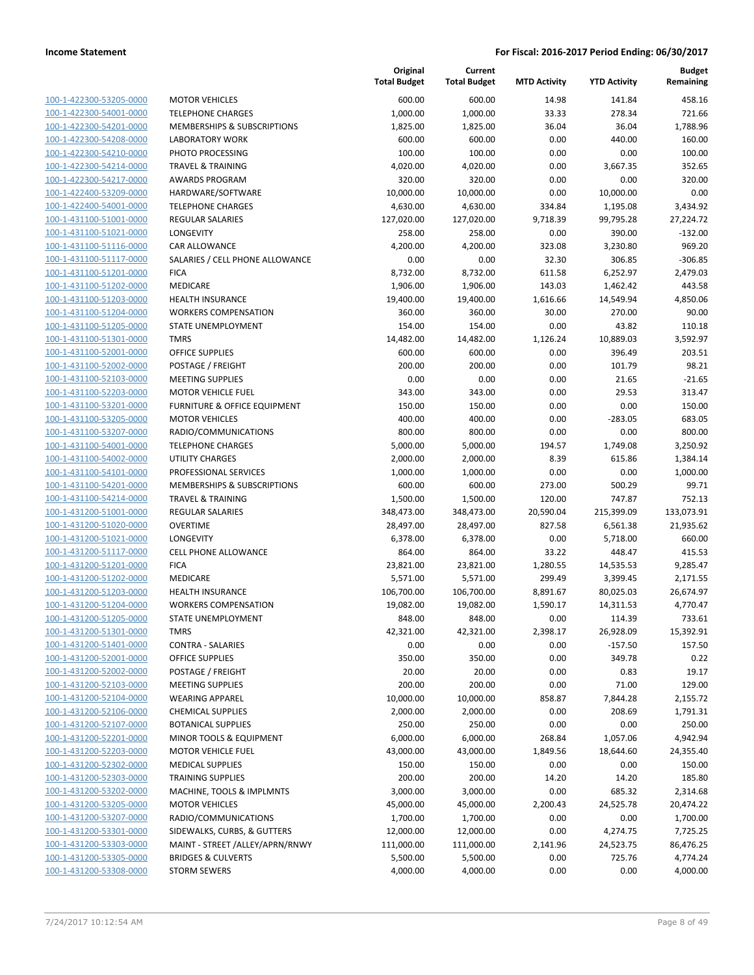|                         |                                         | Original<br><b>Total Budget</b> | Current<br><b>Total Budget</b> | <b>MTD Activity</b> | <b>YTD Activity</b> | Budget<br>Remaining |
|-------------------------|-----------------------------------------|---------------------------------|--------------------------------|---------------------|---------------------|---------------------|
| 100-1-422300-53205-0000 | <b>MOTOR VEHICLES</b>                   | 600.00                          | 600.00                         | 14.98               | 141.84              | 458.16              |
| 100-1-422300-54001-0000 | <b>TELEPHONE CHARGES</b>                | 1,000.00                        | 1,000.00                       | 33.33               | 278.34              | 721.66              |
| 100-1-422300-54201-0000 | MEMBERSHIPS & SUBSCRIPTIONS             | 1,825.00                        | 1,825.00                       | 36.04               | 36.04               | 1,788.96            |
| 100-1-422300-54208-0000 | <b>LABORATORY WORK</b>                  | 600.00                          | 600.00                         | 0.00                | 440.00              | 160.00              |
| 100-1-422300-54210-0000 | PHOTO PROCESSING                        | 100.00                          | 100.00                         | 0.00                | 0.00                | 100.00              |
| 100-1-422300-54214-0000 | <b>TRAVEL &amp; TRAINING</b>            | 4,020.00                        | 4,020.00                       | 0.00                | 3,667.35            | 352.65              |
| 100-1-422300-54217-0000 | <b>AWARDS PROGRAM</b>                   | 320.00                          | 320.00                         | 0.00                | 0.00                | 320.00              |
| 100-1-422400-53209-0000 | HARDWARE/SOFTWARE                       | 10,000.00                       | 10,000.00                      | 0.00                | 10,000.00           | 0.00                |
| 100-1-422400-54001-0000 | <b>TELEPHONE CHARGES</b>                | 4,630.00                        | 4,630.00                       | 334.84              | 1,195.08            | 3,434.92            |
| 100-1-431100-51001-0000 | <b>REGULAR SALARIES</b>                 | 127,020.00                      | 127,020.00                     | 9,718.39            | 99,795.28           | 27,224.72           |
| 100-1-431100-51021-0000 | LONGEVITY                               | 258.00                          | 258.00                         | 0.00                | 390.00              | $-132.00$           |
| 100-1-431100-51116-0000 | <b>CAR ALLOWANCE</b>                    | 4,200.00                        | 4,200.00                       | 323.08              | 3,230.80            | 969.20              |
| 100-1-431100-51117-0000 | SALARIES / CELL PHONE ALLOWANCE         | 0.00                            | 0.00                           | 32.30               | 306.85              | $-306.85$           |
| 100-1-431100-51201-0000 | <b>FICA</b>                             | 8,732.00                        | 8,732.00                       | 611.58              | 6,252.97            | 2,479.03            |
| 100-1-431100-51202-0000 | MEDICARE                                | 1,906.00                        | 1,906.00                       | 143.03              | 1,462.42            | 443.58              |
| 100-1-431100-51203-0000 | <b>HEALTH INSURANCE</b>                 | 19,400.00                       | 19,400.00                      | 1,616.66            | 14,549.94           | 4,850.06            |
| 100-1-431100-51204-0000 | <b>WORKERS COMPENSATION</b>             | 360.00                          | 360.00                         | 30.00               | 270.00              | 90.00               |
| 100-1-431100-51205-0000 | STATE UNEMPLOYMENT                      | 154.00                          | 154.00                         | 0.00                | 43.82               | 110.18              |
| 100-1-431100-51301-0000 | <b>TMRS</b>                             | 14,482.00                       | 14,482.00                      | 1,126.24            | 10,889.03           | 3,592.97            |
| 100-1-431100-52001-0000 | OFFICE SUPPLIES                         | 600.00                          | 600.00                         | 0.00                | 396.49              | 203.51              |
| 100-1-431100-52002-0000 | POSTAGE / FREIGHT                       | 200.00                          | 200.00                         | 0.00                | 101.79              | 98.21               |
| 100-1-431100-52103-0000 | <b>MEETING SUPPLIES</b>                 | 0.00                            | 0.00                           | 0.00                | 21.65               | $-21.65$            |
| 100-1-431100-52203-0000 | <b>MOTOR VEHICLE FUEL</b>               | 343.00                          | 343.00                         | 0.00                | 29.53               | 313.47              |
| 100-1-431100-53201-0000 | <b>FURNITURE &amp; OFFICE EQUIPMENT</b> | 150.00                          | 150.00                         | 0.00                | 0.00                | 150.00              |
| 100-1-431100-53205-0000 | <b>MOTOR VEHICLES</b>                   | 400.00                          | 400.00                         | 0.00                | $-283.05$           | 683.05              |
| 100-1-431100-53207-0000 | RADIO/COMMUNICATIONS                    | 800.00                          | 800.00                         | 0.00                | 0.00                | 800.00              |
| 100-1-431100-54001-0000 | <b>TELEPHONE CHARGES</b>                | 5,000.00                        | 5,000.00                       | 194.57              | 1,749.08            | 3,250.92            |
| 100-1-431100-54002-0000 | <b>UTILITY CHARGES</b>                  | 2,000.00                        | 2,000.00                       | 8.39                | 615.86              | 1,384.14            |
| 100-1-431100-54101-0000 | PROFESSIONAL SERVICES                   | 1,000.00                        | 1,000.00                       | 0.00                | 0.00                | 1,000.00            |
| 100-1-431100-54201-0000 | MEMBERSHIPS & SUBSCRIPTIONS             | 600.00                          | 600.00                         | 273.00              | 500.29              | 99.71               |
| 100-1-431100-54214-0000 | <b>TRAVEL &amp; TRAINING</b>            | 1,500.00                        | 1,500.00                       | 120.00              | 747.87              | 752.13              |
| 100-1-431200-51001-0000 | <b>REGULAR SALARIES</b>                 | 348,473.00                      | 348,473.00                     | 20,590.04           | 215,399.09          | 133,073.91          |
| 100-1-431200-51020-0000 | <b>OVERTIME</b>                         | 28,497.00                       | 28,497.00                      | 827.58              | 6,561.38            | 21,935.62           |
| 100-1-431200-51021-0000 | <b>LONGEVITY</b>                        | 6,378.00                        | 6,378.00                       | 0.00                | 5,718.00            | 660.00              |
| 100-1-431200-51117-0000 | <b>CELL PHONE ALLOWANCE</b>             | 864.00                          | 864.00                         | 33.22               | 448.47              | 415.53              |
| 100-1-431200-51201-0000 | <b>FICA</b>                             | 23,821.00                       | 23,821.00                      | 1,280.55            | 14,535.53           | 9,285.47            |
| 100-1-431200-51202-0000 | MEDICARE                                | 5,571.00                        | 5,571.00                       | 299.49              | 3,399.45            | 2,171.55            |
| 100-1-431200-51203-0000 | <b>HEALTH INSURANCE</b>                 | 106,700.00                      | 106,700.00                     | 8,891.67            | 80,025.03           | 26,674.97           |
| 100-1-431200-51204-0000 | <b>WORKERS COMPENSATION</b>             | 19,082.00                       | 19,082.00                      | 1,590.17            | 14,311.53           | 4,770.47            |
| 100-1-431200-51205-0000 | STATE UNEMPLOYMENT                      | 848.00                          | 848.00                         | 0.00                | 114.39              | 733.61              |
| 100-1-431200-51301-0000 | <b>TMRS</b>                             | 42,321.00                       | 42,321.00                      | 2,398.17            | 26,928.09           | 15,392.91           |
| 100-1-431200-51401-0000 | <b>CONTRA - SALARIES</b>                | 0.00                            | 0.00                           | 0.00                | $-157.50$           | 157.50              |
| 100-1-431200-52001-0000 | OFFICE SUPPLIES                         | 350.00                          | 350.00                         | 0.00                | 349.78              | 0.22                |
| 100-1-431200-52002-0000 | POSTAGE / FREIGHT                       | 20.00                           | 20.00                          | 0.00                | 0.83                | 19.17               |
| 100-1-431200-52103-0000 | <b>MEETING SUPPLIES</b>                 | 200.00                          | 200.00                         | 0.00                | 71.00               | 129.00              |
| 100-1-431200-52104-0000 | <b>WEARING APPAREL</b>                  | 10,000.00                       | 10,000.00                      | 858.87              | 7,844.28            | 2,155.72            |
| 100-1-431200-52106-0000 | <b>CHEMICAL SUPPLIES</b>                | 2,000.00                        | 2,000.00                       | 0.00                | 208.69              | 1,791.31            |
| 100-1-431200-52107-0000 | <b>BOTANICAL SUPPLIES</b>               | 250.00                          | 250.00                         | 0.00                | 0.00                | 250.00              |
| 100-1-431200-52201-0000 | <b>MINOR TOOLS &amp; EQUIPMENT</b>      | 6,000.00                        | 6,000.00                       | 268.84              | 1,057.06            | 4,942.94            |
| 100-1-431200-52203-0000 | <b>MOTOR VEHICLE FUEL</b>               | 43,000.00                       | 43,000.00                      | 1,849.56            | 18,644.60           | 24,355.40           |
| 100-1-431200-52302-0000 | <b>MEDICAL SUPPLIES</b>                 | 150.00                          | 150.00                         | 0.00                | 0.00                | 150.00              |
| 100-1-431200-52303-0000 | <b>TRAINING SUPPLIES</b>                | 200.00                          | 200.00                         | 14.20               | 14.20               | 185.80              |
| 100-1-431200-53202-0000 | MACHINE, TOOLS & IMPLMNTS               | 3,000.00                        | 3,000.00                       | 0.00                | 685.32              | 2,314.68            |
| 100-1-431200-53205-0000 | <b>MOTOR VEHICLES</b>                   | 45,000.00                       | 45,000.00                      | 2,200.43            | 24,525.78           | 20,474.22           |
| 100-1-431200-53207-0000 | RADIO/COMMUNICATIONS                    | 1,700.00                        | 1,700.00                       | 0.00                | 0.00                | 1,700.00            |
| 100-1-431200-53301-0000 | SIDEWALKS, CURBS, & GUTTERS             | 12,000.00                       | 12,000.00                      | 0.00                | 4,274.75            | 7,725.25            |
| 100-1-431200-53303-0000 | MAINT - STREET /ALLEY/APRN/RNWY         | 111,000.00                      | 111,000.00                     | 2,141.96            | 24,523.75           | 86,476.25           |
| 100-1-431200-53305-0000 | <b>BRIDGES &amp; CULVERTS</b>           | 5,500.00                        | 5,500.00                       | 0.00                | 725.76              | 4,774.24            |
| 100-1-431200-53308-0000 | <b>STORM SEWERS</b>                     | 4,000.00                        | 4,000.00                       | 0.00                | 0.00                | 4,000.00            |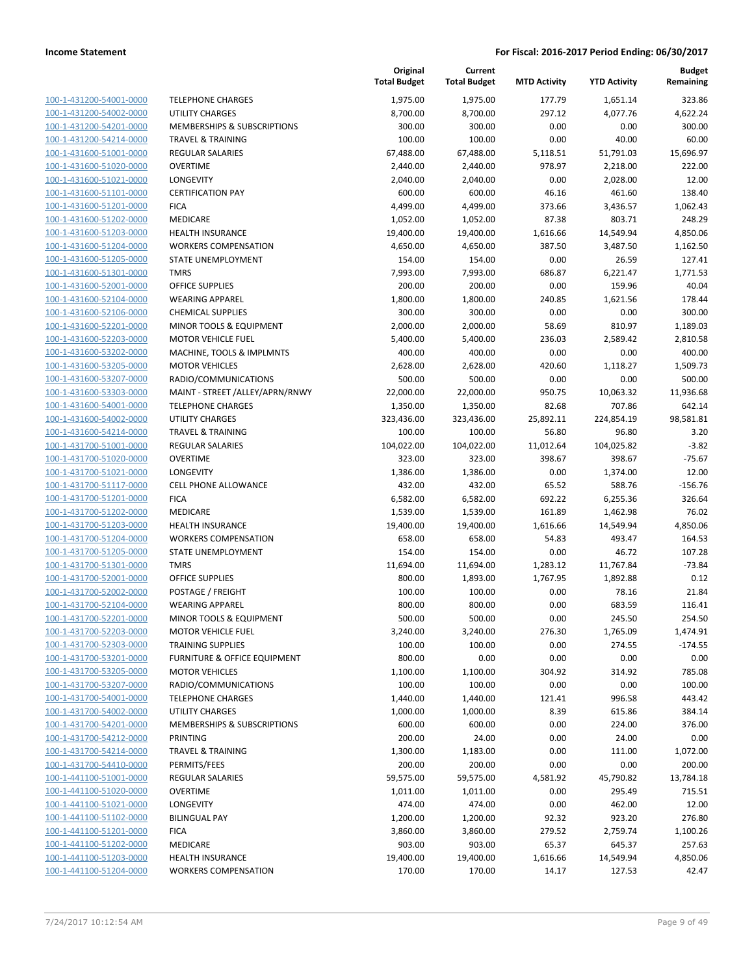| 100-1-431200-54001-0000        |
|--------------------------------|
| 100-1-431200-54002-0000        |
| 100-1-431200-54201-0000        |
| <u>100-1-431200-54214-0000</u> |
| 100-1-431600-51001-0000        |
| 100-1-431600-51020-0000        |
| 100-1-431600-51021-0000        |
| 100-1-431600-51101-0000        |
| 100-1-431600-51201-0000        |
| 100-1-431600-51202-0000        |
| 100-1-431600-51203-0000        |
| 100-1-431600-51204-0000        |
| 100-1-431600-51205-0000        |
| 100-1-431600-51301-0000        |
| 100-1-431600-52001-0000        |
| 100-1-431600-52104-0000        |
| 100-1-431600-52106-0000        |
| 100-1-431600-52201-0000        |
| 100-1-431600-52203-0000        |
|                                |
| 100-1-431600-53202-0000        |
| 100-1-431600-53205-0000        |
| 100-1-431600-53207-0000        |
| 100-1-431600-53303-0000        |
| 100-1-431600-54001-0000        |
| 100-1-431600-54002-0000        |
| 100-1-431600-54214-0000        |
| 100-1-431700-51001-0000        |
| 100-1-431700-51020-0000        |
| 100-1-431700-51021-0000        |
| 100-1-431700-51117-0000        |
| 100-1-431700-51201-0000        |
| 100-1-431700-51202-0000        |
| 100-1-431700-51203-0000        |
| 100-1-431700-51204-0000        |
| 100-1-431700-51205-0000        |
| 100-1-431700-51301-0000        |
| 100-1-431700-52001-0000        |
| 100-1-431700-52002-0000        |
|                                |
| 100-1-431700-52104-0000        |
| 100-1-431700-52201-0000        |
| 100-1-431700-52203-0000        |
| 100-1-431700-52303-0000        |
| 100-1-431700-53201-0000        |
| 100-1-431700-53205-0000        |
| 100-1-431700-53207-0000        |
| 100-1-431700-54001-0000        |
| 100-1-431700-54002-0000        |
| 100-1-431700-54201-0000        |
| 100-1-431700-54212-0000        |
| <u>100-1-431700-54214-0000</u> |
| 100-1-431700-54410-0000        |
| 100-1-441100-51001-0000        |
| 100-1-441100-51020-0000        |
| <u>100-1-441100-51021-0000</u> |
| <u>100-1-441100-51102-0000</u> |
| 100-1-441100-51201-0000        |
| 100-1-441100-51202-0000        |
| 100-1-441100-51203-0000        |
|                                |
| 100-1-441100-51204-0000        |
|                                |

|                                                    |                                                    | Original<br><b>Total Budget</b> | Current<br><b>Total Budget</b> | <b>MTD Activity</b> | <b>YTD Activity</b>  | Budget<br>Remaining |
|----------------------------------------------------|----------------------------------------------------|---------------------------------|--------------------------------|---------------------|----------------------|---------------------|
| 100-1-431200-54001-0000                            | <b>TELEPHONE CHARGES</b>                           | 1,975.00                        | 1,975.00                       | 177.79              | 1,651.14             | 323.86              |
| 100-1-431200-54002-0000                            | <b>UTILITY CHARGES</b>                             | 8,700.00                        | 8,700.00                       | 297.12              | 4,077.76             | 4,622.24            |
| 100-1-431200-54201-0000                            | MEMBERSHIPS & SUBSCRIPTIONS                        | 300.00                          | 300.00                         | 0.00                | 0.00                 | 300.00              |
| 100-1-431200-54214-0000                            | <b>TRAVEL &amp; TRAINING</b>                       | 100.00                          | 100.00                         | 0.00                | 40.00                | 60.00               |
| 100-1-431600-51001-0000                            | REGULAR SALARIES                                   | 67,488.00                       | 67,488.00                      | 5,118.51            | 51,791.03            | 15,696.97           |
| 100-1-431600-51020-0000                            | <b>OVERTIME</b>                                    | 2,440.00                        | 2,440.00                       | 978.97              | 2,218.00             | 222.00              |
| 100-1-431600-51021-0000                            | LONGEVITY                                          | 2,040.00                        | 2,040.00                       | 0.00                | 2,028.00             | 12.00               |
| 100-1-431600-51101-0000                            | <b>CERTIFICATION PAY</b>                           | 600.00                          | 600.00                         | 46.16               | 461.60               | 138.40              |
| 100-1-431600-51201-0000                            | <b>FICA</b>                                        | 4,499.00                        | 4,499.00                       | 373.66              | 3,436.57             | 1,062.43            |
| 100-1-431600-51202-0000                            | MEDICARE                                           | 1,052.00                        | 1,052.00                       | 87.38               | 803.71               | 248.29              |
| 100-1-431600-51203-0000                            | <b>HEALTH INSURANCE</b>                            | 19,400.00                       | 19,400.00                      | 1,616.66            | 14,549.94            | 4,850.06            |
| 100-1-431600-51204-0000                            | <b>WORKERS COMPENSATION</b>                        | 4,650.00                        | 4,650.00                       | 387.50              | 3,487.50             | 1,162.50            |
| 100-1-431600-51205-0000                            | STATE UNEMPLOYMENT                                 | 154.00                          | 154.00                         | 0.00                | 26.59                | 127.41              |
| 100-1-431600-51301-0000                            | <b>TMRS</b>                                        | 7,993.00                        | 7,993.00                       | 686.87              | 6,221.47             | 1,771.53            |
| 100-1-431600-52001-0000                            | <b>OFFICE SUPPLIES</b>                             | 200.00                          | 200.00                         | 0.00                | 159.96               | 40.04               |
| 100-1-431600-52104-0000                            | <b>WEARING APPAREL</b>                             | 1,800.00                        | 1,800.00                       | 240.85              | 1,621.56             | 178.44              |
| 100-1-431600-52106-0000                            | <b>CHEMICAL SUPPLIES</b>                           | 300.00                          | 300.00                         | 0.00                | 0.00                 | 300.00              |
| 100-1-431600-52201-0000                            | MINOR TOOLS & EQUIPMENT                            | 2,000.00                        | 2,000.00                       | 58.69               | 810.97               | 1,189.03            |
| 100-1-431600-52203-0000                            | <b>MOTOR VEHICLE FUEL</b>                          | 5,400.00                        | 5,400.00                       | 236.03              | 2,589.42             | 2,810.58            |
| 100-1-431600-53202-0000                            | MACHINE, TOOLS & IMPLMNTS                          | 400.00                          | 400.00                         | 0.00                | 0.00                 | 400.00              |
| 100-1-431600-53205-0000                            | <b>MOTOR VEHICLES</b>                              | 2,628.00                        | 2,628.00                       | 420.60              | 1,118.27             | 1,509.73            |
| 100-1-431600-53207-0000                            | RADIO/COMMUNICATIONS                               | 500.00                          | 500.00                         | 0.00                | 0.00                 | 500.00              |
| 100-1-431600-53303-0000<br>100-1-431600-54001-0000 | MAINT - STREET /ALLEY/APRN/RNWY                    | 22,000.00                       | 22,000.00                      | 950.75              | 10,063.32            | 11,936.68           |
| 100-1-431600-54002-0000                            | <b>TELEPHONE CHARGES</b><br><b>UTILITY CHARGES</b> | 1,350.00<br>323,436.00          | 1,350.00<br>323,436.00         | 82.68<br>25,892.11  | 707.86<br>224,854.19 | 642.14<br>98,581.81 |
| 100-1-431600-54214-0000                            | <b>TRAVEL &amp; TRAINING</b>                       | 100.00                          | 100.00                         | 56.80               | 96.80                | 3.20                |
| 100-1-431700-51001-0000                            | <b>REGULAR SALARIES</b>                            | 104,022.00                      | 104,022.00                     | 11,012.64           | 104,025.82           | $-3.82$             |
| 100-1-431700-51020-0000                            | <b>OVERTIME</b>                                    | 323.00                          | 323.00                         | 398.67              | 398.67               | $-75.67$            |
| 100-1-431700-51021-0000                            | LONGEVITY                                          | 1,386.00                        | 1,386.00                       | 0.00                | 1,374.00             | 12.00               |
| 100-1-431700-51117-0000                            | <b>CELL PHONE ALLOWANCE</b>                        | 432.00                          | 432.00                         | 65.52               | 588.76               | $-156.76$           |
| 100-1-431700-51201-0000                            | <b>FICA</b>                                        | 6,582.00                        | 6,582.00                       | 692.22              | 6,255.36             | 326.64              |
| 100-1-431700-51202-0000                            | MEDICARE                                           | 1,539.00                        | 1,539.00                       | 161.89              | 1,462.98             | 76.02               |
| 100-1-431700-51203-0000                            | <b>HEALTH INSURANCE</b>                            | 19,400.00                       | 19,400.00                      | 1,616.66            | 14,549.94            | 4,850.06            |
| 100-1-431700-51204-0000                            | <b>WORKERS COMPENSATION</b>                        | 658.00                          | 658.00                         | 54.83               | 493.47               | 164.53              |
| 100-1-431700-51205-0000                            | STATE UNEMPLOYMENT                                 | 154.00                          | 154.00                         | 0.00                | 46.72                | 107.28              |
| 100-1-431700-51301-0000                            | <b>TMRS</b>                                        | 11,694.00                       | 11,694.00                      | 1,283.12            | 11,767.84            | $-73.84$            |
| 100-1-431700-52001-0000                            | <b>OFFICE SUPPLIES</b>                             | 800.00                          | 1,893.00                       | 1,767.95            | 1,892.88             | 0.12                |
| 100-1-431700-52002-0000                            | POSTAGE / FREIGHT                                  | 100.00                          | 100.00                         | 0.00                | 78.16                | 21.84               |
| 100-1-431700-52104-0000                            | <b>WEARING APPAREL</b>                             | 800.00                          | 800.00                         | 0.00                | 683.59               | 116.41              |
| 100-1-431700-52201-0000                            | MINOR TOOLS & EQUIPMENT                            | 500.00                          | 500.00                         | 0.00                | 245.50               | 254.50              |
| 100-1-431700-52203-0000                            | <b>MOTOR VEHICLE FUEL</b>                          | 3,240.00                        | 3,240.00                       | 276.30              | 1,765.09             | 1,474.91            |
| 100-1-431700-52303-0000                            | <b>TRAINING SUPPLIES</b>                           | 100.00                          | 100.00                         | 0.00                | 274.55               | $-174.55$           |
| 100-1-431700-53201-0000                            | FURNITURE & OFFICE EQUIPMENT                       | 800.00                          | 0.00                           | 0.00                | 0.00                 | 0.00                |
| 100-1-431700-53205-0000                            | <b>MOTOR VEHICLES</b>                              | 1,100.00                        | 1,100.00                       | 304.92              | 314.92               | 785.08              |
| 100-1-431700-53207-0000                            | RADIO/COMMUNICATIONS                               | 100.00                          | 100.00                         | 0.00                | 0.00                 | 100.00              |
| 100-1-431700-54001-0000                            | <b>TELEPHONE CHARGES</b>                           | 1,440.00                        | 1,440.00                       | 121.41              | 996.58               | 443.42              |
| 100-1-431700-54002-0000                            | <b>UTILITY CHARGES</b>                             | 1,000.00                        | 1,000.00                       | 8.39                | 615.86               | 384.14              |
| 100-1-431700-54201-0000                            | <b>MEMBERSHIPS &amp; SUBSCRIPTIONS</b>             | 600.00                          | 600.00                         | 0.00                | 224.00               | 376.00              |
| 100-1-431700-54212-0000                            | PRINTING                                           | 200.00                          | 24.00                          | 0.00                | 24.00                | 0.00                |
| 100-1-431700-54214-0000                            | <b>TRAVEL &amp; TRAINING</b>                       | 1,300.00                        | 1,183.00                       | 0.00                | 111.00               | 1,072.00            |
| 100-1-431700-54410-0000                            | PERMITS/FEES                                       | 200.00                          | 200.00                         | 0.00                | 0.00                 | 200.00              |
| 100-1-441100-51001-0000                            | <b>REGULAR SALARIES</b>                            | 59,575.00                       | 59,575.00                      | 4,581.92            | 45,790.82            | 13,784.18           |
| 100-1-441100-51020-0000                            | <b>OVERTIME</b>                                    | 1,011.00                        | 1,011.00                       | 0.00                | 295.49               | 715.51              |
| 100-1-441100-51021-0000                            | LONGEVITY                                          | 474.00                          | 474.00                         | 0.00                | 462.00               | 12.00               |
| 100-1-441100-51102-0000                            | <b>BILINGUAL PAY</b>                               | 1,200.00                        | 1,200.00                       | 92.32               | 923.20               | 276.80              |
| 100-1-441100-51201-0000                            | <b>FICA</b>                                        | 3,860.00                        | 3,860.00                       | 279.52              | 2,759.74             | 1,100.26            |
| 100-1-441100-51202-0000                            | MEDICARE                                           | 903.00                          | 903.00                         | 65.37               | 645.37               | 257.63              |
| 100-1-441100-51203-0000                            | <b>HEALTH INSURANCE</b>                            | 19,400.00                       | 19,400.00                      | 1,616.66            | 14,549.94            | 4,850.06            |
| 100-1-441100-51204-0000                            | <b>WORKERS COMPENSATION</b>                        | 170.00                          | 170.00                         | 14.17               | 127.53               | 42.47               |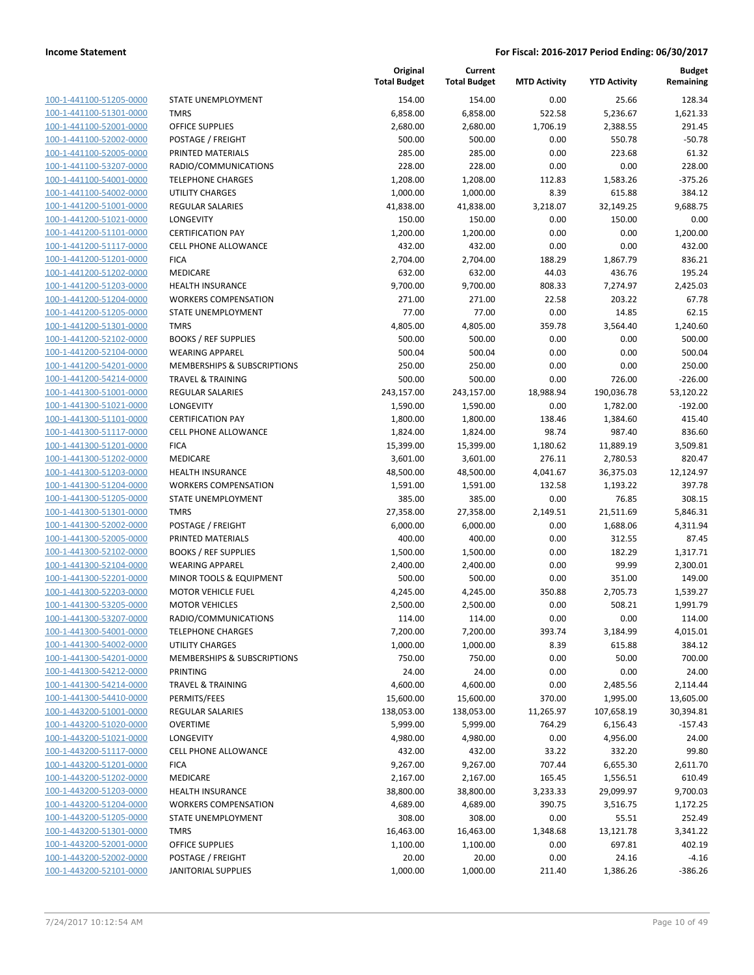[100-1-441100-51205-0000](Show%20Account) [100-1-441100-51301-0000](Show%20Account) [100-1-441100-52001-0000](Show%20Account) [100-1-441100-52002-0000](Show%20Account) [100-1-441100-52005-0000](Show%20Account) PRINTED MATERIALS 285.00 285.00 0.00 223.68 61.32 [100-1-441100-53207-0000](Show%20Account) [100-1-441100-54001-0000](Show%20Account) [100-1-441100-54002-0000](Show%20Account) [100-1-441200-51001-0000](Show%20Account) [100-1-441200-51021-0000](Show%20Account) [100-1-441200-51101-0000](Show%20Account) [100-1-441200-51117-0000](Show%20Account) [100-1-441200-51201-0000](Show%20Account) [100-1-441200-51202-0000](Show%20Account) [100-1-441200-51203-0000](Show%20Account) [100-1-441200-51204-0000](Show%20Account) [100-1-441200-51205-0000](Show%20Account) [100-1-441200-51301-0000](Show%20Account) [100-1-441200-52102-0000](Show%20Account) [100-1-441200-52104-0000](Show%20Account) [100-1-441200-54201-0000](Show%20Account) [100-1-441200-54214-0000](Show%20Account) [100-1-441300-51001-0000](Show%20Account) [100-1-441300-51021-0000](Show%20Account) [100-1-441300-51101-0000](Show%20Account) [100-1-441300-51117-0000](Show%20Account) [100-1-441300-51201-0000](Show%20Account) [100-1-441300-51202-0000](Show%20Account) [100-1-441300-51203-0000](Show%20Account) [100-1-441300-51204-0000](Show%20Account) [100-1-441300-51205-0000](Show%20Account) [100-1-441300-51301-0000](Show%20Account) [100-1-441300-52002-0000](Show%20Account) [100-1-441300-52005-0000](Show%20Account) PRINTED MATERIALS 400.00 400.00 0.00 312.55 87.45 [100-1-441300-52102-0000](Show%20Account) [100-1-441300-52104-0000](Show%20Account) [100-1-441300-52201-0000](Show%20Account) [100-1-441300-52203-0000](Show%20Account) [100-1-441300-53205-0000](Show%20Account) [100-1-441300-53207-0000](Show%20Account) [100-1-441300-54001-0000](Show%20Account) [100-1-441300-54002-0000](Show%20Account) [100-1-441300-54201-0000](Show%20Account) [100-1-441300-54212-0000](Show%20Account) [100-1-441300-54214-0000](Show%20Account) [100-1-441300-54410-0000](Show%20Account) [100-1-443200-51001-0000](Show%20Account) [100-1-443200-51020-0000](Show%20Account) [100-1-443200-51021-0000](Show%20Account) [100-1-443200-51117-0000](Show%20Account) [100-1-443200-51201-0000](Show%20Account) [100-1-443200-51202-0000](Show%20Account) MEDICARE 2,167.00 2,167.00 165.45 1,556.51 610.49 [100-1-443200-51203-0000](Show%20Account) [100-1-443200-51204-0000](Show%20Account) [100-1-443200-51205-0000](Show%20Account) [100-1-443200-51301-0000](Show%20Account) [100-1-443200-52001-0000](Show%20Account) [100-1-443200-52002-0000](Show%20Account) [100-1-443200-52101-0000](Show%20Account)

|                              | Original<br><b>Total Budget</b> | Current<br><b>Total Budget</b> | <b>MTD Activity</b> | <b>YTD Activity</b> | <b>Budget</b><br>Remaining |
|------------------------------|---------------------------------|--------------------------------|---------------------|---------------------|----------------------------|
| STATE UNEMPLOYMENT           | 154.00                          | 154.00                         | 0.00                | 25.66               | 128.34                     |
| <b>TMRS</b>                  | 6,858.00                        | 6,858.00                       | 522.58              | 5,236.67            | 1,621.33                   |
| <b>OFFICE SUPPLIES</b>       | 2,680.00                        | 2,680.00                       | 1,706.19            | 2,388.55            | 291.45                     |
| POSTAGE / FREIGHT            | 500.00                          | 500.00                         | 0.00                | 550.78              | $-50.78$                   |
| PRINTED MATERIALS            | 285.00                          | 285.00                         | 0.00                | 223.68              | 61.32                      |
| RADIO/COMMUNICATIONS         | 228.00                          | 228.00                         | 0.00                | 0.00                | 228.00                     |
| <b>TELEPHONE CHARGES</b>     | 1,208.00                        | 1,208.00                       | 112.83              | 1,583.26            | $-375.26$                  |
| <b>UTILITY CHARGES</b>       | 1,000.00                        | 1,000.00                       | 8.39                | 615.88              | 384.12                     |
| <b>REGULAR SALARIES</b>      |                                 | 41,838.00                      | 3,218.07            |                     |                            |
| LONGEVITY                    | 41,838.00                       |                                | 0.00                | 32,149.25<br>150.00 | 9,688.75                   |
| <b>CERTIFICATION PAY</b>     | 150.00                          | 150.00                         | 0.00                | 0.00                | 0.00<br>1,200.00           |
|                              | 1,200.00                        | 1,200.00                       |                     |                     |                            |
| <b>CELL PHONE ALLOWANCE</b>  | 432.00                          | 432.00                         | 0.00                | 0.00                | 432.00                     |
| <b>FICA</b>                  | 2,704.00                        | 2,704.00                       | 188.29              | 1,867.79            | 836.21                     |
| <b>MEDICARE</b>              | 632.00                          | 632.00                         | 44.03               | 436.76              | 195.24                     |
| <b>HEALTH INSURANCE</b>      | 9,700.00                        | 9,700.00                       | 808.33              | 7,274.97            | 2,425.03                   |
| <b>WORKERS COMPENSATION</b>  | 271.00                          | 271.00                         | 22.58               | 203.22              | 67.78                      |
| STATE UNEMPLOYMENT           | 77.00                           | 77.00                          | 0.00                | 14.85               | 62.15                      |
| <b>TMRS</b>                  | 4,805.00                        | 4,805.00                       | 359.78              | 3,564.40            | 1,240.60                   |
| <b>BOOKS / REF SUPPLIES</b>  | 500.00                          | 500.00                         | 0.00                | 0.00                | 500.00                     |
| <b>WEARING APPAREL</b>       | 500.04                          | 500.04                         | 0.00                | 0.00                | 500.04                     |
| MEMBERSHIPS & SUBSCRIPTIONS  | 250.00                          | 250.00                         | 0.00                | 0.00                | 250.00                     |
| <b>TRAVEL &amp; TRAINING</b> | 500.00                          | 500.00                         | 0.00                | 726.00              | $-226.00$                  |
| <b>REGULAR SALARIES</b>      | 243,157.00                      | 243,157.00                     | 18,988.94           | 190,036.78          | 53,120.22                  |
| <b>LONGEVITY</b>             | 1,590.00                        | 1,590.00                       | 0.00                | 1,782.00            | $-192.00$                  |
| <b>CERTIFICATION PAY</b>     | 1,800.00                        | 1,800.00                       | 138.46              | 1,384.60            | 415.40                     |
| <b>CELL PHONE ALLOWANCE</b>  | 1,824.00                        | 1,824.00                       | 98.74               | 987.40              | 836.60                     |
| <b>FICA</b>                  | 15,399.00                       | 15,399.00                      | 1,180.62            | 11,889.19           | 3,509.81                   |
| <b>MEDICARE</b>              | 3,601.00                        | 3,601.00                       | 276.11              | 2,780.53            | 820.47                     |
| <b>HEALTH INSURANCE</b>      | 48,500.00                       | 48,500.00                      | 4,041.67            | 36,375.03           | 12,124.97                  |
| <b>WORKERS COMPENSATION</b>  | 1,591.00                        | 1,591.00                       | 132.58              | 1,193.22            | 397.78                     |
| STATE UNEMPLOYMENT           | 385.00                          | 385.00                         | 0.00                | 76.85               | 308.15                     |
| <b>TMRS</b>                  | 27,358.00                       | 27,358.00                      | 2,149.51            | 21,511.69           | 5,846.31                   |
| POSTAGE / FREIGHT            | 6,000.00                        | 6,000.00                       | 0.00                | 1,688.06            | 4,311.94                   |
| PRINTED MATERIALS            | 400.00                          | 400.00                         | 0.00                | 312.55              | 87.45                      |
| <b>BOOKS / REF SUPPLIES</b>  | 1,500.00                        | 1,500.00                       | 0.00                | 182.29              | 1,317.71                   |
| <b>WEARING APPAREL</b>       | 2,400.00                        | 2,400.00                       | 0.00                | 99.99               | 2,300.01                   |
| MINOR TOOLS & EQUIPMENT      | 500.00                          | 500.00                         | 0.00                | 351.00              | 149.00                     |
| <b>MOTOR VEHICLE FUEL</b>    | 4,245.00                        | 4,245.00                       | 350.88              | 2,705.73            | 1,539.27                   |
| <b>MOTOR VEHICLES</b>        | 2,500.00                        | 2,500.00                       | 0.00                | 508.21              | 1,991.79                   |
| RADIO/COMMUNICATIONS         | 114.00                          | 114.00                         | 0.00                | 0.00                | 114.00                     |
| <b>TELEPHONE CHARGES</b>     | 7,200.00                        | 7,200.00                       | 393.74              | 3,184.99            | 4,015.01                   |
| UTILITY CHARGES              | 1,000.00                        | 1,000.00                       | 8.39                | 615.88              | 384.12                     |
| MEMBERSHIPS & SUBSCRIPTIONS  | 750.00                          | 750.00                         | 0.00                | 50.00               | 700.00                     |
| PRINTING                     | 24.00                           | 24.00                          | 0.00                | 0.00                | 24.00                      |
| <b>TRAVEL &amp; TRAINING</b> | 4,600.00                        | 4,600.00                       | 0.00                | 2,485.56            | 2,114.44                   |
| PERMITS/FEES                 | 15,600.00                       | 15,600.00                      | 370.00              | 1,995.00            | 13,605.00                  |
| REGULAR SALARIES             | 138,053.00                      | 138,053.00                     | 11,265.97           | 107,658.19          | 30,394.81                  |
| <b>OVERTIME</b>              | 5,999.00                        | 5,999.00                       | 764.29              | 6,156.43            | $-157.43$                  |
| <b>LONGEVITY</b>             | 4,980.00                        | 4,980.00                       | 0.00                | 4,956.00            | 24.00                      |
| <b>CELL PHONE ALLOWANCE</b>  | 432.00                          | 432.00                         | 33.22               | 332.20              | 99.80                      |
| <b>FICA</b>                  | 9,267.00                        | 9,267.00                       | 707.44              | 6,655.30            | 2,611.70                   |
| MEDICARE                     | 2,167.00                        | 2,167.00                       | 165.45              | 1,556.51            | 610.49                     |
| <b>HEALTH INSURANCE</b>      | 38,800.00                       | 38,800.00                      | 3,233.33            | 29,099.97           | 9,700.03                   |
| <b>WORKERS COMPENSATION</b>  | 4,689.00                        | 4,689.00                       | 390.75              | 3,516.75            | 1,172.25                   |
| STATE UNEMPLOYMENT           | 308.00                          | 308.00                         | 0.00                | 55.51               | 252.49                     |
| <b>TMRS</b>                  | 16,463.00                       | 16,463.00                      | 1,348.68            |                     |                            |
|                              |                                 |                                |                     | 13,121.78           | 3,341.22                   |
| OFFICE SUPPLIES              | 1,100.00                        | 1,100.00                       | 0.00                | 697.81              | 402.19                     |
| POSTAGE / FREIGHT            | 20.00                           | 20.00                          | 0.00                | 24.16               | $-4.16$                    |
| <b>JANITORIAL SUPPLIES</b>   | 1,000.00                        | 1,000.00                       | 211.40              | 1,386.26            | $-386.26$                  |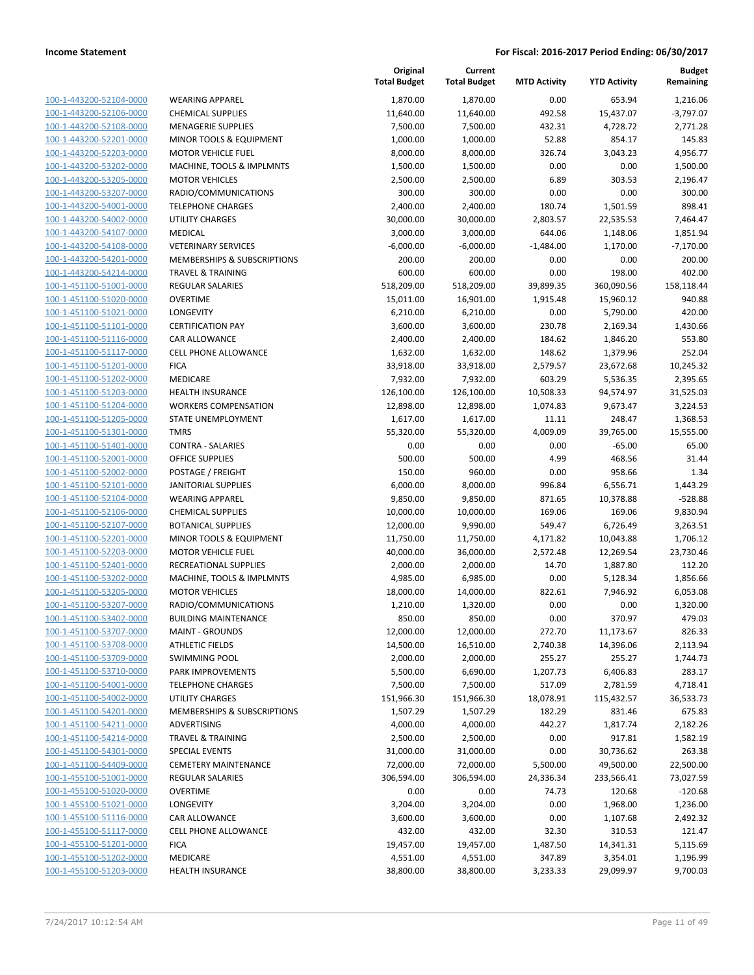| 100-1-443200-52104-0000        |
|--------------------------------|
| 100-1-443200-52106-0000        |
| 100-1-443200-52108-0000        |
| <u>100-1-443200-52201-0000</u> |
| 100-1-443200-52203-0000        |
| 100-1-443200-53202-0000        |
| 100-1-443200-53205-0000        |
| 100-1-443200-53207-0000        |
| <u>100-1-443200-54001-0000</u> |
| 100-1-443200-54002-0000        |
| 100-1-443200-54107-0000        |
| 100-1-443200-54108-0000        |
| 100-1-443200-54201-0000        |
| <u>100-1-443200-54214-0000</u> |
| 100-1-451100-51001-0000        |
| 100-1-451100-51020-0000        |
| 100-1-451100-51021-0000        |
| 100-1-451100-51101-0000        |
|                                |
| <u>100-1-451100-51116-0000</u> |
| 100-1-451100-51117-0000        |
| 100-1-451100-51201-0000        |
| 100-1-451100-51202-0000        |
| 100-1-451100-51203-0000        |
| <u>100-1-451100-51204-0000</u> |
| 100-1-451100-51205-0000        |
| 100-1-451100-51301-0000        |
| 100-1-451100-51401-0000        |
| 100-1-451100-52001-0000        |
| <u>100-1-451100-52002-0000</u> |
| 100-1-451100-52101-0000        |
| 100-1-451100-52104-0000        |
| 100-1-451100-52106-0000        |
| 100-1-451100-52107-0000        |
| <u>100-1-451100-52201-0000</u> |
| 100-1-451100-52203-0000        |
| 100-1-451100-52401-0000        |
| 100-1-451100-53202-0000        |
|                                |
| 100-1-451100-53205-0000        |
| 100-1-451100-53207-0000        |
| 100-1-451100-53402-0000        |
| 100-1-451100-53707-0000        |
| 100-1-451100-53708-0000        |
| <u>100-1-451100-53709-0000</u> |
| <u>100-1-451100-53710-0000</u> |
| 100-1-451100-54001-0000        |
| 100-1-451100-54002-0000        |
| 100-1-451100-54201-0000        |
| 100-1-451100-54211-0000        |
| <u>100-1-451100-54214-0000</u> |
| 100-1-451100-54301-0000        |
| 100-1-451100-54409-0000        |
| 100-1-455100-51001-0000        |
| 100-1-455100-51020-0000        |
| <u>100-1-455100-51021-0000</u> |
|                                |
| <u>100-1-455100-51116-0000</u> |
| 100-1-455100-51117-0000        |
| 100-1-455100-51201-0000        |
| <u>100-1-455100-51202-0000</u> |
| <u>100-1-455100-51203-0000</u> |
|                                |

|                         |                              | Original<br><b>Total Budget</b> | Current<br><b>Total Budget</b> | <b>MTD Activity</b> | <b>YTD Activity</b> | <b>Budget</b><br>Remaining |
|-------------------------|------------------------------|---------------------------------|--------------------------------|---------------------|---------------------|----------------------------|
| 100-1-443200-52104-0000 | <b>WEARING APPAREL</b>       | 1,870.00                        | 1,870.00                       | 0.00                | 653.94              | 1,216.06                   |
| 100-1-443200-52106-0000 | <b>CHEMICAL SUPPLIES</b>     | 11,640.00                       | 11,640.00                      | 492.58              | 15,437.07           | $-3,797.07$                |
| 100-1-443200-52108-0000 | <b>MENAGERIE SUPPLIES</b>    | 7,500.00                        | 7,500.00                       | 432.31              | 4,728.72            | 2,771.28                   |
| 100-1-443200-52201-0000 | MINOR TOOLS & EQUIPMENT      | 1,000.00                        | 1,000.00                       | 52.88               | 854.17              | 145.83                     |
| 100-1-443200-52203-0000 | <b>MOTOR VEHICLE FUEL</b>    | 8,000.00                        | 8,000.00                       | 326.74              | 3,043.23            | 4,956.77                   |
| 100-1-443200-53202-0000 | MACHINE, TOOLS & IMPLMNTS    | 1,500.00                        | 1,500.00                       | 0.00                | 0.00                | 1,500.00                   |
| 100-1-443200-53205-0000 | <b>MOTOR VEHICLES</b>        | 2,500.00                        | 2,500.00                       | 6.89                | 303.53              | 2,196.47                   |
| 100-1-443200-53207-0000 | RADIO/COMMUNICATIONS         | 300.00                          | 300.00                         | 0.00                | 0.00                | 300.00                     |
| 100-1-443200-54001-0000 | <b>TELEPHONE CHARGES</b>     | 2,400.00                        | 2,400.00                       | 180.74              | 1,501.59            | 898.41                     |
| 100-1-443200-54002-0000 | <b>UTILITY CHARGES</b>       | 30,000.00                       | 30,000.00                      | 2,803.57            | 22,535.53           | 7,464.47                   |
| 100-1-443200-54107-0000 | MEDICAL                      | 3,000.00                        | 3,000.00                       | 644.06              | 1,148.06            | 1,851.94                   |
| 100-1-443200-54108-0000 | <b>VETERINARY SERVICES</b>   | $-6,000.00$                     | $-6,000.00$                    | $-1,484.00$         | 1,170.00            | $-7,170.00$                |
| 100-1-443200-54201-0000 | MEMBERSHIPS & SUBSCRIPTIONS  | 200.00                          | 200.00                         | 0.00                | 0.00                | 200.00                     |
| 100-1-443200-54214-0000 | <b>TRAVEL &amp; TRAINING</b> | 600.00                          | 600.00                         | 0.00                | 198.00              | 402.00                     |
| 100-1-451100-51001-0000 | REGULAR SALARIES             | 518,209.00                      | 518,209.00                     | 39,899.35           | 360,090.56          | 158,118.44                 |
| 100-1-451100-51020-0000 | <b>OVERTIME</b>              | 15,011.00                       | 16,901.00                      | 1,915.48            | 15,960.12           | 940.88                     |
| 100-1-451100-51021-0000 | LONGEVITY                    | 6,210.00                        | 6,210.00                       | 0.00                | 5,790.00            | 420.00                     |
| 100-1-451100-51101-0000 | <b>CERTIFICATION PAY</b>     | 3,600.00                        | 3,600.00                       | 230.78              | 2,169.34            | 1,430.66                   |
| 100-1-451100-51116-0000 | <b>CAR ALLOWANCE</b>         | 2,400.00                        | 2,400.00                       | 184.62              | 1,846.20            | 553.80                     |
| 100-1-451100-51117-0000 | CELL PHONE ALLOWANCE         | 1,632.00                        | 1,632.00                       | 148.62              | 1,379.96            | 252.04                     |
| 100-1-451100-51201-0000 | <b>FICA</b>                  | 33,918.00                       | 33,918.00                      | 2,579.57            | 23,672.68           | 10,245.32                  |
| 100-1-451100-51202-0000 | MEDICARE                     | 7,932.00                        | 7,932.00                       | 603.29              | 5,536.35            | 2,395.65                   |
| 100-1-451100-51203-0000 | <b>HEALTH INSURANCE</b>      | 126,100.00                      | 126,100.00                     | 10,508.33           | 94,574.97           | 31,525.03                  |
| 100-1-451100-51204-0000 | <b>WORKERS COMPENSATION</b>  | 12,898.00                       | 12,898.00                      | 1,074.83            | 9,673.47            | 3,224.53                   |
| 100-1-451100-51205-0000 | STATE UNEMPLOYMENT           | 1,617.00                        | 1,617.00                       | 11.11               | 248.47              | 1,368.53                   |
| 100-1-451100-51301-0000 | <b>TMRS</b>                  | 55,320.00                       | 55,320.00                      | 4,009.09            | 39,765.00           | 15,555.00                  |
| 100-1-451100-51401-0000 | <b>CONTRA - SALARIES</b>     | 0.00                            | 0.00                           | 0.00                | $-65.00$            | 65.00                      |
| 100-1-451100-52001-0000 | <b>OFFICE SUPPLIES</b>       | 500.00                          | 500.00                         | 4.99                | 468.56              | 31.44                      |
| 100-1-451100-52002-0000 | POSTAGE / FREIGHT            | 150.00                          | 960.00                         | 0.00                | 958.66              | 1.34                       |
| 100-1-451100-52101-0000 | <b>JANITORIAL SUPPLIES</b>   | 6,000.00                        | 8,000.00                       | 996.84              | 6,556.71            | 1,443.29                   |
| 100-1-451100-52104-0000 | <b>WEARING APPAREL</b>       | 9,850.00                        | 9,850.00                       | 871.65              | 10,378.88           | $-528.88$                  |
| 100-1-451100-52106-0000 | <b>CHEMICAL SUPPLIES</b>     | 10,000.00                       | 10,000.00                      | 169.06              | 169.06              | 9,830.94                   |
| 100-1-451100-52107-0000 | <b>BOTANICAL SUPPLIES</b>    | 12,000.00                       | 9,990.00                       | 549.47              | 6,726.49            | 3,263.51                   |
| 100-1-451100-52201-0000 | MINOR TOOLS & EQUIPMENT      | 11,750.00                       | 11,750.00                      | 4,171.82            | 10,043.88           | 1,706.12                   |
| 100-1-451100-52203-0000 | <b>MOTOR VEHICLE FUEL</b>    | 40,000.00                       | 36,000.00                      | 2,572.48            | 12,269.54           | 23,730.46                  |
| 100-1-451100-52401-0000 | RECREATIONAL SUPPLIES        | 2,000.00                        | 2,000.00                       | 14.70               | 1,887.80            | 112.20                     |
| 100-1-451100-53202-0000 | MACHINE, TOOLS & IMPLMNTS    | 4,985.00                        | 6,985.00                       | 0.00                | 5,128.34            | 1,856.66                   |
| 100-1-451100-53205-0000 | <b>MOTOR VEHICLES</b>        | 18,000.00                       | 14,000.00                      | 822.61              | 7,946.92            | 6,053.08                   |
| 100-1-451100-53207-0000 | RADIO/COMMUNICATIONS         | 1,210.00                        | 1,320.00                       | 0.00                | 0.00                | 1,320.00                   |
| 100-1-451100-53402-0000 | <b>BUILDING MAINTENANCE</b>  | 850.00                          | 850.00                         | 0.00                | 370.97              | 479.03                     |
| 100-1-451100-53707-0000 | <b>MAINT - GROUNDS</b>       | 12,000.00                       | 12,000.00                      | 272.70              | 11,173.67           | 826.33                     |
| 100-1-451100-53708-0000 | <b>ATHLETIC FIELDS</b>       | 14,500.00                       | 16,510.00                      | 2,740.38            | 14,396.06           | 2,113.94                   |
| 100-1-451100-53709-0000 | <b>SWIMMING POOL</b>         | 2,000.00                        | 2,000.00                       | 255.27              | 255.27              | 1,744.73                   |
| 100-1-451100-53710-0000 | PARK IMPROVEMENTS            | 5,500.00                        | 6,690.00                       | 1,207.73            | 6,406.83            | 283.17                     |
| 100-1-451100-54001-0000 | <b>TELEPHONE CHARGES</b>     | 7,500.00                        | 7,500.00                       | 517.09              | 2,781.59            | 4,718.41                   |
| 100-1-451100-54002-0000 | <b>UTILITY CHARGES</b>       | 151,966.30                      | 151,966.30                     | 18,078.91           | 115,432.57          | 36,533.73                  |
| 100-1-451100-54201-0000 | MEMBERSHIPS & SUBSCRIPTIONS  | 1,507.29                        | 1,507.29                       | 182.29              | 831.46              | 675.83                     |
| 100-1-451100-54211-0000 | ADVERTISING                  | 4,000.00                        | 4,000.00                       | 442.27              | 1,817.74            | 2,182.26                   |
| 100-1-451100-54214-0000 | <b>TRAVEL &amp; TRAINING</b> | 2,500.00                        | 2,500.00                       | 0.00                | 917.81              | 1,582.19                   |
| 100-1-451100-54301-0000 | <b>SPECIAL EVENTS</b>        | 31,000.00                       | 31,000.00                      | 0.00                | 30,736.62           | 263.38                     |
| 100-1-451100-54409-0000 | <b>CEMETERY MAINTENANCE</b>  | 72,000.00                       | 72,000.00                      | 5,500.00            | 49,500.00           | 22,500.00                  |
| 100-1-455100-51001-0000 | <b>REGULAR SALARIES</b>      | 306,594.00                      | 306,594.00                     | 24,336.34           | 233,566.41          | 73,027.59                  |
| 100-1-455100-51020-0000 | <b>OVERTIME</b>              | 0.00                            | 0.00                           | 74.73               | 120.68              | $-120.68$                  |
| 100-1-455100-51021-0000 | LONGEVITY                    | 3,204.00                        | 3,204.00                       | 0.00                | 1,968.00            | 1,236.00                   |
| 100-1-455100-51116-0000 | CAR ALLOWANCE                | 3,600.00                        | 3,600.00                       | 0.00                | 1,107.68            | 2,492.32                   |
| 100-1-455100-51117-0000 | <b>CELL PHONE ALLOWANCE</b>  | 432.00                          | 432.00                         | 32.30               | 310.53              | 121.47                     |
| 100-1-455100-51201-0000 | <b>FICA</b>                  | 19,457.00                       | 19,457.00                      | 1,487.50            | 14,341.31           | 5,115.69                   |
| 100-1-455100-51202-0000 | MEDICARE                     | 4,551.00                        | 4,551.00                       | 347.89              | 3,354.01            | 1,196.99                   |
| 100-1-455100-51203-0000 | <b>HEALTH INSURANCE</b>      | 38,800.00                       | 38,800.00                      | 3,233.33            | 29,099.97           | 9,700.03                   |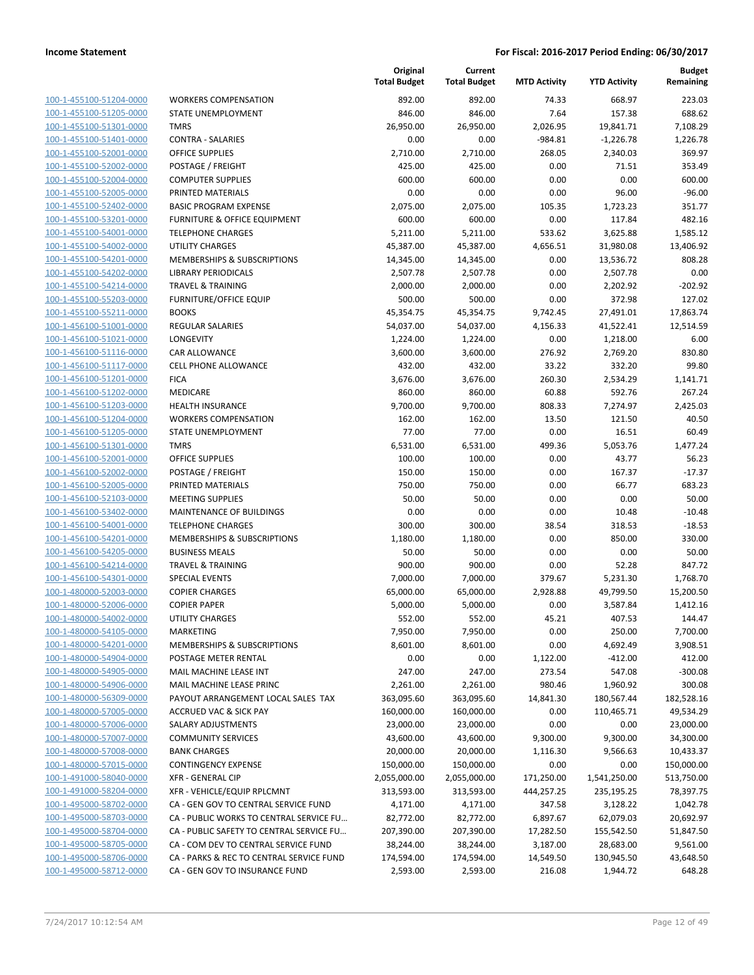[100-1-455100-51204-0000](Show%20Account) [100-1-455100-51205-0000](Show%20Account) [100-1-455100-51301-0000](Show%20Account) [100-1-455100-51401-0000](Show%20Account) [100-1-455100-52001-0000](Show%20Account) [100-1-455100-52002-0000](Show%20Account) [100-1-455100-52004-0000](Show%20Account) [100-1-455100-52005-0000](Show%20Account) [100-1-455100-52402-0000](Show%20Account) [100-1-455100-53201-0000](Show%20Account) [100-1-455100-54001-0000](Show%20Account) [100-1-455100-54002-0000](Show%20Account) [100-1-455100-54201-0000](Show%20Account) [100-1-455100-54202-0000](Show%20Account) [100-1-455100-54214-0000](Show%20Account) [100-1-455100-55203-0000](Show%20Account) [100-1-455100-55211-0000](Show%20Account) [100-1-456100-51001-0000](Show%20Account) [100-1-456100-51021-0000](Show%20Account) [100-1-456100-51116-0000](Show%20Account) [100-1-456100-51117-0000](Show%20Account) [100-1-456100-51201-0000](Show%20Account) FICA 3,676.00 3,676.00 260.30 2,534.29 1,141.71 [100-1-456100-51202-0000](Show%20Account) [100-1-456100-51203-0000](Show%20Account) [100-1-456100-51204-0000](Show%20Account) [100-1-456100-51205-0000](Show%20Account) [100-1-456100-51301-0000](Show%20Account) [100-1-456100-52001-0000](Show%20Account) [100-1-456100-52002-0000](Show%20Account) [100-1-456100-52005-0000](Show%20Account) [100-1-456100-52103-0000](Show%20Account) [100-1-456100-53402-0000](Show%20Account) [100-1-456100-54001-0000](Show%20Account) [100-1-456100-54201-0000](Show%20Account) [100-1-456100-54205-0000](Show%20Account) [100-1-456100-54214-0000](Show%20Account) [100-1-456100-54301-0000](Show%20Account) [100-1-480000-52003-0000](Show%20Account) [100-1-480000-52006-0000](Show%20Account) [100-1-480000-54002-0000](Show%20Account) [100-1-480000-54105-0000](Show%20Account) [100-1-480000-54201-0000](Show%20Account) [100-1-480000-54904-0000](Show%20Account) [100-1-480000-54905-0000](Show%20Account) [100-1-480000-54906-0000](Show%20Account) [100-1-480000-56309-0000](Show%20Account) [100-1-480000-57005-0000](Show%20Account) [100-1-480000-57006-0000](Show%20Account) [100-1-480000-57007-0000](Show%20Account) [100-1-480000-57008-0000](Show%20Account) [100-1-480000-57015-0000](Show%20Account) [100-1-491000-58040-0000](Show%20Account) [100-1-491000-58204-0000](Show%20Account) [100-1-495000-58702-0000](Show%20Account) [100-1-495000-58703-0000](Show%20Account) [100-1-495000-58704-0000](Show%20Account) [100-1-495000-58705-0000](Show%20Account) [100-1-495000-58706-0000](Show%20Account) [100-1-495000-58712-0000](Show%20Account)

|                                          | Original<br><b>Total Budget</b> | Current<br><b>Total Budget</b> | <b>MTD Activity</b> | <b>YTD Activity</b> | <b>Budget</b><br>Remaining |
|------------------------------------------|---------------------------------|--------------------------------|---------------------|---------------------|----------------------------|
| <b>WORKERS COMPENSATION</b>              | 892.00                          | 892.00                         | 74.33               | 668.97              | 223.03                     |
| STATE UNEMPLOYMENT                       | 846.00                          | 846.00                         | 7.64                | 157.38              | 688.62                     |
| <b>TMRS</b>                              | 26,950.00                       | 26,950.00                      | 2,026.95            | 19,841.71           | 7,108.29                   |
| <b>CONTRA - SALARIES</b>                 | 0.00                            | 0.00                           | $-984.81$           | $-1,226.78$         | 1,226.78                   |
| <b>OFFICE SUPPLIES</b>                   | 2,710.00                        | 2,710.00                       | 268.05              | 2,340.03            | 369.97                     |
| POSTAGE / FREIGHT                        | 425.00                          | 425.00                         | 0.00                | 71.51               | 353.49                     |
| <b>COMPUTER SUPPLIES</b>                 | 600.00                          | 600.00                         | 0.00                | 0.00                | 600.00                     |
| PRINTED MATERIALS                        | 0.00                            | 0.00                           | 0.00                | 96.00               | $-96.00$                   |
| <b>BASIC PROGRAM EXPENSE</b>             | 2,075.00                        | 2,075.00                       | 105.35              | 1,723.23            | 351.77                     |
| <b>FURNITURE &amp; OFFICE EQUIPMENT</b>  | 600.00                          | 600.00                         | 0.00                | 117.84              | 482.16                     |
| <b>TELEPHONE CHARGES</b>                 | 5,211.00                        | 5,211.00                       | 533.62              | 3,625.88            | 1,585.12                   |
| <b>UTILITY CHARGES</b>                   | 45,387.00                       | 45,387.00                      | 4,656.51            | 31,980.08           | 13,406.92                  |
| MEMBERSHIPS & SUBSCRIPTIONS              | 14,345.00                       | 14,345.00                      | 0.00                | 13,536.72           | 808.28                     |
| <b>LIBRARY PERIODICALS</b>               | 2,507.78                        | 2,507.78                       | 0.00                | 2,507.78            | 0.00                       |
| <b>TRAVEL &amp; TRAINING</b>             | 2,000.00                        | 2,000.00                       | 0.00                | 2,202.92            | $-202.92$                  |
| <b>FURNITURE/OFFICE EQUIP</b>            | 500.00                          | 500.00                         | 0.00                | 372.98              | 127.02                     |
| <b>BOOKS</b>                             | 45,354.75                       | 45,354.75                      | 9,742.45            | 27,491.01           | 17,863.74                  |
| <b>REGULAR SALARIES</b>                  | 54,037.00                       | 54,037.00                      | 4,156.33            | 41,522.41           | 12,514.59                  |
| LONGEVITY                                | 1,224.00                        | 1,224.00                       | 0.00                | 1,218.00            | 6.00                       |
| <b>CAR ALLOWANCE</b>                     | 3,600.00                        | 3,600.00                       | 276.92              | 2,769.20            | 830.80                     |
| <b>CELL PHONE ALLOWANCE</b>              | 432.00                          | 432.00                         | 33.22               | 332.20              | 99.80                      |
| <b>FICA</b>                              | 3,676.00                        | 3,676.00                       | 260.30              | 2,534.29            | 1,141.71                   |
| <b>MEDICARE</b>                          | 860.00                          | 860.00                         | 60.88               | 592.76              | 267.24                     |
| <b>HEALTH INSURANCE</b>                  | 9,700.00                        | 9,700.00                       | 808.33              | 7,274.97            | 2,425.03                   |
| <b>WORKERS COMPENSATION</b>              | 162.00                          | 162.00                         | 13.50               | 121.50              | 40.50                      |
| STATE UNEMPLOYMENT                       | 77.00                           | 77.00                          | 0.00                | 16.51               | 60.49                      |
| <b>TMRS</b>                              | 6,531.00                        | 6,531.00                       | 499.36              | 5,053.76            | 1,477.24                   |
| <b>OFFICE SUPPLIES</b>                   | 100.00                          | 100.00                         | 0.00                | 43.77               | 56.23                      |
| POSTAGE / FREIGHT                        | 150.00                          | 150.00                         | 0.00                | 167.37              | $-17.37$                   |
| PRINTED MATERIALS                        | 750.00                          | 750.00                         | 0.00                | 66.77               | 683.23                     |
| <b>MEETING SUPPLIES</b>                  | 50.00                           | 50.00                          | 0.00                | 0.00                | 50.00                      |
| MAINTENANCE OF BUILDINGS                 | 0.00                            | 0.00                           | 0.00                | 10.48               | $-10.48$                   |
| <b>TELEPHONE CHARGES</b>                 | 300.00                          | 300.00                         | 38.54               | 318.53              | $-18.53$                   |
| MEMBERSHIPS & SUBSCRIPTIONS              | 1,180.00                        | 1,180.00                       | 0.00                | 850.00              | 330.00                     |
| <b>BUSINESS MEALS</b>                    | 50.00                           | 50.00                          | 0.00                | 0.00                | 50.00                      |
| <b>TRAVEL &amp; TRAINING</b>             | 900.00                          | 900.00                         | 0.00                | 52.28               | 847.72                     |
| <b>SPECIAL EVENTS</b>                    | 7,000.00                        | 7,000.00                       | 379.67              | 5,231.30            | 1,768.70                   |
| <b>COPIER CHARGES</b>                    | 65,000.00                       | 65,000.00                      | 2,928.88            | 49,799.50           | 15,200.50                  |
| <b>COPIER PAPER</b>                      | 5,000.00                        | 5,000.00                       | 0.00                | 3,587.84            | 1,412.16                   |
| UTILITY CHARGES                          | 552.00                          | 552.00                         | 45.21               | 407.53              | 144.47                     |
| <b>MARKETING</b>                         | 7,950.00                        | 7,950.00                       | 0.00                | 250.00              | 7,700.00                   |
| MEMBERSHIPS & SUBSCRIPTIONS              | 8,601.00                        | 8,601.00                       | 0.00                | 4,692.49            | 3,908.51                   |
| POSTAGE METER RENTAL                     | 0.00                            | 0.00                           | 1,122.00            | $-412.00$           | 412.00                     |
| MAIL MACHINE LEASE INT                   | 247.00                          | 247.00                         | 273.54              | 547.08              | $-300.08$                  |
| MAIL MACHINE LEASE PRINC                 | 2,261.00                        | 2,261.00                       | 980.46              | 1,960.92            | 300.08                     |
| PAYOUT ARRANGEMENT LOCAL SALES TAX       | 363,095.60                      | 363,095.60                     | 14,841.30           | 180,567.44          | 182,528.16                 |
| <b>ACCRUED VAC &amp; SICK PAY</b>        | 160,000.00                      | 160,000.00                     | 0.00                | 110,465.71          | 49,534.29                  |
| SALARY ADJUSTMENTS                       | 23,000.00                       | 23,000.00                      | 0.00                | 0.00                | 23,000.00                  |
| <b>COMMUNITY SERVICES</b>                | 43,600.00                       | 43,600.00                      | 9,300.00            | 9,300.00            | 34,300.00                  |
| <b>BANK CHARGES</b>                      | 20,000.00                       | 20,000.00                      | 1,116.30            | 9,566.63            | 10,433.37                  |
| <b>CONTINGENCY EXPENSE</b>               | 150,000.00                      | 150,000.00                     | 0.00                | 0.00                | 150,000.00                 |
| <b>XFR - GENERAL CIP</b>                 | 2,055,000.00                    | 2,055,000.00                   | 171,250.00          | 1,541,250.00        | 513,750.00                 |
| XFR - VEHICLE/EQUIP RPLCMNT              | 313,593.00                      | 313,593.00                     | 444,257.25          | 235,195.25          | 78,397.75                  |
| CA - GEN GOV TO CENTRAL SERVICE FUND     | 4,171.00                        | 4,171.00                       | 347.58              | 3,128.22            | 1,042.78                   |
| CA - PUBLIC WORKS TO CENTRAL SERVICE FU  | 82,772.00                       | 82,772.00                      | 6,897.67            | 62,079.03           | 20,692.97                  |
| CA - PUBLIC SAFETY TO CENTRAL SERVICE FU | 207,390.00                      | 207,390.00                     | 17,282.50           | 155,542.50          | 51,847.50                  |
| CA - COM DEV TO CENTRAL SERVICE FUND     | 38,244.00                       | 38,244.00                      | 3,187.00            | 28,683.00           | 9,561.00                   |
| CA - PARKS & REC TO CENTRAL SERVICE FUND | 174,594.00                      | 174,594.00                     | 14,549.50           | 130,945.50          | 43,648.50                  |
| CA - GEN GOV TO INSURANCE FUND           | 2,593.00                        | 2,593.00                       | 216.08              | 1,944.72            | 648.28                     |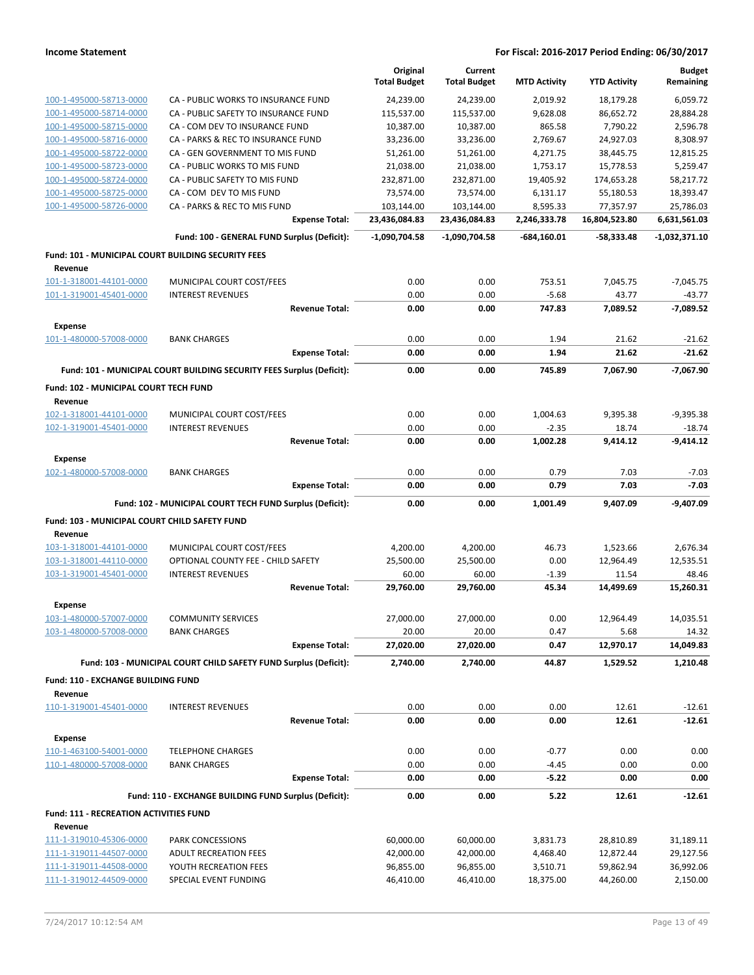|                                                    |                                                                       | Original            | Current             |                     |                     | <b>Budget</b>        |
|----------------------------------------------------|-----------------------------------------------------------------------|---------------------|---------------------|---------------------|---------------------|----------------------|
|                                                    |                                                                       | <b>Total Budget</b> | <b>Total Budget</b> | <b>MTD Activity</b> | <b>YTD Activity</b> | Remaining            |
| 100-1-495000-58713-0000                            | CA - PUBLIC WORKS TO INSURANCE FUND                                   | 24,239.00           | 24,239.00           | 2,019.92            | 18,179.28           | 6,059.72             |
| 100-1-495000-58714-0000                            | CA - PUBLIC SAFETY TO INSURANCE FUND                                  | 115,537.00          | 115,537.00          | 9,628.08            | 86,652.72           | 28,884.28            |
| 100-1-495000-58715-0000                            | CA - COM DEV TO INSURANCE FUND                                        | 10,387.00           | 10,387.00           | 865.58              | 7,790.22            | 2,596.78             |
| 100-1-495000-58716-0000                            | CA - PARKS & REC TO INSURANCE FUND                                    | 33,236.00           | 33,236.00           | 2,769.67            | 24,927.03           | 8,308.97             |
| 100-1-495000-58722-0000                            | CA - GEN GOVERNMENT TO MIS FUND                                       | 51,261.00           | 51,261.00           | 4,271.75            | 38,445.75           | 12,815.25            |
| 100-1-495000-58723-0000                            | CA - PUBLIC WORKS TO MIS FUND                                         | 21,038.00           | 21,038.00           | 1,753.17            | 15,778.53           | 5,259.47             |
| 100-1-495000-58724-0000                            | CA - PUBLIC SAFETY TO MIS FUND                                        | 232,871.00          | 232,871.00          | 19,405.92           | 174,653.28          | 58,217.72            |
| 100-1-495000-58725-0000                            | CA - COM DEV TO MIS FUND                                              | 73,574.00           | 73,574.00           | 6,131.17            | 55,180.53           | 18,393.47            |
| 100-1-495000-58726-0000                            | CA - PARKS & REC TO MIS FUND                                          | 103,144.00          | 103,144.00          | 8,595.33            | 77,357.97           | 25,786.03            |
|                                                    | <b>Expense Total:</b>                                                 | 23,436,084.83       | 23,436,084.83       | 2,246,333.78        | 16,804,523.80       | 6,631,561.03         |
|                                                    | Fund: 100 - GENERAL FUND Surplus (Deficit):                           | -1,090,704.58       | -1,090,704.58       | -684,160.01         | -58,333.48          | -1,032,371.10        |
| Fund: 101 - MUNICIPAL COURT BUILDING SECURITY FEES |                                                                       |                     |                     |                     |                     |                      |
| Revenue                                            |                                                                       |                     |                     |                     |                     |                      |
| 101-1-318001-44101-0000                            | MUNICIPAL COURT COST/FEES                                             | 0.00                | 0.00                | 753.51              | 7,045.75            | $-7,045.75$          |
| 101-1-319001-45401-0000                            | <b>INTEREST REVENUES</b>                                              | 0.00                | 0.00                | $-5.68$             | 43.77               | $-43.77$             |
|                                                    | <b>Revenue Total:</b>                                                 | 0.00                | 0.00                | 747.83              | 7,089.52            | $-7,089.52$          |
| <b>Expense</b>                                     |                                                                       |                     |                     |                     |                     |                      |
| 101-1-480000-57008-0000                            | <b>BANK CHARGES</b>                                                   | 0.00                | 0.00                | 1.94                | 21.62               | -21.62               |
|                                                    | <b>Expense Total:</b>                                                 | 0.00                | 0.00                | 1.94                | 21.62               | $-21.62$             |
|                                                    | Fund: 101 - MUNICIPAL COURT BUILDING SECURITY FEES Surplus (Deficit): | 0.00                | 0.00                | 745.89              | 7.067.90            | $-7,067.90$          |
| Fund: 102 - MUNICIPAL COURT TECH FUND              |                                                                       |                     |                     |                     |                     |                      |
| Revenue                                            |                                                                       |                     |                     |                     |                     |                      |
| 102-1-318001-44101-0000                            | MUNICIPAL COURT COST/FEES                                             | 0.00                | 0.00                | 1,004.63            | 9.395.38            | $-9,395.38$          |
| 102-1-319001-45401-0000                            | <b>INTEREST REVENUES</b>                                              | 0.00                | 0.00                | $-2.35$             | 18.74               | $-18.74$             |
|                                                    | <b>Revenue Total:</b>                                                 | 0.00                | 0.00                | 1,002.28            | 9,414.12            | $-9,414.12$          |
| <b>Expense</b>                                     |                                                                       |                     |                     |                     |                     |                      |
| 102-1-480000-57008-0000                            | <b>BANK CHARGES</b>                                                   | 0.00                | 0.00                | 0.79                | 7.03                | $-7.03$              |
|                                                    | <b>Expense Total:</b>                                                 | 0.00                | 0.00                | 0.79                | 7.03                | -7.03                |
|                                                    | Fund: 102 - MUNICIPAL COURT TECH FUND Surplus (Deficit):              | 0.00                | 0.00                | 1,001.49            | 9,407.09            | $-9,407.09$          |
| Fund: 103 - MUNICIPAL COURT CHILD SAFETY FUND      |                                                                       |                     |                     |                     |                     |                      |
| Revenue                                            |                                                                       |                     |                     |                     |                     |                      |
| 103-1-318001-44101-0000                            | MUNICIPAL COURT COST/FEES                                             | 4,200.00            | 4,200.00            | 46.73               | 1,523.66            | 2,676.34             |
| 103-1-318001-44110-0000                            | OPTIONAL COUNTY FEE - CHILD SAFETY                                    | 25,500.00           | 25,500.00           | 0.00                | 12,964.49           | 12,535.51            |
| 103-1-319001-45401-0000                            | <b>INTEREST REVENUES</b>                                              | 60.00               | 60.00               | $-1.39$             | 11.54               | 48.46                |
|                                                    | <b>Revenue Total:</b>                                                 | 29,760.00           | 29,760.00           | 45.34               | 14,499.69           | 15,260.31            |
| <b>Expense</b>                                     |                                                                       |                     |                     |                     |                     |                      |
| 103-1-480000-57007-0000                            | <b>COMMUNITY SERVICES</b>                                             | 27,000.00           | 27,000.00           | 0.00                | 12,964.49           | 14,035.51            |
| 103-1-480000-57008-0000                            | <b>BANK CHARGES</b>                                                   | 20.00               | 20.00               | 0.47                | 5.68                | 14.32                |
|                                                    | <b>Expense Total:</b>                                                 | 27,020.00           | 27,020.00           | 0.47                | 12,970.17           | 14,049.83            |
|                                                    | Fund: 103 - MUNICIPAL COURT CHILD SAFETY FUND Surplus (Deficit):      | 2,740.00            | 2,740.00            | 44.87               | 1,529.52            | 1,210.48             |
|                                                    |                                                                       |                     |                     |                     |                     |                      |
| Fund: 110 - EXCHANGE BUILDING FUND                 |                                                                       |                     |                     |                     |                     |                      |
| Revenue                                            |                                                                       |                     |                     |                     |                     |                      |
| 110-1-319001-45401-0000                            | <b>INTEREST REVENUES</b><br><b>Revenue Total:</b>                     | 0.00<br>0.00        | 0.00<br>0.00        | 0.00<br>0.00        | 12.61<br>12.61      | $-12.61$<br>$-12.61$ |
|                                                    |                                                                       |                     |                     |                     |                     |                      |
| <b>Expense</b>                                     |                                                                       |                     |                     |                     |                     |                      |
| 110-1-463100-54001-0000                            | <b>TELEPHONE CHARGES</b>                                              | 0.00                | 0.00                | $-0.77$             | 0.00                | 0.00                 |
| 110-1-480000-57008-0000                            | <b>BANK CHARGES</b>                                                   | 0.00                | 0.00                | $-4.45$             | 0.00                | 0.00                 |
|                                                    | <b>Expense Total:</b>                                                 | 0.00                | 0.00                | $-5.22$             | 0.00                | 0.00                 |
|                                                    | Fund: 110 - EXCHANGE BUILDING FUND Surplus (Deficit):                 | 0.00                | 0.00                | 5.22                | 12.61               | $-12.61$             |
| Fund: 111 - RECREATION ACTIVITIES FUND             |                                                                       |                     |                     |                     |                     |                      |
| Revenue<br>111-1-319010-45306-0000                 | PARK CONCESSIONS                                                      | 60,000.00           | 60,000.00           | 3,831.73            | 28,810.89           | 31,189.11            |
| 111-1-319011-44507-0000                            | <b>ADULT RECREATION FEES</b>                                          | 42,000.00           | 42,000.00           | 4,468.40            | 12,872.44           | 29,127.56            |
| 111-1-319011-44508-0000                            | YOUTH RECREATION FEES                                                 | 96,855.00           | 96,855.00           | 3,510.71            | 59,862.94           | 36,992.06            |
| 111-1-319012-44509-0000                            | SPECIAL EVENT FUNDING                                                 | 46,410.00           | 46,410.00           | 18,375.00           | 44,260.00           | 2,150.00             |
|                                                    |                                                                       |                     |                     |                     |                     |                      |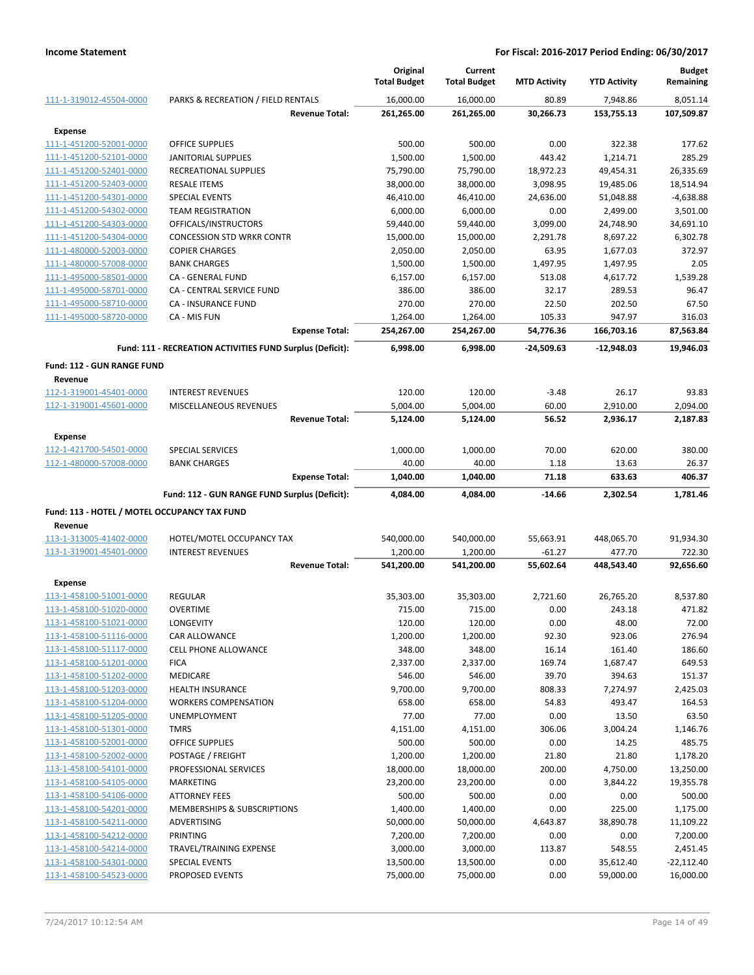|                                                    |                                                           | Original<br><b>Total Budget</b> | Current                |                       | <b>YTD Activity</b>    | <b>Budget</b><br>Remaining |
|----------------------------------------------------|-----------------------------------------------------------|---------------------------------|------------------------|-----------------------|------------------------|----------------------------|
|                                                    |                                                           |                                 | <b>Total Budget</b>    | <b>MTD Activity</b>   |                        |                            |
| 111-1-319012-45504-0000                            | PARKS & RECREATION / FIELD RENTALS                        | 16,000.00                       | 16,000.00              | 80.89                 | 7,948.86               | 8,051.14                   |
|                                                    | <b>Revenue Total:</b>                                     | 261,265.00                      | 261,265.00             | 30,266.73             | 153,755.13             | 107,509.87                 |
| <b>Expense</b>                                     |                                                           |                                 |                        |                       |                        |                            |
| 111-1-451200-52001-0000                            | <b>OFFICE SUPPLIES</b>                                    | 500.00                          | 500.00                 | 0.00                  | 322.38                 | 177.62                     |
| 111-1-451200-52101-0000                            | <b>JANITORIAL SUPPLIES</b>                                | 1,500.00                        | 1,500.00               | 443.42                | 1,214.71               | 285.29                     |
| 111-1-451200-52401-0000                            | RECREATIONAL SUPPLIES                                     | 75,790.00                       | 75,790.00              | 18,972.23             | 49,454.31              | 26,335.69                  |
| 111-1-451200-52403-0000<br>111-1-451200-54301-0000 | <b>RESALE ITEMS</b><br>SPECIAL EVENTS                     | 38,000.00<br>46,410.00          | 38,000.00<br>46,410.00 | 3,098.95<br>24,636.00 | 19,485.06<br>51,048.88 | 18,514.94<br>$-4,638.88$   |
| 111-1-451200-54302-0000                            | <b>TEAM REGISTRATION</b>                                  | 6,000.00                        | 6,000.00               | 0.00                  | 2,499.00               | 3,501.00                   |
| 111-1-451200-54303-0000                            | OFFICALS/INSTRUCTORS                                      | 59,440.00                       | 59,440.00              | 3,099.00              | 24,748.90              | 34,691.10                  |
| 111-1-451200-54304-0000                            | <b>CONCESSION STD WRKR CONTR</b>                          | 15,000.00                       | 15,000.00              | 2,291.78              | 8,697.22               | 6,302.78                   |
| 111-1-480000-52003-0000                            | <b>COPIER CHARGES</b>                                     | 2,050.00                        | 2,050.00               | 63.95                 | 1,677.03               | 372.97                     |
| 111-1-480000-57008-0000                            | <b>BANK CHARGES</b>                                       | 1,500.00                        | 1,500.00               | 1,497.95              | 1,497.95               | 2.05                       |
| 111-1-495000-58501-0000                            | CA - GENERAL FUND                                         | 6,157.00                        | 6,157.00               | 513.08                | 4,617.72               | 1,539.28                   |
| 111-1-495000-58701-0000                            | CA - CENTRAL SERVICE FUND                                 | 386.00                          | 386.00                 | 32.17                 | 289.53                 | 96.47                      |
| 111-1-495000-58710-0000                            | CA - INSURANCE FUND                                       | 270.00                          | 270.00                 | 22.50                 | 202.50                 | 67.50                      |
| 111-1-495000-58720-0000                            | CA - MIS FUN                                              | 1,264.00                        | 1,264.00               | 105.33                | 947.97                 | 316.03                     |
|                                                    | <b>Expense Total:</b>                                     | 254,267.00                      | 254,267.00             | 54,776.36             | 166,703.16             | 87,563.84                  |
|                                                    | Fund: 111 - RECREATION ACTIVITIES FUND Surplus (Deficit): | 6,998.00                        | 6,998.00               | $-24,509.63$          | $-12,948.03$           | 19,946.03                  |
| <b>Fund: 112 - GUN RANGE FUND</b>                  |                                                           |                                 |                        |                       |                        |                            |
| Revenue                                            |                                                           |                                 |                        |                       |                        |                            |
| 112-1-319001-45401-0000                            | <b>INTEREST REVENUES</b>                                  | 120.00                          | 120.00                 | $-3.48$               | 26.17                  | 93.83                      |
| 112-1-319001-45601-0000                            | MISCELLANEOUS REVENUES                                    | 5,004.00                        | 5,004.00               | 60.00                 | 2,910.00               | 2,094.00                   |
|                                                    | <b>Revenue Total:</b>                                     | 5,124.00                        | 5,124.00               | 56.52                 | 2,936.17               | 2,187.83                   |
|                                                    |                                                           |                                 |                        |                       |                        |                            |
| <b>Expense</b>                                     |                                                           |                                 |                        |                       |                        |                            |
| 112-1-421700-54501-0000                            | <b>SPECIAL SERVICES</b>                                   | 1,000.00                        | 1,000.00               | 70.00                 | 620.00                 | 380.00                     |
| 112-1-480000-57008-0000                            | <b>BANK CHARGES</b><br><b>Expense Total:</b>              | 40.00<br>1,040.00               | 40.00<br>1,040.00      | 1.18<br>71.18         | 13.63<br>633.63        | 26.37<br>406.37            |
|                                                    |                                                           |                                 |                        |                       |                        |                            |
|                                                    | Fund: 112 - GUN RANGE FUND Surplus (Deficit):             | 4,084.00                        | 4,084.00               | $-14.66$              | 2,302.54               | 1,781.46                   |
| Fund: 113 - HOTEL / MOTEL OCCUPANCY TAX FUND       |                                                           |                                 |                        |                       |                        |                            |
| Revenue                                            |                                                           |                                 |                        |                       |                        |                            |
| 113-1-313005-41402-0000                            | HOTEL/MOTEL OCCUPANCY TAX                                 | 540,000.00                      | 540,000.00             | 55,663.91             | 448,065.70             | 91,934.30                  |
| 113-1-319001-45401-0000                            | <b>INTEREST REVENUES</b>                                  | 1,200.00                        | 1,200.00               | $-61.27$              | 477.70                 | 722.30                     |
|                                                    | <b>Revenue Total:</b>                                     | 541,200.00                      | 541,200.00             | 55,602.64             | 448,543.40             | 92,656.60                  |
| <b>Expense</b>                                     |                                                           |                                 |                        |                       |                        |                            |
| 113-1-458100-51001-0000                            | <b>REGULAR</b>                                            | 35,303.00                       | 35,303.00              | 2,721.60              | 26,765.20              | 8,537.80                   |
| 113-1-458100-51020-0000                            | <b>OVERTIME</b>                                           | 715.00                          | 715.00                 | 0.00                  | 243.18                 | 471.82                     |
| 113-1-458100-51021-0000                            | LONGEVITY                                                 | 120.00                          | 120.00                 | 0.00                  | 48.00                  | 72.00                      |
| 113-1-458100-51116-0000                            | <b>CAR ALLOWANCE</b>                                      | 1,200.00                        | 1,200.00               | 92.30                 | 923.06                 | 276.94                     |
| 113-1-458100-51117-0000                            | <b>CELL PHONE ALLOWANCE</b>                               | 348.00                          | 348.00                 | 16.14                 | 161.40                 | 186.60                     |
| 113-1-458100-51201-0000                            | <b>FICA</b>                                               | 2,337.00                        | 2,337.00               | 169.74                | 1,687.47               | 649.53                     |
| 113-1-458100-51202-0000                            | MEDICARE                                                  | 546.00                          | 546.00                 | 39.70                 | 394.63                 | 151.37                     |
| 113-1-458100-51203-0000                            | <b>HEALTH INSURANCE</b><br><b>WORKERS COMPENSATION</b>    | 9,700.00                        | 9,700.00               | 808.33                | 7,274.97               | 2,425.03                   |
| 113-1-458100-51204-0000<br>113-1-458100-51205-0000 | UNEMPLOYMENT                                              | 658.00<br>77.00                 | 658.00<br>77.00        | 54.83<br>0.00         | 493.47<br>13.50        | 164.53<br>63.50            |
| 113-1-458100-51301-0000                            | <b>TMRS</b>                                               | 4,151.00                        | 4,151.00               | 306.06                | 3,004.24               | 1,146.76                   |
| 113-1-458100-52001-0000                            | OFFICE SUPPLIES                                           | 500.00                          | 500.00                 | 0.00                  | 14.25                  | 485.75                     |
| 113-1-458100-52002-0000                            | POSTAGE / FREIGHT                                         | 1,200.00                        | 1,200.00               | 21.80                 | 21.80                  | 1,178.20                   |
| 113-1-458100-54101-0000                            | PROFESSIONAL SERVICES                                     | 18,000.00                       | 18,000.00              | 200.00                | 4,750.00               | 13,250.00                  |
| 113-1-458100-54105-0000                            | <b>MARKETING</b>                                          | 23,200.00                       | 23,200.00              | 0.00                  | 3,844.22               | 19,355.78                  |
| 113-1-458100-54106-0000                            | ATTORNEY FEES                                             | 500.00                          | 500.00                 | 0.00                  | 0.00                   | 500.00                     |
| 113-1-458100-54201-0000                            | MEMBERSHIPS & SUBSCRIPTIONS                               | 1,400.00                        | 1,400.00               | 0.00                  | 225.00                 | 1,175.00                   |
| 113-1-458100-54211-0000                            | ADVERTISING                                               | 50,000.00                       | 50,000.00              | 4,643.87              | 38,890.78              | 11,109.22                  |
| 113-1-458100-54212-0000                            | <b>PRINTING</b>                                           | 7,200.00                        | 7,200.00               | 0.00                  | 0.00                   | 7,200.00                   |
| 113-1-458100-54214-0000                            | TRAVEL/TRAINING EXPENSE                                   | 3,000.00                        | 3,000.00               | 113.87                | 548.55                 | 2,451.45                   |
| 113-1-458100-54301-0000                            | SPECIAL EVENTS                                            | 13,500.00                       | 13,500.00              | 0.00                  | 35,612.40              | $-22,112.40$               |
| 113-1-458100-54523-0000                            | PROPOSED EVENTS                                           | 75,000.00                       | 75,000.00              | 0.00                  | 59,000.00              | 16,000.00                  |
|                                                    |                                                           |                                 |                        |                       |                        |                            |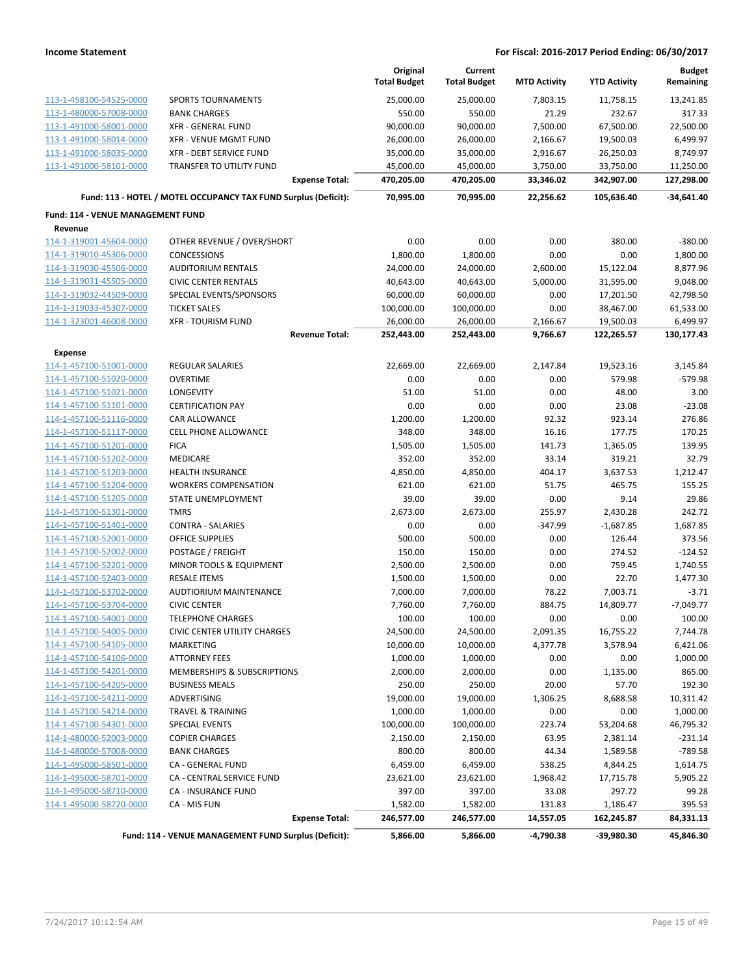|                                          |                                                                 | Original<br><b>Total Budget</b> | Current<br><b>Total Budget</b> | <b>MTD Activity</b> | <b>YTD Activity</b> | <b>Budget</b><br>Remaining |
|------------------------------------------|-----------------------------------------------------------------|---------------------------------|--------------------------------|---------------------|---------------------|----------------------------|
| 113-1-458100-54525-0000                  | <b>SPORTS TOURNAMENTS</b>                                       | 25,000.00                       | 25,000.00                      | 7,803.15            | 11,758.15           | 13,241.85                  |
| 113-1-480000-57008-0000                  | <b>BANK CHARGES</b>                                             | 550.00                          | 550.00                         | 21.29               | 232.67              | 317.33                     |
| 113-1-491000-58001-0000                  | <b>XFR - GENERAL FUND</b>                                       | 90,000.00                       | 90,000.00                      | 7,500.00            | 67,500.00           | 22,500.00                  |
| 113-1-491000-58014-0000                  | <b>XFR - VENUE MGMT FUND</b>                                    | 26,000.00                       | 26,000.00                      | 2,166.67            | 19,500.03           | 6,499.97                   |
| 113-1-491000-58035-0000                  | XFR - DEBT SERVICE FUND                                         | 35,000.00                       | 35,000.00                      | 2,916.67            | 26,250.03           | 8,749.97                   |
| 113-1-491000-58101-0000                  | TRANSFER TO UTILITY FUND                                        | 45,000.00                       | 45,000.00                      | 3,750.00            | 33,750.00           | 11,250.00                  |
|                                          | <b>Expense Total:</b>                                           | 470,205.00                      | 470,205.00                     | 33,346.02           | 342,907.00          | 127,298.00                 |
|                                          | Fund: 113 - HOTEL / MOTEL OCCUPANCY TAX FUND Surplus (Deficit): | 70,995.00                       | 70,995.00                      | 22,256.62           | 105,636.40          | $-34,641.40$               |
| <b>Fund: 114 - VENUE MANAGEMENT FUND</b> |                                                                 |                                 |                                |                     |                     |                            |
| Revenue                                  |                                                                 |                                 |                                |                     |                     |                            |
| 114-1-319001-45604-0000                  | OTHER REVENUE / OVER/SHORT                                      | 0.00                            | 0.00                           | 0.00                | 380.00              | $-380.00$                  |
| 114-1-319010-45306-0000                  | <b>CONCESSIONS</b>                                              | 1,800.00                        | 1,800.00                       | 0.00                | 0.00                | 1,800.00                   |
| 114-1-319030-45506-0000                  | <b>AUDITORIUM RENTALS</b>                                       | 24,000.00                       | 24,000.00                      | 2,600.00            | 15,122.04           | 8,877.96                   |
| 114-1-319031-45505-0000                  | <b>CIVIC CENTER RENTALS</b>                                     | 40,643.00                       | 40,643.00                      | 5,000.00            | 31,595.00           | 9,048.00                   |
| 114-1-319032-44509-0000                  | SPECIAL EVENTS/SPONSORS                                         | 60,000.00                       | 60,000.00                      | 0.00                | 17,201.50           | 42,798.50                  |
| 114-1-319033-45307-0000                  | <b>TICKET SALES</b>                                             | 100,000.00                      | 100,000.00                     | 0.00                | 38,467.00           | 61,533.00                  |
| 114-1-323001-46008-0000                  | <b>XFR - TOURISM FUND</b>                                       | 26,000.00                       | 26,000.00                      | 2,166.67            | 19,500.03           | 6,499.97                   |
|                                          | <b>Revenue Total:</b>                                           | 252,443.00                      | 252,443.00                     | 9,766.67            | 122,265.57          | 130,177.43                 |
| <b>Expense</b>                           |                                                                 |                                 |                                |                     |                     |                            |
| 114-1-457100-51001-0000                  | <b>REGULAR SALARIES</b>                                         | 22,669.00                       | 22,669.00                      | 2,147.84            | 19,523.16           | 3,145.84                   |
| 114-1-457100-51020-0000                  | <b>OVERTIME</b>                                                 | 0.00                            | 0.00                           | 0.00                | 579.98              | $-579.98$                  |
| 114-1-457100-51021-0000                  | LONGEVITY                                                       | 51.00                           | 51.00                          | 0.00                | 48.00               | 3.00                       |
| 114-1-457100-51101-0000                  | <b>CERTIFICATION PAY</b>                                        | 0.00                            | 0.00                           | 0.00                | 23.08               | $-23.08$                   |
| 114-1-457100-51116-0000                  | CAR ALLOWANCE                                                   | 1,200.00                        | 1,200.00                       | 92.32               | 923.14              | 276.86                     |
| 114-1-457100-51117-0000                  | <b>CELL PHONE ALLOWANCE</b>                                     | 348.00                          | 348.00                         | 16.16               | 177.75              | 170.25                     |
| 114-1-457100-51201-0000                  | <b>FICA</b>                                                     | 1,505.00                        | 1,505.00                       | 141.73              | 1,365.05            | 139.95                     |
| 114-1-457100-51202-0000                  | <b>MEDICARE</b>                                                 | 352.00                          | 352.00                         | 33.14               | 319.21              | 32.79                      |
| 114-1-457100-51203-0000                  | <b>HEALTH INSURANCE</b>                                         | 4,850.00                        | 4,850.00                       | 404.17              | 3,637.53            | 1,212.47                   |
| 114-1-457100-51204-0000                  | <b>WORKERS COMPENSATION</b>                                     | 621.00                          | 621.00                         | 51.75               | 465.75              | 155.25                     |
| 114-1-457100-51205-0000                  | STATE UNEMPLOYMENT                                              | 39.00                           | 39.00                          | 0.00                | 9.14                | 29.86                      |
| 114-1-457100-51301-0000                  | <b>TMRS</b>                                                     | 2,673.00                        | 2,673.00                       | 255.97              | 2,430.28            | 242.72                     |
| 114-1-457100-51401-0000                  | <b>CONTRA - SALARIES</b>                                        | 0.00                            | 0.00                           | $-347.99$           | $-1,687.85$         | 1,687.85                   |
| 114-1-457100-52001-0000                  | <b>OFFICE SUPPLIES</b>                                          | 500.00                          | 500.00                         | 0.00                | 126.44              | 373.56                     |
| 114-1-457100-52002-0000                  | POSTAGE / FREIGHT                                               | 150.00                          | 150.00                         | 0.00                | 274.52              | $-124.52$                  |
| 114-1-457100-52201-0000                  | MINOR TOOLS & EQUIPMENT                                         | 2,500.00                        | 2,500.00                       | 0.00                | 759.45              | 1,740.55                   |
| 114-1-457100-52403-0000                  | <b>RESALE ITEMS</b>                                             | 1,500.00                        | 1,500.00                       | 0.00                | 22.70               | 1,477.30                   |
| 114-1-457100-53702-0000                  | <b>AUDTIORIUM MAINTENANCE</b>                                   | 7,000.00                        | 7,000.00                       | 78.22               | 7,003.71            | $-3.71$                    |
| 114-1-457100-53704-0000                  | <b>CIVIC CENTER</b>                                             | 7,760.00                        | 7,760.00                       | 884.75              | 14,809.77           | $-7.049.77$                |
| 114-1-457100-54001-0000                  | TELEPHONE CHARGES                                               | 100.00                          | 100.00                         | 0.00                | 0.00                | 100.00                     |
| 114-1-457100-54005-0000                  | CIVIC CENTER UTILITY CHARGES                                    | 24,500.00                       | 24,500.00                      | 2,091.35            | 16,755.22           | 7,744.78                   |
| 114-1-457100-54105-0000                  | MARKETING                                                       | 10,000.00                       | 10,000.00                      | 4,377.78            | 3,578.94            | 6,421.06                   |
| 114-1-457100-54106-0000                  | <b>ATTORNEY FEES</b>                                            | 1,000.00                        | 1,000.00                       | 0.00                | 0.00                | 1,000.00                   |
| 114-1-457100-54201-0000                  | MEMBERSHIPS & SUBSCRIPTIONS                                     | 2,000.00                        | 2,000.00                       | 0.00                | 1,135.00            | 865.00                     |
| 114-1-457100-54205-0000                  | <b>BUSINESS MEALS</b>                                           | 250.00                          | 250.00                         | 20.00               | 57.70               | 192.30                     |
| 114-1-457100-54211-0000                  | ADVERTISING                                                     | 19,000.00                       | 19,000.00                      | 1,306.25            | 8,688.58            | 10,311.42                  |
| 114-1-457100-54214-0000                  | <b>TRAVEL &amp; TRAINING</b>                                    | 1,000.00                        | 1,000.00                       | 0.00                | 0.00                | 1,000.00                   |
| 114-1-457100-54301-0000                  | <b>SPECIAL EVENTS</b>                                           | 100,000.00                      | 100,000.00                     | 223.74              | 53,204.68           | 46,795.32                  |
| 114-1-480000-52003-0000                  | <b>COPIER CHARGES</b>                                           | 2,150.00                        | 2,150.00                       | 63.95               | 2,381.14            | $-231.14$                  |
| 114-1-480000-57008-0000                  | <b>BANK CHARGES</b>                                             | 800.00                          | 800.00                         | 44.34               | 1,589.58            | $-789.58$                  |
| 114-1-495000-58501-0000                  | CA - GENERAL FUND                                               | 6,459.00                        | 6,459.00                       | 538.25              | 4,844.25            | 1,614.75                   |
| 114-1-495000-58701-0000                  | CA - CENTRAL SERVICE FUND                                       | 23,621.00                       | 23,621.00                      | 1,968.42            | 17,715.78           | 5,905.22                   |
| 114-1-495000-58710-0000                  | <b>CA - INSURANCE FUND</b>                                      | 397.00                          | 397.00                         | 33.08               | 297.72              | 99.28                      |
| 114-1-495000-58720-0000                  | CA - MIS FUN                                                    | 1,582.00                        | 1,582.00                       | 131.83              | 1,186.47            | 395.53                     |
|                                          | <b>Expense Total:</b>                                           | 246,577.00                      | 246,577.00                     | 14,557.05           | 162,245.87          | 84,331.13                  |
|                                          | Fund: 114 - VENUE MANAGEMENT FUND Surplus (Deficit):            | 5,866.00                        | 5,866.00                       | $-4,790.38$         | -39,980.30          | 45,846.30                  |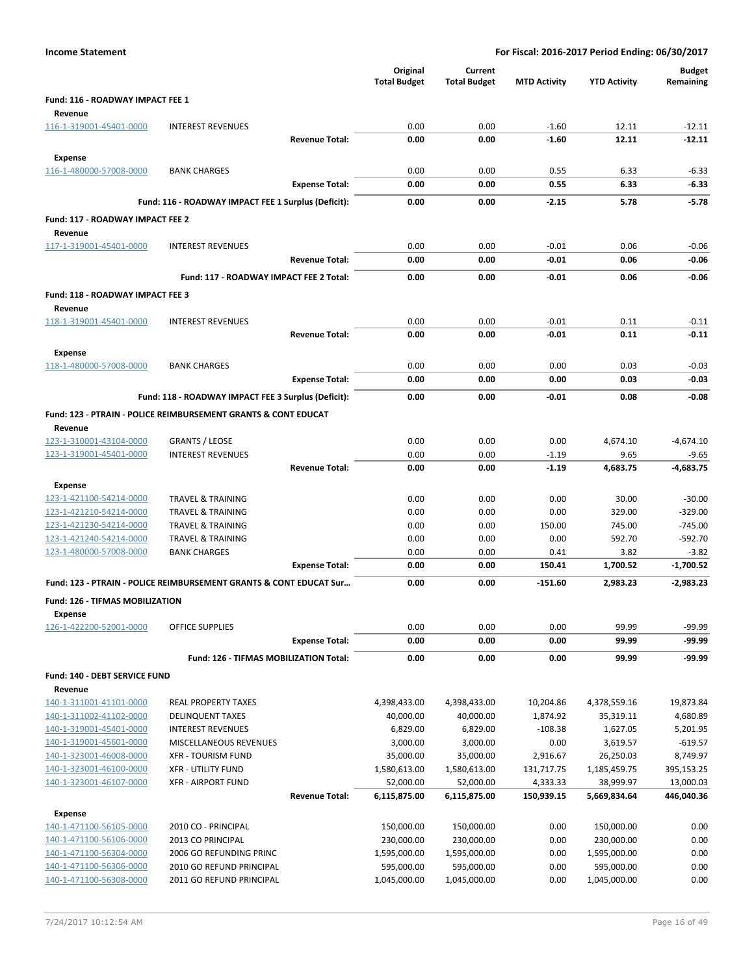| <b>Income Statement</b>                            |                                                                           |                       | For Fiscal: 2016-2017 Period Ending: 06/30/2017 |                                |                     |                            |                            |  |
|----------------------------------------------------|---------------------------------------------------------------------------|-----------------------|-------------------------------------------------|--------------------------------|---------------------|----------------------------|----------------------------|--|
|                                                    |                                                                           |                       | Original<br><b>Total Budget</b>                 | Current<br><b>Total Budget</b> | <b>MTD Activity</b> | <b>YTD Activity</b>        | <b>Budget</b><br>Remaining |  |
| Fund: 116 - ROADWAY IMPACT FEE 1<br>Revenue        |                                                                           |                       |                                                 |                                |                     |                            |                            |  |
| 116-1-319001-45401-0000                            | <b>INTEREST REVENUES</b>                                                  |                       | 0.00                                            | 0.00                           | $-1.60$             | 12.11                      | $-12.11$                   |  |
|                                                    |                                                                           | <b>Revenue Total:</b> | 0.00                                            | 0.00                           | $-1.60$             | 12.11                      | $-12.11$                   |  |
| <b>Expense</b>                                     |                                                                           |                       |                                                 |                                |                     |                            |                            |  |
| 116-1-480000-57008-0000                            | <b>BANK CHARGES</b>                                                       |                       | 0.00                                            | 0.00                           | 0.55                | 6.33                       | $-6.33$                    |  |
|                                                    |                                                                           | <b>Expense Total:</b> | 0.00                                            | 0.00                           | 0.55                | 6.33                       | $-6.33$                    |  |
|                                                    | Fund: 116 - ROADWAY IMPACT FEE 1 Surplus (Deficit):                       |                       | 0.00                                            | 0.00                           | $-2.15$             | 5.78                       | $-5.78$                    |  |
| Fund: 117 - ROADWAY IMPACT FEE 2<br>Revenue        |                                                                           |                       |                                                 |                                |                     |                            |                            |  |
| 117-1-319001-45401-0000                            | <b>INTEREST REVENUES</b>                                                  |                       | 0.00                                            | 0.00                           | $-0.01$             | 0.06                       | $-0.06$                    |  |
|                                                    |                                                                           | <b>Revenue Total:</b> | 0.00                                            | 0.00                           | $-0.01$             | 0.06                       | $-0.06$                    |  |
|                                                    | Fund: 117 - ROADWAY IMPACT FEE 2 Total:                                   |                       | 0.00                                            | 0.00                           | $-0.01$             | 0.06                       | $-0.06$                    |  |
| Fund: 118 - ROADWAY IMPACT FEE 3<br>Revenue        |                                                                           |                       |                                                 |                                |                     |                            |                            |  |
| 118-1-319001-45401-0000                            | <b>INTEREST REVENUES</b>                                                  |                       | 0.00                                            | 0.00                           | $-0.01$             | 0.11                       | $-0.11$                    |  |
|                                                    |                                                                           | <b>Revenue Total:</b> | 0.00                                            | 0.00                           | $-0.01$             | 0.11                       | $-0.11$                    |  |
| <b>Expense</b>                                     |                                                                           |                       |                                                 |                                |                     |                            |                            |  |
| 118-1-480000-57008-0000                            | <b>BANK CHARGES</b>                                                       |                       | 0.00                                            | 0.00                           | 0.00                | 0.03                       | $-0.03$                    |  |
|                                                    |                                                                           | <b>Expense Total:</b> | 0.00                                            | 0.00                           | 0.00                | 0.03                       | $-0.03$                    |  |
|                                                    | Fund: 118 - ROADWAY IMPACT FEE 3 Surplus (Deficit):                       |                       | 0.00                                            | 0.00                           | $-0.01$             | 0.08                       | $-0.08$                    |  |
|                                                    | <b>Fund: 123 - PTRAIN - POLICE REIMBURSEMENT GRANTS &amp; CONT EDUCAT</b> |                       |                                                 |                                |                     |                            |                            |  |
| Revenue                                            |                                                                           |                       |                                                 |                                |                     |                            |                            |  |
| 123-1-310001-43104-0000                            | <b>GRANTS / LEOSE</b>                                                     |                       | 0.00                                            | 0.00                           | 0.00                | 4,674.10                   | $-4,674.10$                |  |
| 123-1-319001-45401-0000                            | <b>INTEREST REVENUES</b>                                                  |                       | 0.00                                            | 0.00                           | $-1.19$             | 9.65                       | $-9.65$                    |  |
|                                                    |                                                                           | <b>Revenue Total:</b> | 0.00                                            | 0.00                           | $-1.19$             | 4,683.75                   | -4,683.75                  |  |
| <b>Expense</b>                                     |                                                                           |                       |                                                 |                                |                     |                            |                            |  |
| 123-1-421100-54214-0000<br>123-1-421210-54214-0000 | <b>TRAVEL &amp; TRAINING</b><br><b>TRAVEL &amp; TRAINING</b>              |                       | 0.00<br>0.00                                    | 0.00<br>0.00                   | 0.00<br>0.00        | 30.00<br>329.00            | $-30.00$<br>$-329.00$      |  |
| 123-1-421230-54214-0000                            | TRAVEL & TRAINING                                                         |                       | 0.00                                            | 0.00                           | 150.00              | 745.00                     | $-745.00$                  |  |
| 123-1-421240-54214-0000                            | <b>TRAVEL &amp; TRAINING</b>                                              |                       | 0.00                                            | 0.00                           | 0.00                | 592.70                     | $-592.70$                  |  |
| 123-1-480000-57008-0000                            | <b>BANK CHARGES</b>                                                       |                       | 0.00                                            | 0.00                           | 0.41                | 3.82                       | $-3.82$                    |  |
|                                                    |                                                                           | <b>Expense Total:</b> | 0.00                                            | 0.00                           | 150.41              | 1,700.52                   | $-1,700.52$                |  |
|                                                    | Fund: 123 - PTRAIN - POLICE REIMBURSEMENT GRANTS & CONT EDUCAT Sur        |                       | 0.00                                            | 0.00                           | $-151.60$           | 2,983.23                   | $-2,983.23$                |  |
| Fund: 126 - TIFMAS MOBILIZATION<br><b>Expense</b>  |                                                                           |                       |                                                 |                                |                     |                            |                            |  |
| 126-1-422200-52001-0000                            | <b>OFFICE SUPPLIES</b>                                                    |                       | 0.00                                            | 0.00                           | 0.00                | 99.99                      | $-99.99$                   |  |
|                                                    |                                                                           | <b>Expense Total:</b> | 0.00                                            | 0.00                           | 0.00                | 99.99                      | -99.99                     |  |
|                                                    | Fund: 126 - TIFMAS MOBILIZATION Total:                                    |                       | 0.00                                            | 0.00                           | 0.00                | 99.99                      | -99.99                     |  |
| Fund: 140 - DEBT SERVICE FUND                      |                                                                           |                       |                                                 |                                |                     |                            |                            |  |
| Revenue                                            |                                                                           |                       |                                                 |                                |                     |                            |                            |  |
| 140-1-311001-41101-0000                            | <b>REAL PROPERTY TAXES</b>                                                |                       | 4,398,433.00                                    | 4,398,433.00                   | 10,204.86           | 4,378,559.16               | 19,873.84                  |  |
| 140-1-311002-41102-0000                            | <b>DELINQUENT TAXES</b>                                                   |                       | 40,000.00                                       | 40,000.00                      | 1,874.92            | 35,319.11<br>1,627.05      | 4,680.89                   |  |
| 140-1-319001-45401-0000<br>140-1-319001-45601-0000 | <b>INTEREST REVENUES</b><br>MISCELLANEOUS REVENUES                        |                       | 6,829.00<br>3,000.00                            | 6,829.00<br>3,000.00           | $-108.38$<br>0.00   | 3,619.57                   | 5,201.95<br>$-619.57$      |  |
| 140-1-323001-46008-0000                            | <b>XFR - TOURISM FUND</b>                                                 |                       | 35,000.00                                       | 35,000.00                      | 2,916.67            | 26,250.03                  | 8,749.97                   |  |
| 140-1-323001-46100-0000                            | <b>XFR - UTILITY FUND</b>                                                 |                       | 1,580,613.00                                    | 1,580,613.00                   | 131,717.75          | 1,185,459.75               | 395,153.25                 |  |
| 140-1-323001-46107-0000                            | <b>XFR - AIRPORT FUND</b>                                                 |                       | 52,000.00                                       | 52,000.00                      | 4,333.33            | 38,999.97                  | 13,000.03                  |  |
|                                                    |                                                                           | <b>Revenue Total:</b> | 6,115,875.00                                    | 6,115,875.00                   | 150,939.15          | 5,669,834.64               | 446,040.36                 |  |
| <b>Expense</b>                                     |                                                                           |                       |                                                 |                                |                     |                            |                            |  |
| 140-1-471100-56105-0000                            | 2010 CO - PRINCIPAL                                                       |                       | 150,000.00                                      | 150,000.00                     | 0.00                | 150,000.00                 | 0.00                       |  |
| 140-1-471100-56106-0000                            | 2013 CO PRINCIPAL                                                         |                       | 230,000.00                                      | 230,000.00                     | 0.00                | 230,000.00                 | 0.00                       |  |
| 140-1-471100-56304-0000                            | 2006 GO REFUNDING PRINC                                                   |                       | 1,595,000.00                                    | 1,595,000.00                   | 0.00                | 1,595,000.00               | 0.00                       |  |
| 140-1-471100-56306-0000<br>140-1-471100-56308-0000 | 2010 GO REFUND PRINCIPAL<br>2011 GO REFUND PRINCIPAL                      |                       | 595,000.00<br>1,045,000.00                      | 595,000.00<br>1,045,000.00     | 0.00<br>0.00        | 595,000.00<br>1,045,000.00 | 0.00<br>0.00               |  |
|                                                    |                                                                           |                       |                                                 |                                |                     |                            |                            |  |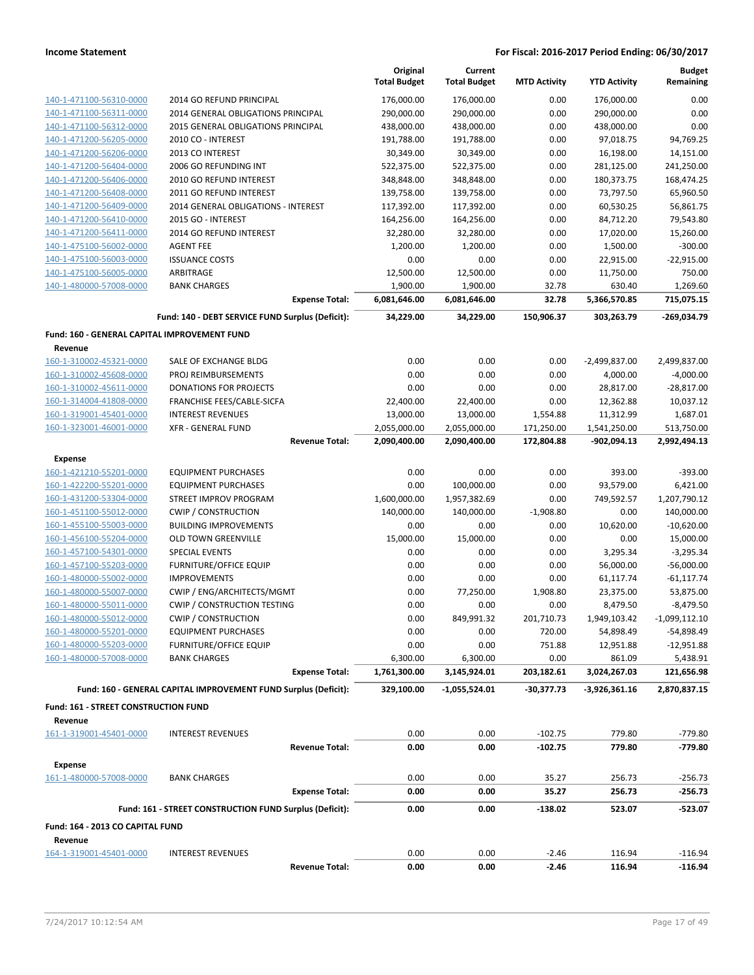|                                                    |                                                                 | Original              | Current             |                     |                     | <b>Budget</b>          |
|----------------------------------------------------|-----------------------------------------------------------------|-----------------------|---------------------|---------------------|---------------------|------------------------|
|                                                    |                                                                 | <b>Total Budget</b>   | <b>Total Budget</b> | <b>MTD Activity</b> | <b>YTD Activity</b> | Remaining              |
| 140-1-471100-56310-0000                            | 2014 GO REFUND PRINCIPAL                                        | 176,000.00            | 176,000.00          | 0.00                | 176,000.00          | 0.00                   |
| 140-1-471100-56311-0000                            | 2014 GENERAL OBLIGATIONS PRINCIPAL                              | 290,000.00            | 290,000.00          | 0.00                | 290,000.00          | 0.00                   |
| 140-1-471100-56312-0000                            | <b>2015 GENERAL OBLIGATIONS PRINCIPAL</b>                       | 438,000.00            | 438,000.00          | 0.00                | 438,000.00          | 0.00                   |
| 140-1-471200-56205-0000                            | 2010 CO - INTEREST                                              | 191,788.00            | 191,788.00          | 0.00                | 97,018.75           | 94,769.25              |
| 140-1-471200-56206-0000                            | 2013 CO INTEREST                                                | 30,349.00             | 30,349.00           | 0.00                | 16,198.00           | 14,151.00              |
| 140-1-471200-56404-0000                            | 2006 GO REFUNDING INT                                           | 522,375.00            | 522,375.00          | 0.00                | 281,125.00          | 241,250.00             |
| 140-1-471200-56406-0000                            | 2010 GO REFUND INTEREST                                         | 348,848.00            | 348,848.00          | 0.00                | 180,373.75          | 168,474.25             |
| 140-1-471200-56408-0000                            | 2011 GO REFUND INTEREST                                         | 139,758.00            | 139,758.00          | 0.00                | 73,797.50           | 65,960.50              |
| 140-1-471200-56409-0000                            | 2014 GENERAL OBLIGATIONS - INTEREST                             | 117,392.00            | 117,392.00          | 0.00                | 60,530.25           | 56,861.75              |
| 140-1-471200-56410-0000                            | 2015 GO - INTEREST                                              | 164,256.00            | 164,256.00          | 0.00                | 84,712.20           | 79,543.80              |
| 140-1-471200-56411-0000                            | 2014 GO REFUND INTEREST                                         | 32,280.00             | 32,280.00           | 0.00                | 17,020.00           | 15,260.00              |
| 140-1-475100-56002-0000                            | <b>AGENT FEE</b>                                                | 1,200.00              | 1,200.00            | 0.00                | 1,500.00            | $-300.00$              |
| 140-1-475100-56003-0000<br>140-1-475100-56005-0000 | <b>ISSUANCE COSTS</b><br>ARBITRAGE                              | 0.00                  | 0.00<br>12,500.00   | 0.00                | 22,915.00           | $-22,915.00$<br>750.00 |
| 140-1-480000-57008-0000                            | <b>BANK CHARGES</b>                                             | 12,500.00<br>1,900.00 | 1,900.00            | 0.00<br>32.78       | 11,750.00<br>630.40 | 1,269.60               |
|                                                    | <b>Expense Total:</b>                                           | 6,081,646.00          | 6,081,646.00        | 32.78               | 5,366,570.85        | 715,075.15             |
|                                                    | Fund: 140 - DEBT SERVICE FUND Surplus (Deficit):                | 34,229.00             | 34,229.00           | 150,906.37          | 303,263.79          | -269,034.79            |
| Fund: 160 - GENERAL CAPITAL IMPROVEMENT FUND       |                                                                 |                       |                     |                     |                     |                        |
| Revenue                                            |                                                                 |                       |                     |                     |                     |                        |
| 160-1-310002-45321-0000                            | SALE OF EXCHANGE BLDG                                           | 0.00                  | 0.00                | 0.00                | $-2,499,837.00$     | 2,499,837.00           |
| 160-1-310002-45608-0000                            | PROJ REIMBURSEMENTS                                             | 0.00                  | 0.00                | 0.00                | 4,000.00            | $-4,000.00$            |
| 160-1-310002-45611-0000                            | <b>DONATIONS FOR PROJECTS</b>                                   | 0.00                  | 0.00                | 0.00                | 28,817.00           | $-28,817.00$           |
| 160-1-314004-41808-0000                            | FRANCHISE FEES/CABLE-SICFA                                      | 22,400.00             | 22,400.00           | 0.00                | 12,362.88           | 10,037.12              |
| 160-1-319001-45401-0000                            | <b>INTEREST REVENUES</b>                                        | 13,000.00             | 13,000.00           | 1,554.88            | 11,312.99           | 1,687.01               |
| 160-1-323001-46001-0000                            | <b>XFR - GENERAL FUND</b>                                       | 2,055,000.00          | 2,055,000.00        | 171,250.00          | 1,541,250.00        | 513,750.00             |
|                                                    | <b>Revenue Total:</b>                                           | 2,090,400.00          | 2,090,400.00        | 172,804.88          | -902,094.13         | 2,992,494.13           |
| <b>Expense</b>                                     |                                                                 |                       |                     |                     |                     |                        |
| 160-1-421210-55201-0000                            | <b>EQUIPMENT PURCHASES</b>                                      | 0.00                  | 0.00                | 0.00                | 393.00              | $-393.00$              |
| 160-1-422200-55201-0000                            | <b>EQUIPMENT PURCHASES</b>                                      | 0.00                  | 100,000.00          | 0.00                | 93,579.00           | 6,421.00               |
| 160-1-431200-53304-0000                            | STREET IMPROV PROGRAM                                           | 1,600,000.00          | 1,957,382.69        | 0.00                | 749,592.57          | 1,207,790.12           |
| 160-1-451100-55012-0000                            | <b>CWIP / CONSTRUCTION</b>                                      | 140,000.00            | 140,000.00          | $-1,908.80$         | 0.00                | 140,000.00             |
| 160-1-455100-55003-0000                            | <b>BUILDING IMPROVEMENTS</b>                                    | 0.00                  | 0.00                | 0.00                | 10,620.00           | $-10,620.00$           |
| 160-1-456100-55204-0000                            | <b>OLD TOWN GREENVILLE</b>                                      | 15,000.00             | 15,000.00           | 0.00                | 0.00                | 15,000.00              |
| 160-1-457100-54301-0000                            | <b>SPECIAL EVENTS</b>                                           | 0.00                  | 0.00                | 0.00                | 3,295.34            | $-3,295.34$            |
| 160-1-457100-55203-0000                            | <b>FURNITURE/OFFICE EQUIP</b>                                   | 0.00                  | 0.00                | 0.00                | 56,000.00           | $-56,000.00$           |
| 160-1-480000-55002-0000                            | <b>IMPROVEMENTS</b>                                             | 0.00                  | 0.00                | 0.00                | 61,117.74           | $-61, 117.74$          |
| 160-1-480000-55007-0000                            | CWIP / ENG/ARCHITECTS/MGMT                                      | 0.00                  | 77,250.00           | 1,908.80            | 23,375.00           | 53,875.00              |
| 160-1-480000-55011-0000                            | CWIP / CONSTRUCTION TESTING                                     | 0.00                  | 0.00                | 0.00                | 8,479.50            | $-8,479.50$            |
| 160-1-480000-55012-0000                            | <b>CWIP / CONSTRUCTION</b>                                      | 0.00                  | 849,991.32          | 201,710.73          | 1,949,103.42        | $-1,099,112.10$        |
| 160-1-480000-55201-0000                            | <b>EQUIPMENT PURCHASES</b>                                      | 0.00                  | 0.00                | 720.00              | 54,898.49           | -54,898.49             |
| 160-1-480000-55203-0000                            | <b>FURNITURE/OFFICE EQUIP</b>                                   | 0.00                  | 0.00                | 751.88              | 12,951.88           | $-12,951.88$           |
| 160-1-480000-57008-0000                            | <b>BANK CHARGES</b>                                             | 6,300.00              | 6,300.00            | 0.00                | 861.09              | 5,438.91               |
|                                                    | <b>Expense Total:</b>                                           | 1,761,300.00          | 3,145,924.01        | 203,182.61          | 3,024,267.03        | 121,656.98             |
|                                                    | Fund: 160 - GENERAL CAPITAL IMPROVEMENT FUND Surplus (Deficit): | 329,100.00            | $-1,055,524.01$     | -30,377.73          | -3,926,361.16       | 2,870,837.15           |
| Fund: 161 - STREET CONSTRUCTION FUND               |                                                                 |                       |                     |                     |                     |                        |
| Revenue                                            |                                                                 |                       |                     |                     |                     |                        |
| 161-1-319001-45401-0000                            | <b>INTEREST REVENUES</b>                                        | 0.00                  | 0.00                | $-102.75$           | 779.80              | $-779.80$              |
|                                                    | <b>Revenue Total:</b>                                           | 0.00                  | 0.00                | $-102.75$           | 779.80              | -779.80                |
| <b>Expense</b>                                     |                                                                 |                       |                     |                     |                     |                        |
| 161-1-480000-57008-0000                            | <b>BANK CHARGES</b>                                             | 0.00                  | 0.00                | 35.27               | 256.73              | -256.73                |
|                                                    | <b>Expense Total:</b>                                           | 0.00                  | 0.00                | 35.27               | 256.73              | $-256.73$              |
|                                                    | Fund: 161 - STREET CONSTRUCTION FUND Surplus (Deficit):         | 0.00                  | 0.00                | -138.02             | 523.07              | -523.07                |
| Fund: 164 - 2013 CO CAPITAL FUND                   |                                                                 |                       |                     |                     |                     |                        |
| Revenue                                            |                                                                 |                       |                     |                     |                     |                        |
| 164-1-319001-45401-0000                            | <b>INTEREST REVENUES</b>                                        | 0.00                  | 0.00                | $-2.46$             | 116.94              | $-116.94$              |
|                                                    | <b>Revenue Total:</b>                                           | 0.00                  | 0.00                | $-2.46$             | 116.94              | $-116.94$              |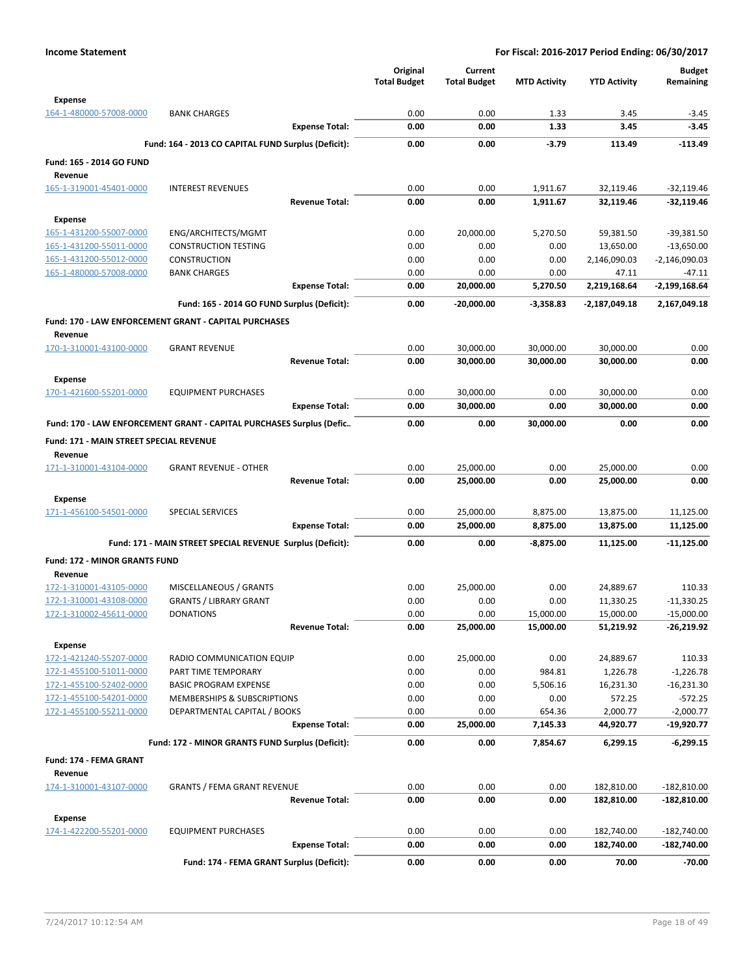|                                                    |                                                                      | Original<br><b>Total Budget</b> | Current<br><b>Total Budget</b> | <b>MTD Activity</b> | <b>YTD Activity</b> | <b>Budget</b><br>Remaining |
|----------------------------------------------------|----------------------------------------------------------------------|---------------------------------|--------------------------------|---------------------|---------------------|----------------------------|
| <b>Expense</b>                                     |                                                                      |                                 |                                |                     |                     |                            |
| 164-1-480000-57008-0000                            | <b>BANK CHARGES</b><br><b>Expense Total:</b>                         | 0.00<br>0.00                    | 0.00<br>0.00                   | 1.33<br>1.33        | 3.45<br>3.45        | $-3.45$<br>$-3.45$         |
|                                                    | Fund: 164 - 2013 CO CAPITAL FUND Surplus (Deficit):                  | 0.00                            | 0.00                           | $-3.79$             | 113.49              | $-113.49$                  |
| Fund: 165 - 2014 GO FUND                           |                                                                      |                                 |                                |                     |                     |                            |
| Revenue                                            |                                                                      |                                 |                                |                     |                     |                            |
| 165-1-319001-45401-0000                            | <b>INTEREST REVENUES</b>                                             | 0.00                            | 0.00                           | 1,911.67            | 32,119.46           | $-32,119.46$               |
|                                                    | <b>Revenue Total:</b>                                                | 0.00                            | 0.00                           | 1,911.67            | 32,119.46           | $-32,119.46$               |
| <b>Expense</b>                                     |                                                                      |                                 |                                |                     |                     |                            |
| 165-1-431200-55007-0000                            | ENG/ARCHITECTS/MGMT                                                  | 0.00                            | 20,000.00                      | 5,270.50            | 59,381.50           | $-39,381.50$               |
| 165-1-431200-55011-0000                            | <b>CONSTRUCTION TESTING</b>                                          | 0.00                            | 0.00                           | 0.00                | 13,650.00           | $-13,650.00$               |
| 165-1-431200-55012-0000                            | <b>CONSTRUCTION</b>                                                  | 0.00                            | 0.00                           | 0.00                | 2,146,090.03        | $-2,146,090.03$            |
| 165-1-480000-57008-0000                            | <b>BANK CHARGES</b>                                                  | 0.00                            | 0.00                           | 0.00                | 47.11               | $-47.11$                   |
|                                                    | <b>Expense Total:</b>                                                | 0.00                            | 20,000.00                      | 5,270.50            | 2,219,168.64        | $-2,199,168.64$            |
|                                                    | Fund: 165 - 2014 GO FUND Surplus (Deficit):                          | 0.00                            | -20,000.00                     | $-3,358.83$         | $-2,187,049.18$     | 2,167,049.18               |
|                                                    | Fund: 170 - LAW ENFORCEMENT GRANT - CAPITAL PURCHASES                |                                 |                                |                     |                     |                            |
| Revenue                                            |                                                                      |                                 |                                |                     |                     |                            |
| 170-1-310001-43100-0000                            | <b>GRANT REVENUE</b>                                                 | 0.00                            | 30,000.00                      | 30,000.00           | 30,000.00           | 0.00                       |
|                                                    | <b>Revenue Total:</b>                                                | 0.00                            | 30,000.00                      | 30,000.00           | 30,000.00           | 0.00                       |
| <b>Expense</b>                                     |                                                                      |                                 |                                |                     |                     |                            |
| 170-1-421600-55201-0000                            | <b>EQUIPMENT PURCHASES</b>                                           | 0.00                            | 30,000.00                      | 0.00                | 30,000.00           | 0.00                       |
|                                                    | <b>Expense Total:</b>                                                | 0.00                            | 30,000.00                      | 0.00                | 30,000.00           | 0.00                       |
|                                                    | Fund: 170 - LAW ENFORCEMENT GRANT - CAPITAL PURCHASES Surplus (Defic | 0.00                            | 0.00                           | 30,000.00           | 0.00                | 0.00                       |
| Fund: 171 - MAIN STREET SPECIAL REVENUE<br>Revenue |                                                                      |                                 |                                |                     |                     |                            |
| 171-1-310001-43104-0000                            | <b>GRANT REVENUE - OTHER</b>                                         | 0.00                            | 25,000.00                      | 0.00                | 25,000.00           | 0.00                       |
|                                                    | <b>Revenue Total:</b>                                                | 0.00                            | 25,000.00                      | 0.00                | 25,000.00           | 0.00                       |
| Expense                                            |                                                                      |                                 |                                |                     |                     |                            |
| 171-1-456100-54501-0000                            | <b>SPECIAL SERVICES</b>                                              | 0.00                            | 25,000.00                      | 8,875.00            | 13,875.00           | 11,125.00                  |
|                                                    | <b>Expense Total:</b>                                                | 0.00                            | 25,000.00                      | 8,875.00            | 13,875.00           | 11,125.00                  |
|                                                    | Fund: 171 - MAIN STREET SPECIAL REVENUE Surplus (Deficit):           | 0.00                            | 0.00                           | $-8,875.00$         | 11,125.00           | -11,125.00                 |
| <b>Fund: 172 - MINOR GRANTS FUND</b><br>Revenue    |                                                                      |                                 |                                |                     |                     |                            |
| 172-1-310001-43105-0000                            | MISCELLANEOUS / GRANTS                                               | 0.00                            | 25,000.00                      | 0.00                | 24,889.67           | 110.33                     |
| 172-1-310001-43108-0000                            | <b>GRANTS / LIBRARY GRANT</b>                                        | 0.00                            | 0.00                           | 0.00                | 11,330.25           | $-11,330.25$               |
| 172-1-310002-45611-0000                            | <b>DONATIONS</b>                                                     | 0.00                            | 0.00                           | 15,000.00           | 15,000.00           | $-15,000.00$               |
|                                                    | <b>Revenue Total:</b>                                                | 0.00                            | 25,000.00                      | 15,000.00           | 51,219.92           | -26,219.92                 |
| <b>Expense</b>                                     |                                                                      |                                 |                                |                     |                     |                            |
| 172-1-421240-55207-0000                            | RADIO COMMUNICATION EQUIP                                            | 0.00                            | 25,000.00                      | 0.00                | 24,889.67           | 110.33                     |
| 172-1-455100-51011-0000                            | PART TIME TEMPORARY                                                  | 0.00                            | 0.00                           | 984.81              | 1,226.78            | $-1,226.78$                |
| 172-1-455100-52402-0000                            | <b>BASIC PROGRAM EXPENSE</b>                                         | 0.00                            | 0.00                           | 5,506.16            | 16,231.30           | $-16,231.30$               |
| 172-1-455100-54201-0000                            | MEMBERSHIPS & SUBSCRIPTIONS                                          | 0.00                            | 0.00                           | 0.00                | 572.25              | $-572.25$                  |
| 172-1-455100-55211-0000                            | DEPARTMENTAL CAPITAL / BOOKS                                         | 0.00                            | 0.00                           | 654.36              | 2,000.77            | $-2,000.77$                |
|                                                    | <b>Expense Total:</b>                                                | 0.00                            | 25,000.00                      | 7,145.33            | 44,920.77           | -19,920.77                 |
|                                                    | Fund: 172 - MINOR GRANTS FUND Surplus (Deficit):                     | 0.00                            | 0.00                           | 7,854.67            | 6,299.15            | $-6,299.15$                |
| Fund: 174 - FEMA GRANT<br>Revenue                  |                                                                      |                                 |                                |                     |                     |                            |
| 174-1-310001-43107-0000                            | <b>GRANTS / FEMA GRANT REVENUE</b>                                   | 0.00                            | 0.00                           | 0.00                | 182,810.00          | $-182,810.00$              |
|                                                    | <b>Revenue Total:</b>                                                | 0.00                            | 0.00                           | 0.00                | 182,810.00          | $-182,810.00$              |
| <b>Expense</b>                                     |                                                                      |                                 |                                |                     |                     |                            |
| 174-1-422200-55201-0000                            | <b>EQUIPMENT PURCHASES</b>                                           | 0.00                            | 0.00                           | 0.00                | 182,740.00          | $-182,740.00$              |
|                                                    | <b>Expense Total:</b>                                                | 0.00                            | 0.00                           | 0.00                | 182,740.00          | $-182,740.00$              |
|                                                    | Fund: 174 - FEMA GRANT Surplus (Deficit):                            | 0.00                            | 0.00                           | 0.00                | 70.00               | $-70.00$                   |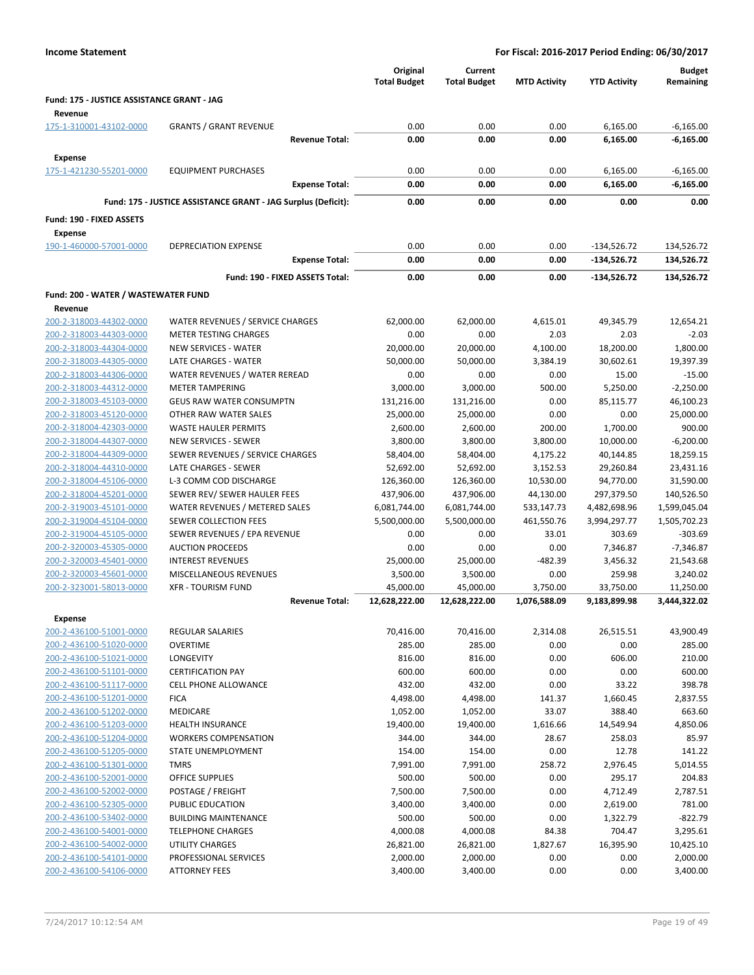| <b>Income Statement</b>                               |                                                               | For Fiscal: 2016-2017 Period Ending: 06/30/2017 |                                |                     |                                |                            |
|-------------------------------------------------------|---------------------------------------------------------------|-------------------------------------------------|--------------------------------|---------------------|--------------------------------|----------------------------|
|                                                       |                                                               | Original<br><b>Total Budget</b>                 | Current<br><b>Total Budget</b> | <b>MTD Activity</b> | <b>YTD Activity</b>            | <b>Budget</b><br>Remaining |
| Fund: 175 - JUSTICE ASSISTANCE GRANT - JAG<br>Revenue |                                                               |                                                 |                                |                     |                                |                            |
| 175-1-310001-43102-0000                               | <b>GRANTS / GRANT REVENUE</b>                                 | 0.00                                            | 0.00                           | 0.00                | 6,165.00                       | $-6,165.00$                |
|                                                       | <b>Revenue Total:</b>                                         | 0.00                                            | 0.00                           | 0.00                | 6,165.00                       | -6,165.00                  |
|                                                       |                                                               |                                                 |                                |                     |                                |                            |
| <b>Expense</b><br>175-1-421230-55201-0000             | <b>EQUIPMENT PURCHASES</b>                                    | 0.00                                            | 0.00                           | 0.00                | 6,165.00                       | $-6,165.00$                |
|                                                       | <b>Expense Total:</b>                                         | 0.00                                            | 0.00                           | 0.00                | 6,165.00                       | $-6,165.00$                |
|                                                       |                                                               |                                                 |                                |                     |                                |                            |
|                                                       | Fund: 175 - JUSTICE ASSISTANCE GRANT - JAG Surplus (Deficit): | 0.00                                            | 0.00                           | 0.00                | 0.00                           | 0.00                       |
| Fund: 190 - FIXED ASSETS                              |                                                               |                                                 |                                |                     |                                |                            |
| <b>Expense</b>                                        |                                                               |                                                 |                                |                     |                                |                            |
| 190-1-460000-57001-0000                               | <b>DEPRECIATION EXPENSE</b>                                   | 0.00<br>0.00                                    | 0.00<br>0.00                   | 0.00<br>0.00        | $-134,526.72$<br>$-134,526.72$ | 134,526.72                 |
|                                                       | <b>Expense Total:</b>                                         |                                                 |                                |                     |                                | 134,526.72                 |
|                                                       | Fund: 190 - FIXED ASSETS Total:                               | 0.00                                            | 0.00                           | 0.00                | -134,526.72                    | 134,526.72                 |
| Fund: 200 - WATER / WASTEWATER FUND                   |                                                               |                                                 |                                |                     |                                |                            |
| Revenue                                               |                                                               |                                                 |                                |                     |                                |                            |
| 200-2-318003-44302-0000                               | WATER REVENUES / SERVICE CHARGES                              | 62,000.00                                       | 62,000.00                      | 4,615.01            | 49,345.79                      | 12,654.21                  |
| 200-2-318003-44303-0000                               | <b>METER TESTING CHARGES</b>                                  | 0.00                                            | 0.00                           | 2.03                | 2.03                           | $-2.03$                    |
| 200-2-318003-44304-0000                               | <b>NEW SERVICES - WATER</b>                                   | 20,000.00                                       | 20,000.00                      | 4,100.00            | 18,200.00                      | 1,800.00                   |
| 200-2-318003-44305-0000<br>200-2-318003-44306-0000    | LATE CHARGES - WATER<br>WATER REVENUES / WATER REREAD         | 50,000.00<br>0.00                               | 50,000.00<br>0.00              | 3,384.19<br>0.00    | 30,602.61<br>15.00             | 19,397.39<br>$-15.00$      |
| 200-2-318003-44312-0000                               | <b>METER TAMPERING</b>                                        | 3,000.00                                        | 3,000.00                       | 500.00              | 5,250.00                       | $-2,250.00$                |
| 200-2-318003-45103-0000                               | <b>GEUS RAW WATER CONSUMPTN</b>                               | 131,216.00                                      | 131,216.00                     | 0.00                | 85,115.77                      | 46,100.23                  |
| 200-2-318003-45120-0000                               | OTHER RAW WATER SALES                                         | 25,000.00                                       | 25,000.00                      | 0.00                | 0.00                           | 25,000.00                  |
| 200-2-318004-42303-0000                               | <b>WASTE HAULER PERMITS</b>                                   | 2,600.00                                        | 2,600.00                       | 200.00              | 1,700.00                       | 900.00                     |
| 200-2-318004-44307-0000                               | NEW SERVICES - SEWER                                          | 3,800.00                                        | 3,800.00                       | 3,800.00            | 10,000.00                      | $-6,200.00$                |
| 200-2-318004-44309-0000                               | SEWER REVENUES / SERVICE CHARGES                              | 58,404.00                                       | 58,404.00                      | 4,175.22            | 40,144.85                      | 18,259.15                  |
| 200-2-318004-44310-0000                               | LATE CHARGES - SEWER                                          | 52,692.00                                       | 52,692.00                      | 3,152.53            | 29,260.84                      | 23,431.16                  |
| 200-2-318004-45106-0000                               | L-3 COMM COD DISCHARGE                                        | 126,360.00                                      | 126,360.00                     | 10,530.00           | 94,770.00                      | 31,590.00                  |
| 200-2-318004-45201-0000                               | SEWER REV/ SEWER HAULER FEES                                  | 437,906.00                                      | 437,906.00                     | 44,130.00           | 297,379.50                     | 140,526.50                 |
| 200-2-319003-45101-0000                               | WATER REVENUES / METERED SALES                                | 6,081,744.00                                    | 6,081,744.00                   | 533,147.73          | 4,482,698.96                   | 1,599,045.04               |
| 200-2-319004-45104-0000                               | SEWER COLLECTION FEES                                         | 5,500,000.00                                    | 5,500,000.00                   | 461,550.76          | 3,994,297.77                   | 1,505,702.23               |
| 200-2-319004-45105-0000                               | SEWER REVENUES / EPA REVENUE                                  | 0.00                                            | 0.00                           | 33.01               | 303.69                         | $-303.69$                  |
| 200-2-320003-45305-0000<br>200-2-320003-45401-0000    | <b>AUCTION PROCEEDS</b><br><b>INTEREST REVENUES</b>           | 0.00<br>25,000.00                               | 0.00<br>25,000.00              | 0.00<br>$-482.39$   | 7,346.87<br>3,456.32           | $-7,346.87$<br>21,543.68   |
| 200-2-320003-45601-0000                               | <b>MISCELLANEOUS REVENUES</b>                                 | 3,500.00                                        | 3,500.00                       | 0.00                | 259.98                         | 3,240.02                   |
| 200-2-323001-58013-0000                               | <b>XFR - TOURISM FUND</b>                                     | 45,000.00                                       | 45,000.00                      | 3,750.00            | 33,750.00                      | 11,250.00                  |
|                                                       | <b>Revenue Total:</b>                                         | 12,628,222.00                                   | 12,628,222.00                  | 1,076,588.09        | 9,183,899.98                   | 3,444,322.02               |
| <b>Expense</b>                                        |                                                               |                                                 |                                |                     |                                |                            |
| 200-2-436100-51001-0000                               | <b>REGULAR SALARIES</b>                                       | 70,416.00                                       | 70,416.00                      | 2,314.08            | 26,515.51                      | 43,900.49                  |
| 200-2-436100-51020-0000                               | <b>OVERTIME</b>                                               | 285.00                                          | 285.00                         | 0.00                | 0.00                           | 285.00                     |
| 200-2-436100-51021-0000                               | <b>LONGEVITY</b>                                              | 816.00                                          | 816.00                         | 0.00                | 606.00                         | 210.00                     |
| 200-2-436100-51101-0000                               | <b>CERTIFICATION PAY</b>                                      | 600.00                                          | 600.00                         | 0.00                | 0.00                           | 600.00                     |
| 200-2-436100-51117-0000                               | <b>CELL PHONE ALLOWANCE</b>                                   | 432.00                                          | 432.00                         | 0.00                | 33.22                          | 398.78                     |
| 200-2-436100-51201-0000                               | <b>FICA</b>                                                   | 4,498.00                                        | 4,498.00                       | 141.37              | 1,660.45                       | 2,837.55                   |
| 200-2-436100-51202-0000                               | MEDICARE                                                      | 1,052.00                                        | 1,052.00                       | 33.07               | 388.40                         | 663.60                     |
| 200-2-436100-51203-0000                               | <b>HEALTH INSURANCE</b>                                       | 19,400.00                                       | 19,400.00                      | 1,616.66            | 14,549.94                      | 4,850.06                   |
| 200-2-436100-51204-0000                               | <b>WORKERS COMPENSATION</b>                                   | 344.00                                          | 344.00                         | 28.67               | 258.03                         | 85.97                      |
| 200-2-436100-51205-0000                               | <b>STATE UNEMPLOYMENT</b>                                     | 154.00                                          | 154.00                         | 0.00                | 12.78                          | 141.22                     |
| 200-2-436100-51301-0000<br>200-2-436100-52001-0000    | <b>TMRS</b><br>OFFICE SUPPLIES                                | 7,991.00<br>500.00                              | 7,991.00<br>500.00             | 258.72<br>0.00      | 2,976.45<br>295.17             | 5,014.55<br>204.83         |
| 200-2-436100-52002-0000                               | POSTAGE / FREIGHT                                             | 7,500.00                                        | 7,500.00                       | 0.00                | 4,712.49                       | 2,787.51                   |
| 200-2-436100-52305-0000                               | PUBLIC EDUCATION                                              | 3,400.00                                        | 3,400.00                       | 0.00                | 2,619.00                       | 781.00                     |
| 200-2-436100-53402-0000                               | <b>BUILDING MAINTENANCE</b>                                   | 500.00                                          | 500.00                         | 0.00                | 1,322.79                       | $-822.79$                  |
| 200-2-436100-54001-0000                               | <b>TELEPHONE CHARGES</b>                                      | 4,000.08                                        | 4,000.08                       | 84.38               | 704.47                         | 3,295.61                   |
| 200-2-436100-54002-0000                               | UTILITY CHARGES                                               | 26,821.00                                       | 26,821.00                      | 1,827.67            | 16,395.90                      | 10,425.10                  |
| 200-2-436100-54101-0000                               | PROFESSIONAL SERVICES                                         | 2,000.00                                        | 2,000.00                       | 0.00                | 0.00                           | 2,000.00                   |
| 200-2-436100-54106-0000                               | <b>ATTORNEY FEES</b>                                          | 3,400.00                                        | 3,400.00                       | 0.00                | 0.00                           | 3,400.00                   |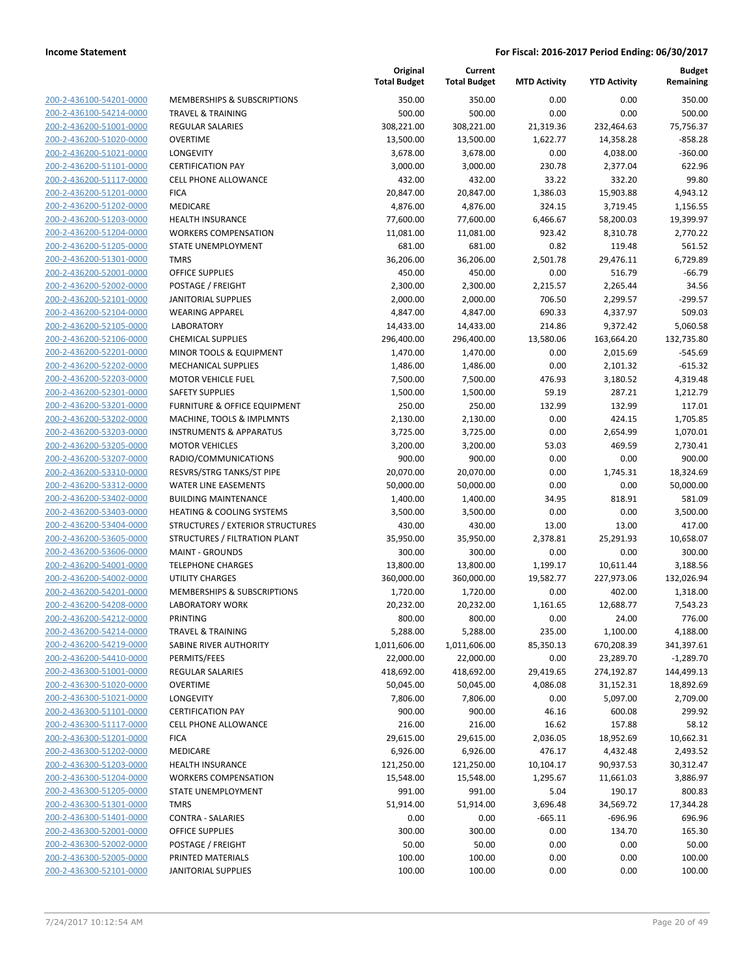| 200-2-436100-54201-0000        |
|--------------------------------|
| 200-2-436100-54214-0000        |
| 200-2-436200-51001-0000        |
| 200-2-436200-51020-0000        |
| 200-2-436200-51021-0000        |
| 200-2-436200-51101-0000        |
| 200-2-436200-51117-0000        |
| 200-2-436200-51201-0000        |
| 200-2-436200-51202-0000        |
| 200-2-436200-51203-0000        |
| 200-2-436200-51204-0000        |
| 200-2-436200-51205-0000        |
| 200-2-436200-51301-0000        |
| 200-2-436200-52001-0000        |
| 200-2-436200-52002-0000        |
| 200-2-436200-52101-0000        |
| 200-2-436200-52104-0000        |
| 200-2-436200-52105-0000        |
| 200-2-436200-52106-0000        |
| 200-2-436200-52201-0000        |
| 200-2-436200-52202-0000        |
| 200-2-436200-52203-0000        |
| 200-2-436200-52301-0000        |
| 200-2-436200-53201-0000        |
| 200-2-436200-53202-0000        |
| 200-2-436200-53203-0000        |
| 200-2-436200-53205-0000        |
| 200-2-436200-53207-0000        |
| 200-2-436200-53310-0000        |
| 200-2-436200-53312-0000        |
| 200-2-436200-53402-0000        |
| 200-2-436200-53403-0000        |
| 200-2-436200-53404-0000        |
| 200-2-436200-53605-0000        |
| 200-2-436200-53606-0000        |
| <u>200-2-436200-54001-0000</u> |
| 200-2-436200-54002-0000        |
| 200-2-436200-54201-0000        |
| 200-2-436200-54208-0000        |
| 200-2-436200-54212-0000        |
| 200-2-436200-54214-0000        |
| <u>200-2-436200-54219-0000</u> |
| 200-2-436200-54410-0000        |
| 200-2-436300-51001-0000        |
| <u>200-2-436300-51020-0000</u> |
| <u>200-2-436300-51021-0000</u> |
| <u>200-2-436300-51101-0000</u> |
| 200-2-436300-51117-0000        |
| 200-2-436300-51201-0000        |
| <u>200-2-436300-51202-0000</u> |
| <u>200-2-436300-51203-0000</u> |
| <u>200-2-436300-51204-0000</u> |
| 200-2-436300-51205-0000        |
| 200-2-436300-51301-0000        |
| <u>200-2-436300-51401-0000</u> |
| <u>200-2-436300-52001-0000</u> |
| <u>200-2-436300-52002-0000</u> |
| 200-2-436300-52005-0000        |
| 200-2-436300-52101-0000        |
|                                |

| <b>MEMBERSHIPS &amp; SUBSCRIPTIONS</b>  |
|-----------------------------------------|
| <b>TRAVEL &amp; TRAINING</b>            |
| <b>REGULAR SALARIES</b>                 |
| <b>OVERTIME</b>                         |
| <b>LONGEVITY</b>                        |
| <b>CERTIFICATION PAY</b>                |
| <b>CELL PHONE ALLOWANCE</b>             |
| <b>FICA</b>                             |
| <b>MEDICARE</b>                         |
| <b>HEALTH INSURANCE</b>                 |
| <b>WORKERS COMPENSATION</b>             |
| <b>STATE UNEMPLOYMENT</b>               |
| <b>TMRS</b>                             |
| OFFICE SUPPLIES                         |
| POSTAGE / FREIGHT                       |
| <b>JANITORIAL SUPPLIES</b>              |
| <b>WEARING APPAREL</b>                  |
| <b>LABORATORY</b>                       |
| <b>CHEMICAL SUPPLIES</b>                |
| MINOR TOOLS & EQUIPMENT                 |
| <b>MECHANICAL SUPPLIES</b>              |
| <b>MOTOR VEHICLE FUEL</b>               |
| <b>SAFETY SUPPLIES</b>                  |
| <b>FURNITURE &amp; OFFICE EQUIPMENT</b> |
| MACHINE, TOOLS & IMPLMNTS               |
| <b>INSTRUMENTS &amp; APPARATUS</b>      |
| <b>MOTOR VEHICLES</b>                   |
| RADIO/COMMUNICATIONS                    |
| RESVRS/STRG TANKS/ST PIPE               |
| WATER LINE EASEMENTS                    |
| <b>BUILDING MAINTENANCE</b>             |
| <b>HEATING &amp; COOLING SYSTEMS</b>    |
| STRUCTURES / EXTERIOR STRUCTURES        |
| STRUCTURES / FILTRATION PLANT           |
| <b>MAINT - GROUNDS</b>                  |
| <b>TELEPHONE CHARGES</b>                |
| <b>UTILITY CHARGES</b>                  |
| MEMBERSHIPS & SUBSCRIPTIONS             |
| <b>LABORATORY WORK</b>                  |
| PRINTING                                |
| <b>TRAVEL &amp; TRAINING</b>            |
| <b>SABINE RIVER AUTHORITY</b>           |
| PERMITS/FEES                            |
| <b>REGULAR SALARIES</b>                 |
| <b>OVERTIME</b>                         |
| <b>LONGEVITY</b>                        |
| <b>CERTIFICATION PAY</b>                |
| <b>CELL PHONE ALLOWANCE</b>             |
| <b>FICA</b>                             |
| MEDICARE                                |
| <b>HEALTH INSURANCE</b>                 |
| <b>WORKERS COMPENSATION</b>             |
| <b>STATE UNEMPLOYMENT</b>               |
| <b>TMRS</b>                             |
| CONTRA - SALARIES                       |
| <b>OFFICE SUPPLIES</b>                  |
| POSTAGE / FREIGHT                       |
| PRINTED MATERIALS                       |
| <b>JANITORIAL SUPPLIES</b>              |

|                         |                                         | Original<br><b>Total Budget</b> | Current<br><b>Total Budget</b> | <b>MTD Activity</b>   | <b>YTD Activity</b>    | <b>Budget</b><br>Remaining |
|-------------------------|-----------------------------------------|---------------------------------|--------------------------------|-----------------------|------------------------|----------------------------|
| 200-2-436100-54201-0000 | MEMBERSHIPS & SUBSCRIPTIONS             | 350.00                          | 350.00                         | 0.00                  | 0.00                   | 350.00                     |
| 200-2-436100-54214-0000 | <b>TRAVEL &amp; TRAINING</b>            | 500.00                          | 500.00                         | 0.00                  | 0.00                   | 500.00                     |
| 200-2-436200-51001-0000 | REGULAR SALARIES                        | 308,221.00                      | 308,221.00                     | 21,319.36             | 232,464.63             | 75,756.37                  |
| 200-2-436200-51020-0000 | <b>OVERTIME</b>                         | 13,500.00                       | 13,500.00                      | 1,622.77              | 14,358.28              | $-858.28$                  |
| 200-2-436200-51021-0000 | <b>LONGEVITY</b>                        | 3,678.00                        | 3,678.00                       | 0.00                  | 4,038.00               | $-360.00$                  |
| 200-2-436200-51101-0000 | <b>CERTIFICATION PAY</b>                | 3,000.00                        | 3,000.00                       | 230.78                | 2,377.04               | 622.96                     |
| 200-2-436200-51117-0000 | <b>CELL PHONE ALLOWANCE</b>             | 432.00                          | 432.00                         | 33.22                 | 332.20                 | 99.80                      |
| 200-2-436200-51201-0000 | <b>FICA</b>                             | 20,847.00                       | 20,847.00                      | 1,386.03              | 15,903.88              | 4,943.12                   |
| 200-2-436200-51202-0000 | MEDICARE                                | 4,876.00                        | 4,876.00                       | 324.15                | 3,719.45               | 1,156.55                   |
| 200-2-436200-51203-0000 | <b>HEALTH INSURANCE</b>                 | 77,600.00                       | 77,600.00                      | 6,466.67              | 58,200.03              | 19,399.97                  |
| 200-2-436200-51204-0000 | <b>WORKERS COMPENSATION</b>             | 11,081.00                       | 11,081.00                      | 923.42                | 8,310.78               | 2,770.22                   |
| 200-2-436200-51205-0000 | STATE UNEMPLOYMENT                      | 681.00                          | 681.00                         | 0.82                  | 119.48                 | 561.52                     |
| 200-2-436200-51301-0000 | <b>TMRS</b>                             | 36,206.00                       | 36,206.00                      | 2,501.78              | 29,476.11              | 6,729.89                   |
| 200-2-436200-52001-0000 | <b>OFFICE SUPPLIES</b>                  | 450.00                          | 450.00                         | 0.00                  | 516.79                 | $-66.79$                   |
| 200-2-436200-52002-0000 | POSTAGE / FREIGHT                       | 2,300.00                        | 2,300.00                       | 2,215.57              | 2,265.44               | 34.56                      |
| 200-2-436200-52101-0000 | <b>JANITORIAL SUPPLIES</b>              | 2,000.00                        | 2,000.00                       | 706.50                | 2,299.57               | $-299.57$                  |
| 200-2-436200-52104-0000 | <b>WEARING APPAREL</b>                  | 4,847.00                        | 4,847.00                       | 690.33                | 4,337.97               | 509.03                     |
| 200-2-436200-52105-0000 | <b>LABORATORY</b>                       | 14,433.00                       | 14,433.00                      | 214.86                | 9,372.42               | 5,060.58                   |
| 200-2-436200-52106-0000 | <b>CHEMICAL SUPPLIES</b>                | 296,400.00                      | 296,400.00                     | 13,580.06             | 163,664.20             | 132,735.80                 |
| 200-2-436200-52201-0000 | MINOR TOOLS & EQUIPMENT                 | 1,470.00                        | 1,470.00                       | 0.00                  | 2,015.69               | $-545.69$                  |
| 200-2-436200-52202-0000 | <b>MECHANICAL SUPPLIES</b>              | 1,486.00                        | 1,486.00                       | 0.00                  | 2,101.32               | $-615.32$                  |
| 200-2-436200-52203-0000 | <b>MOTOR VEHICLE FUEL</b>               | 7,500.00                        | 7,500.00                       | 476.93                | 3,180.52               | 4,319.48                   |
| 200-2-436200-52301-0000 | <b>SAFETY SUPPLIES</b>                  | 1,500.00                        | 1,500.00                       | 59.19                 | 287.21                 | 1,212.79                   |
| 200-2-436200-53201-0000 | <b>FURNITURE &amp; OFFICE EQUIPMENT</b> | 250.00                          | 250.00                         | 132.99                | 132.99                 | 117.01                     |
| 200-2-436200-53202-0000 | MACHINE, TOOLS & IMPLMNTS               | 2,130.00                        | 2,130.00                       | 0.00                  | 424.15                 | 1,705.85                   |
| 200-2-436200-53203-0000 | <b>INSTRUMENTS &amp; APPARATUS</b>      | 3,725.00                        | 3,725.00                       | 0.00                  | 2,654.99               | 1,070.01                   |
| 200-2-436200-53205-0000 | <b>MOTOR VEHICLES</b>                   | 3,200.00                        | 3,200.00                       | 53.03                 | 469.59                 | 2,730.41                   |
| 200-2-436200-53207-0000 | RADIO/COMMUNICATIONS                    | 900.00                          | 900.00                         | 0.00                  | 0.00                   | 900.00                     |
| 200-2-436200-53310-0000 | RESVRS/STRG TANKS/ST PIPE               | 20,070.00                       | 20,070.00                      | 0.00                  | 1,745.31               | 18,324.69                  |
| 200-2-436200-53312-0000 | <b>WATER LINE EASEMENTS</b>             | 50,000.00                       | 50,000.00                      | 0.00                  | 0.00                   | 50,000.00                  |
| 200-2-436200-53402-0000 | <b>BUILDING MAINTENANCE</b>             | 1,400.00                        | 1,400.00                       | 34.95                 | 818.91                 | 581.09                     |
| 200-2-436200-53403-0000 | <b>HEATING &amp; COOLING SYSTEMS</b>    | 3,500.00                        | 3,500.00                       | 0.00                  | 0.00                   | 3,500.00                   |
| 200-2-436200-53404-0000 | STRUCTURES / EXTERIOR STRUCTURES        | 430.00                          | 430.00                         | 13.00                 | 13.00                  | 417.00                     |
| 200-2-436200-53605-0000 | STRUCTURES / FILTRATION PLANT           | 35,950.00                       | 35,950.00                      | 2,378.81              | 25,291.93              | 10,658.07                  |
| 200-2-436200-53606-0000 | <b>MAINT - GROUNDS</b>                  | 300.00                          | 300.00                         | 0.00                  | 0.00                   | 300.00                     |
| 200-2-436200-54001-0000 | <b>TELEPHONE CHARGES</b>                | 13,800.00                       | 13,800.00                      | 1,199.17              | 10,611.44              | 3,188.56                   |
| 200-2-436200-54002-0000 | <b>UTILITY CHARGES</b>                  | 360,000.00                      | 360,000.00                     | 19,582.77             | 227,973.06             | 132,026.94                 |
| 200-2-436200-54201-0000 | MEMBERSHIPS & SUBSCRIPTIONS             | 1,720.00                        | 1,720.00                       | 0.00                  | 402.00                 | 1,318.00                   |
| 200-2-436200-54208-0000 | <b>LABORATORY WORK</b>                  | 20,232.00                       | 20,232.00                      | 1,161.65              | 12,688.77              | 7,543.23                   |
| 200-2-436200-54212-0000 | PRINTING                                | 800.00                          | 800.00                         | 0.00                  | 24.00                  | 776.00                     |
| 200-2-436200-54214-0000 | <b>TRAVEL &amp; TRAINING</b>            | 5,288.00                        | 5,288.00                       | 235.00                | 1,100.00               | 4,188.00                   |
| 200-2-436200-54219-0000 | SABINE RIVER AUTHORITY                  | 1,011,606.00                    | 1,011,606.00                   | 85,350.13             | 670,208.39             | 341,397.61                 |
| 200-2-436200-54410-0000 | PERMITS/FEES                            | 22,000.00                       | 22,000.00                      | 0.00                  | 23,289.70              | $-1,289.70$                |
| 200-2-436300-51001-0000 | <b>REGULAR SALARIES</b>                 | 418,692.00                      | 418,692.00                     | 29,419.65             | 274,192.87             | 144,499.13                 |
| 200-2-436300-51020-0000 | <b>OVERTIME</b>                         | 50,045.00                       | 50,045.00                      | 4,086.08              | 31,152.31              | 18,892.69                  |
| 200-2-436300-51021-0000 | LONGEVITY                               | 7,806.00                        | 7,806.00                       | 0.00                  | 5,097.00               | 2,709.00                   |
| 200-2-436300-51101-0000 | <b>CERTIFICATION PAY</b>                | 900.00                          | 900.00                         | 46.16                 | 600.08                 | 299.92                     |
| 200-2-436300-51117-0000 | <b>CELL PHONE ALLOWANCE</b>             | 216.00                          | 216.00                         | 16.62                 | 157.88                 | 58.12                      |
| 200-2-436300-51201-0000 | <b>FICA</b>                             | 29,615.00                       | 29,615.00                      | 2,036.05              | 18,952.69              | 10,662.31                  |
| 200-2-436300-51202-0000 | MEDICARE                                | 6,926.00                        | 6,926.00                       | 476.17                | 4,432.48               | 2,493.52                   |
| 200-2-436300-51203-0000 | <b>HEALTH INSURANCE</b>                 | 121,250.00                      | 121,250.00                     | 10,104.17             | 90,937.53              | 30,312.47                  |
| 200-2-436300-51204-0000 | <b>WORKERS COMPENSATION</b>             | 15,548.00                       | 15,548.00                      | 1,295.67              | 11,661.03              | 3,886.97                   |
| 200-2-436300-51205-0000 | STATE UNEMPLOYMENT                      |                                 |                                |                       |                        |                            |
| 200-2-436300-51301-0000 | <b>TMRS</b>                             | 991.00                          | 991.00                         | 5.04                  | 190.17                 | 800.83                     |
| 200-2-436300-51401-0000 | <b>CONTRA - SALARIES</b>                | 51,914.00<br>0.00               | 51,914.00<br>0.00              | 3,696.48<br>$-665.11$ | 34,569.72<br>$-696.96$ | 17,344.28<br>696.96        |
|                         |                                         |                                 |                                |                       |                        |                            |
| 200-2-436300-52001-0000 | <b>OFFICE SUPPLIES</b>                  | 300.00                          | 300.00                         | 0.00                  | 134.70                 | 165.30                     |
| 200-2-436300-52002-0000 | POSTAGE / FREIGHT                       | 50.00                           | 50.00                          | 0.00                  | 0.00                   | 50.00                      |
| 200-2-436300-52005-0000 | PRINTED MATERIALS                       | 100.00                          | 100.00                         | 0.00                  | 0.00                   | 100.00                     |
| 200-2-436300-52101-0000 | <b>JANITORIAL SUPPLIES</b>              | 100.00                          | 100.00                         | 0.00                  | 0.00                   | 100.00                     |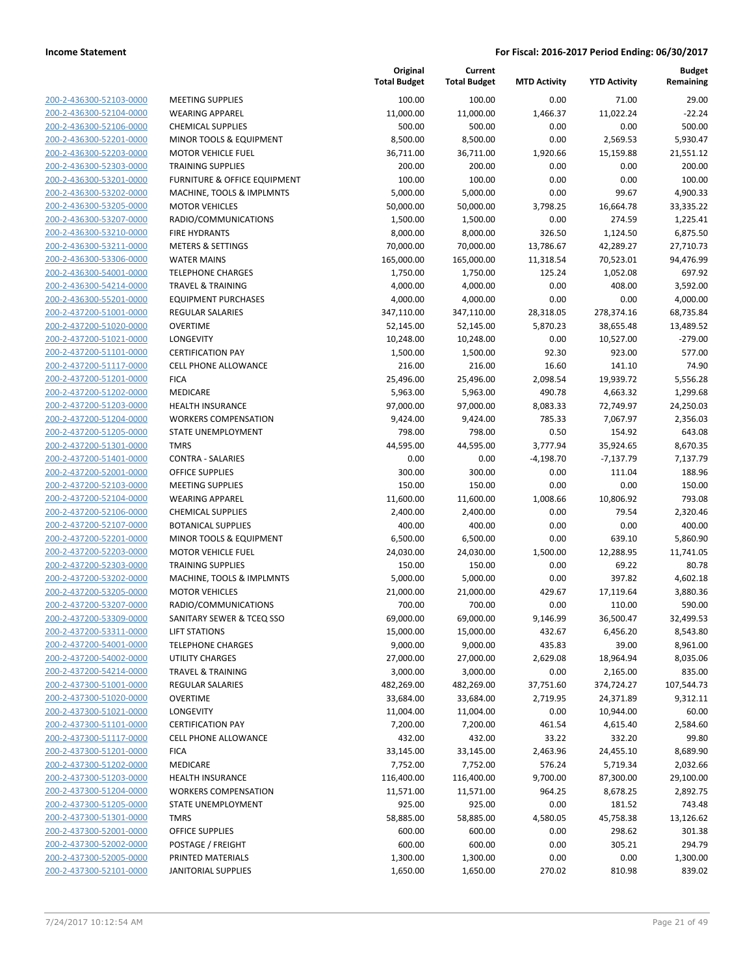| 200-2-436300-52103-0000        |
|--------------------------------|
| 200-2-436300-52104-0000        |
| 200-2-436300-52106-0000        |
| 200-2-436300-52201-0000        |
| 200-2-436300-52203-0000        |
| 200-2-436300-52303-0000        |
| 200-2-436300-53201-0000        |
| 200-2-436300-53202-0000        |
| 200-2-436300-53205-0000        |
| 200-2-436300-53207-0000        |
| <u>200-2-436300-53210-0000</u> |
| 200-2-436300-53211-0000        |
| 200-2-436300-53306-0000        |
| 200-2-436300-54001-0000        |
|                                |
| 200-2-436300-54214-0000        |
| 200-2-436300-55201-0000        |
| 200-2-437200-51001-0000        |
| 200-2-437200-51020-0000        |
| 200-2-437200-51021-0000        |
| 200-2-437200-51101-0000        |
| 200-2-437200-51117-0000        |
| 200-2-437200-51201-0000        |
| 200-2-437200-51202-0000        |
| 200-2-437200-51203-0000        |
| 200-2-437200-51204-0000        |
| 200-2-437200-51205-0000        |
| 200-2-437200-51301-0000        |
| 200-2-437200-51401-0000        |
| 200-2-437200-52001-0000        |
|                                |
| 200-2-437200-52103-0000        |
| 200-2-437200-52104-0000        |
| 200-2-437200-52106-0000        |
| 200-2-437200-52107-0000        |
| 200-2-437200-52201-0000        |
| 200-2-437200-52203-0000        |
| 200-2-437200-52303-0000        |
| 200-2-437200-53202-0000        |
| 200-2-437200-53205-0000        |
| 200-2-437200-53207-0000        |
| 200-2-437200-53309-0000        |
| 200-2-437200-53311-0000        |
| 200-2-437200-54001-0000        |
| 200-2-437200-54002-0000        |
| 200-2-437200-54214-0000        |
|                                |
| 200-2-437300-51001-0000        |
| <u>200-2-437300-51020-0000</u> |
| 200-2-437300-51021-0000        |
| 200-2-437300-51101-0000        |
| <u>200-2-437300-51117-0000</u> |
| <u>200-2-437300-51201-0000</u> |
| 200-2-437300-51202-0000        |
| 200-2-437300-51203-0000        |
| 200-2-437300-51204-0000        |
| 200-2-437300-51205-0000        |
| <u>200-2-437300-51301-0000</u> |
| <u>200-2-437300-52001-0000</u> |
| 200-2-437300-52002-0000        |
| 200-2-437300-52005-0000        |
| 200-2-437300-52101-0000        |
|                                |

|                                                    |                                                   | Original<br><b>Total Budget</b> | Current<br><b>Total Budget</b> | <b>MTD Activity</b> | <b>YTD Activity</b> | <b>Budget</b><br>Remaining |
|----------------------------------------------------|---------------------------------------------------|---------------------------------|--------------------------------|---------------------|---------------------|----------------------------|
| 200-2-436300-52103-0000                            | <b>MEETING SUPPLIES</b>                           | 100.00                          | 100.00                         | 0.00                | 71.00               | 29.00                      |
| 200-2-436300-52104-0000                            | <b>WEARING APPAREL</b>                            | 11,000.00                       | 11,000.00                      | 1,466.37            | 11,022.24           | $-22.24$                   |
| 200-2-436300-52106-0000                            | <b>CHEMICAL SUPPLIES</b>                          | 500.00                          | 500.00                         | 0.00                | 0.00                | 500.00                     |
| 200-2-436300-52201-0000                            | MINOR TOOLS & EQUIPMENT                           | 8,500.00                        | 8,500.00                       | 0.00                | 2,569.53            | 5,930.47                   |
| 200-2-436300-52203-0000                            | <b>MOTOR VEHICLE FUEL</b>                         | 36,711.00                       | 36,711.00                      | 1,920.66            | 15,159.88           | 21,551.12                  |
| 200-2-436300-52303-0000                            | <b>TRAINING SUPPLIES</b>                          | 200.00                          | 200.00                         | 0.00                | 0.00                | 200.00                     |
| 200-2-436300-53201-0000                            | FURNITURE & OFFICE EQUIPMENT                      | 100.00                          | 100.00                         | 0.00                | 0.00                | 100.00                     |
| 200-2-436300-53202-0000                            | MACHINE, TOOLS & IMPLMNTS                         | 5,000.00                        | 5,000.00                       | 0.00                | 99.67               | 4,900.33                   |
| 200-2-436300-53205-0000                            | <b>MOTOR VEHICLES</b>                             | 50,000.00                       | 50,000.00                      | 3,798.25            | 16,664.78           | 33,335.22                  |
| 200-2-436300-53207-0000                            | RADIO/COMMUNICATIONS                              | 1,500.00                        | 1,500.00                       | 0.00                | 274.59              | 1,225.41                   |
| 200-2-436300-53210-0000                            | <b>FIRE HYDRANTS</b>                              | 8,000.00                        | 8,000.00                       | 326.50              | 1,124.50            | 6,875.50                   |
| 200-2-436300-53211-0000                            | <b>METERS &amp; SETTINGS</b>                      | 70,000.00                       | 70,000.00                      | 13,786.67           | 42,289.27           | 27,710.73                  |
| 200-2-436300-53306-0000                            | <b>WATER MAINS</b>                                | 165,000.00                      | 165,000.00                     | 11,318.54           | 70,523.01           | 94,476.99                  |
| 200-2-436300-54001-0000                            | <b>TELEPHONE CHARGES</b>                          | 1,750.00                        | 1,750.00                       | 125.24              | 1,052.08            | 697.92                     |
| 200-2-436300-54214-0000                            | <b>TRAVEL &amp; TRAINING</b>                      | 4,000.00                        | 4,000.00                       | 0.00                | 408.00              | 3,592.00                   |
| 200-2-436300-55201-0000                            | <b>EQUIPMENT PURCHASES</b>                        | 4,000.00                        | 4,000.00                       | 0.00                | 0.00                | 4,000.00                   |
| 200-2-437200-51001-0000                            | REGULAR SALARIES                                  | 347,110.00                      | 347,110.00                     | 28,318.05           | 278,374.16          | 68,735.84                  |
| 200-2-437200-51020-0000                            | <b>OVERTIME</b>                                   | 52,145.00                       | 52,145.00                      | 5,870.23            | 38,655.48           | 13,489.52                  |
| 200-2-437200-51021-0000                            | <b>LONGEVITY</b>                                  | 10,248.00                       | 10,248.00                      | 0.00                | 10,527.00           | $-279.00$                  |
| 200-2-437200-51101-0000                            | <b>CERTIFICATION PAY</b>                          | 1,500.00                        | 1,500.00                       | 92.30               | 923.00              | 577.00                     |
| 200-2-437200-51117-0000                            | <b>CELL PHONE ALLOWANCE</b>                       | 216.00                          | 216.00                         | 16.60               | 141.10              | 74.90                      |
| 200-2-437200-51201-0000                            | <b>FICA</b>                                       | 25,496.00                       | 25,496.00                      | 2,098.54            | 19,939.72           | 5,556.28                   |
| 200-2-437200-51202-0000                            | MEDICARE                                          | 5,963.00                        | 5,963.00                       | 490.78              | 4,663.32            | 1,299.68                   |
| 200-2-437200-51203-0000                            | <b>HEALTH INSURANCE</b>                           | 97,000.00                       | 97,000.00                      | 8,083.33            | 72,749.97           | 24,250.03                  |
| 200-2-437200-51204-0000                            | <b>WORKERS COMPENSATION</b>                       | 9,424.00                        | 9,424.00                       | 785.33              | 7,067.97            | 2,356.03                   |
| 200-2-437200-51205-0000                            | STATE UNEMPLOYMENT                                | 798.00                          | 798.00                         | 0.50                | 154.92              | 643.08                     |
| 200-2-437200-51301-0000                            | <b>TMRS</b>                                       | 44,595.00                       | 44,595.00                      | 3,777.94            | 35,924.65           | 8,670.35                   |
| 200-2-437200-51401-0000                            | <b>CONTRA - SALARIES</b>                          | 0.00                            | 0.00                           | $-4,198.70$         | $-7,137.79$         | 7,137.79                   |
| 200-2-437200-52001-0000                            | <b>OFFICE SUPPLIES</b>                            | 300.00                          | 300.00                         | 0.00                | 111.04              | 188.96                     |
| 200-2-437200-52103-0000                            | <b>MEETING SUPPLIES</b>                           | 150.00                          | 150.00                         | 0.00                | 0.00                | 150.00                     |
| 200-2-437200-52104-0000                            | <b>WEARING APPAREL</b>                            | 11,600.00                       | 11,600.00                      | 1,008.66            | 10,806.92           | 793.08                     |
| 200-2-437200-52106-0000                            | <b>CHEMICAL SUPPLIES</b>                          | 2,400.00                        | 2,400.00                       | 0.00                | 79.54               | 2,320.46                   |
| 200-2-437200-52107-0000                            | <b>BOTANICAL SUPPLIES</b>                         | 400.00                          | 400.00                         | 0.00                | 0.00                | 400.00                     |
| 200-2-437200-52201-0000                            | MINOR TOOLS & EQUIPMENT                           | 6,500.00                        | 6,500.00                       | 0.00                | 639.10              | 5,860.90                   |
| 200-2-437200-52203-0000                            | <b>MOTOR VEHICLE FUEL</b>                         | 24,030.00                       | 24,030.00                      | 1,500.00            | 12,288.95           | 11,741.05                  |
| 200-2-437200-52303-0000                            | <b>TRAINING SUPPLIES</b>                          | 150.00                          | 150.00                         | 0.00                | 69.22               | 80.78                      |
| 200-2-437200-53202-0000<br>200-2-437200-53205-0000 | MACHINE, TOOLS & IMPLMNTS                         | 5,000.00                        | 5,000.00<br>21,000.00          | 0.00                | 397.82              | 4,602.18<br>3,880.36       |
| 200-2-437200-53207-0000                            | <b>MOTOR VEHICLES</b>                             | 21,000.00                       |                                | 429.67              | 17,119.64           |                            |
| 200-2-437200-53309-0000                            | RADIO/COMMUNICATIONS<br>SANITARY SEWER & TCEQ SSO | 700.00<br>69,000.00             | 700.00<br>69,000.00            | 0.00<br>9,146.99    | 110.00<br>36,500.47 | 590.00<br>32,499.53        |
| 200-2-437200-53311-0000                            | <b>LIFT STATIONS</b>                              | 15,000.00                       | 15,000.00                      | 432.67              | 6,456.20            | 8,543.80                   |
| 200-2-437200-54001-0000                            | <b>TELEPHONE CHARGES</b>                          | 9,000.00                        | 9,000.00                       | 435.83              | 39.00               | 8,961.00                   |
| 200-2-437200-54002-0000                            | UTILITY CHARGES                                   | 27,000.00                       | 27,000.00                      | 2,629.08            | 18,964.94           | 8,035.06                   |
| 200-2-437200-54214-0000                            | <b>TRAVEL &amp; TRAINING</b>                      | 3,000.00                        | 3,000.00                       | 0.00                | 2,165.00            | 835.00                     |
| 200-2-437300-51001-0000                            | REGULAR SALARIES                                  | 482,269.00                      | 482,269.00                     | 37,751.60           | 374,724.27          | 107,544.73                 |
| 200-2-437300-51020-0000                            | <b>OVERTIME</b>                                   | 33,684.00                       | 33,684.00                      | 2,719.95            | 24,371.89           | 9,312.11                   |
| 200-2-437300-51021-0000                            | LONGEVITY                                         | 11,004.00                       | 11,004.00                      | 0.00                | 10,944.00           | 60.00                      |
| 200-2-437300-51101-0000                            | <b>CERTIFICATION PAY</b>                          | 7,200.00                        | 7,200.00                       | 461.54              | 4,615.40            | 2,584.60                   |
| 200-2-437300-51117-0000                            | <b>CELL PHONE ALLOWANCE</b>                       | 432.00                          | 432.00                         | 33.22               | 332.20              | 99.80                      |
| 200-2-437300-51201-0000                            | <b>FICA</b>                                       | 33,145.00                       | 33,145.00                      | 2,463.96            | 24,455.10           | 8,689.90                   |
| 200-2-437300-51202-0000                            | MEDICARE                                          | 7,752.00                        | 7,752.00                       | 576.24              | 5,719.34            | 2,032.66                   |
| 200-2-437300-51203-0000                            | <b>HEALTH INSURANCE</b>                           | 116,400.00                      | 116,400.00                     | 9,700.00            | 87,300.00           | 29,100.00                  |
| 200-2-437300-51204-0000                            | <b>WORKERS COMPENSATION</b>                       | 11,571.00                       | 11,571.00                      | 964.25              | 8,678.25            | 2,892.75                   |
| 200-2-437300-51205-0000                            | STATE UNEMPLOYMENT                                | 925.00                          | 925.00                         | 0.00                | 181.52              | 743.48                     |
| 200-2-437300-51301-0000                            | <b>TMRS</b>                                       | 58,885.00                       | 58,885.00                      | 4,580.05            | 45,758.38           | 13,126.62                  |
| 200-2-437300-52001-0000                            | OFFICE SUPPLIES                                   | 600.00                          | 600.00                         | 0.00                | 298.62              | 301.38                     |
| 200-2-437300-52002-0000                            | POSTAGE / FREIGHT                                 | 600.00                          | 600.00                         | 0.00                | 305.21              | 294.79                     |
| 200-2-437300-52005-0000                            | PRINTED MATERIALS                                 | 1,300.00                        | 1,300.00                       | 0.00                | 0.00                | 1,300.00                   |
| 200-2-437300-52101-0000                            | <b>JANITORIAL SUPPLIES</b>                        | 1,650.00                        | 1,650.00                       | 270.02              | 810.98              | 839.02                     |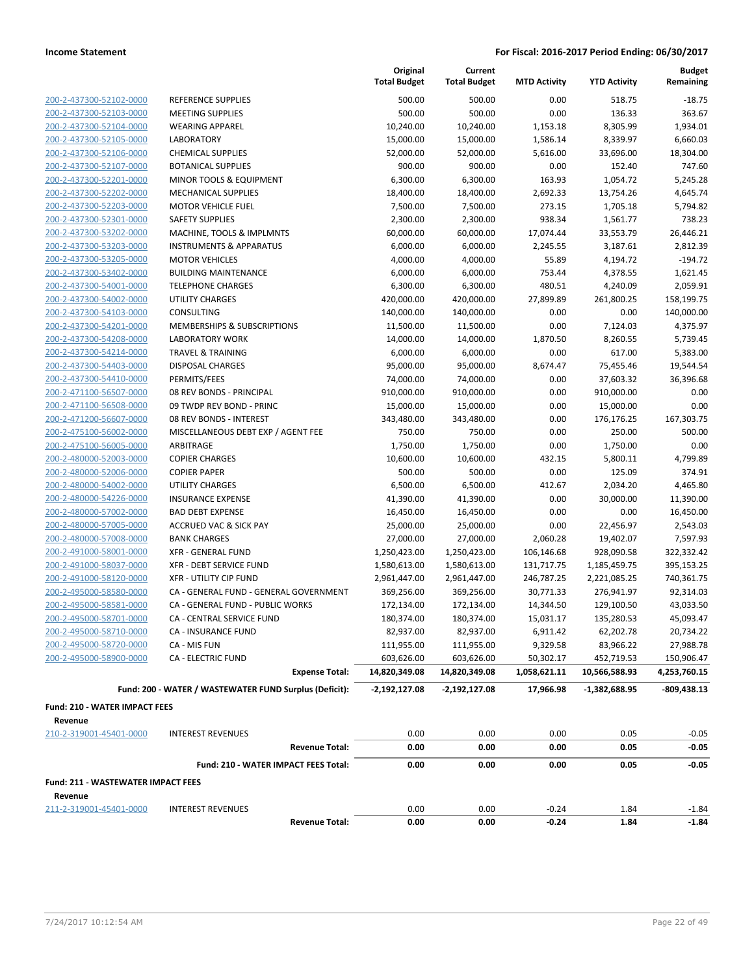|                                                    |                                                        | Original<br><b>Total Budget</b> | Current<br><b>Total Budget</b> | <b>MTD Activity</b>    | <b>YTD Activity</b>        | <b>Budget</b><br>Remaining |
|----------------------------------------------------|--------------------------------------------------------|---------------------------------|--------------------------------|------------------------|----------------------------|----------------------------|
| 200-2-437300-52102-0000                            | <b>REFERENCE SUPPLIES</b>                              | 500.00                          | 500.00                         | 0.00                   | 518.75                     | $-18.75$                   |
| 200-2-437300-52103-0000                            | <b>MEETING SUPPLIES</b>                                | 500.00                          | 500.00                         | 0.00                   | 136.33                     | 363.67                     |
| 200-2-437300-52104-0000                            | <b>WEARING APPAREL</b>                                 | 10,240.00                       | 10,240.00                      | 1,153.18               | 8,305.99                   | 1,934.01                   |
| 200-2-437300-52105-0000                            | <b>LABORATORY</b>                                      | 15,000.00                       | 15,000.00                      | 1,586.14               | 8,339.97                   | 6,660.03                   |
| 200-2-437300-52106-0000                            | <b>CHEMICAL SUPPLIES</b>                               | 52,000.00                       | 52,000.00                      | 5,616.00               | 33,696.00                  | 18,304.00                  |
| 200-2-437300-52107-0000                            | <b>BOTANICAL SUPPLIES</b>                              | 900.00                          | 900.00                         | 0.00                   | 152.40                     | 747.60                     |
| 200-2-437300-52201-0000                            | MINOR TOOLS & EQUIPMENT                                | 6,300.00                        | 6,300.00                       | 163.93                 | 1,054.72                   | 5,245.28                   |
| 200-2-437300-52202-0000                            | <b>MECHANICAL SUPPLIES</b>                             | 18,400.00                       | 18,400.00                      | 2,692.33               | 13,754.26                  | 4,645.74                   |
| 200-2-437300-52203-0000                            | <b>MOTOR VEHICLE FUEL</b>                              | 7,500.00                        | 7,500.00                       | 273.15                 | 1,705.18                   | 5,794.82                   |
| 200-2-437300-52301-0000                            | <b>SAFETY SUPPLIES</b>                                 | 2,300.00                        | 2,300.00                       | 938.34                 | 1,561.77                   | 738.23                     |
| 200-2-437300-53202-0000                            | MACHINE, TOOLS & IMPLMNTS                              | 60,000.00                       | 60,000.00                      | 17,074.44              | 33,553.79                  | 26,446.21                  |
| 200-2-437300-53203-0000                            | <b>INSTRUMENTS &amp; APPARATUS</b>                     | 6,000.00                        | 6,000.00                       | 2,245.55               | 3,187.61                   | 2,812.39                   |
| 200-2-437300-53205-0000                            | <b>MOTOR VEHICLES</b>                                  | 4,000.00                        | 4,000.00                       | 55.89                  | 4,194.72                   | $-194.72$                  |
| 200-2-437300-53402-0000                            | <b>BUILDING MAINTENANCE</b>                            | 6,000.00                        | 6,000.00                       | 753.44                 | 4,378.55                   | 1,621.45                   |
| 200-2-437300-54001-0000                            | <b>TELEPHONE CHARGES</b>                               | 6,300.00                        | 6,300.00                       | 480.51                 | 4,240.09                   | 2,059.91                   |
| 200-2-437300-54002-0000                            | <b>UTILITY CHARGES</b>                                 | 420,000.00                      | 420,000.00                     | 27,899.89              | 261,800.25                 | 158,199.75                 |
| 200-2-437300-54103-0000                            | CONSULTING                                             | 140,000.00                      | 140,000.00                     | 0.00                   | 0.00                       | 140,000.00                 |
| 200-2-437300-54201-0000                            | <b>MEMBERSHIPS &amp; SUBSCRIPTIONS</b>                 | 11,500.00                       | 11,500.00                      | 0.00                   | 7,124.03                   | 4,375.97                   |
| 200-2-437300-54208-0000                            | <b>LABORATORY WORK</b>                                 | 14,000.00                       | 14,000.00                      | 1,870.50               | 8,260.55                   | 5,739.45                   |
| 200-2-437300-54214-0000                            | <b>TRAVEL &amp; TRAINING</b>                           | 6,000.00                        | 6,000.00                       | 0.00                   | 617.00                     | 5,383.00                   |
| 200-2-437300-54403-0000                            | <b>DISPOSAL CHARGES</b>                                | 95,000.00                       | 95,000.00                      | 8,674.47               | 75,455.46                  | 19,544.54                  |
| 200-2-437300-54410-0000                            | PERMITS/FEES                                           | 74,000.00                       | 74,000.00                      | 0.00                   | 37,603.32                  | 36,396.68                  |
| 200-2-471100-56507-0000                            | 08 REV BONDS - PRINCIPAL                               | 910,000.00                      | 910,000.00                     | 0.00                   | 910,000.00                 | 0.00                       |
| 200-2-471100-56508-0000                            | 09 TWDP REV BOND - PRINC                               | 15,000.00                       | 15,000.00                      | 0.00                   | 15,000.00                  | 0.00                       |
| 200-2-471200-56607-0000                            | 08 REV BONDS - INTEREST                                | 343,480.00                      | 343,480.00                     | 0.00                   | 176,176.25                 | 167,303.75                 |
| 200-2-475100-56002-0000                            | MISCELLANEOUS DEBT EXP / AGENT FEE                     | 750.00                          | 750.00                         | 0.00                   | 250.00                     | 500.00                     |
| 200-2-475100-56005-0000                            | ARBITRAGE                                              | 1,750.00                        | 1,750.00                       | 0.00                   | 1,750.00                   | 0.00                       |
| 200-2-480000-52003-0000                            | <b>COPIER CHARGES</b>                                  | 10,600.00                       | 10,600.00                      | 432.15                 | 5,800.11                   | 4,799.89                   |
| 200-2-480000-52006-0000                            | <b>COPIER PAPER</b>                                    | 500.00                          | 500.00                         | 0.00                   | 125.09                     | 374.91                     |
| 200-2-480000-54002-0000                            | <b>UTILITY CHARGES</b>                                 | 6,500.00                        | 6,500.00                       | 412.67                 | 2,034.20                   | 4,465.80                   |
| 200-2-480000-54226-0000                            | <b>INSURANCE EXPENSE</b>                               | 41,390.00                       | 41,390.00                      | 0.00                   | 30,000.00                  | 11,390.00                  |
| 200-2-480000-57002-0000                            | <b>BAD DEBT EXPENSE</b>                                | 16,450.00                       | 16,450.00                      | 0.00                   | 0.00                       | 16,450.00                  |
| 200-2-480000-57005-0000<br>200-2-480000-57008-0000 | <b>ACCRUED VAC &amp; SICK PAY</b>                      | 25,000.00                       | 25,000.00                      | 0.00                   | 22,456.97                  | 2,543.03                   |
| 200-2-491000-58001-0000                            | <b>BANK CHARGES</b><br><b>XFR - GENERAL FUND</b>       | 27,000.00<br>1,250,423.00       | 27,000.00                      | 2,060.28<br>106,146.68 | 19,402.07<br>928,090.58    | 7,597.93<br>322,332.42     |
| 200-2-491000-58037-0000                            | <b>XFR - DEBT SERVICE FUND</b>                         | 1,580,613.00                    | 1,250,423.00<br>1,580,613.00   | 131,717.75             |                            | 395,153.25                 |
| 200-2-491000-58120-0000                            | <b>XFR - UTILITY CIP FUND</b>                          |                                 |                                | 246,787.25             | 1,185,459.75               | 740,361.75                 |
| 200-2-495000-58580-0000                            | CA - GENERAL FUND - GENERAL GOVERNMENT                 | 2,961,447.00<br>369,256.00      | 2,961,447.00<br>369,256.00     | 30,771.33              | 2,221,085.25<br>276,941.97 | 92,314.03                  |
| 200-2-495000-58581-0000                            | CA - GENERAL FUND - PUBLIC WORKS                       | 172,134.00                      | 172,134.00                     | 14,344.50              | 129,100.50                 | 43,033.50                  |
| 200-2-495000-58701-0000                            | CA - CENTRAL SERVICE FUND                              | 180,374.00                      | 180,374.00                     | 15,031.17              | 135,280.53                 | 45,093.47                  |
| 200-2-495000-58710-0000                            | CA - INSURANCE FUND                                    | 82,937.00                       | 82,937.00                      | 6,911.42               | 62,202.78                  | 20,734.22                  |
| 200-2-495000-58720-0000                            | CA - MIS FUN                                           | 111,955.00                      | 111,955.00                     | 9,329.58               | 83,966.22                  | 27,988.78                  |
| 200-2-495000-58900-0000                            | <b>CA - ELECTRIC FUND</b>                              | 603,626.00                      | 603,626.00                     | 50,302.17              | 452,719.53                 | 150,906.47                 |
|                                                    | <b>Expense Total:</b>                                  | 14,820,349.08                   | 14,820,349.08                  | 1,058,621.11           | 10,566,588.93              | 4,253,760.15               |
|                                                    | Fund: 200 - WATER / WASTEWATER FUND Surplus (Deficit): | $-2,192,127.08$                 | -2,192,127.08                  | 17,966.98              | -1,382,688.95              | $-809,438.13$              |
| <b>Fund: 210 - WATER IMPACT FEES</b>               |                                                        |                                 |                                |                        |                            |                            |
| Revenue                                            |                                                        |                                 |                                |                        |                            |                            |
| 210-2-319001-45401-0000                            | <b>INTEREST REVENUES</b>                               | 0.00                            | 0.00                           | 0.00                   | 0.05                       | $-0.05$                    |
|                                                    | <b>Revenue Total:</b>                                  | 0.00                            | 0.00                           | 0.00                   | 0.05                       | $-0.05$                    |
|                                                    | Fund: 210 - WATER IMPACT FEES Total:                   | 0.00                            | 0.00                           | 0.00                   | 0.05                       | $-0.05$                    |
| <b>Fund: 211 - WASTEWATER IMPACT FEES</b>          |                                                        |                                 |                                |                        |                            |                            |
| Revenue                                            |                                                        |                                 |                                |                        |                            |                            |
| 211-2-319001-45401-0000                            | <b>INTEREST REVENUES</b>                               | 0.00                            | 0.00                           | $-0.24$                | 1.84                       | $-1.84$                    |
|                                                    | <b>Revenue Total:</b>                                  | 0.00                            | 0.00                           | $-0.24$                | 1.84                       | $-1.84$                    |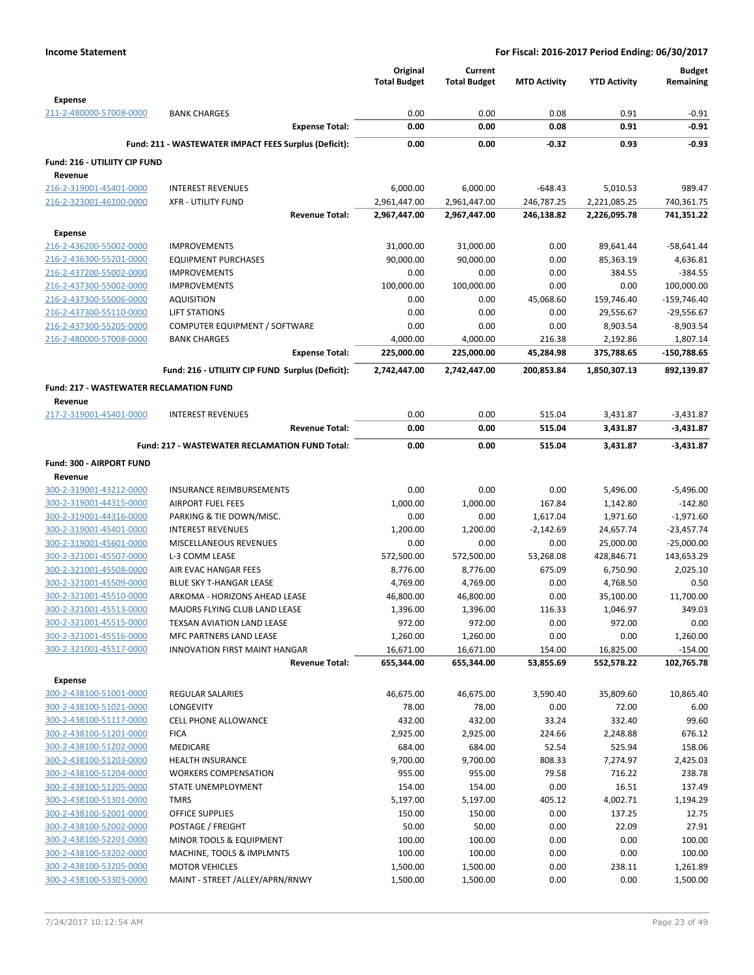|                                                |                                                       | Original<br><b>Total Budget</b> | Current<br><b>Total Budget</b> | <b>MTD Activity</b> | <b>YTD Activity</b> | <b>Budget</b><br>Remaining |
|------------------------------------------------|-------------------------------------------------------|---------------------------------|--------------------------------|---------------------|---------------------|----------------------------|
| <b>Expense</b>                                 |                                                       | 0.00                            | 0.00                           | 0.08                | 0.91                | $-0.91$                    |
| 211-2-480000-57008-0000                        | <b>BANK CHARGES</b><br><b>Expense Total:</b>          | 0.00                            | 0.00                           | 0.08                | 0.91                | $-0.91$                    |
|                                                | Fund: 211 - WASTEWATER IMPACT FEES Surplus (Deficit): | 0.00                            | 0.00                           | $-0.32$             | 0.93                | $-0.93$                    |
| Fund: 216 - UTILIITY CIP FUND                  |                                                       |                                 |                                |                     |                     |                            |
| Revenue                                        |                                                       |                                 |                                |                     |                     |                            |
| 216-2-319001-45401-0000                        | <b>INTEREST REVENUES</b>                              | 6,000.00                        | 6,000.00                       | $-648.43$           | 5,010.53            | 989.47                     |
| 216-2-323001-46100-0000                        | <b>XFR - UTILITY FUND</b>                             | 2,961,447.00                    | 2,961,447.00                   | 246,787.25          | 2,221,085.25        | 740,361.75                 |
|                                                | <b>Revenue Total:</b>                                 | 2,967,447.00                    | 2,967,447.00                   | 246,138.82          | 2,226,095.78        | 741,351.22                 |
| <b>Expense</b>                                 |                                                       |                                 |                                |                     |                     |                            |
| 216-2-436200-55002-0000                        | <b>IMPROVEMENTS</b>                                   | 31,000.00                       | 31,000.00                      | 0.00                | 89,641.44           | -58,641.44                 |
| 216-2-436300-55201-0000                        | <b>EQUIPMENT PURCHASES</b>                            | 90,000.00                       | 90,000.00                      | 0.00                | 85,363.19           | 4,636.81                   |
| 216-2-437200-55002-0000                        | <b>IMPROVEMENTS</b>                                   | 0.00                            | 0.00                           | 0.00                | 384.55              | $-384.55$                  |
| 216-2-437300-55002-0000                        | <b>IMPROVEMENTS</b>                                   | 100,000.00                      | 100,000.00                     | 0.00                | 0.00                | 100,000.00                 |
| 216-2-437300-55006-0000                        | <b>AQUISITION</b>                                     | 0.00                            | 0.00                           | 45,068.60           | 159,746.40          | $-159,746.40$              |
| 216-2-437300-55110-0000                        | LIFT STATIONS                                         | 0.00                            | 0.00                           | 0.00                | 29,556.67           | $-29,556.67$               |
| 216-2-437300-55205-0000                        | COMPUTER EQUIPMENT / SOFTWARE                         | 0.00                            | 0.00                           | 0.00                | 8,903.54            | $-8,903.54$                |
| 216-2-480000-57008-0000                        | <b>BANK CHARGES</b>                                   | 4,000.00                        | 4,000.00                       | 216.38              | 2,192.86            | 1,807.14                   |
|                                                | <b>Expense Total:</b>                                 | 225,000.00                      | 225,000.00                     | 45,284.98           | 375,788.65          | -150,788.65                |
|                                                | Fund: 216 - UTILIITY CIP FUND Surplus (Deficit):      | 2,742,447.00                    | 2,742,447.00                   | 200,853.84          | 1,850,307.13        | 892,139.87                 |
| <b>Fund: 217 - WASTEWATER RECLAMATION FUND</b> |                                                       |                                 |                                |                     |                     |                            |
| Revenue                                        |                                                       |                                 |                                |                     |                     |                            |
| 217-2-319001-45401-0000                        | <b>INTEREST REVENUES</b>                              | 0.00                            | 0.00                           | 515.04              | 3,431.87            | $-3,431.87$                |
|                                                | <b>Revenue Total:</b>                                 | 0.00                            | 0.00                           | 515.04              | 3,431.87            | $-3,431.87$                |
|                                                | Fund: 217 - WASTEWATER RECLAMATION FUND Total:        | 0.00                            | 0.00                           | 515.04              | 3,431.87            | $-3,431.87$                |
| Fund: 300 - AIRPORT FUND                       |                                                       |                                 |                                |                     |                     |                            |
| Revenue                                        |                                                       |                                 |                                |                     |                     |                            |
| 300-2-319001-43212-0000                        | <b>INSURANCE REIMBURSEMENTS</b>                       | 0.00                            | 0.00                           | 0.00                | 5,496.00            | $-5,496.00$                |
| 300-2-319001-44315-0000                        | <b>AIRPORT FUEL FEES</b>                              | 1,000.00                        | 1,000.00                       | 167.84              | 1,142.80            | $-142.80$                  |
| 300-2-319001-44316-0000                        | PARKING & TIE DOWN/MISC.                              | 0.00                            | 0.00                           | 1,617.04            | 1,971.60            | $-1,971.60$                |
| 300-2-319001-45401-0000                        | <b>INTEREST REVENUES</b>                              | 1,200.00                        | 1,200.00                       | $-2,142.69$         | 24,657.74           | $-23,457.74$               |
| 300-2-319001-45601-0000                        | MISCELLANEOUS REVENUES                                | 0.00                            | 0.00                           | 0.00                | 25,000.00           | $-25,000.00$               |
| 300-2-321001-45507-0000                        | L-3 COMM LEASE                                        | 572,500.00                      | 572,500.00                     | 53,268.08           | 428,846.71          | 143,653.29                 |
| 300-2-321001-45508-0000                        | AIR EVAC HANGAR FEES                                  | 8,776.00                        | 8,776.00                       | 675.09              | 6,750.90            | 2,025.10                   |
| 300-2-321001-45509-0000                        | BLUE SKY T-HANGAR LEASE                               | 4,769.00                        | 4,769.00                       | 0.00                | 4,768.50            | 0.50                       |
| 300-2-321001-45510-0000                        | ARKOMA - HORIZONS AHEAD LEASE                         | 46,800.00                       | 46,800.00                      | 0.00                | 35,100.00           | 11,700.00                  |
| 300-2-321001-45513-0000                        | MAJORS FLYING CLUB LAND LEASE                         | 1,396.00                        | 1,396.00                       | 116.33              | 1,046.97            | 349.03                     |
| 300-2-321001-45515-0000                        | TEXSAN AVIATION LAND LEASE                            | 972.00                          | 972.00                         | 0.00                | 972.00              | 0.00                       |
| 300-2-321001-45516-0000                        | <b>MFC PARTNERS LAND LEASE</b>                        | 1,260.00                        | 1,260.00                       | 0.00                | 0.00                | 1,260.00                   |
| 300-2-321001-45517-0000                        | INNOVATION FIRST MAINT HANGAR                         | 16,671.00                       | 16,671.00                      | 154.00              | 16,825.00           | $-154.00$                  |
|                                                | <b>Revenue Total:</b>                                 | 655,344.00                      | 655,344.00                     | 53,855.69           | 552,578.22          | 102,765.78                 |
| <b>Expense</b>                                 |                                                       |                                 |                                |                     |                     |                            |
| 300-2-438100-51001-0000                        | <b>REGULAR SALARIES</b>                               | 46,675.00                       | 46,675.00                      | 3,590.40            | 35,809.60           | 10,865.40                  |
| 300-2-438100-51021-0000                        | LONGEVITY                                             | 78.00                           | 78.00                          | 0.00                | 72.00               | 6.00                       |
| 300-2-438100-51117-0000                        | <b>CELL PHONE ALLOWANCE</b>                           | 432.00                          | 432.00                         | 33.24               | 332.40              | 99.60                      |
| 300-2-438100-51201-0000                        | <b>FICA</b>                                           | 2,925.00                        | 2,925.00                       | 224.66              | 2,248.88            | 676.12                     |
| 300-2-438100-51202-0000                        | <b>MEDICARE</b>                                       | 684.00                          | 684.00                         | 52.54               | 525.94              | 158.06                     |
| 300-2-438100-51203-0000                        | HEALTH INSURANCE                                      | 9,700.00                        | 9,700.00                       | 808.33              | 7,274.97            | 2,425.03                   |
| 300-2-438100-51204-0000                        | <b>WORKERS COMPENSATION</b>                           | 955.00                          | 955.00                         | 79.58               | 716.22              | 238.78                     |
| 300-2-438100-51205-0000                        | STATE UNEMPLOYMENT                                    | 154.00                          | 154.00                         | 0.00                | 16.51               | 137.49                     |
| 300-2-438100-51301-0000                        | <b>TMRS</b>                                           | 5,197.00                        | 5,197.00                       | 405.12              | 4,002.71            | 1,194.29                   |
| 300-2-438100-52001-0000                        | OFFICE SUPPLIES                                       | 150.00                          | 150.00                         | 0.00                | 137.25              | 12.75                      |
| 300-2-438100-52002-0000                        | POSTAGE / FREIGHT                                     | 50.00                           | 50.00                          | 0.00                | 22.09               | 27.91                      |
| 300-2-438100-52201-0000                        | MINOR TOOLS & EQUIPMENT                               | 100.00                          | 100.00                         | 0.00                | 0.00                | 100.00                     |
| 300-2-438100-53202-0000                        | MACHINE, TOOLS & IMPLMNTS                             | 100.00                          | 100.00                         | 0.00                | 0.00                | 100.00                     |
| 300-2-438100-53205-0000                        | <b>MOTOR VEHICLES</b>                                 | 1,500.00                        | 1,500.00                       | 0.00                | 238.11              | 1,261.89                   |
| 300-2-438100-53303-0000                        | MAINT - STREET /ALLEY/APRN/RNWY                       | 1,500.00                        | 1,500.00                       | 0.00                | 0.00                | 1,500.00                   |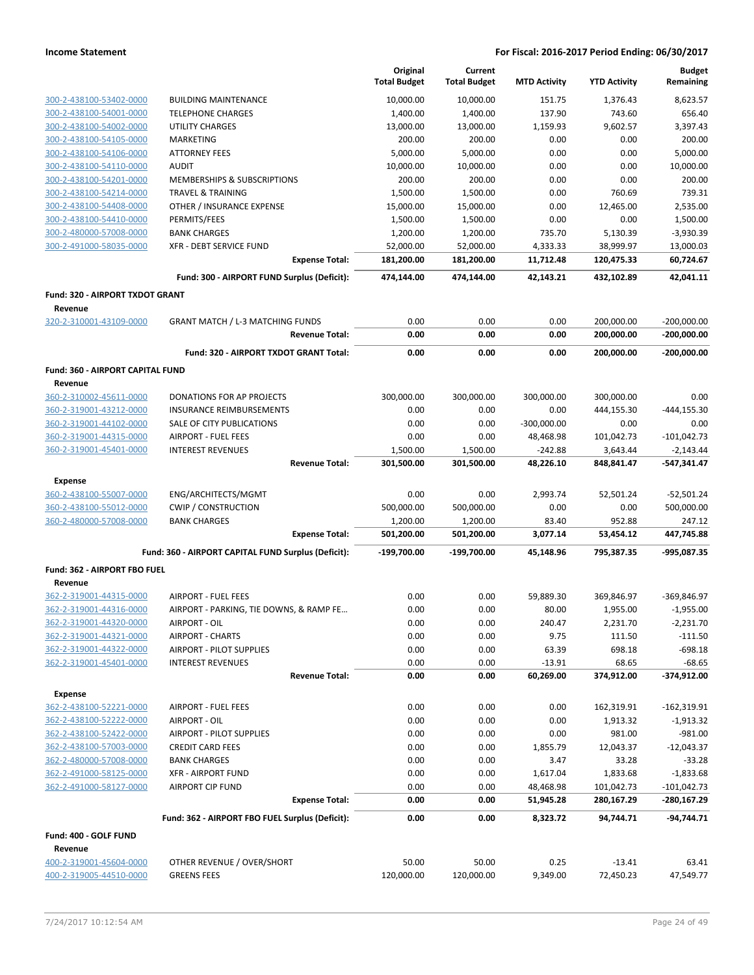|                                                    |                                                              | Original<br><b>Total Budget</b> | Current<br><b>Total Budget</b> | <b>MTD Activity</b>    | <b>YTD Activity</b>      | <b>Budget</b><br>Remaining   |
|----------------------------------------------------|--------------------------------------------------------------|---------------------------------|--------------------------------|------------------------|--------------------------|------------------------------|
| 300-2-438100-53402-0000                            | <b>BUILDING MAINTENANCE</b>                                  | 10,000.00                       | 10,000.00                      | 151.75                 | 1,376.43                 | 8,623.57                     |
| 300-2-438100-54001-0000                            | <b>TELEPHONE CHARGES</b>                                     | 1,400.00                        | 1,400.00                       | 137.90                 | 743.60                   | 656.40                       |
| 300-2-438100-54002-0000                            | <b>UTILITY CHARGES</b>                                       | 13,000.00                       | 13,000.00                      | 1,159.93               | 9,602.57                 | 3,397.43                     |
| 300-2-438100-54105-0000                            | <b>MARKETING</b>                                             | 200.00                          | 200.00                         | 0.00                   | 0.00                     | 200.00                       |
| 300-2-438100-54106-0000                            | <b>ATTORNEY FEES</b>                                         | 5,000.00                        | 5,000.00                       | 0.00                   | 0.00                     | 5,000.00                     |
| 300-2-438100-54110-0000                            | <b>AUDIT</b>                                                 | 10,000.00                       | 10,000.00                      | 0.00                   | 0.00                     | 10,000.00                    |
| 300-2-438100-54201-0000                            | MEMBERSHIPS & SUBSCRIPTIONS                                  | 200.00                          | 200.00                         | 0.00                   | 0.00                     | 200.00                       |
| 300-2-438100-54214-0000                            | <b>TRAVEL &amp; TRAINING</b>                                 | 1,500.00                        | 1,500.00                       | 0.00                   | 760.69                   | 739.31                       |
| 300-2-438100-54408-0000                            | OTHER / INSURANCE EXPENSE                                    | 15,000.00                       | 15,000.00                      | 0.00                   | 12,465.00                | 2,535.00                     |
| 300-2-438100-54410-0000                            | PERMITS/FEES                                                 | 1,500.00                        | 1,500.00                       | 0.00                   | 0.00                     | 1,500.00                     |
| 300-2-480000-57008-0000                            | <b>BANK CHARGES</b>                                          | 1,200.00                        | 1,200.00                       | 735.70                 | 5,130.39                 | $-3,930.39$                  |
| 300-2-491000-58035-0000                            | XFR - DEBT SERVICE FUND                                      | 52,000.00                       | 52,000.00                      | 4,333.33               | 38,999.97                | 13,000.03                    |
|                                                    | <b>Expense Total:</b>                                        | 181,200.00                      | 181,200.00                     | 11,712.48              | 120,475.33               | 60,724.67                    |
|                                                    | Fund: 300 - AIRPORT FUND Surplus (Deficit):                  | 474,144.00                      | 474,144.00                     | 42,143.21              | 432,102.89               | 42,041.11                    |
| <b>Fund: 320 - AIRPORT TXDOT GRANT</b><br>Revenue  |                                                              |                                 |                                |                        |                          |                              |
| 320-2-310001-43109-0000                            | <b>GRANT MATCH / L-3 MATCHING FUNDS</b>                      | 0.00                            | 0.00                           | 0.00                   | 200,000.00               | $-200,000.00$                |
|                                                    | <b>Revenue Total:</b>                                        | 0.00                            | 0.00                           | 0.00                   | 200,000.00               | $-200,000.00$                |
|                                                    | Fund: 320 - AIRPORT TXDOT GRANT Total:                       | 0.00                            | 0.00                           | 0.00                   | 200,000.00               | $-200,000.00$                |
| Fund: 360 - AIRPORT CAPITAL FUND                   |                                                              |                                 |                                |                        |                          |                              |
| Revenue                                            |                                                              |                                 |                                |                        |                          |                              |
| 360-2-310002-45611-0000<br>360-2-319001-43212-0000 | DONATIONS FOR AP PROJECTS<br><b>INSURANCE REIMBURSEMENTS</b> | 300,000.00<br>0.00              | 300,000.00<br>0.00             | 300,000.00<br>0.00     | 300,000.00<br>444,155.30 | 0.00<br>$-444, 155.30$       |
| 360-2-319001-44102-0000                            | SALE OF CITY PUBLICATIONS                                    | 0.00                            | 0.00                           | $-300,000.00$          | 0.00                     | 0.00                         |
| 360-2-319001-44315-0000                            | <b>AIRPORT - FUEL FEES</b>                                   | 0.00                            | 0.00                           | 48,468.98              | 101,042.73               | $-101,042.73$                |
| 360-2-319001-45401-0000                            | <b>INTEREST REVENUES</b>                                     | 1,500.00                        | 1,500.00                       | $-242.88$              | 3,643.44                 | $-2,143.44$                  |
|                                                    | <b>Revenue Total:</b>                                        | 301,500.00                      | 301,500.00                     | 48,226.10              | 848,841.47               | -547,341.47                  |
| <b>Expense</b>                                     |                                                              |                                 |                                |                        |                          |                              |
| 360-2-438100-55007-0000                            | ENG/ARCHITECTS/MGMT                                          | 0.00                            | 0.00                           | 2,993.74               | 52,501.24                | $-52,501.24$                 |
| 360-2-438100-55012-0000                            | <b>CWIP / CONSTRUCTION</b>                                   | 500,000.00                      | 500,000.00                     | 0.00                   | 0.00                     | 500,000.00                   |
| 360-2-480000-57008-0000                            | <b>BANK CHARGES</b>                                          | 1,200.00                        | 1,200.00                       | 83.40                  | 952.88                   | 247.12                       |
|                                                    | <b>Expense Total:</b>                                        | 501,200.00                      | 501,200.00                     | 3,077.14               | 53,454.12                | 447,745.88                   |
|                                                    | Fund: 360 - AIRPORT CAPITAL FUND Surplus (Deficit):          | -199,700.00                     | -199,700.00                    | 45,148.96              | 795,387.35               | -995,087.35                  |
| Fund: 362 - AIRPORT FBO FUEL                       |                                                              |                                 |                                |                        |                          |                              |
| Revenue                                            |                                                              |                                 |                                |                        |                          |                              |
| 362-2-319001-44315-0000                            | <b>AIRPORT - FUEL FEES</b>                                   | 0.00                            | 0.00                           | 59,889.30              | 369,846.97               | -369,846.97                  |
| 362-2-319001-44316-0000                            | AIRPORT - PARKING, TIE DOWNS, & RAMP FE                      | 0.00                            | 0.00                           | 80.00                  | 1,955.00                 | $-1,955.00$                  |
| 362-2-319001-44320-0000                            | AIRPORT - OIL                                                | 0.00                            | 0.00                           | 240.47                 | 2,231.70                 | $-2,231.70$                  |
| 362-2-319001-44321-0000                            | <b>AIRPORT - CHARTS</b>                                      | 0.00                            | 0.00                           | 9.75                   | 111.50                   | $-111.50$                    |
| 362-2-319001-44322-0000                            | <b>AIRPORT - PILOT SUPPLIES</b>                              | 0.00                            | 0.00                           | 63.39                  | 698.18                   | $-698.18$                    |
| 362-2-319001-45401-0000                            | <b>INTEREST REVENUES</b>                                     | 0.00                            | 0.00                           | $-13.91$               | 68.65                    | $-68.65$                     |
|                                                    | <b>Revenue Total:</b>                                        | 0.00                            | 0.00                           | 60,269.00              | 374,912.00               | -374,912.00                  |
| <b>Expense</b>                                     |                                                              |                                 |                                |                        |                          |                              |
| 362-2-438100-52221-0000                            | <b>AIRPORT - FUEL FEES</b>                                   | 0.00                            | 0.00                           | 0.00                   | 162,319.91               | $-162,319.91$                |
| 362-2-438100-52222-0000                            | AIRPORT - OIL                                                | 0.00                            | 0.00                           | 0.00                   | 1,913.32                 | $-1,913.32$                  |
| 362-2-438100-52422-0000                            | <b>AIRPORT - PILOT SUPPLIES</b>                              | 0.00                            | 0.00                           | 0.00                   | 981.00                   | $-981.00$                    |
| 362-2-438100-57003-0000                            | <b>CREDIT CARD FEES</b>                                      | 0.00                            | 0.00                           | 1,855.79               | 12,043.37                | $-12,043.37$                 |
| 362-2-480000-57008-0000                            | <b>BANK CHARGES</b>                                          | 0.00                            | 0.00                           | 3.47                   | 33.28                    | $-33.28$                     |
| 362-2-491000-58125-0000                            | <b>XFR - AIRPORT FUND</b>                                    | 0.00                            | 0.00                           | 1,617.04               | 1,833.68                 | $-1,833.68$                  |
| 362-2-491000-58127-0000                            | <b>AIRPORT CIP FUND</b><br><b>Expense Total:</b>             | 0.00<br>0.00                    | 0.00<br>0.00                   | 48,468.98<br>51,945.28 | 101,042.73<br>280,167.29 | $-101,042.73$<br>-280,167.29 |
|                                                    | Fund: 362 - AIRPORT FBO FUEL Surplus (Deficit):              | 0.00                            | 0.00                           | 8,323.72               | 94,744.71                | $-94,744.71$                 |
| Fund: 400 - GOLF FUND                              |                                                              |                                 |                                |                        |                          |                              |
| Revenue                                            |                                                              |                                 |                                |                        |                          |                              |
| 400-2-319001-45604-0000                            | OTHER REVENUE / OVER/SHORT                                   | 50.00                           | 50.00                          | 0.25                   | $-13.41$                 | 63.41                        |
| 400-2-319005-44510-0000                            | <b>GREENS FEES</b>                                           | 120,000.00                      | 120,000.00                     | 9,349.00               | 72,450.23                | 47,549.77                    |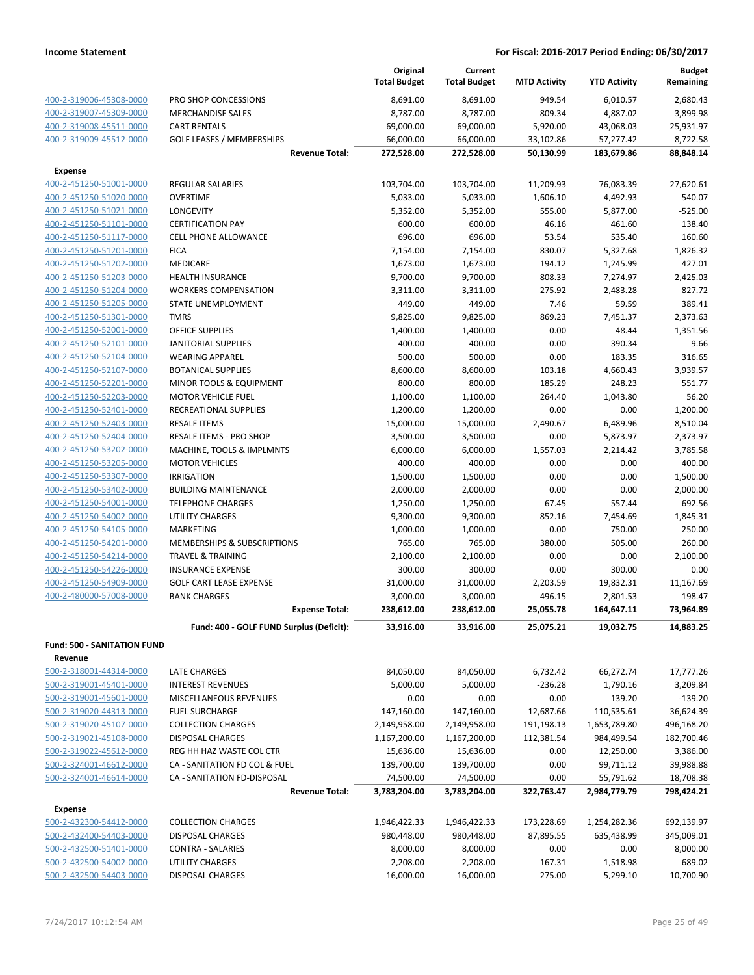|                                           |                                          | Original<br><b>Total Budget</b> | Current<br><b>Total Budget</b> | <b>MTD Activity</b>   | <b>YTD Activity</b>   | <b>Budget</b><br>Remaining |
|-------------------------------------------|------------------------------------------|---------------------------------|--------------------------------|-----------------------|-----------------------|----------------------------|
| 400-2-319006-45308-0000                   | PRO SHOP CONCESSIONS                     | 8,691.00                        | 8,691.00                       | 949.54                | 6,010.57              | 2.680.43                   |
| 400-2-319007-45309-0000                   | <b>MERCHANDISE SALES</b>                 | 8,787.00                        | 8,787.00                       | 809.34                | 4,887.02              | 3,899.98                   |
| 400-2-319008-45511-0000                   | <b>CART RENTALS</b>                      | 69,000.00                       | 69,000.00                      | 5,920.00              | 43,068.03             | 25,931.97                  |
| 400-2-319009-45512-0000                   | <b>GOLF LEASES / MEMBERSHIPS</b>         | 66,000.00                       | 66,000.00                      | 33,102.86             | 57,277.42             | 8,722.58                   |
|                                           | <b>Revenue Total:</b>                    | 272,528.00                      | 272,528.00                     | 50,130.99             | 183,679.86            | 88,848.14                  |
|                                           |                                          |                                 |                                |                       |                       |                            |
| <b>Expense</b><br>400-2-451250-51001-0000 | <b>REGULAR SALARIES</b>                  |                                 |                                |                       |                       |                            |
| 400-2-451250-51020-0000                   | <b>OVERTIME</b>                          | 103,704.00<br>5,033.00          | 103,704.00<br>5,033.00         | 11,209.93<br>1,606.10 | 76,083.39<br>4,492.93 | 27,620.61<br>540.07        |
| 400-2-451250-51021-0000                   | <b>LONGEVITY</b>                         | 5,352.00                        | 5,352.00                       | 555.00                | 5,877.00              | $-525.00$                  |
| 400-2-451250-51101-0000                   | <b>CERTIFICATION PAY</b>                 | 600.00                          | 600.00                         | 46.16                 | 461.60                | 138.40                     |
| 400-2-451250-51117-0000                   | CELL PHONE ALLOWANCE                     | 696.00                          | 696.00                         | 53.54                 | 535.40                | 160.60                     |
| 400-2-451250-51201-0000                   | <b>FICA</b>                              | 7,154.00                        | 7,154.00                       | 830.07                | 5,327.68              | 1,826.32                   |
| 400-2-451250-51202-0000                   | MEDICARE                                 | 1,673.00                        | 1,673.00                       | 194.12                | 1,245.99              | 427.01                     |
| 400-2-451250-51203-0000                   | <b>HEALTH INSURANCE</b>                  | 9,700.00                        | 9,700.00                       | 808.33                | 7,274.97              | 2,425.03                   |
| 400-2-451250-51204-0000                   | <b>WORKERS COMPENSATION</b>              | 3,311.00                        | 3,311.00                       | 275.92                | 2,483.28              | 827.72                     |
| 400-2-451250-51205-0000                   | STATE UNEMPLOYMENT                       | 449.00                          | 449.00                         | 7.46                  | 59.59                 | 389.41                     |
| 400-2-451250-51301-0000                   | <b>TMRS</b>                              | 9,825.00                        | 9,825.00                       | 869.23                | 7,451.37              | 2,373.63                   |
| 400-2-451250-52001-0000                   | <b>OFFICE SUPPLIES</b>                   | 1,400.00                        | 1,400.00                       | 0.00                  | 48.44                 | 1,351.56                   |
| 400-2-451250-52101-0000                   | <b>JANITORIAL SUPPLIES</b>               | 400.00                          | 400.00                         | 0.00                  | 390.34                | 9.66                       |
| 400-2-451250-52104-0000                   | <b>WEARING APPAREL</b>                   | 500.00                          | 500.00                         | 0.00                  | 183.35                | 316.65                     |
| 400-2-451250-52107-0000                   | <b>BOTANICAL SUPPLIES</b>                | 8,600.00                        | 8,600.00                       | 103.18                | 4,660.43              | 3,939.57                   |
| 400-2-451250-52201-0000                   | MINOR TOOLS & EQUIPMENT                  | 800.00                          | 800.00                         | 185.29                | 248.23                | 551.77                     |
| 400-2-451250-52203-0000                   | <b>MOTOR VEHICLE FUEL</b>                | 1,100.00                        | 1,100.00                       | 264.40                | 1,043.80              | 56.20                      |
| 400-2-451250-52401-0000                   | RECREATIONAL SUPPLIES                    | 1,200.00                        | 1,200.00                       | 0.00                  | 0.00                  | 1,200.00                   |
| 400-2-451250-52403-0000                   | <b>RESALE ITEMS</b>                      | 15,000.00                       | 15,000.00                      | 2,490.67              | 6,489.96              | 8,510.04                   |
| 400-2-451250-52404-0000                   | RESALE ITEMS - PRO SHOP                  | 3,500.00                        | 3,500.00                       | 0.00                  | 5,873.97              | $-2,373.97$                |
| 400-2-451250-53202-0000                   | MACHINE, TOOLS & IMPLMNTS                | 6,000.00                        | 6,000.00                       | 1,557.03              | 2,214.42              | 3,785.58                   |
| 400-2-451250-53205-0000                   | <b>MOTOR VEHICLES</b>                    | 400.00                          | 400.00                         | 0.00                  | 0.00                  | 400.00                     |
| 400-2-451250-53307-0000                   | <b>IRRIGATION</b>                        | 1,500.00                        | 1,500.00                       | 0.00                  | 0.00                  | 1,500.00                   |
| 400-2-451250-53402-0000                   | <b>BUILDING MAINTENANCE</b>              | 2,000.00                        | 2,000.00                       | 0.00                  | 0.00                  | 2,000.00                   |
| 400-2-451250-54001-0000                   | <b>TELEPHONE CHARGES</b>                 | 1,250.00                        | 1,250.00                       | 67.45                 | 557.44                | 692.56                     |
| 400-2-451250-54002-0000                   | <b>UTILITY CHARGES</b>                   | 9,300.00                        | 9,300.00                       | 852.16                | 7,454.69              | 1,845.31                   |
| 400-2-451250-54105-0000                   | MARKETING                                | 1,000.00                        | 1,000.00                       | 0.00                  | 750.00                | 250.00                     |
| 400-2-451250-54201-0000                   | <b>MEMBERSHIPS &amp; SUBSCRIPTIONS</b>   | 765.00                          | 765.00                         | 380.00                | 505.00                | 260.00                     |
| 400-2-451250-54214-0000                   | <b>TRAVEL &amp; TRAINING</b>             | 2,100.00                        | 2,100.00                       | 0.00                  | 0.00                  | 2,100.00                   |
| 400-2-451250-54226-0000                   | <b>INSURANCE EXPENSE</b>                 | 300.00                          | 300.00                         | 0.00                  | 300.00                | 0.00                       |
| 400-2-451250-54909-0000                   | <b>GOLF CART LEASE EXPENSE</b>           | 31,000.00                       | 31,000.00                      | 2,203.59              | 19,832.31             | 11,167.69                  |
| 400-2-480000-57008-0000                   | <b>BANK CHARGES</b>                      | 3,000.00                        | 3,000.00                       | 496.15                | 2,801.53              | 198.47                     |
|                                           | <b>Expense Total:</b>                    | 238,612.00                      | 238,612.00                     | 25,055.78             | 164,647.11            | 73,964.89                  |
|                                           | Fund: 400 - GOLF FUND Surplus (Deficit): | 33,916.00                       | 33,916.00                      | 25,075.21             | 19,032.75             | 14,883.25                  |
| <b>Fund: 500 - SANITATION FUND</b>        |                                          |                                 |                                |                       |                       |                            |
| Revenue                                   |                                          |                                 |                                |                       |                       |                            |
| 500-2-318001-44314-0000                   | LATE CHARGES                             | 84,050.00                       | 84,050.00                      | 6,732.42              | 66,272.74             | 17,777.26                  |
| 500-2-319001-45401-0000                   | <b>INTEREST REVENUES</b>                 | 5,000.00                        | 5,000.00                       | $-236.28$             | 1,790.16              | 3,209.84                   |
| 500-2-319001-45601-0000                   | MISCELLANEOUS REVENUES                   | 0.00                            | 0.00                           | 0.00                  | 139.20                | $-139.20$                  |
| 500-2-319020-44313-0000                   | <b>FUEL SURCHARGE</b>                    | 147,160.00                      | 147,160.00                     | 12,687.66             | 110,535.61            | 36,624.39                  |
| 500-2-319020-45107-0000                   | <b>COLLECTION CHARGES</b>                | 2,149,958.00                    | 2,149,958.00                   | 191,198.13            | 1,653,789.80          | 496,168.20                 |
| 500-2-319021-45108-0000                   | <b>DISPOSAL CHARGES</b>                  | 1,167,200.00                    | 1,167,200.00                   | 112,381.54            | 984,499.54            | 182,700.46                 |
| 500-2-319022-45612-0000                   | REG HH HAZ WASTE COL CTR                 | 15,636.00                       | 15,636.00                      | 0.00                  | 12,250.00             | 3,386.00                   |
| 500-2-324001-46612-0000                   | CA - SANITATION FD COL & FUEL            | 139,700.00                      | 139,700.00                     | 0.00                  | 99,711.12             | 39,988.88                  |
| 500-2-324001-46614-0000                   | CA - SANITATION FD-DISPOSAL              | 74,500.00                       | 74,500.00                      | 0.00                  | 55,791.62             | 18,708.38                  |
|                                           | <b>Revenue Total:</b>                    | 3,783,204.00                    | 3,783,204.00                   | 322,763.47            | 2,984,779.79          | 798,424.21                 |
| Expense                                   |                                          |                                 |                                |                       |                       |                            |
| 500-2-432300-54412-0000                   | <b>COLLECTION CHARGES</b>                | 1,946,422.33                    | 1,946,422.33                   | 173,228.69            | 1,254,282.36          | 692,139.97                 |
| 500-2-432400-54403-0000                   | <b>DISPOSAL CHARGES</b>                  | 980,448.00                      | 980,448.00                     | 87,895.55             | 635,438.99            | 345,009.01                 |
| 500-2-432500-51401-0000                   | <b>CONTRA - SALARIES</b>                 | 8,000.00                        | 8,000.00                       | 0.00                  | 0.00                  | 8,000.00                   |
| 500-2-432500-54002-0000                   | UTILITY CHARGES                          | 2,208.00                        | 2,208.00                       | 167.31                | 1,518.98              | 689.02                     |
| 500-2-432500-54403-0000                   | <b>DISPOSAL CHARGES</b>                  | 16,000.00                       | 16,000.00                      | 275.00                | 5,299.10              | 10,700.90                  |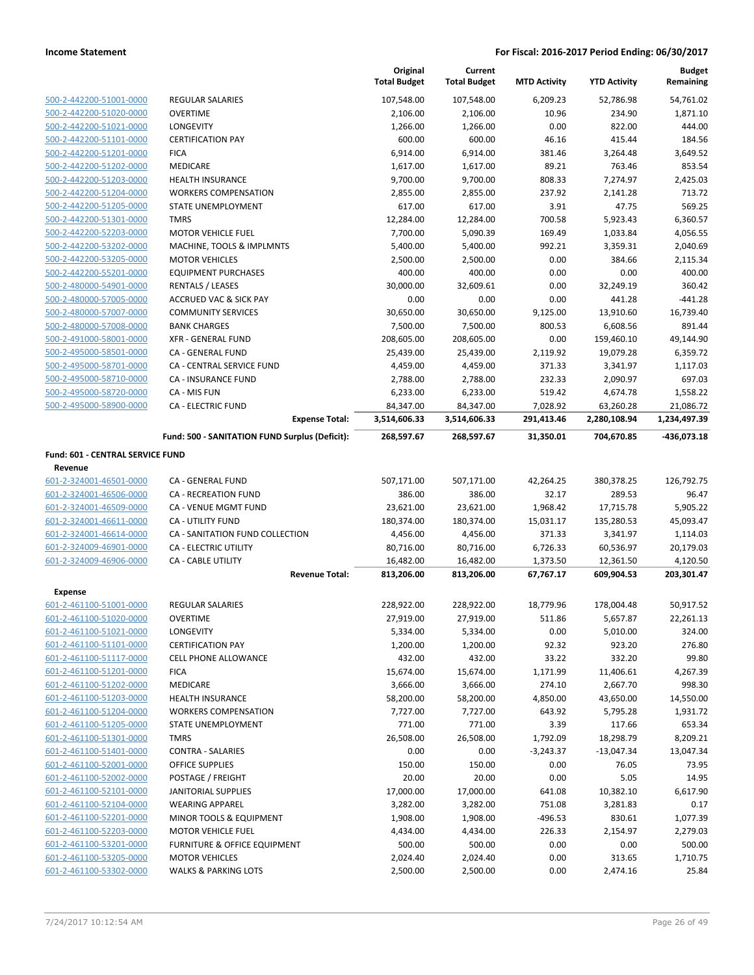|                                  |                                                | Original<br><b>Total Budget</b> | Current<br><b>Total Budget</b> | <b>MTD Activity</b> | <b>YTD Activity</b> | <b>Budget</b><br>Remaining |
|----------------------------------|------------------------------------------------|---------------------------------|--------------------------------|---------------------|---------------------|----------------------------|
| 500-2-442200-51001-0000          | REGULAR SALARIES                               | 107,548.00                      | 107,548.00                     | 6,209.23            | 52,786.98           | 54,761.02                  |
| 500-2-442200-51020-0000          | <b>OVERTIME</b>                                | 2,106.00                        | 2,106.00                       | 10.96               | 234.90              | 1,871.10                   |
| 500-2-442200-51021-0000          | LONGEVITY                                      | 1,266.00                        | 1,266.00                       | 0.00                | 822.00              | 444.00                     |
| 500-2-442200-51101-0000          | <b>CERTIFICATION PAY</b>                       | 600.00                          | 600.00                         | 46.16               | 415.44              | 184.56                     |
| 500-2-442200-51201-0000          | <b>FICA</b>                                    | 6,914.00                        | 6,914.00                       | 381.46              | 3,264.48            | 3,649.52                   |
| 500-2-442200-51202-0000          | <b>MEDICARE</b>                                | 1,617.00                        | 1,617.00                       | 89.21               | 763.46              | 853.54                     |
| 500-2-442200-51203-0000          | <b>HEALTH INSURANCE</b>                        | 9,700.00                        | 9,700.00                       | 808.33              | 7,274.97            | 2,425.03                   |
| 500-2-442200-51204-0000          | <b>WORKERS COMPENSATION</b>                    | 2,855.00                        | 2,855.00                       | 237.92              | 2,141.28            | 713.72                     |
| 500-2-442200-51205-0000          | <b>STATE UNEMPLOYMENT</b>                      | 617.00                          | 617.00                         | 3.91                | 47.75               | 569.25                     |
| 500-2-442200-51301-0000          | <b>TMRS</b>                                    | 12,284.00                       | 12,284.00                      | 700.58              | 5,923.43            | 6,360.57                   |
| 500-2-442200-52203-0000          | <b>MOTOR VEHICLE FUEL</b>                      | 7,700.00                        | 5,090.39                       | 169.49              | 1,033.84            | 4,056.55                   |
| 500-2-442200-53202-0000          | MACHINE, TOOLS & IMPLMNTS                      | 5,400.00                        | 5,400.00                       | 992.21              | 3,359.31            | 2,040.69                   |
| 500-2-442200-53205-0000          | <b>MOTOR VEHICLES</b>                          | 2,500.00                        | 2,500.00                       | 0.00                | 384.66              | 2,115.34                   |
| 500-2-442200-55201-0000          | <b>EQUIPMENT PURCHASES</b>                     | 400.00                          | 400.00                         | 0.00                | 0.00                | 400.00                     |
| 500-2-480000-54901-0000          | <b>RENTALS / LEASES</b>                        | 30,000.00                       | 32,609.61                      | 0.00                | 32,249.19           | 360.42                     |
| 500-2-480000-57005-0000          | <b>ACCRUED VAC &amp; SICK PAY</b>              | 0.00                            | 0.00                           | 0.00                | 441.28              | $-441.28$                  |
| 500-2-480000-57007-0000          | <b>COMMUNITY SERVICES</b>                      | 30,650.00                       | 30,650.00                      | 9,125.00            | 13,910.60           | 16,739.40                  |
| 500-2-480000-57008-0000          | <b>BANK CHARGES</b>                            | 7,500.00                        | 7,500.00                       | 800.53              | 6,608.56            | 891.44                     |
| 500-2-491000-58001-0000          | <b>XFR - GENERAL FUND</b>                      | 208,605.00                      | 208,605.00                     | 0.00                | 159,460.10          | 49.144.90                  |
| 500-2-495000-58501-0000          | CA - GENERAL FUND                              | 25,439.00                       | 25,439.00                      | 2,119.92            | 19,079.28           | 6,359.72                   |
| 500-2-495000-58701-0000          | <b>CA - CENTRAL SERVICE FUND</b>               | 4,459.00                        | 4,459.00                       | 371.33              | 3,341.97            | 1,117.03                   |
| 500-2-495000-58710-0000          | <b>CA - INSURANCE FUND</b>                     | 2,788.00                        | 2,788.00                       | 232.33              | 2,090.97            | 697.03                     |
| 500-2-495000-58720-0000          | CA - MIS FUN                                   | 6,233.00                        | 6,233.00                       | 519.42              | 4,674.78            | 1,558.22                   |
| 500-2-495000-58900-0000          | <b>CA - ELECTRIC FUND</b>                      | 84,347.00                       | 84,347.00                      | 7,028.92            | 63,260.28           | 21,086.72                  |
|                                  | <b>Expense Total:</b>                          | 3,514,606.33                    | 3,514,606.33                   | 291,413.46          | 2,280,108.94        | 1,234,497.39               |
|                                  | Fund: 500 - SANITATION FUND Surplus (Deficit): | 268,597.67                      | 268,597.67                     | 31,350.01           | 704,670.85          | -436,073.18                |
| Fund: 601 - CENTRAL SERVICE FUND |                                                |                                 |                                |                     |                     |                            |
| Revenue                          |                                                |                                 |                                |                     |                     |                            |
| 601-2-324001-46501-0000          | CA - GENERAL FUND                              | 507,171.00                      | 507,171.00                     | 42,264.25           | 380,378.25          | 126,792.75                 |
| 601-2-324001-46506-0000          | <b>CA - RECREATION FUND</b>                    | 386.00                          | 386.00                         | 32.17               | 289.53              | 96.47                      |
| 601-2-324001-46509-0000          | CA - VENUE MGMT FUND                           | 23,621.00                       | 23,621.00                      | 1,968.42            | 17,715.78           | 5,905.22                   |
| 601-2-324001-46611-0000          | <b>CA - UTILITY FUND</b>                       | 180,374.00                      | 180,374.00                     | 15,031.17           | 135,280.53          | 45,093.47                  |
| 601-2-324001-46614-0000          | CA - SANITATION FUND COLLECTION                | 4,456.00                        | 4,456.00                       | 371.33              | 3,341.97            | 1,114.03                   |
| 601-2-324009-46901-0000          | CA - ELECTRIC UTILITY                          | 80,716.00                       | 80,716.00                      | 6,726.33            | 60,536.97           | 20,179.03                  |
| 601-2-324009-46906-0000          | CA - CABLE UTILITY                             | 16,482.00                       | 16,482.00                      | 1,373.50            | 12,361.50           | 4,120.50                   |
|                                  | <b>Revenue Total:</b>                          | 813,206.00                      | 813,206.00                     | 67,767.17           | 609,904.53          | 203,301.47                 |
| <b>Expense</b>                   |                                                |                                 |                                |                     |                     |                            |
| 601-2-461100-51001-0000          | <b>REGULAR SALARIES</b>                        | 228,922.00                      | 228,922.00                     | 18,779.96           | 178,004.48          | 50,917.52                  |
| 601-2-461100-51020-0000          | <b>OVERTIME</b>                                | 27,919.00                       | 27,919.00                      | 511.86              | 5,657.87            | 22,261.13                  |
| 601-2-461100-51021-0000          | LONGEVITY                                      | 5,334.00                        | 5,334.00                       | 0.00                | 5,010.00            | 324.00                     |
| 601-2-461100-51101-0000          | <b>CERTIFICATION PAY</b>                       | 1,200.00                        | 1,200.00                       | 92.32               | 923.20              | 276.80                     |
| 601-2-461100-51117-0000          | CELL PHONE ALLOWANCE                           | 432.00                          | 432.00                         | 33.22               | 332.20              | 99.80                      |
| 601-2-461100-51201-0000          | <b>FICA</b>                                    | 15,674.00                       | 15,674.00                      | 1,171.99            | 11,406.61           | 4,267.39                   |
| 601-2-461100-51202-0000          | <b>MEDICARE</b>                                | 3,666.00                        | 3,666.00                       | 274.10              | 2,667.70            | 998.30                     |
| 601-2-461100-51203-0000          | <b>HEALTH INSURANCE</b>                        | 58,200.00                       | 58,200.00                      | 4,850.00            | 43,650.00           | 14,550.00                  |
| 601-2-461100-51204-0000          | <b>WORKERS COMPENSATION</b>                    | 7,727.00                        | 7,727.00                       | 643.92              | 5,795.28            | 1,931.72                   |
| 601-2-461100-51205-0000          | STATE UNEMPLOYMENT                             | 771.00                          | 771.00                         | 3.39                | 117.66              | 653.34                     |
| 601-2-461100-51301-0000          | <b>TMRS</b>                                    | 26,508.00                       | 26,508.00                      | 1,792.09            | 18,298.79           | 8,209.21                   |
| 601-2-461100-51401-0000          | <b>CONTRA - SALARIES</b>                       | 0.00                            | 0.00                           | $-3,243.37$         | $-13,047.34$        | 13,047.34                  |
| 601-2-461100-52001-0000          | OFFICE SUPPLIES                                | 150.00                          | 150.00                         | 0.00                | 76.05               | 73.95                      |
| 601-2-461100-52002-0000          | POSTAGE / FREIGHT                              | 20.00                           | 20.00                          | 0.00                | 5.05                | 14.95                      |
| 601-2-461100-52101-0000          | <b>JANITORIAL SUPPLIES</b>                     | 17,000.00                       | 17,000.00                      | 641.08              | 10,382.10           | 6,617.90                   |
| 601-2-461100-52104-0000          | <b>WEARING APPAREL</b>                         | 3,282.00                        | 3,282.00                       | 751.08              | 3,281.83            | 0.17                       |
| 601-2-461100-52201-0000          | MINOR TOOLS & EQUIPMENT                        | 1,908.00                        | 1,908.00                       | -496.53             | 830.61              | 1,077.39                   |
| 601-2-461100-52203-0000          | <b>MOTOR VEHICLE FUEL</b>                      | 4,434.00                        | 4,434.00                       | 226.33              | 2,154.97            | 2,279.03                   |
| 601-2-461100-53201-0000          | FURNITURE & OFFICE EQUIPMENT                   | 500.00                          | 500.00                         | 0.00                | 0.00                | 500.00                     |
| 601-2-461100-53205-0000          | <b>MOTOR VEHICLES</b>                          | 2,024.40                        | 2,024.40                       | 0.00                | 313.65              | 1,710.75                   |
| 601-2-461100-53302-0000          | <b>WALKS &amp; PARKING LOTS</b>                | 2,500.00                        | 2,500.00                       | 0.00                | 2,474.16            | 25.84                      |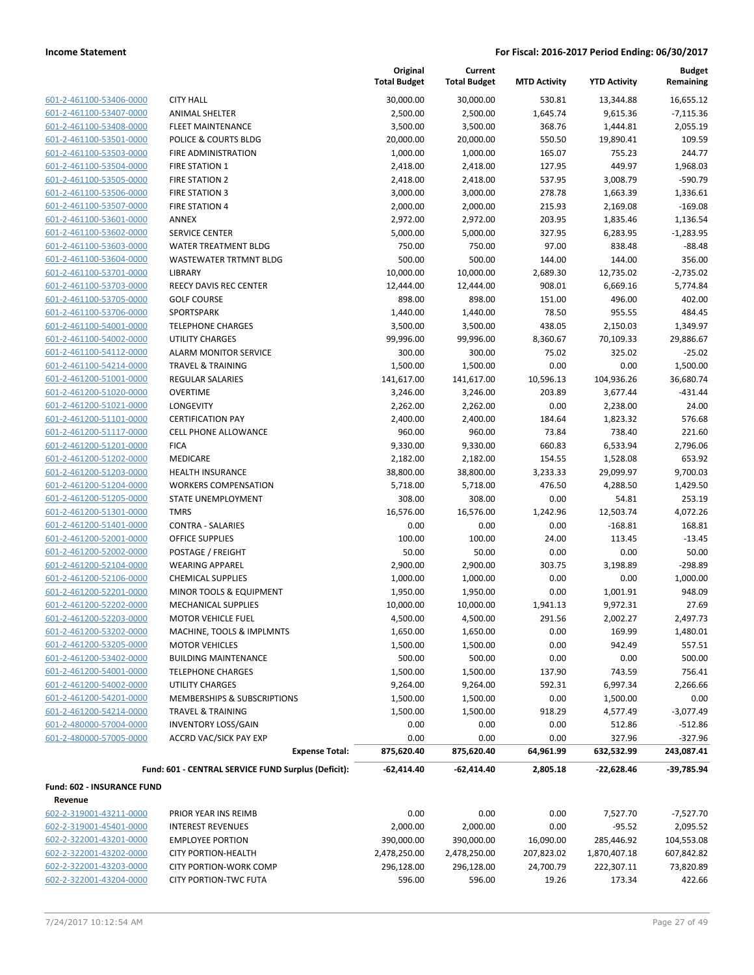| 601-2-461100-53406-0000         |
|---------------------------------|
| 601-2-461100-53407-0000         |
| 601-2-461100-53408-0000         |
| 601-2-461100-53501-0000         |
| 601-2-461100-53503-0000         |
| 601-2-461100-53504-0000         |
| 601-2-461100-53505-0000         |
| 601-2-461100-53506-0000         |
| 601-2-461100-53507-0000         |
| 601-2-461100-53601-0000         |
| 601-2-461100-53602-0000         |
| 601-2-461100-53603-0000         |
| 601-2-461100-53604-0000         |
| 601-2-461100-53701-0000         |
| 601-2-461100-53703-0000         |
| 601-2-461100-53705-0000         |
| 601-2-461100-53706-0000         |
| 601-2-461100-54001-0000         |
| 601-2-461100-54002-0000         |
| -2-461100-54112-0000<br>$601 -$ |
| 601-2-461100-54214-0000         |
| 601-2-461200-51001-0000         |
| <u>601-2-461200-51020-0000</u>  |
| 601-2-461200-51021-0000         |
| 601-2-461200-51101-0000         |
| 601-2-461200-51117-0000         |
| 601-2-461200-51201-0000         |
| 601-2-461200-51202-0000         |
| 601-2-461200-51203-0000         |
| 601-2-461200-51204-0000         |
| 601-2-461200-51205-0000         |
| 601-2-461200-51301-0000         |
| <u>601-2-461200-51401-0000</u>  |
| 601-2-461200-52001-0000         |
| 601-2-461200-52002-0000         |
| 601-2-461200-52104-0000         |
| 601-2-461200-52106-0000         |
| 601-2-461200-52201-0000         |
| 601-2-461200-52202-0000         |
| -2-461200-52203-0000<br>$601 -$ |
| 601-2-461200-53202-0000         |
| 601-2-461200-53205-0000         |
| 601-2-461200-53402-0000         |
| 601-2-461200-54001-0000         |
| 601-2-461200-54002-0000         |
| 601-2-461200-54201-0000         |
| 601-2-461200-54214-0000         |
| 601-2-480000-57004-0000         |
| 601-2-480000-57005-0000         |
|                                 |
|                                 |

|                            |                                                     | Original<br><b>Total Budget</b> | Current<br><b>Total Budget</b> | <b>MTD Activity</b> | <b>YTD Activity</b> | <b>Budget</b><br>Remaining |
|----------------------------|-----------------------------------------------------|---------------------------------|--------------------------------|---------------------|---------------------|----------------------------|
| 601-2-461100-53406-0000    | <b>CITY HALL</b>                                    | 30,000.00                       | 30,000.00                      | 530.81              | 13,344.88           | 16,655.12                  |
| 601-2-461100-53407-0000    | <b>ANIMAL SHELTER</b>                               | 2,500.00                        | 2,500.00                       | 1,645.74            | 9,615.36            | $-7,115.36$                |
| 601-2-461100-53408-0000    | FLEET MAINTENANCE                                   | 3,500.00                        | 3,500.00                       | 368.76              | 1,444.81            | 2,055.19                   |
| 601-2-461100-53501-0000    | POLICE & COURTS BLDG                                | 20,000.00                       | 20,000.00                      | 550.50              | 19,890.41           | 109.59                     |
| 601-2-461100-53503-0000    | FIRE ADMINISTRATION                                 | 1,000.00                        | 1,000.00                       | 165.07              | 755.23              | 244.77                     |
| 601-2-461100-53504-0000    | <b>FIRE STATION 1</b>                               | 2,418.00                        | 2,418.00                       | 127.95              | 449.97              | 1,968.03                   |
| 601-2-461100-53505-0000    | <b>FIRE STATION 2</b>                               | 2,418.00                        | 2,418.00                       | 537.95              | 3,008.79            | $-590.79$                  |
| 601-2-461100-53506-0000    | <b>FIRE STATION 3</b>                               | 3,000.00                        | 3,000.00                       | 278.78              | 1,663.39            | 1,336.61                   |
| 601-2-461100-53507-0000    | <b>FIRE STATION 4</b>                               | 2,000.00                        | 2,000.00                       | 215.93              | 2,169.08            | $-169.08$                  |
| 601-2-461100-53601-0000    | ANNEX                                               | 2,972.00                        | 2,972.00                       | 203.95              | 1,835.46            | 1,136.54                   |
| 601-2-461100-53602-0000    | <b>SERVICE CENTER</b>                               | 5,000.00                        | 5,000.00                       | 327.95              | 6,283.95            | $-1,283.95$                |
| 601-2-461100-53603-0000    | <b>WATER TREATMENT BLDG</b>                         | 750.00                          | 750.00                         | 97.00               | 838.48              | $-88.48$                   |
| 601-2-461100-53604-0000    | <b>WASTEWATER TRTMNT BLDG</b>                       | 500.00                          | 500.00                         | 144.00              | 144.00              | 356.00                     |
| 601-2-461100-53701-0000    | LIBRARY                                             | 10,000.00                       | 10,000.00                      | 2,689.30            | 12,735.02           | $-2,735.02$                |
| 601-2-461100-53703-0000    | REECY DAVIS REC CENTER                              | 12,444.00                       | 12,444.00                      | 908.01              | 6,669.16            | 5,774.84                   |
| 601-2-461100-53705-0000    | <b>GOLF COURSE</b>                                  | 898.00                          | 898.00                         | 151.00              | 496.00              | 402.00                     |
| 601-2-461100-53706-0000    | SPORTSPARK                                          | 1,440.00                        | 1,440.00                       | 78.50               | 955.55              | 484.45                     |
| 601-2-461100-54001-0000    | <b>TELEPHONE CHARGES</b>                            | 3,500.00                        | 3,500.00                       | 438.05              | 2,150.03            | 1,349.97                   |
| 601-2-461100-54002-0000    | <b>UTILITY CHARGES</b>                              | 99,996.00                       | 99,996.00                      | 8,360.67            | 70,109.33           | 29,886.67                  |
| 601-2-461100-54112-0000    | <b>ALARM MONITOR SERVICE</b>                        | 300.00                          | 300.00                         | 75.02               | 325.02              | $-25.02$                   |
| 601-2-461100-54214-0000    | <b>TRAVEL &amp; TRAINING</b>                        | 1,500.00                        | 1,500.00                       | 0.00                | 0.00                | 1,500.00                   |
| 601-2-461200-51001-0000    | <b>REGULAR SALARIES</b>                             | 141,617.00                      | 141,617.00                     | 10,596.13           | 104,936.26          | 36,680.74                  |
| 601-2-461200-51020-0000    | <b>OVERTIME</b>                                     | 3,246.00                        | 3,246.00                       | 203.89              | 3,677.44            | $-431.44$                  |
| 601-2-461200-51021-0000    | LONGEVITY                                           | 2,262.00                        | 2,262.00                       | 0.00                | 2,238.00            | 24.00                      |
| 601-2-461200-51101-0000    | <b>CERTIFICATION PAY</b>                            | 2,400.00                        | 2,400.00                       | 184.64              | 1,823.32            | 576.68                     |
| 601-2-461200-51117-0000    | <b>CELL PHONE ALLOWANCE</b>                         | 960.00                          | 960.00                         | 73.84               | 738.40              | 221.60                     |
| 601-2-461200-51201-0000    | <b>FICA</b>                                         | 9,330.00                        | 9,330.00                       | 660.83              | 6,533.94            | 2,796.06                   |
| 601-2-461200-51202-0000    | MEDICARE                                            | 2,182.00                        | 2,182.00                       | 154.55              | 1,528.08            | 653.92                     |
| 601-2-461200-51203-0000    | <b>HEALTH INSURANCE</b>                             | 38,800.00                       | 38,800.00                      | 3,233.33            | 29,099.97           | 9,700.03                   |
| 601-2-461200-51204-0000    | <b>WORKERS COMPENSATION</b>                         | 5,718.00                        | 5,718.00                       | 476.50              | 4,288.50            | 1,429.50                   |
| 601-2-461200-51205-0000    | STATE UNEMPLOYMENT                                  | 308.00                          | 308.00                         | 0.00                | 54.81               | 253.19                     |
| 601-2-461200-51301-0000    | <b>TMRS</b>                                         | 16,576.00                       | 16,576.00                      | 1,242.96            | 12,503.74           | 4,072.26                   |
| 601-2-461200-51401-0000    | <b>CONTRA - SALARIES</b>                            | 0.00                            | 0.00                           | 0.00                | $-168.81$           | 168.81                     |
| 601-2-461200-52001-0000    | <b>OFFICE SUPPLIES</b>                              | 100.00                          | 100.00                         | 24.00               | 113.45              | $-13.45$                   |
| 601-2-461200-52002-0000    | POSTAGE / FREIGHT                                   | 50.00                           | 50.00                          | 0.00                | 0.00                | 50.00                      |
| 601-2-461200-52104-0000    | <b>WEARING APPAREL</b>                              | 2,900.00                        | 2,900.00                       | 303.75              | 3,198.89            | $-298.89$                  |
| 601-2-461200-52106-0000    | <b>CHEMICAL SUPPLIES</b>                            | 1,000.00                        | 1,000.00                       | 0.00                | 0.00                | 1,000.00                   |
| 601-2-461200-52201-0000    | MINOR TOOLS & EQUIPMENT                             | 1,950.00                        | 1,950.00                       | 0.00                | 1,001.91            | 948.09                     |
| 601-2-461200-52202-0000    | <b>MECHANICAL SUPPLIES</b>                          | 10,000.00                       | 10,000.00                      | 1,941.13            | 9,972.31            | 27.69                      |
| 601-2-461200-52203-0000    | <b>MOTOR VEHICLE FUEL</b>                           | 4,500.00                        | 4,500.00                       | 291.56              | 2,002.27            | 2,497.73                   |
| 601-2-461200-53202-0000    | MACHINE, TOOLS & IMPLMNTS                           | 1,650.00                        | 1,650.00                       | 0.00                | 169.99              | 1,480.01                   |
| 601-2-461200-53205-0000    | <b>MOTOR VEHICLES</b>                               | 1,500.00                        | 1,500.00                       | 0.00                | 942.49              | 557.51                     |
| 601-2-461200-53402-0000    | <b>BUILDING MAINTENANCE</b>                         | 500.00                          | 500.00                         | 0.00                | 0.00                | 500.00                     |
| 601-2-461200-54001-0000    | <b>TELEPHONE CHARGES</b>                            | 1,500.00                        | 1,500.00                       | 137.90              | 743.59              | 756.41                     |
| 601-2-461200-54002-0000    | UTILITY CHARGES                                     | 9,264.00                        | 9,264.00                       | 592.31              | 6,997.34            | 2,266.66                   |
| 601-2-461200-54201-0000    | MEMBERSHIPS & SUBSCRIPTIONS                         | 1,500.00                        | 1,500.00                       | 0.00                | 1,500.00            | 0.00                       |
| 601-2-461200-54214-0000    | <b>TRAVEL &amp; TRAINING</b>                        | 1,500.00                        | 1,500.00                       | 918.29              | 4,577.49            | $-3,077.49$                |
| 601-2-480000-57004-0000    | <b>INVENTORY LOSS/GAIN</b>                          | 0.00                            | 0.00                           | 0.00                | 512.86              | $-512.86$                  |
| 601-2-480000-57005-0000    | <b>ACCRD VAC/SICK PAY EXP</b>                       | 0.00                            | 0.00                           | 0.00                | 327.96              | $-327.96$                  |
|                            | <b>Expense Total:</b>                               | 875,620.40                      | 875,620.40                     | 64,961.99           | 632,532.99          | 243,087.41                 |
|                            | Fund: 601 - CENTRAL SERVICE FUND Surplus (Deficit): | $-62,414.40$                    | -62,414.40                     | 2,805.18            | $-22,628.46$        | -39,785.94                 |
| Fund: 602 - INSURANCE FUND |                                                     |                                 |                                |                     |                     |                            |
| Revenue                    |                                                     |                                 |                                |                     |                     |                            |
| 602-2-319001-43211-0000    | PRIOR YEAR INS REIMB                                | 0.00                            | 0.00                           | 0.00                | 7,527.70            | $-7,527.70$                |
| 602-2-319001-45401-0000    | <b>INTEREST REVENUES</b>                            | 2,000.00                        | 2,000.00                       | 0.00                | $-95.52$            | 2,095.52                   |
| 602-2-322001-43201-0000    | <b>EMPLOYEE PORTION</b>                             | 390,000.00                      | 390,000.00                     | 16,090.00           | 285,446.92          | 104,553.08                 |
| 602-2-322001-43202-0000    | <b>CITY PORTION-HEALTH</b>                          | 2,478,250.00                    | 2,478,250.00                   | 207,823.02          | 1,870,407.18        | 607,842.82                 |
| 602-2-322001-43203-0000    | <b>CITY PORTION-WORK COMP</b>                       | 296,128.00                      | 296,128.00                     | 24,700.79           | 222,307.11          | 73,820.89                  |

[602-2-322001-43204-0000](Show%20Account) CITY PORTION-TWC FUTA 596.00 596.00 19.26 173.34 422.66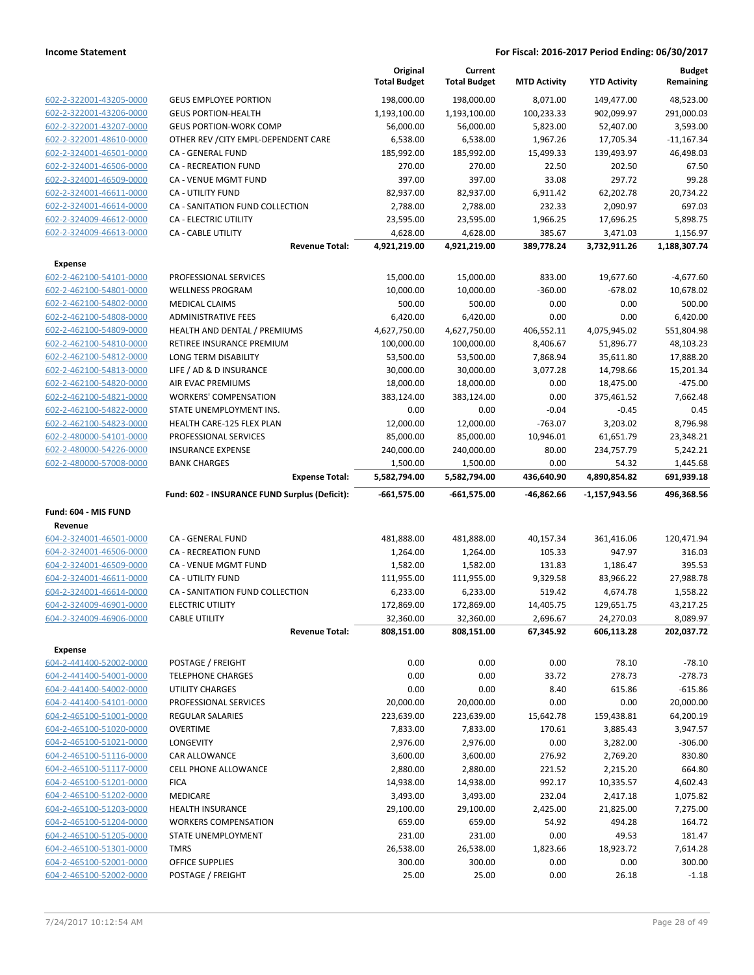|                                                    |                                               | Original<br><b>Total Budget</b> | Current<br><b>Total Budget</b> | <b>MTD Activity</b> | <b>YTD Activity</b>   | <b>Budget</b><br>Remaining |
|----------------------------------------------------|-----------------------------------------------|---------------------------------|--------------------------------|---------------------|-----------------------|----------------------------|
| 602-2-322001-43205-0000                            | <b>GEUS EMPLOYEE PORTION</b>                  | 198,000.00                      | 198,000.00                     | 8,071.00            | 149,477.00            | 48,523.00                  |
| 602-2-322001-43206-0000                            | <b>GEUS PORTION-HEALTH</b>                    | 1,193,100.00                    | 1,193,100.00                   | 100,233.33          | 902,099.97            | 291,000.03                 |
| 602-2-322001-43207-0000                            | <b>GEUS PORTION-WORK COMP</b>                 | 56,000.00                       | 56,000.00                      | 5,823.00            | 52,407.00             | 3,593.00                   |
| 602-2-322001-48610-0000                            | OTHER REV / CITY EMPL-DEPENDENT CARE          | 6,538.00                        | 6,538.00                       | 1,967.26            | 17,705.34             | $-11,167.34$               |
| 602-2-324001-46501-0000                            | CA - GENERAL FUND                             | 185,992.00                      | 185,992.00                     | 15,499.33           | 139,493.97            | 46,498.03                  |
| 602-2-324001-46506-0000                            | <b>CA - RECREATION FUND</b>                   | 270.00                          | 270.00                         | 22.50               | 202.50                | 67.50                      |
| 602-2-324001-46509-0000                            | CA - VENUE MGMT FUND                          | 397.00                          | 397.00                         | 33.08               | 297.72                | 99.28                      |
| 602-2-324001-46611-0000                            | <b>CA - UTILITY FUND</b>                      | 82,937.00                       | 82,937.00                      | 6,911.42            | 62,202.78             | 20,734.22                  |
| 602-2-324001-46614-0000                            | CA - SANITATION FUND COLLECTION               | 2,788.00                        | 2,788.00                       | 232.33              | 2,090.97              | 697.03                     |
| 602-2-324009-46612-0000                            | <b>CA - ELECTRIC UTILITY</b>                  | 23,595.00                       | 23,595.00                      | 1,966.25            | 17,696.25             | 5,898.75                   |
| 602-2-324009-46613-0000                            | CA - CABLE UTILITY                            | 4,628.00                        | 4,628.00                       | 385.67              | 3,471.03              | 1,156.97                   |
|                                                    | <b>Revenue Total:</b>                         | 4,921,219.00                    | 4,921,219.00                   | 389,778.24          | 3,732,911.26          | 1,188,307.74               |
| <b>Expense</b>                                     |                                               |                                 |                                |                     |                       |                            |
| 602-2-462100-54101-0000                            | PROFESSIONAL SERVICES                         | 15,000.00                       | 15,000.00                      | 833.00              | 19,677.60             | $-4,677.60$                |
| 602-2-462100-54801-0000                            | <b>WELLNESS PROGRAM</b>                       | 10,000.00                       | 10,000.00                      | $-360.00$           | $-678.02$             | 10,678.02                  |
| 602-2-462100-54802-0000                            | <b>MEDICAL CLAIMS</b>                         | 500.00                          | 500.00                         | 0.00                | 0.00                  | 500.00                     |
| 602-2-462100-54808-0000                            | <b>ADMINISTRATIVE FEES</b>                    | 6,420.00                        | 6,420.00                       | 0.00                | 0.00                  | 6,420.00                   |
| 602-2-462100-54809-0000                            | HEALTH AND DENTAL / PREMIUMS                  | 4,627,750.00                    | 4,627,750.00                   | 406,552.11          | 4,075,945.02          | 551,804.98                 |
| 602-2-462100-54810-0000                            | RETIREE INSURANCE PREMIUM                     | 100,000.00                      | 100,000.00                     | 8,406.67            | 51,896.77             | 48,103.23                  |
| 602-2-462100-54812-0000                            | LONG TERM DISABILITY                          | 53,500.00                       | 53,500.00                      | 7,868.94            | 35,611.80             | 17,888.20                  |
| 602-2-462100-54813-0000                            | LIFE / AD & D INSURANCE                       | 30,000.00                       | 30,000.00                      | 3,077.28            | 14,798.66             | 15,201.34                  |
| 602-2-462100-54820-0000                            | AIR EVAC PREMIUMS                             | 18,000.00                       | 18,000.00                      | 0.00                | 18,475.00             | $-475.00$                  |
| 602-2-462100-54821-0000                            | <b>WORKERS' COMPENSATION</b>                  | 383,124.00                      | 383,124.00                     | 0.00                | 375,461.52            | 7,662.48                   |
| 602-2-462100-54822-0000                            | STATE UNEMPLOYMENT INS.                       | 0.00                            | 0.00                           | $-0.04$             | $-0.45$               | 0.45                       |
| 602-2-462100-54823-0000                            | HEALTH CARE-125 FLEX PLAN                     | 12,000.00                       | 12,000.00                      | $-763.07$           | 3,203.02              | 8,796.98                   |
| 602-2-480000-54101-0000                            | PROFESSIONAL SERVICES                         | 85,000.00                       | 85,000.00                      | 10,946.01           | 61,651.79             | 23,348.21                  |
| 602-2-480000-54226-0000                            | <b>INSURANCE EXPENSE</b>                      | 240,000.00                      | 240,000.00                     | 80.00               | 234,757.79            | 5,242.21                   |
| 602-2-480000-57008-0000                            | <b>BANK CHARGES</b><br><b>Expense Total:</b>  | 1,500.00<br>5,582,794.00        | 1,500.00<br>5,582,794.00       | 0.00<br>436,640.90  | 54.32<br>4,890,854.82 | 1,445.68<br>691,939.18     |
|                                                    |                                               |                                 |                                |                     |                       |                            |
|                                                    |                                               |                                 |                                |                     |                       |                            |
| Fund: 604 - MIS FUND                               | Fund: 602 - INSURANCE FUND Surplus (Deficit): | $-661,575.00$                   | $-661,575.00$                  | -46,862.66          | -1,157,943.56         | 496,368.56                 |
| Revenue                                            |                                               |                                 |                                |                     |                       |                            |
| 604-2-324001-46501-0000                            | CA - GENERAL FUND                             | 481,888.00                      | 481,888.00                     | 40,157.34           | 361,416.06            | 120,471.94                 |
| 604-2-324001-46506-0000                            | <b>CA - RECREATION FUND</b>                   | 1,264.00                        | 1,264.00                       | 105.33              | 947.97                | 316.03                     |
| 604-2-324001-46509-0000                            | CA - VENUE MGMT FUND                          | 1,582.00                        | 1,582.00                       | 131.83              | 1,186.47              | 395.53                     |
| 604-2-324001-46611-0000                            | <b>CA - UTILITY FUND</b>                      | 111,955.00                      | 111,955.00                     | 9,329.58            | 83,966.22             | 27,988.78                  |
| 604-2-324001-46614-0000                            | CA - SANITATION FUND COLLECTION               | 6,233.00                        | 6,233.00                       | 519.42              | 4,674.78              | 1,558.22                   |
| 604-2-324009-46901-0000                            | <b>ELECTRIC UTILITY</b>                       | 172,869.00                      | 172,869.00                     | 14,405.75           | 129,651.75            | 43,217.25                  |
| 604-2-324009-46906-0000                            | <b>CABLE UTILITY</b>                          | 32,360.00                       | 32,360.00                      | 2,696.67            | 24,270.03             |                            |
|                                                    | <b>Revenue Total:</b>                         | 808,151.00                      | 808,151.00                     | 67,345.92           | 606,113.28            | 8,089.97<br>202,037.72     |
| <b>Expense</b>                                     |                                               |                                 |                                |                     |                       |                            |
| 604-2-441400-52002-0000                            | POSTAGE / FREIGHT                             | 0.00                            | 0.00                           | 0.00                | 78.10                 | $-78.10$                   |
| 604-2-441400-54001-0000                            | <b>TELEPHONE CHARGES</b>                      | 0.00                            | 0.00                           | 33.72               | 278.73                | $-278.73$                  |
| 604-2-441400-54002-0000                            | <b>UTILITY CHARGES</b>                        | 0.00                            | 0.00                           | 8.40                | 615.86                | $-615.86$                  |
| 604-2-441400-54101-0000                            | PROFESSIONAL SERVICES                         | 20,000.00                       | 20,000.00                      | 0.00                | 0.00                  | 20,000.00                  |
| 604-2-465100-51001-0000                            | <b>REGULAR SALARIES</b>                       | 223,639.00                      | 223,639.00                     | 15,642.78           | 159,438.81            | 64,200.19                  |
| 604-2-465100-51020-0000                            | <b>OVERTIME</b>                               | 7,833.00                        | 7,833.00                       | 170.61              | 3,885.43              | 3,947.57                   |
| 604-2-465100-51021-0000                            | LONGEVITY                                     | 2,976.00                        | 2,976.00                       | 0.00                | 3,282.00              | $-306.00$                  |
| 604-2-465100-51116-0000                            | CAR ALLOWANCE                                 | 3,600.00                        | 3,600.00                       | 276.92              | 2,769.20              | 830.80                     |
| 604-2-465100-51117-0000                            | <b>CELL PHONE ALLOWANCE</b>                   | 2,880.00                        | 2,880.00                       | 221.52              | 2,215.20              | 664.80                     |
| 604-2-465100-51201-0000                            | <b>FICA</b>                                   | 14,938.00                       | 14,938.00                      | 992.17              | 10,335.57             | 4,602.43                   |
| 604-2-465100-51202-0000                            | MEDICARE                                      | 3,493.00                        | 3,493.00                       | 232.04              | 2,417.18              | 1,075.82                   |
| 604-2-465100-51203-0000                            | <b>HEALTH INSURANCE</b>                       | 29,100.00                       | 29,100.00                      | 2,425.00            | 21,825.00             | 7,275.00                   |
| 604-2-465100-51204-0000                            | <b>WORKERS COMPENSATION</b>                   | 659.00                          | 659.00                         | 54.92               | 494.28                | 164.72                     |
| 604-2-465100-51205-0000                            | STATE UNEMPLOYMENT                            | 231.00                          | 231.00                         | 0.00                | 49.53                 | 181.47                     |
| 604-2-465100-51301-0000                            | <b>TMRS</b>                                   | 26,538.00                       | 26,538.00                      | 1,823.66            | 18,923.72             | 7,614.28                   |
| 604-2-465100-52001-0000<br>604-2-465100-52002-0000 | <b>OFFICE SUPPLIES</b><br>POSTAGE / FREIGHT   | 300.00<br>25.00                 | 300.00<br>25.00                | 0.00<br>0.00        | 0.00<br>26.18         | 300.00<br>$-1.18$          |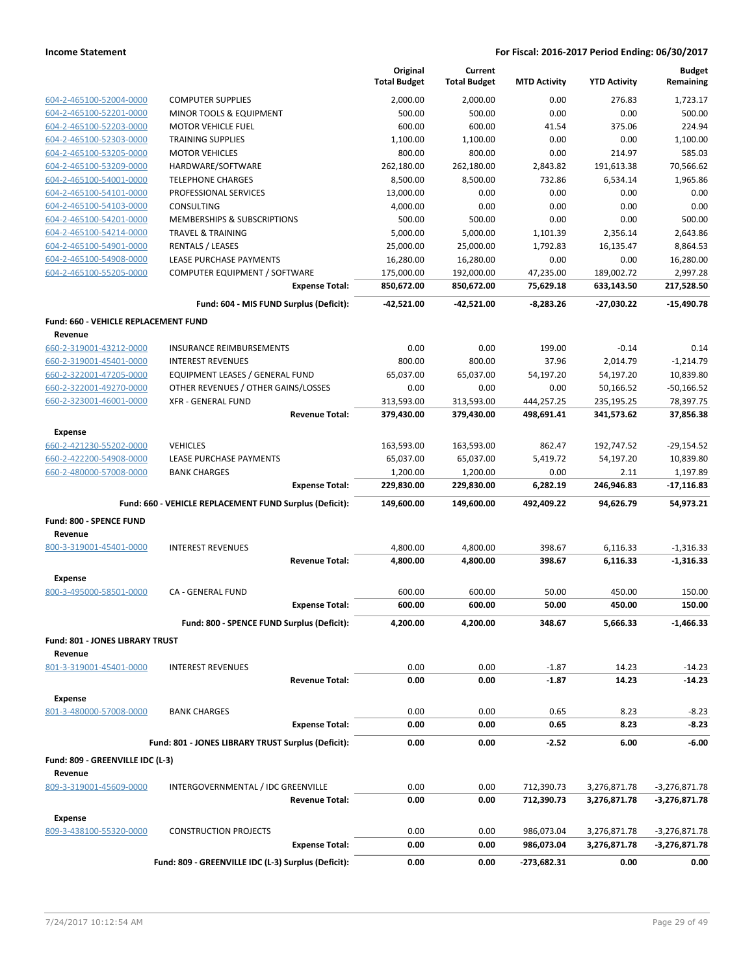|                                             |                                                         | Original<br><b>Total Budget</b> | Current<br><b>Total Budget</b> | <b>MTD Activity</b> | <b>YTD Activity</b>  | <b>Budget</b><br>Remaining |
|---------------------------------------------|---------------------------------------------------------|---------------------------------|--------------------------------|---------------------|----------------------|----------------------------|
| 604-2-465100-52004-0000                     | <b>COMPUTER SUPPLIES</b>                                | 2,000.00                        | 2,000.00                       | 0.00                | 276.83               | 1,723.17                   |
| 604-2-465100-52201-0000                     | MINOR TOOLS & EQUIPMENT                                 | 500.00                          | 500.00                         | 0.00                | 0.00                 | 500.00                     |
| 604-2-465100-52203-0000                     | <b>MOTOR VEHICLE FUEL</b>                               | 600.00                          | 600.00                         | 41.54               | 375.06               | 224.94                     |
| 604-2-465100-52303-0000                     | <b>TRAINING SUPPLIES</b>                                | 1,100.00                        | 1,100.00                       | 0.00                | 0.00                 | 1,100.00                   |
| 604-2-465100-53205-0000                     | <b>MOTOR VEHICLES</b>                                   | 800.00                          | 800.00                         | 0.00                | 214.97               | 585.03                     |
| 604-2-465100-53209-0000                     | HARDWARE/SOFTWARE                                       | 262,180.00                      | 262,180.00                     | 2,843.82            | 191,613.38           | 70,566.62                  |
| 604-2-465100-54001-0000                     | <b>TELEPHONE CHARGES</b>                                | 8,500.00                        | 8,500.00                       | 732.86              | 6,534.14             | 1,965.86                   |
| 604-2-465100-54101-0000                     | PROFESSIONAL SERVICES                                   | 13,000.00                       | 0.00                           | 0.00                | 0.00                 | 0.00                       |
| 604-2-465100-54103-0000                     | CONSULTING                                              | 4,000.00                        | 0.00                           | 0.00                | 0.00                 | 0.00                       |
| 604-2-465100-54201-0000                     | MEMBERSHIPS & SUBSCRIPTIONS                             | 500.00                          | 500.00                         | 0.00                | 0.00                 | 500.00                     |
| 604-2-465100-54214-0000                     | <b>TRAVEL &amp; TRAINING</b>                            | 5,000.00                        | 5,000.00                       | 1,101.39            | 2,356.14             | 2,643.86                   |
| 604-2-465100-54901-0000                     | RENTALS / LEASES                                        | 25,000.00                       | 25,000.00                      | 1,792.83            | 16,135.47            | 8,864.53                   |
| 604-2-465100-54908-0000                     | LEASE PURCHASE PAYMENTS                                 | 16,280.00                       | 16,280.00                      | 0.00                | 0.00                 | 16,280.00                  |
| 604-2-465100-55205-0000                     | COMPUTER EQUIPMENT / SOFTWARE                           | 175,000.00                      | 192,000.00                     | 47,235.00           | 189,002.72           | 2,997.28                   |
|                                             | <b>Expense Total:</b>                                   | 850,672.00                      | 850,672.00                     | 75,629.18           | 633,143.50           | 217,528.50                 |
|                                             | Fund: 604 - MIS FUND Surplus (Deficit):                 | $-42,521.00$                    | -42,521.00                     | $-8,283.26$         | -27,030.22           | $-15,490.78$               |
| Fund: 660 - VEHICLE REPLACEMENT FUND        |                                                         |                                 |                                |                     |                      |                            |
| Revenue                                     |                                                         |                                 |                                |                     |                      |                            |
| 660-2-319001-43212-0000                     | <b>INSURANCE REIMBURSEMENTS</b>                         | 0.00                            | 0.00                           | 199.00              | $-0.14$              | 0.14                       |
| 660-2-319001-45401-0000                     | <b>INTEREST REVENUES</b>                                | 800.00                          | 800.00                         | 37.96               | 2,014.79             | $-1,214.79$                |
| 660-2-322001-47205-0000                     | <b>EQUIPMENT LEASES / GENERAL FUND</b>                  | 65,037.00                       | 65,037.00                      | 54,197.20           | 54,197.20            | 10,839.80                  |
| 660-2-322001-49270-0000                     | OTHER REVENUES / OTHER GAINS/LOSSES                     | 0.00                            | 0.00                           | 0.00                | 50,166.52            | $-50,166.52$               |
| 660-2-323001-46001-0000                     | <b>XFR - GENERAL FUND</b>                               | 313,593.00                      | 313,593.00                     | 444,257.25          | 235,195.25           | 78,397.75                  |
|                                             | <b>Revenue Total:</b>                                   | 379,430.00                      | 379,430.00                     | 498,691.41          | 341,573.62           | 37,856.38                  |
| <b>Expense</b>                              |                                                         |                                 |                                |                     |                      |                            |
| 660-2-421230-55202-0000                     | <b>VEHICLES</b>                                         | 163,593.00                      | 163,593.00                     | 862.47              | 192,747.52           | $-29,154.52$               |
| 660-2-422200-54908-0000                     | LEASE PURCHASE PAYMENTS                                 | 65,037.00                       | 65,037.00                      | 5,419.72            | 54,197.20            | 10,839.80                  |
| 660-2-480000-57008-0000                     | <b>BANK CHARGES</b>                                     | 1,200.00                        | 1,200.00                       | 0.00                | 2.11                 | 1,197.89                   |
|                                             | <b>Expense Total:</b>                                   | 229,830.00                      | 229,830.00                     | 6,282.19            | 246,946.83           | $-17,116.83$               |
|                                             | Fund: 660 - VEHICLE REPLACEMENT FUND Surplus (Deficit): | 149,600.00                      | 149,600.00                     | 492,409.22          | 94,626.79            | 54,973.21                  |
|                                             |                                                         |                                 |                                |                     |                      |                            |
| Fund: 800 - SPENCE FUND                     |                                                         |                                 |                                |                     |                      |                            |
| Revenue<br>800-3-319001-45401-0000          | <b>INTEREST REVENUES</b>                                |                                 |                                | 398.67              |                      |                            |
|                                             | <b>Revenue Total:</b>                                   | 4,800.00<br>4,800.00            | 4,800.00<br>4,800.00           | 398.67              | 6,116.33<br>6,116.33 | $-1,316.33$<br>$-1.316.33$ |
|                                             |                                                         |                                 |                                |                     |                      |                            |
| <b>Expense</b>                              |                                                         |                                 |                                |                     |                      |                            |
| 800-3-495000-58501-0000                     | CA - GENERAL FUND                                       | 600.00                          | 600.00                         | 50.00               | 450.00               | 150.00                     |
|                                             | <b>Expense Total:</b>                                   | 600.00                          | 600.00                         | 50.00               | 450.00               | 150.00                     |
|                                             | Fund: 800 - SPENCE FUND Surplus (Deficit):              | 4,200.00                        | 4,200.00                       | 348.67              | 5,666.33             | $-1,466.33$                |
| Fund: 801 - JONES LIBRARY TRUST             |                                                         |                                 |                                |                     |                      |                            |
| Revenue                                     |                                                         |                                 |                                |                     |                      |                            |
| 801-3-319001-45401-0000                     | <b>INTEREST REVENUES</b>                                | 0.00                            | 0.00                           | $-1.87$             | 14.23                | $-14.23$                   |
|                                             | <b>Revenue Total:</b>                                   | 0.00                            | 0.00                           | $-1.87$             | 14.23                | $-14.23$                   |
| <b>Expense</b>                              |                                                         |                                 |                                |                     |                      |                            |
| 801-3-480000-57008-0000                     | <b>BANK CHARGES</b>                                     | 0.00                            | 0.00                           | 0.65                | 8.23                 | $-8.23$                    |
|                                             | <b>Expense Total:</b>                                   | 0.00                            | 0.00                           | 0.65                | 8.23                 | $-8.23$                    |
|                                             |                                                         |                                 |                                |                     |                      |                            |
|                                             | Fund: 801 - JONES LIBRARY TRUST Surplus (Deficit):      | 0.00                            | 0.00                           | $-2.52$             | 6.00                 | $-6.00$                    |
| Fund: 809 - GREENVILLE IDC (L-3)<br>Revenue |                                                         |                                 |                                |                     |                      |                            |
| 809-3-319001-45609-0000                     | INTERGOVERNMENTAL / IDC GREENVILLE                      | 0.00                            | 0.00                           | 712,390.73          | 3,276,871.78         | -3,276,871.78              |
|                                             | <b>Revenue Total:</b>                                   | 0.00                            | 0.00                           | 712,390.73          | 3,276,871.78         | -3,276,871.78              |
|                                             |                                                         |                                 |                                |                     |                      |                            |
| <b>Expense</b>                              |                                                         |                                 |                                |                     |                      |                            |
| 809-3-438100-55320-0000                     | <b>CONSTRUCTION PROJECTS</b>                            | 0.00                            | 0.00                           | 986,073.04          | 3,276,871.78         | -3,276,871.78              |
|                                             | <b>Expense Total:</b>                                   | 0.00                            | 0.00                           | 986,073.04          | 3,276,871.78         | -3,276,871.78              |
|                                             | Fund: 809 - GREENVILLE IDC (L-3) Surplus (Deficit):     | 0.00                            | 0.00                           | -273,682.31         | 0.00                 | 0.00                       |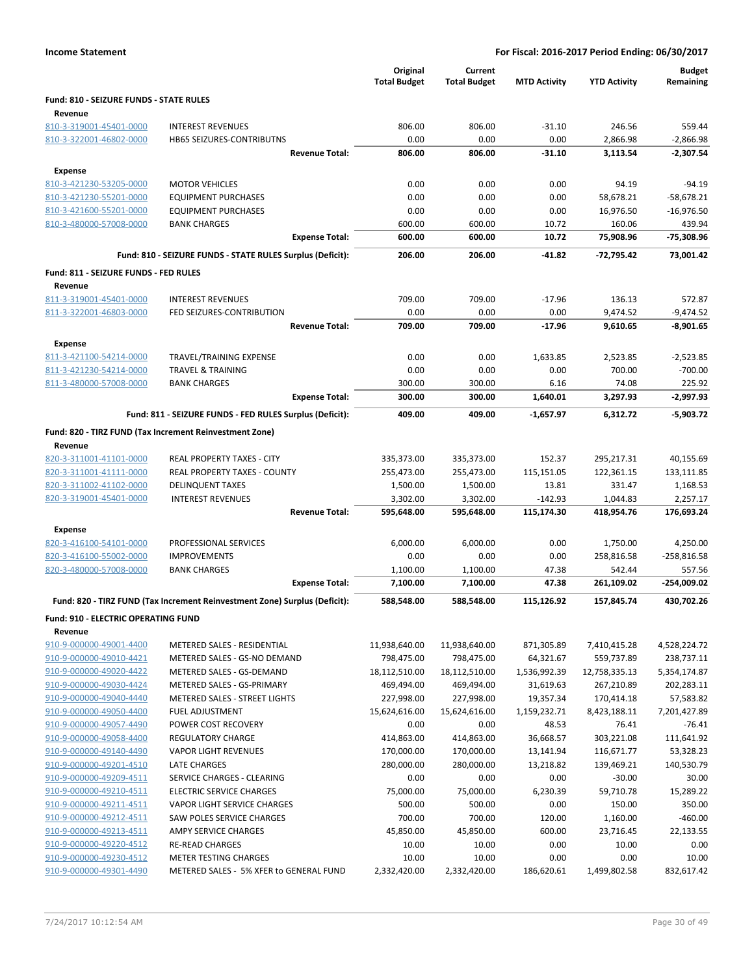|                                                    |                                                                            | Original<br><b>Total Budget</b> | Current<br><b>Total Budget</b> | <b>MTD Activity</b> | <b>YTD Activity</b>  | <b>Budget</b><br>Remaining |
|----------------------------------------------------|----------------------------------------------------------------------------|---------------------------------|--------------------------------|---------------------|----------------------|----------------------------|
| Fund: 810 - SEIZURE FUNDS - STATE RULES            |                                                                            |                                 |                                |                     |                      |                            |
| Revenue                                            |                                                                            |                                 |                                |                     |                      |                            |
| 810-3-319001-45401-0000                            | <b>INTEREST REVENUES</b>                                                   | 806.00                          | 806.00                         | $-31.10$            | 246.56               | 559.44                     |
| 810-3-322001-46802-0000                            | <b>HB65 SEIZURES-CONTRIBUTNS</b><br><b>Revenue Total:</b>                  | 0.00<br>806.00                  | 0.00<br>806.00                 | 0.00<br>$-31.10$    | 2,866.98<br>3,113.54 | $-2,866.98$<br>$-2,307.54$ |
|                                                    |                                                                            |                                 |                                |                     |                      |                            |
| <b>Expense</b>                                     |                                                                            |                                 |                                |                     |                      |                            |
| 810-3-421230-53205-0000                            | <b>MOTOR VEHICLES</b>                                                      | 0.00                            | 0.00                           | 0.00                | 94.19                | $-94.19$                   |
| 810-3-421230-55201-0000                            | <b>EQUIPMENT PURCHASES</b>                                                 | 0.00                            | 0.00                           | 0.00                | 58,678.21            | $-58,678.21$               |
| 810-3-421600-55201-0000                            | <b>EQUIPMENT PURCHASES</b>                                                 | 0.00                            | 0.00                           | 0.00                | 16,976.50            | $-16,976.50$               |
| 810-3-480000-57008-0000                            | <b>BANK CHARGES</b><br><b>Expense Total:</b>                               | 600.00<br>600.00                | 600.00<br>600.00               | 10.72<br>10.72      | 160.06<br>75,908.96  | 439.94<br>-75,308.96       |
|                                                    |                                                                            | 206.00                          | 206.00                         |                     |                      |                            |
|                                                    | Fund: 810 - SEIZURE FUNDS - STATE RULES Surplus (Deficit):                 |                                 |                                | $-41.82$            | -72,795.42           | 73,001.42                  |
| Fund: 811 - SEIZURE FUNDS - FED RULES<br>Revenue   |                                                                            |                                 |                                |                     |                      |                            |
| 811-3-319001-45401-0000                            | <b>INTEREST REVENUES</b>                                                   | 709.00                          | 709.00                         | $-17.96$            | 136.13               | 572.87                     |
| 811-3-322001-46803-0000                            | FED SEIZURES-CONTRIBUTION                                                  | 0.00                            | 0.00                           | 0.00                | 9,474.52             | $-9,474.52$                |
|                                                    | <b>Revenue Total:</b>                                                      | 709.00                          | 709.00                         | $-17.96$            | 9,610.65             | $-8,901.65$                |
| <b>Expense</b>                                     |                                                                            |                                 |                                |                     |                      |                            |
| 811-3-421100-54214-0000                            | TRAVEL/TRAINING EXPENSE                                                    | 0.00                            | 0.00                           | 1,633.85            | 2,523.85             | $-2,523.85$                |
| 811-3-421230-54214-0000                            | <b>TRAVEL &amp; TRAINING</b>                                               | 0.00                            | 0.00                           | 0.00                | 700.00               | $-700.00$                  |
| 811-3-480000-57008-0000                            | <b>BANK CHARGES</b>                                                        | 300.00                          | 300.00                         | 6.16                | 74.08                | 225.92                     |
|                                                    | <b>Expense Total:</b>                                                      | 300.00                          | 300.00                         | 1,640.01            | 3,297.93             | $-2,997.93$                |
|                                                    | Fund: 811 - SEIZURE FUNDS - FED RULES Surplus (Deficit):                   | 409.00                          | 409.00                         | $-1,657.97$         | 6,312.72             | $-5,903.72$                |
|                                                    | Fund: 820 - TIRZ FUND (Tax Increment Reinvestment Zone)                    |                                 |                                |                     |                      |                            |
| Revenue                                            |                                                                            |                                 |                                |                     |                      |                            |
| 820-3-311001-41101-0000                            | REAL PROPERTY TAXES - CITY                                                 | 335,373.00                      | 335,373.00                     | 152.37              | 295,217.31           | 40,155.69                  |
| 820-3-311001-41111-0000                            | REAL PROPERTY TAXES - COUNTY                                               | 255,473.00                      | 255,473.00                     | 115,151.05          | 122,361.15           | 133,111.85                 |
| 820-3-311002-41102-0000                            | <b>DELINQUENT TAXES</b>                                                    | 1,500.00                        | 1,500.00                       | 13.81               | 331.47               | 1,168.53                   |
| 820-3-319001-45401-0000                            | <b>INTEREST REVENUES</b>                                                   | 3,302.00                        | 3,302.00                       | $-142.93$           | 1,044.83             | 2,257.17                   |
|                                                    | <b>Revenue Total:</b>                                                      | 595,648.00                      | 595,648.00                     | 115,174.30          | 418,954.76           | 176,693.24                 |
| <b>Expense</b>                                     |                                                                            |                                 |                                |                     |                      |                            |
| 820-3-416100-54101-0000                            | PROFESSIONAL SERVICES                                                      | 6,000.00                        | 6,000.00                       | 0.00                | 1,750.00             | 4,250.00                   |
| 820-3-416100-55002-0000                            | <b>IMPROVEMENTS</b>                                                        | 0.00                            | 0.00                           | 0.00                | 258,816.58           | $-258,816.58$              |
| 820-3-480000-57008-0000                            | <b>BANK CHARGES</b>                                                        | 1,100.00                        | 1,100.00                       | 47.38               | 542.44               | 557.56                     |
|                                                    | <b>Expense Total:</b>                                                      | 7,100.00                        | 7,100.00                       | 47.38               | 261,109.02           | $-254,009.02$              |
|                                                    | Fund: 820 - TIRZ FUND (Tax Increment Reinvestment Zone) Surplus (Deficit): | 588,548.00                      | 588.548.00                     | 115,126.92          | 157.845.74           | 430.702.26                 |
| <b>Fund: 910 - ELECTRIC OPERATING FUND</b>         |                                                                            |                                 |                                |                     |                      |                            |
| Revenue                                            |                                                                            |                                 |                                |                     |                      |                            |
| 910-9-000000-49001-4400                            | METERED SALES - RESIDENTIAL                                                | 11,938,640.00                   | 11,938,640.00                  | 871,305.89          | 7,410,415.28         | 4,528,224.72               |
| 910-9-000000-49010-4421                            | METERED SALES - GS-NO DEMAND                                               | 798,475.00                      | 798,475.00                     | 64,321.67           | 559,737.89           | 238,737.11                 |
| 910-9-000000-49020-4422                            | METERED SALES - GS-DEMAND                                                  | 18,112,510.00                   | 18,112,510.00                  | 1,536,992.39        | 12,758,335.13        | 5,354,174.87               |
| 910-9-000000-49030-4424                            | METERED SALES - GS-PRIMARY                                                 | 469,494.00                      | 469,494.00                     | 31,619.63           | 267,210.89           | 202,283.11                 |
| 910-9-000000-49040-4440                            | METERED SALES - STREET LIGHTS                                              | 227,998.00                      | 227,998.00                     | 19,357.34           | 170,414.18           | 57,583.82                  |
| 910-9-000000-49050-4400                            | <b>FUEL ADJUSTMENT</b>                                                     | 15,624,616.00                   | 15,624,616.00                  | 1,159,232.71        | 8,423,188.11         | 7,201,427.89               |
| 910-9-000000-49057-4490                            | POWER COST RECOVERY                                                        | 0.00                            | 0.00                           | 48.53               | 76.41                | $-76.41$                   |
| 910-9-000000-49058-4400                            | <b>REGULATORY CHARGE</b>                                                   | 414,863.00                      | 414,863.00                     | 36,668.57           | 303,221.08           | 111,641.92                 |
| 910-9-000000-49140-4490                            | <b>VAPOR LIGHT REVENUES</b>                                                | 170,000.00                      | 170,000.00                     | 13,141.94           | 116,671.77           | 53,328.23                  |
| 910-9-000000-49201-4510                            | <b>LATE CHARGES</b>                                                        | 280,000.00                      | 280,000.00                     | 13,218.82           | 139,469.21           | 140,530.79                 |
| 910-9-000000-49209-4511                            | SERVICE CHARGES - CLEARING                                                 | 0.00                            | 0.00                           | 0.00                | $-30.00$             | 30.00                      |
| 910-9-000000-49210-4511                            | <b>ELECTRIC SERVICE CHARGES</b>                                            | 75,000.00                       | 75,000.00                      | 6,230.39            | 59,710.78            | 15,289.22                  |
| 910-9-000000-49211-4511                            | VAPOR LIGHT SERVICE CHARGES                                                | 500.00                          | 500.00                         | 0.00                | 150.00               | 350.00                     |
| 910-9-000000-49212-4511                            | SAW POLES SERVICE CHARGES                                                  | 700.00                          | 700.00                         | 120.00              | 1,160.00             | $-460.00$                  |
| 910-9-000000-49213-4511                            | AMPY SERVICE CHARGES                                                       | 45,850.00                       | 45,850.00                      | 600.00              | 23,716.45            | 22,133.55                  |
| 910-9-000000-49220-4512<br>910-9-000000-49230-4512 | <b>RE-READ CHARGES</b><br><b>METER TESTING CHARGES</b>                     | 10.00<br>10.00                  | 10.00<br>10.00                 | 0.00<br>0.00        | 10.00<br>0.00        | 0.00<br>10.00              |
| 910-9-000000-49301-4490                            | METERED SALES - 5% XFER to GENERAL FUND                                    | 2,332,420.00                    | 2,332,420.00                   | 186,620.61          | 1,499,802.58         | 832,617.42                 |
|                                                    |                                                                            |                                 |                                |                     |                      |                            |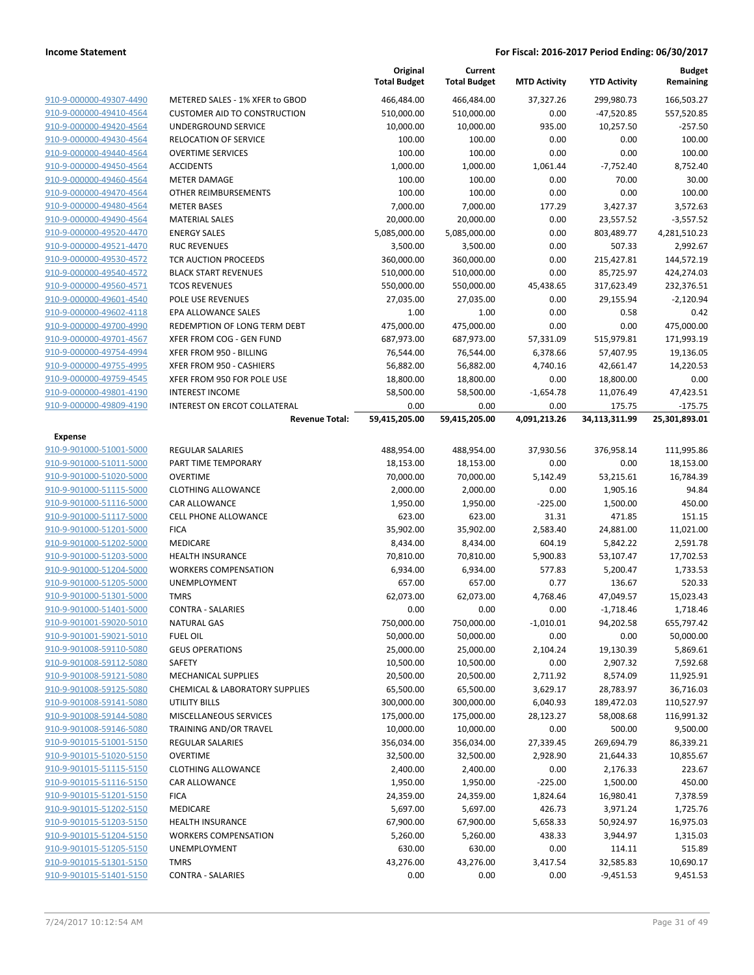|                         |                                           | Original<br><b>Total Budget</b> | Current<br><b>Total Budget</b> | <b>MTD Activity</b> | <b>YTD Activity</b> | <b>Budget</b><br>Remaining |
|-------------------------|-------------------------------------------|---------------------------------|--------------------------------|---------------------|---------------------|----------------------------|
| 910-9-000000-49307-4490 | METERED SALES - 1% XFER to GBOD           | 466,484.00                      | 466,484.00                     | 37,327.26           | 299,980.73          | 166,503.27                 |
| 910-9-000000-49410-4564 | <b>CUSTOMER AID TO CONSTRUCTION</b>       | 510,000.00                      | 510,000.00                     | 0.00                | $-47,520.85$        | 557,520.85                 |
| 910-9-000000-49420-4564 | UNDERGROUND SERVICE                       | 10,000.00                       | 10,000.00                      | 935.00              | 10,257.50           | $-257.50$                  |
| 910-9-000000-49430-4564 | <b>RELOCATION OF SERVICE</b>              | 100.00                          | 100.00                         | 0.00                | 0.00                | 100.00                     |
| 910-9-000000-49440-4564 | <b>OVERTIME SERVICES</b>                  | 100.00                          | 100.00                         | 0.00                | 0.00                | 100.00                     |
| 910-9-000000-49450-4564 | <b>ACCIDENTS</b>                          | 1,000.00                        | 1,000.00                       | 1,061.44            | $-7,752.40$         | 8,752.40                   |
| 910-9-000000-49460-4564 | <b>METER DAMAGE</b>                       | 100.00                          | 100.00                         | 0.00                | 70.00               | 30.00                      |
| 910-9-000000-49470-4564 | OTHER REIMBURSEMENTS                      | 100.00                          | 100.00                         | 0.00                | 0.00                | 100.00                     |
| 910-9-000000-49480-4564 | <b>METER BASES</b>                        | 7,000.00                        | 7,000.00                       | 177.29              | 3,427.37            | 3,572.63                   |
| 910-9-000000-49490-4564 | <b>MATERIAL SALES</b>                     | 20,000.00                       | 20,000.00                      | 0.00                | 23,557.52           | $-3,557.52$                |
| 910-9-000000-49520-4470 | <b>ENERGY SALES</b>                       | 5,085,000.00                    | 5,085,000.00                   | 0.00                | 803,489.77          | 4,281,510.23               |
| 910-9-000000-49521-4470 | <b>RUC REVENUES</b>                       | 3,500.00                        | 3,500.00                       | 0.00                | 507.33              | 2,992.67                   |
| 910-9-000000-49530-4572 | TCR AUCTION PROCEEDS                      | 360,000.00                      | 360,000.00                     | 0.00                | 215,427.81          | 144,572.19                 |
| 910-9-000000-49540-4572 | <b>BLACK START REVENUES</b>               | 510,000.00                      | 510,000.00                     | 0.00                | 85,725.97           | 424,274.03                 |
| 910-9-000000-49560-4571 | <b>TCOS REVENUES</b>                      | 550,000.00                      | 550,000.00                     | 45,438.65           | 317,623.49          | 232,376.51                 |
| 910-9-000000-49601-4540 | POLE USE REVENUES                         | 27,035.00                       | 27,035.00                      | 0.00                | 29,155.94           | $-2,120.94$                |
| 910-9-000000-49602-4118 | EPA ALLOWANCE SALES                       | 1.00                            | 1.00                           | 0.00                | 0.58                | 0.42                       |
| 910-9-000000-49700-4990 | REDEMPTION OF LONG TERM DEBT              | 475,000.00                      | 475,000.00                     | 0.00                | 0.00                | 475,000.00                 |
| 910-9-000000-49701-4567 | XFER FROM COG - GEN FUND                  | 687,973.00                      | 687,973.00                     | 57,331.09           | 515,979.81          | 171,993.19                 |
| 910-9-000000-49754-4994 | XFER FROM 950 - BILLING                   | 76,544.00                       | 76,544.00                      | 6,378.66            | 57,407.95           | 19,136.05                  |
| 910-9-000000-49755-4995 | XFER FROM 950 - CASHIERS                  | 56,882.00                       | 56,882.00                      | 4,740.16            | 42,661.47           | 14,220.53                  |
| 910-9-000000-49759-4545 | XFER FROM 950 FOR POLE USE                | 18,800.00                       | 18,800.00                      | 0.00                | 18,800.00           | 0.00                       |
| 910-9-000000-49801-4190 | <b>INTEREST INCOME</b>                    | 58,500.00                       | 58,500.00                      | $-1,654.78$         | 11,076.49           | 47,423.51                  |
| 910-9-000000-49809-4190 | <b>INTEREST ON ERCOT COLLATERAL</b>       | 0.00                            | 0.00                           | 0.00                | 175.75              | $-175.75$                  |
|                         | <b>Revenue Total:</b>                     | 59,415,205.00                   | 59,415,205.00                  | 4,091,213.26        | 34,113,311.99       | 25,301,893.01              |
| <b>Expense</b>          |                                           |                                 |                                |                     |                     |                            |
| 910-9-901000-51001-5000 | <b>REGULAR SALARIES</b>                   | 488,954.00                      | 488,954.00                     | 37,930.56           | 376,958.14          | 111,995.86                 |
| 910-9-901000-51011-5000 | PART TIME TEMPORARY                       | 18,153.00                       | 18,153.00                      | 0.00                | 0.00                | 18,153.00                  |
| 910-9-901000-51020-5000 | <b>OVERTIME</b>                           | 70,000.00                       | 70,000.00                      | 5,142.49            | 53,215.61           | 16,784.39                  |
| 910-9-901000-51115-5000 | <b>CLOTHING ALLOWANCE</b>                 | 2,000.00                        | 2,000.00                       | 0.00                | 1,905.16            | 94.84                      |
| 910-9-901000-51116-5000 | CAR ALLOWANCE                             | 1,950.00                        | 1,950.00                       | $-225.00$           | 1,500.00            | 450.00                     |
| 910-9-901000-51117-5000 | <b>CELL PHONE ALLOWANCE</b>               | 623.00                          | 623.00                         | 31.31               | 471.85              | 151.15                     |
| 910-9-901000-51201-5000 | <b>FICA</b>                               | 35,902.00                       | 35,902.00                      | 2,583.40            | 24,881.00           | 11,021.00                  |
| 910-9-901000-51202-5000 | <b>MEDICARE</b>                           | 8,434.00                        | 8,434.00                       | 604.19              | 5,842.22            | 2,591.78                   |
| 910-9-901000-51203-5000 | <b>HEALTH INSURANCE</b>                   | 70,810.00                       | 70,810.00                      | 5,900.83            | 53,107.47           | 17,702.53                  |
| 910-9-901000-51204-5000 | <b>WORKERS COMPENSATION</b>               | 6,934.00                        | 6,934.00                       | 577.83              | 5,200.47            | 1,733.53                   |
| 910-9-901000-51205-5000 | UNEMPLOYMENT                              | 657.00                          | 657.00                         | 0.77                | 136.67              | 520.33                     |
| 910-9-901000-51301-5000 | <b>TMRS</b>                               | 62,073.00                       | 62,073.00                      | 4,768.46            | 47,049.57           | 15,023.43                  |
| 910-9-901000-51401-5000 | <b>CONTRA - SALARIES</b>                  | 0.00                            | 0.00                           | 0.00                | $-1,718.46$         | 1,718.46                   |
| 910-9-901001-59020-5010 | <b>NATURAL GAS</b>                        | 750,000.00                      | 750,000.00                     | $-1,010.01$         | 94,202.58           | 655,797.42                 |
| 910-9-901001-59021-5010 | <b>FUEL OIL</b>                           | 50,000.00                       | 50,000.00                      | 0.00                | 0.00                | 50,000.00                  |
| 910-9-901008-59110-5080 | <b>GEUS OPERATIONS</b>                    | 25,000.00                       | 25,000.00                      | 2,104.24            | 19,130.39           | 5,869.61                   |
| 910-9-901008-59112-5080 | SAFETY                                    | 10,500.00                       | 10,500.00                      | 0.00                | 2,907.32            | 7,592.68                   |
| 910-9-901008-59121-5080 | MECHANICAL SUPPLIES                       | 20,500.00                       | 20,500.00                      | 2,711.92            | 8,574.09            | 11,925.91                  |
| 910-9-901008-59125-5080 | <b>CHEMICAL &amp; LABORATORY SUPPLIES</b> | 65,500.00                       | 65,500.00                      | 3,629.17            | 28,783.97           | 36,716.03                  |
| 910-9-901008-59141-5080 | <b>UTILITY BILLS</b>                      | 300,000.00                      | 300,000.00                     | 6,040.93            | 189,472.03          | 110,527.97                 |
| 910-9-901008-59144-5080 | MISCELLANEOUS SERVICES                    | 175,000.00                      | 175,000.00                     | 28,123.27           | 58,008.68           | 116,991.32                 |
| 910-9-901008-59146-5080 | TRAINING AND/OR TRAVEL                    | 10,000.00                       | 10,000.00                      | 0.00                | 500.00              | 9,500.00                   |
| 910-9-901015-51001-5150 | <b>REGULAR SALARIES</b>                   | 356,034.00                      | 356,034.00                     | 27,339.45           | 269,694.79          | 86,339.21                  |
| 910-9-901015-51020-5150 | <b>OVERTIME</b>                           | 32,500.00                       | 32,500.00                      | 2,928.90            | 21,644.33           | 10,855.67                  |
| 910-9-901015-51115-5150 | <b>CLOTHING ALLOWANCE</b>                 | 2,400.00                        | 2,400.00                       | 0.00                | 2,176.33            | 223.67                     |
| 910-9-901015-51116-5150 | <b>CAR ALLOWANCE</b>                      | 1,950.00                        | 1,950.00                       | $-225.00$           | 1,500.00            | 450.00                     |
| 910-9-901015-51201-5150 | <b>FICA</b>                               | 24,359.00                       | 24,359.00                      | 1,824.64            | 16,980.41           | 7,378.59                   |
| 910-9-901015-51202-5150 | <b>MEDICARE</b>                           | 5,697.00                        | 5,697.00                       | 426.73              | 3,971.24            | 1,725.76                   |
| 910-9-901015-51203-5150 | <b>HEALTH INSURANCE</b>                   | 67,900.00                       | 67,900.00                      | 5,658.33            | 50,924.97           | 16,975.03                  |
| 910-9-901015-51204-5150 | <b>WORKERS COMPENSATION</b>               | 5,260.00                        | 5,260.00                       | 438.33              | 3,944.97            | 1,315.03                   |
| 910-9-901015-51205-5150 | UNEMPLOYMENT                              | 630.00                          | 630.00                         | 0.00                | 114.11              | 515.89                     |
| 910-9-901015-51301-5150 | <b>TMRS</b>                               | 43,276.00                       | 43,276.00                      | 3,417.54            | 32,585.83           | 10,690.17                  |
| 910-9-901015-51401-5150 | <b>CONTRA - SALARIES</b>                  | 0.00                            | 0.00                           | 0.00                | $-9,451.53$         | 9,451.53                   |
|                         |                                           |                                 |                                |                     |                     |                            |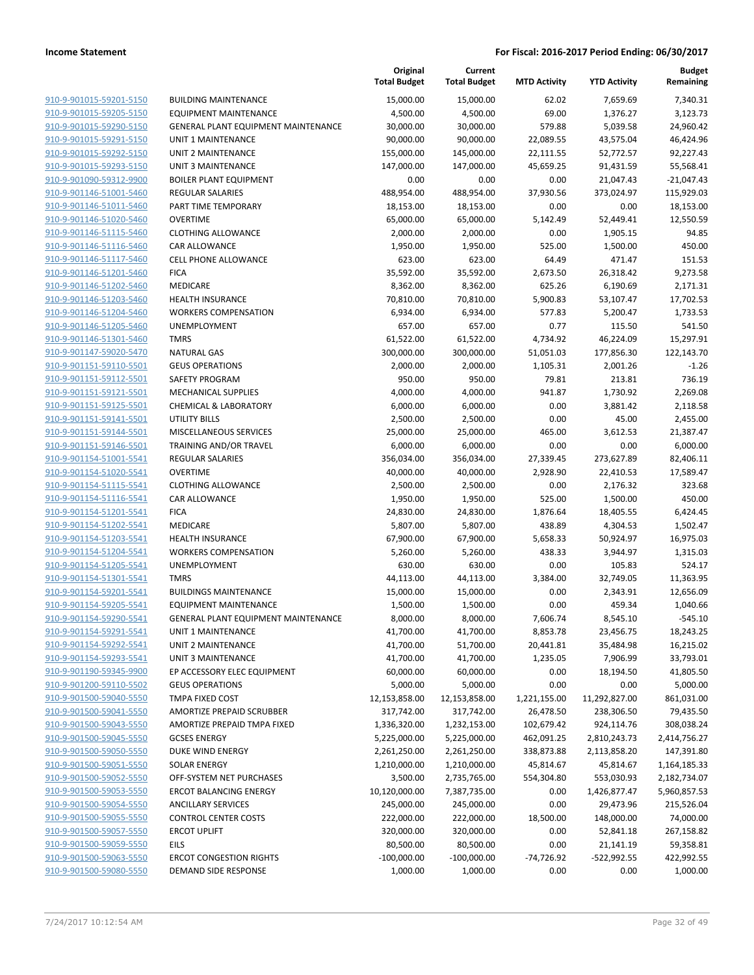|                                                    |                                              | Original<br><b>Total Budget</b> | Current<br><b>Total Budget</b> | <b>MTD Activity</b> | <b>YTD Activity</b> | Budget<br>Remaining  |
|----------------------------------------------------|----------------------------------------------|---------------------------------|--------------------------------|---------------------|---------------------|----------------------|
| 910-9-901015-59201-5150                            | <b>BUILDING MAINTENANCE</b>                  | 15,000.00                       | 15,000.00                      | 62.02               | 7,659.69            | 7,340.31             |
| 910-9-901015-59205-5150                            | <b>EQUIPMENT MAINTENANCE</b>                 | 4,500.00                        | 4,500.00                       | 69.00               | 1,376.27            | 3,123.73             |
| 910-9-901015-59290-5150                            | <b>GENERAL PLANT EQUIPMENT MAINTENANCE</b>   | 30,000.00                       | 30,000.00                      | 579.88              | 5,039.58            | 24,960.42            |
| 910-9-901015-59291-5150                            | <b>UNIT 1 MAINTENANCE</b>                    | 90,000.00                       | 90,000.00                      | 22,089.55           | 43,575.04           | 46,424.96            |
| 910-9-901015-59292-5150                            | UNIT 2 MAINTENANCE                           | 155,000.00                      | 145,000.00                     | 22,111.55           | 52,772.57           | 92,227.43            |
| 910-9-901015-59293-5150                            | <b>UNIT 3 MAINTENANCE</b>                    | 147,000.00                      | 147,000.00                     | 45,659.25           | 91,431.59           | 55,568.41            |
| 910-9-901090-59312-9900                            | <b>BOILER PLANT EQUIPMENT</b>                | 0.00                            | 0.00                           | 0.00                | 21,047.43           | $-21,047.43$         |
| 910-9-901146-51001-5460                            | <b>REGULAR SALARIES</b>                      | 488,954.00                      | 488,954.00                     | 37,930.56           | 373,024.97          | 115,929.03           |
| 910-9-901146-51011-5460                            | PART TIME TEMPORARY                          | 18,153.00                       | 18,153.00                      | 0.00                | 0.00                | 18,153.00            |
| 910-9-901146-51020-5460                            | <b>OVERTIME</b>                              | 65,000.00                       | 65,000.00                      | 5,142.49            | 52,449.41           | 12,550.59            |
| 910-9-901146-51115-5460                            | <b>CLOTHING ALLOWANCE</b>                    | 2,000.00                        | 2,000.00                       | 0.00                | 1,905.15            | 94.85                |
| 910-9-901146-51116-5460                            | CAR ALLOWANCE                                | 1,950.00                        | 1,950.00                       | 525.00              | 1,500.00            | 450.00               |
| 910-9-901146-51117-5460                            | <b>CELL PHONE ALLOWANCE</b>                  | 623.00                          | 623.00                         | 64.49               | 471.47              | 151.53               |
| 910-9-901146-51201-5460                            | <b>FICA</b>                                  | 35,592.00                       | 35,592.00                      | 2,673.50            | 26,318.42           | 9,273.58             |
| 910-9-901146-51202-5460                            | MEDICARE                                     | 8,362.00                        | 8,362.00                       | 625.26              | 6,190.69            | 2,171.31             |
| 910-9-901146-51203-5460                            | <b>HEALTH INSURANCE</b>                      | 70,810.00                       | 70,810.00                      | 5,900.83            | 53,107.47           | 17,702.53            |
| 910-9-901146-51204-5460                            | <b>WORKERS COMPENSATION</b>                  | 6,934.00                        | 6,934.00                       | 577.83              | 5,200.47            | 1,733.53             |
| 910-9-901146-51205-5460                            | <b>UNEMPLOYMENT</b>                          | 657.00                          | 657.00                         | 0.77                | 115.50              | 541.50               |
| 910-9-901146-51301-5460                            | <b>TMRS</b>                                  | 61,522.00                       | 61,522.00                      | 4,734.92            | 46,224.09           | 15,297.91            |
| 910-9-901147-59020-5470                            | <b>NATURAL GAS</b>                           | 300,000.00                      | 300,000.00                     | 51,051.03           | 177,856.30          | 122,143.70           |
| 910-9-901151-59110-5501                            | <b>GEUS OPERATIONS</b>                       | 2,000.00                        | 2,000.00                       | 1,105.31            | 2,001.26            | $-1.26$              |
| 910-9-901151-59112-5501                            | SAFETY PROGRAM<br><b>MECHANICAL SUPPLIES</b> | 950.00                          | 950.00                         | 79.81<br>941.87     | 213.81              | 736.19               |
| 910-9-901151-59121-5501<br>910-9-901151-59125-5501 | <b>CHEMICAL &amp; LABORATORY</b>             | 4,000.00<br>6,000.00            | 4,000.00<br>6,000.00           | 0.00                | 1,730.92            | 2,269.08             |
| 910-9-901151-59141-5501                            | <b>UTILITY BILLS</b>                         | 2,500.00                        | 2,500.00                       | 0.00                | 3,881.42<br>45.00   | 2,118.58<br>2,455.00 |
| 910-9-901151-59144-5501                            | MISCELLANEOUS SERVICES                       | 25,000.00                       | 25,000.00                      | 465.00              | 3,612.53            | 21,387.47            |
| 910-9-901151-59146-5501                            | TRAINING AND/OR TRAVEL                       | 6,000.00                        | 6,000.00                       | 0.00                | 0.00                | 6,000.00             |
| 910-9-901154-51001-5541                            | <b>REGULAR SALARIES</b>                      | 356,034.00                      | 356,034.00                     | 27,339.45           | 273,627.89          | 82,406.11            |
| 910-9-901154-51020-5541                            | <b>OVERTIME</b>                              | 40,000.00                       | 40,000.00                      | 2,928.90            | 22,410.53           | 17,589.47            |
| 910-9-901154-51115-5541                            | <b>CLOTHING ALLOWANCE</b>                    | 2,500.00                        | 2,500.00                       | 0.00                | 2,176.32            | 323.68               |
| 910-9-901154-51116-5541                            | CAR ALLOWANCE                                | 1,950.00                        | 1,950.00                       | 525.00              | 1,500.00            | 450.00               |
| 910-9-901154-51201-5541                            | <b>FICA</b>                                  | 24,830.00                       | 24,830.00                      | 1,876.64            | 18,405.55           | 6,424.45             |
| 910-9-901154-51202-5541                            | MEDICARE                                     | 5,807.00                        | 5,807.00                       | 438.89              | 4,304.53            | 1,502.47             |
| 910-9-901154-51203-5541                            | <b>HEALTH INSURANCE</b>                      | 67,900.00                       | 67,900.00                      | 5,658.33            | 50,924.97           | 16,975.03            |
| 910-9-901154-51204-5541                            | <b>WORKERS COMPENSATION</b>                  | 5,260.00                        | 5,260.00                       | 438.33              | 3,944.97            | 1,315.03             |
| 910-9-901154-51205-5541                            | UNEMPLOYMENT                                 | 630.00                          | 630.00                         | 0.00                | 105.83              | 524.17               |
| 910-9-901154-51301-5541                            | <b>TMRS</b>                                  | 44,113.00                       | 44,113.00                      | 3,384.00            | 32,749.05           | 11,363.95            |
| 910-9-901154-59201-5541                            | <b>BUILDINGS MAINTENANCE</b>                 | 15,000.00                       | 15,000.00                      | 0.00                | 2,343.91            | 12,656.09            |
| 910-9-901154-59205-5541                            | <b>EQUIPMENT MAINTENANCE</b>                 | 1,500.00                        | 1,500.00                       | 0.00                | 459.34              | 1,040.66             |
| 910-9-901154-59290-5541                            | GENERAL PLANT EQUIPMENT MAINTENANCE          | 8,000.00                        | 8,000.00                       | 7,606.74            | 8,545.10            | $-545.10$            |
| 910-9-901154-59291-5541                            | UNIT 1 MAINTENANCE                           | 41,700.00                       | 41,700.00                      | 8,853.78            | 23,456.75           | 18,243.25            |
| 910-9-901154-59292-5541                            | UNIT 2 MAINTENANCE                           | 41,700.00                       | 51,700.00                      | 20,441.81           | 35,484.98           | 16,215.02            |
| 910-9-901154-59293-5541                            | UNIT 3 MAINTENANCE                           | 41,700.00                       | 41,700.00                      | 1,235.05            | 7,906.99            | 33,793.01            |
| 910-9-901190-59345-9900                            | EP ACCESSORY ELEC EQUIPMENT                  | 60,000.00                       | 60,000.00                      | 0.00                | 18,194.50           | 41,805.50            |
| 910-9-901200-59110-5502                            | <b>GEUS OPERATIONS</b>                       | 5,000.00                        | 5,000.00                       | 0.00                | 0.00                | 5,000.00             |
| 910-9-901500-59040-5550                            | TMPA FIXED COST                              | 12,153,858.00                   | 12,153,858.00                  | 1,221,155.00        | 11,292,827.00       | 861,031.00           |
| 910-9-901500-59041-5550                            | AMORTIZE PREPAID SCRUBBER                    | 317,742.00                      | 317,742.00                     | 26,478.50           | 238,306.50          | 79,435.50            |
| 910-9-901500-59043-5550                            | AMORTIZE PREPAID TMPA FIXED                  | 1,336,320.00                    | 1,232,153.00                   | 102,679.42          | 924,114.76          | 308,038.24           |
| 910-9-901500-59045-5550                            | <b>GCSES ENERGY</b>                          | 5,225,000.00                    | 5,225,000.00                   | 462,091.25          | 2,810,243.73        | 2,414,756.27         |
| 910-9-901500-59050-5550                            | DUKE WIND ENERGY                             | 2,261,250.00                    | 2,261,250.00                   | 338,873.88          | 2,113,858.20        | 147,391.80           |
| 910-9-901500-59051-5550                            | <b>SOLAR ENERGY</b>                          | 1,210,000.00                    | 1,210,000.00                   | 45,814.67           | 45,814.67           | 1,164,185.33         |
| 910-9-901500-59052-5550                            | OFF-SYSTEM NET PURCHASES                     | 3,500.00                        | 2,735,765.00                   | 554,304.80          | 553,030.93          | 2,182,734.07         |
| 910-9-901500-59053-5550                            | <b>ERCOT BALANCING ENERGY</b>                | 10,120,000.00                   | 7,387,735.00                   | 0.00                | 1,426,877.47        | 5,960,857.53         |
| 910-9-901500-59054-5550                            | <b>ANCILLARY SERVICES</b>                    | 245,000.00                      | 245,000.00                     | 0.00                | 29,473.96           | 215,526.04           |
| 910-9-901500-59055-5550                            | <b>CONTROL CENTER COSTS</b>                  | 222,000.00                      | 222,000.00                     | 18,500.00           | 148,000.00          | 74,000.00            |
| 910-9-901500-59057-5550                            | <b>ERCOT UPLIFT</b>                          | 320,000.00                      | 320,000.00                     | 0.00                | 52,841.18           | 267,158.82           |
| 910-9-901500-59059-5550                            | <b>EILS</b>                                  | 80,500.00                       | 80,500.00                      | 0.00                | 21,141.19           | 59,358.81            |
| 910-9-901500-59063-5550                            | <b>ERCOT CONGESTION RIGHTS</b>               | $-100,000.00$                   | $-100,000.00$                  | -74,726.92          | -522,992.55         | 422,992.55           |
| 910-9-901500-59080-5550                            | DEMAND SIDE RESPONSE                         | 1,000.00                        | 1,000.00                       | 0.00                | 0.00                | 1,000.00             |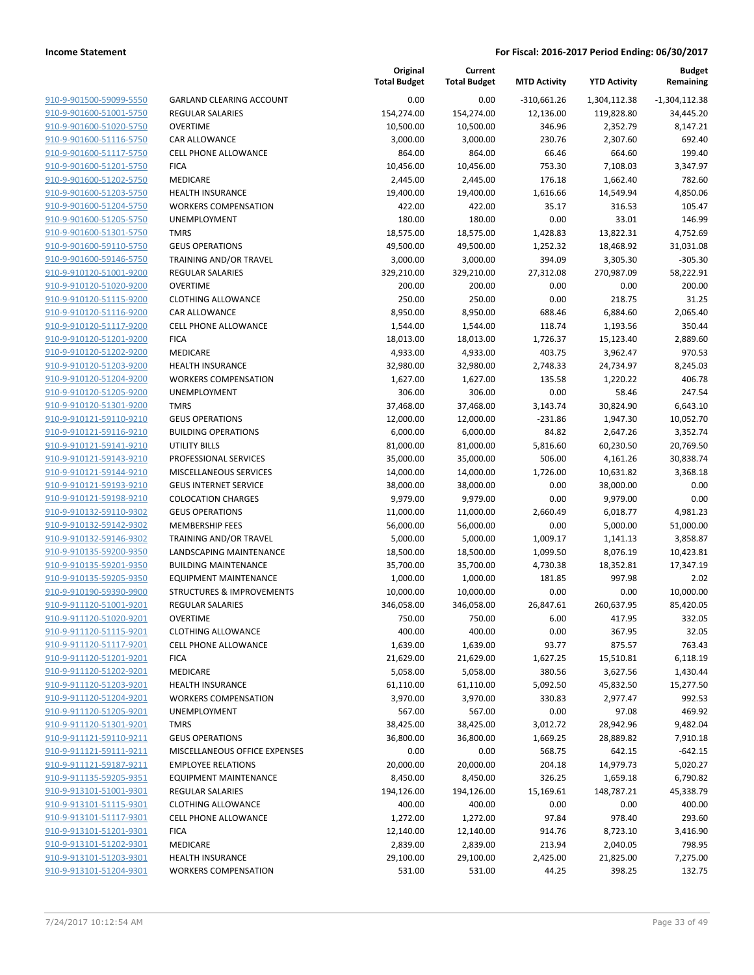| 910-9-901500-59099-5550        |
|--------------------------------|
| 910-9-901600-51001-5750        |
| 910-9-901600-51020-5750        |
| <u>910-9-901600-51116-5750</u> |
| 910-9-901600-51117-5750        |
| 910-9-901600-51201-5750        |
| 910-9-901600-51202-5750        |
| 910-9-901600-51203-5750        |
| 910-9-901600-51204-5750        |
| 910-9-901600-51205-5750        |
| 910-9-901600-51301-5750        |
| 910-9-901600-59110-5750        |
| 910-9-901600-59146-5750        |
| <u>910-9-910120-51001-9200</u> |
| 910-9-910120-51020-9200        |
| 910-9-910120-51115-9200        |
| 910-9-910120-51116-9200        |
| 910-9-910120-51117-9200        |
| 910-9-910120-51201-9200        |
| 910-9-910120-51202-9200        |
| 910-9-910120-51203-9200        |
| 910-9-910120-51204-9200        |
| 910-9-910120-51205-9200        |
| <u>910-9-910120-51301-9200</u> |
| 910-9-910121-59110-9210        |
| 910-9-910121-59116-9210        |
| 910-9-910121-59141-9210        |
|                                |
| 910-9-910121-59143-9210        |
| 910-9-910121-59144-9210        |
| 910-9-910121-59193-9210        |
| 910-9-910121-59198-9210        |
| 910-9-910132-59110-9302        |
| 910-9-910132-59142-9302        |
| <u>910-9-910132-59146-9302</u> |
| 910-9-910135-59200-9350        |
| 910-9-910135-59201-9350        |
| 910-9-910135-59205-9350        |
| 910-9-910190-59390-9900        |
| 910-9-911120-51001-9201        |
| 910-9-911120-51020-9201        |
| 910-9-911120-51115-9201        |
| <u>910-9-911120-51117-9201</u> |
| <u>910-9-911120-51201-9201</u> |
| <u>910-9-911120-51202-9201</u> |
| <u>910-9-911120-51203-9201</u> |
| 910-9-911120-51204-9201        |
| 910-9-911120-51205-9201        |
| <u>910-9-911120-51301-9201</u> |
| <u>910-9-911121-59110-9211</u> |
| <u>910-9-911121-59111-9211</u> |
| 910-9-911121-59187-9211        |
| 910-9-911135-59205-9351        |
| <u>910-9-913101-51001-9301</u> |
| <u>910-9-913101-51115-9301</u> |
| <u>910-9-913101-51117-9301</u> |
| 910-9-913101-51201-9301        |
| 910-9-913101-51202-9301        |
| <u>910-9-913101-51203-9301</u> |
| <u>910-9-913101-51204-9301</u> |
|                                |

|                                                    |                                 | Original<br><b>Total Budget</b> | Current<br><b>Total Budget</b> | <b>MTD Activity</b> | <b>YTD Activity</b>   | <b>Budget</b><br>Remaining |
|----------------------------------------------------|---------------------------------|---------------------------------|--------------------------------|---------------------|-----------------------|----------------------------|
| 910-9-901500-59099-5550                            | <b>GARLAND CLEARING ACCOUNT</b> | 0.00                            | 0.00                           | $-310,661.26$       | 1,304,112.38          | $-1,304,112.38$            |
| 910-9-901600-51001-5750                            | <b>REGULAR SALARIES</b>         | 154,274.00                      | 154,274.00                     | 12,136.00           | 119,828.80            | 34,445.20                  |
| 910-9-901600-51020-5750                            | <b>OVERTIME</b>                 | 10,500.00                       | 10,500.00                      | 346.96              | 2,352.79              | 8,147.21                   |
| 910-9-901600-51116-5750                            | <b>CAR ALLOWANCE</b>            | 3,000.00                        | 3,000.00                       | 230.76              | 2,307.60              | 692.40                     |
| 910-9-901600-51117-5750                            | CELL PHONE ALLOWANCE            | 864.00                          | 864.00                         | 66.46               | 664.60                | 199.40                     |
| 910-9-901600-51201-5750                            | <b>FICA</b>                     | 10,456.00                       | 10,456.00                      | 753.30              | 7,108.03              | 3,347.97                   |
| 910-9-901600-51202-5750                            | MEDICARE                        | 2,445.00                        | 2,445.00                       | 176.18              | 1,662.40              | 782.60                     |
| 910-9-901600-51203-5750                            | <b>HEALTH INSURANCE</b>         | 19,400.00                       | 19,400.00                      | 1,616.66            | 14,549.94             | 4,850.06                   |
| 910-9-901600-51204-5750                            | <b>WORKERS COMPENSATION</b>     | 422.00                          | 422.00                         | 35.17               | 316.53                | 105.47                     |
| 910-9-901600-51205-5750                            | <b>UNEMPLOYMENT</b>             | 180.00                          | 180.00                         | 0.00                | 33.01                 | 146.99                     |
| 910-9-901600-51301-5750                            | <b>TMRS</b>                     | 18,575.00                       | 18,575.00                      | 1,428.83            | 13,822.31             | 4,752.69                   |
| 910-9-901600-59110-5750                            | <b>GEUS OPERATIONS</b>          | 49,500.00                       | 49,500.00                      | 1,252.32            | 18,468.92             | 31,031.08                  |
| 910-9-901600-59146-5750                            | TRAINING AND/OR TRAVEL          | 3,000.00                        | 3,000.00                       | 394.09              | 3,305.30              | $-305.30$                  |
| 910-9-910120-51001-9200                            | <b>REGULAR SALARIES</b>         | 329,210.00                      | 329,210.00                     | 27,312.08           | 270,987.09            | 58,222.91                  |
| 910-9-910120-51020-9200                            | <b>OVERTIME</b>                 | 200.00                          | 200.00                         | 0.00                | 0.00                  | 200.00                     |
| 910-9-910120-51115-9200                            | <b>CLOTHING ALLOWANCE</b>       | 250.00                          | 250.00                         | 0.00                | 218.75                | 31.25                      |
| 910-9-910120-51116-9200                            | <b>CAR ALLOWANCE</b>            | 8,950.00                        | 8,950.00                       | 688.46              | 6,884.60              | 2,065.40                   |
| 910-9-910120-51117-9200                            | <b>CELL PHONE ALLOWANCE</b>     | 1,544.00                        | 1,544.00                       | 118.74              | 1,193.56              | 350.44                     |
| 910-9-910120-51201-9200                            | <b>FICA</b><br>MEDICARE         | 18,013.00<br>4,933.00           | 18,013.00                      | 1,726.37            | 15,123.40             | 2,889.60                   |
| 910-9-910120-51202-9200<br>910-9-910120-51203-9200 | <b>HEALTH INSURANCE</b>         |                                 | 4,933.00                       | 403.75<br>2,748.33  | 3,962.47              | 970.53<br>8,245.03         |
| 910-9-910120-51204-9200                            | <b>WORKERS COMPENSATION</b>     | 32,980.00<br>1,627.00           | 32,980.00<br>1,627.00          | 135.58              | 24,734.97<br>1,220.22 | 406.78                     |
| 910-9-910120-51205-9200                            | UNEMPLOYMENT                    | 306.00                          | 306.00                         | 0.00                | 58.46                 | 247.54                     |
| 910-9-910120-51301-9200                            | <b>TMRS</b>                     | 37,468.00                       | 37,468.00                      | 3,143.74            | 30,824.90             | 6,643.10                   |
| 910-9-910121-59110-9210                            | <b>GEUS OPERATIONS</b>          | 12,000.00                       | 12,000.00                      | $-231.86$           | 1,947.30              | 10,052.70                  |
| 910-9-910121-59116-9210                            | <b>BUILDING OPERATIONS</b>      | 6,000.00                        | 6,000.00                       | 84.82               | 2,647.26              | 3,352.74                   |
| 910-9-910121-59141-9210                            | <b>UTILITY BILLS</b>            | 81,000.00                       | 81,000.00                      | 5,816.60            | 60,230.50             | 20,769.50                  |
| 910-9-910121-59143-9210                            | PROFESSIONAL SERVICES           | 35,000.00                       | 35,000.00                      | 506.00              | 4,161.26              | 30,838.74                  |
| 910-9-910121-59144-9210                            | MISCELLANEOUS SERVICES          | 14,000.00                       | 14,000.00                      | 1,726.00            | 10,631.82             | 3,368.18                   |
| 910-9-910121-59193-9210                            | <b>GEUS INTERNET SERVICE</b>    | 38,000.00                       | 38,000.00                      | 0.00                | 38,000.00             | 0.00                       |
| 910-9-910121-59198-9210                            | <b>COLOCATION CHARGES</b>       | 9,979.00                        | 9,979.00                       | 0.00                | 9,979.00              | 0.00                       |
| 910-9-910132-59110-9302                            | <b>GEUS OPERATIONS</b>          | 11,000.00                       | 11,000.00                      | 2,660.49            | 6,018.77              | 4,981.23                   |
| 910-9-910132-59142-9302                            | <b>MEMBERSHIP FEES</b>          | 56,000.00                       | 56,000.00                      | 0.00                | 5,000.00              | 51,000.00                  |
| 910-9-910132-59146-9302                            | TRAINING AND/OR TRAVEL          | 5,000.00                        | 5,000.00                       | 1,009.17            | 1,141.13              | 3,858.87                   |
| 910-9-910135-59200-9350                            | LANDSCAPING MAINTENANCE         | 18,500.00                       | 18,500.00                      | 1,099.50            | 8,076.19              | 10,423.81                  |
| 910-9-910135-59201-9350                            | <b>BUILDING MAINTENANCE</b>     | 35,700.00                       | 35,700.00                      | 4,730.38            | 18,352.81             | 17,347.19                  |
| 910-9-910135-59205-9350                            | <b>EQUIPMENT MAINTENANCE</b>    | 1,000.00                        | 1,000.00                       | 181.85              | 997.98                | 2.02                       |
| 910-9-910190-59390-9900                            | STRUCTURES & IMPROVEMENTS       | 10,000.00                       | 10,000.00                      | 0.00                | 0.00                  | 10,000.00                  |
| 910-9-911120-51001-9201                            | <b>REGULAR SALARIES</b>         | 346,058.00                      | 346,058.00                     | 26,847.61           | 260,637.95            | 85,420.05                  |
| 910-9-911120-51020-9201                            | <b>OVERTIME</b>                 | 750.00                          | 750.00                         | 6.00                | 417.95                | 332.05                     |
| 910-9-911120-51115-9201                            | <b>CLOTHING ALLOWANCE</b>       | 400.00                          | 400.00                         | 0.00                | 367.95                | 32.05                      |
| 910-9-911120-51117-9201                            | <b>CELL PHONE ALLOWANCE</b>     | 1,639.00                        | 1,639.00                       | 93.77               | 875.57                | 763.43                     |
| 910-9-911120-51201-9201                            | <b>FICA</b>                     | 21,629.00                       | 21,629.00                      | 1,627.25            | 15,510.81             | 6,118.19                   |
| 910-9-911120-51202-9201                            | MEDICARE                        | 5,058.00                        | 5,058.00                       | 380.56              | 3,627.56              | 1,430.44                   |
| 910-9-911120-51203-9201                            | <b>HEALTH INSURANCE</b>         | 61,110.00                       | 61,110.00                      | 5,092.50            | 45,832.50             | 15,277.50                  |
| 910-9-911120-51204-9201                            | <b>WORKERS COMPENSATION</b>     | 3,970.00                        | 3,970.00                       | 330.83              | 2,977.47              | 992.53                     |
| 910-9-911120-51205-9201                            | UNEMPLOYMENT                    | 567.00                          | 567.00                         | 0.00                | 97.08                 | 469.92                     |
| 910-9-911120-51301-9201                            | <b>TMRS</b>                     | 38,425.00                       | 38,425.00                      | 3,012.72            | 28,942.96             | 9,482.04                   |
| 910-9-911121-59110-9211                            | <b>GEUS OPERATIONS</b>          | 36,800.00                       | 36,800.00                      | 1,669.25            | 28,889.82             | 7,910.18                   |
| 910-9-911121-59111-9211                            | MISCELLANEOUS OFFICE EXPENSES   | 0.00                            | 0.00                           | 568.75              | 642.15                | $-642.15$                  |
| 910-9-911121-59187-9211                            | <b>EMPLOYEE RELATIONS</b>       | 20,000.00                       | 20,000.00                      | 204.18              | 14,979.73             | 5,020.27                   |
| 910-9-911135-59205-9351                            | <b>EQUIPMENT MAINTENANCE</b>    | 8,450.00                        | 8,450.00                       | 326.25              | 1,659.18              | 6,790.82                   |
| 910-9-913101-51001-9301                            | <b>REGULAR SALARIES</b>         | 194,126.00                      | 194,126.00                     | 15,169.61           | 148,787.21            | 45,338.79                  |
| 910-9-913101-51115-9301                            | <b>CLOTHING ALLOWANCE</b>       | 400.00                          | 400.00                         | 0.00                | 0.00                  | 400.00                     |
| 910-9-913101-51117-9301                            | CELL PHONE ALLOWANCE            | 1,272.00                        | 1,272.00                       | 97.84               | 978.40                | 293.60                     |
| 910-9-913101-51201-9301<br>910-9-913101-51202-9301 | <b>FICA</b><br>MEDICARE         | 12,140.00                       | 12,140.00                      | 914.76              | 8,723.10              | 3,416.90                   |
| 910-9-913101-51203-9301                            | <b>HEALTH INSURANCE</b>         | 2,839.00<br>29,100.00           | 2,839.00<br>29,100.00          | 213.94<br>2,425.00  | 2,040.05<br>21,825.00 | 798.95<br>7,275.00         |
| 910-9-913101-51204-9301                            | <b>WORKERS COMPENSATION</b>     | 531.00                          | 531.00                         | 44.25               | 398.25                | 132.75                     |
|                                                    |                                 |                                 |                                |                     |                       |                            |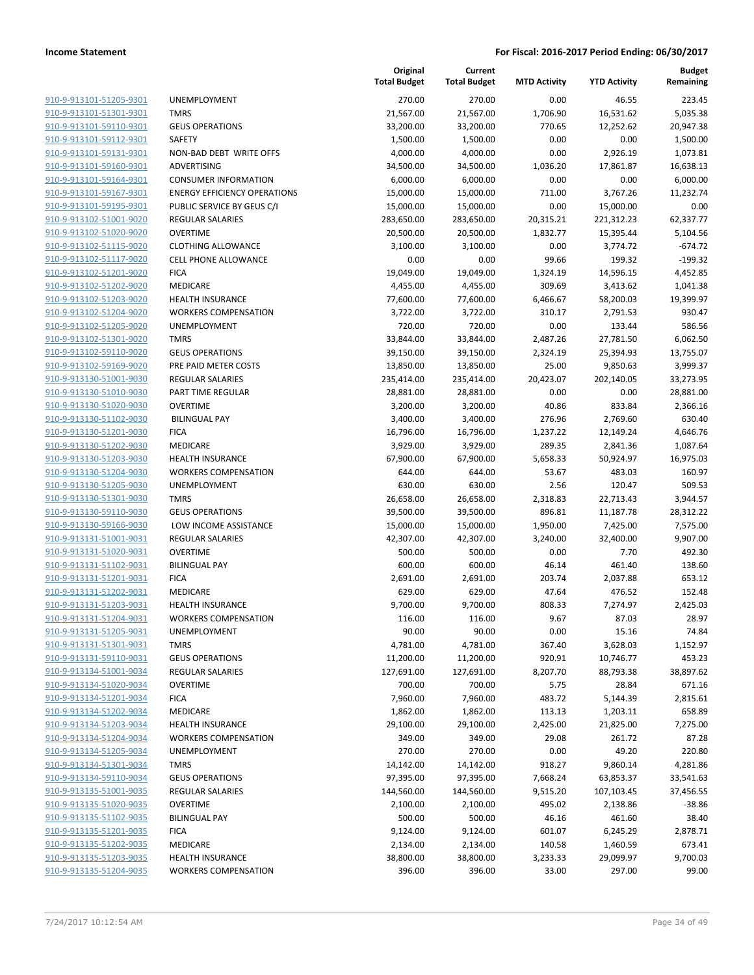| 910-9-913101-51205-9301        |
|--------------------------------|
| 910-9-913101-51301-9301        |
| 910-9-913101-59110-9301        |
| 910-9-913101-59112-9301        |
| 910-9-913101-59131-9301        |
| 910-9-913101-59160-9301        |
| 910-9-913101-59164-9301        |
| 910-9-913101-59167-9301        |
| 910-9-913101-59195-9301        |
| 910-9-913102-51001-9020        |
| 910-9-913102-51020-9020        |
| 910-9-913102-51115-9020        |
| 910-9-913102-51117-9020        |
| 910-9-913102-51201-9020        |
| <u>910-9-913102-51202-9020</u> |
| 910-9-913102-51203-9020        |
| 910-9-913102-51204-9020        |
| 910-9-913102-51205-9020        |
|                                |
| 910-9-913102-51301-9020        |
| 910-9-913102-59110-9020        |
| 910-9-913102-59169-9020        |
| 910-9-913130-51001-9030        |
| 910-9-913130-51010-9030        |
| 910-9-913130-51020-9030        |
| <u>910-9-913130-51102-9030</u> |
| 910-9-913130-51201-9030        |
| 910-9-913130-51202-9030        |
| 910-9-913130-51203-9030        |
| 910-9-913130-51204-9030        |
| 910-9-913130-51205-9030        |
| 910-9-913130-51301-9030        |
| 910-9-913130-59110-9030        |
| 910-9-913130-59166-9030        |
| 910-9-913131-51001-9031        |
| <u>910-9-913131-51020-9031</u> |
| 910-9-913131-51102-9031        |
| 910-9-913131-51201-9031        |
| 910-9-913131-51202-9031        |
| 910-9-913131-51203-9031        |
| 910-9-913131-51204-9031        |
| 910-9-913131-51205-9031        |
| 910-9-913131-51301-9031        |
| 910-9-913131-59110-9031        |
| 910-9-913134-51001-9034        |
|                                |
| <u>910-9-913134-51020-9034</u> |
| <u>910-9-913134-51201-9034</u> |
| 910-9-913134-51202-9034        |
| 910-9-913134-51203-9034        |
| 910-9-913134-51204-9034        |
| <u>910-9-913134-51205-9034</u> |
| <u>910-9-913134-51301-9034</u> |
| <u>910-9-913134-59110-9034</u> |
| 910-9-913135-51001-9035        |
| 910-9-913135-51020-9035        |
| <u>910-9-913135-51102-9035</u> |
| <u>910-9-913135-51201-9035</u> |
| 910-9-913135-51202-9035        |
| 910-9-913135-51203-9035        |
| 910-9-913135-51204-9035        |
|                                |

| <b>UNEMPLOYMENT</b>                 |
|-------------------------------------|
| <b>TMRS</b>                         |
| <b>GEUS OPERATIONS</b>              |
| SAFETY                              |
| NON-BAD DEBT WRITE OFFS             |
| ADVERTISING                         |
| <b>CONSUMER INFORMATION</b>         |
| <b>ENERGY EFFICIENCY OPERATIONS</b> |
| PUBLIC SERVICE BY GEUS C/I          |
| <b>REGULAR SALARIES</b>             |
| <b>OVERTIME</b>                     |
| <b>CLOTHING ALLOWANCE</b>           |
| <b>CELL PHONE ALLOWANCE</b>         |
| <b>FICA</b>                         |
| <b>MEDICARE</b>                     |
| <b>HEALTH INSURANCE</b>             |
| <b>WORKERS COMPENSATION</b>         |
| <b>UNEMPLOYMENT</b>                 |
| <b>TMRS</b>                         |
| <b>GEUS OPERATIONS</b>              |
| PRE PAID METER COSTS                |
| <b>REGULAR SALARIES</b>             |
| <b>PART TIME REGULAR</b>            |
| <b>OVERTIME</b>                     |
| <b>BILINGUAL PAY</b>                |
| <b>FICA</b>                         |
| <b>MEDICARE</b>                     |
| <b>HEALTH INSURANCE</b>             |
| <b>WORKERS COMPENSATION</b>         |
| <b>UNEMPLOYMENT</b>                 |
| <b>TMRS</b>                         |
| <b>GEUS OPERATIONS</b>              |
| LOW INCOME ASSISTANCE               |
| <b>REGULAR SALARIES</b>             |
| OVERTIME                            |
| <b>BILINGUAL PAY</b>                |
| <b>FICA</b>                         |
| <b>MEDICARE</b>                     |
| <b>HEALTH INSURANCE</b>             |
| <b>WORKERS COMPENSATION</b>         |
| UNEMPLOYMENT                        |
| <b>TMRS</b>                         |
| <b>GEUS OPERATIONS</b>              |
| <b>REGULAR SALARIES</b>             |
| <b>OVERTIME</b>                     |
| <b>FICA</b>                         |
| <b>MEDICARE</b>                     |
| <b>HEALTH INSURANCE</b>             |
| <b>WORKERS COMPENSATION</b>         |
| <b>UNEMPLOYMENT</b>                 |
| <b>TMRS</b>                         |
| <b>GEUS OPERATIONS</b>              |
| <b>REGULAR SALARIES</b>             |
| <b>OVERTIME</b>                     |
| <b>BILINGUAL PAY</b>                |
| <b>FICA</b>                         |
| MEDICARE                            |
| <b>HEALTH INSURANCE</b>             |

|                                                    |                                     | Original<br><b>Total Budget</b> | Current<br><b>Total Budget</b> | <b>MTD Activity</b> | <b>YTD Activity</b>   | <b>Budget</b><br>Remaining |
|----------------------------------------------------|-------------------------------------|---------------------------------|--------------------------------|---------------------|-----------------------|----------------------------|
| 910-9-913101-51205-9301                            | UNEMPLOYMENT                        | 270.00                          | 270.00                         | 0.00                | 46.55                 | 223.45                     |
| 910-9-913101-51301-9301                            | <b>TMRS</b>                         | 21,567.00                       | 21,567.00                      | 1,706.90            | 16,531.62             | 5,035.38                   |
| 910-9-913101-59110-9301                            | <b>GEUS OPERATIONS</b>              | 33,200.00                       | 33,200.00                      | 770.65              | 12,252.62             | 20,947.38                  |
| 910-9-913101-59112-9301                            | <b>SAFETY</b>                       | 1,500.00                        | 1,500.00                       | 0.00                | 0.00                  | 1,500.00                   |
| 910-9-913101-59131-9301                            | NON-BAD DEBT WRITE OFFS             | 4,000.00                        | 4,000.00                       | 0.00                | 2,926.19              | 1,073.81                   |
| 910-9-913101-59160-9301                            | ADVERTISING                         | 34,500.00                       | 34,500.00                      | 1,036.20            | 17,861.87             | 16,638.13                  |
| 910-9-913101-59164-9301                            | <b>CONSUMER INFORMATION</b>         | 6,000.00                        | 6,000.00                       | 0.00                | 0.00                  | 6,000.00                   |
| 910-9-913101-59167-9301                            | <b>ENERGY EFFICIENCY OPERATIONS</b> | 15,000.00                       | 15,000.00                      | 711.00              | 3,767.26              | 11,232.74                  |
| 910-9-913101-59195-9301                            | PUBLIC SERVICE BY GEUS C/I          | 15,000.00                       | 15,000.00                      | 0.00                | 15,000.00             | 0.00                       |
| 910-9-913102-51001-9020                            | REGULAR SALARIES                    | 283,650.00                      | 283,650.00                     | 20,315.21           | 221,312.23            | 62,337.77                  |
| 910-9-913102-51020-9020                            | <b>OVERTIME</b>                     | 20,500.00                       | 20,500.00                      | 1,832.77            | 15,395.44             | 5,104.56                   |
| 910-9-913102-51115-9020                            | <b>CLOTHING ALLOWANCE</b>           | 3,100.00                        | 3,100.00                       | 0.00                | 3,774.72              | $-674.72$                  |
| 910-9-913102-51117-9020                            | <b>CELL PHONE ALLOWANCE</b>         | 0.00                            | 0.00                           | 99.66               | 199.32                | $-199.32$                  |
| 910-9-913102-51201-9020                            | <b>FICA</b>                         | 19,049.00                       | 19,049.00                      | 1,324.19            | 14,596.15             | 4,452.85                   |
| 910-9-913102-51202-9020                            | <b>MEDICARE</b>                     | 4,455.00                        | 4,455.00                       | 309.69              | 3,413.62              | 1,041.38                   |
| 910-9-913102-51203-9020                            | <b>HEALTH INSURANCE</b>             | 77,600.00                       | 77,600.00                      | 6,466.67            | 58,200.03             | 19,399.97                  |
| 910-9-913102-51204-9020                            | <b>WORKERS COMPENSATION</b>         | 3,722.00                        | 3,722.00                       | 310.17              | 2,791.53              | 930.47                     |
| 910-9-913102-51205-9020                            | UNEMPLOYMENT                        | 720.00                          | 720.00                         | 0.00                | 133.44                | 586.56                     |
| 910-9-913102-51301-9020                            | <b>TMRS</b>                         | 33,844.00                       | 33,844.00                      | 2,487.26            | 27,781.50             | 6,062.50                   |
| 910-9-913102-59110-9020                            | <b>GEUS OPERATIONS</b>              | 39,150.00                       | 39,150.00                      | 2,324.19            | 25,394.93             | 13,755.07                  |
| 910-9-913102-59169-9020                            | PRE PAID METER COSTS                | 13,850.00                       | 13,850.00                      | 25.00               | 9,850.63              | 3,999.37                   |
| 910-9-913130-51001-9030                            | <b>REGULAR SALARIES</b>             | 235,414.00                      | 235,414.00                     | 20,423.07           | 202,140.05            | 33,273.95                  |
| 910-9-913130-51010-9030                            | PART TIME REGULAR                   | 28,881.00                       | 28,881.00                      | 0.00                | 0.00                  | 28,881.00                  |
| 910-9-913130-51020-9030                            | <b>OVERTIME</b>                     | 3,200.00                        | 3,200.00                       | 40.86               | 833.84                | 2,366.16                   |
| 910-9-913130-51102-9030                            | <b>BILINGUAL PAY</b>                | 3,400.00                        | 3,400.00                       | 276.96              | 2,769.60              | 630.40                     |
| 910-9-913130-51201-9030                            | <b>FICA</b>                         | 16,796.00                       | 16,796.00                      | 1,237.22            | 12,149.24             | 4,646.76                   |
| 910-9-913130-51202-9030                            | MEDICARE                            | 3,929.00                        | 3,929.00                       | 289.35              | 2,841.36              | 1,087.64                   |
| 910-9-913130-51203-9030                            | <b>HEALTH INSURANCE</b>             | 67,900.00                       | 67,900.00                      | 5,658.33            | 50,924.97             | 16,975.03                  |
| 910-9-913130-51204-9030                            | <b>WORKERS COMPENSATION</b>         | 644.00                          | 644.00                         | 53.67               | 483.03                | 160.97                     |
| 910-9-913130-51205-9030                            | UNEMPLOYMENT                        | 630.00                          | 630.00                         | 2.56                | 120.47                | 509.53                     |
| 910-9-913130-51301-9030                            | <b>TMRS</b>                         | 26,658.00                       | 26,658.00                      | 2,318.83            | 22,713.43             | 3,944.57                   |
| 910-9-913130-59110-9030                            | <b>GEUS OPERATIONS</b>              | 39,500.00                       | 39,500.00                      | 896.81              | 11,187.78             | 28,312.22                  |
| 910-9-913130-59166-9030                            | LOW INCOME ASSISTANCE               | 15,000.00                       | 15,000.00                      | 1,950.00            | 7,425.00              | 7,575.00                   |
| 910-9-913131-51001-9031                            | <b>REGULAR SALARIES</b>             | 42,307.00                       | 42,307.00                      | 3,240.00            | 32,400.00             | 9,907.00                   |
| 910-9-913131-51020-9031                            | <b>OVERTIME</b>                     | 500.00                          | 500.00                         | 0.00                | 7.70                  | 492.30                     |
| 910-9-913131-51102-9031                            | <b>BILINGUAL PAY</b>                | 600.00                          | 600.00                         | 46.14               | 461.40                | 138.60                     |
| 910-9-913131-51201-9031                            | <b>FICA</b>                         | 2,691.00                        | 2,691.00                       | 203.74              | 2,037.88              | 653.12                     |
| 910-9-913131-51202-9031<br>910-9-913131-51203-9031 | MEDICARE                            | 629.00                          | 629.00                         | 47.64               | 476.52                | 152.48                     |
|                                                    | <b>HEALTH INSURANCE</b>             | 9,700.00                        | 9,700.00                       | 808.33              | 7,274.97              | 2,425.03                   |
| 910-9-913131-51204-9031                            | <b>WORKERS COMPENSATION</b>         | 116.00<br>90.00                 | 116.00                         | 9.67                | 87.03                 | 28.97<br>74.84             |
| 910-9-913131-51205-9031<br>910-9-913131-51301-9031 | UNEMPLOYMENT<br><b>TMRS</b>         | 4,781.00                        | 90.00<br>4,781.00              | 0.00<br>367.40      | 15.16                 |                            |
| 910-9-913131-59110-9031                            | <b>GEUS OPERATIONS</b>              | 11,200.00                       | 11,200.00                      | 920.91              | 3,628.03<br>10,746.77 | 1,152.97<br>453.23         |
| 910-9-913134-51001-9034                            | <b>REGULAR SALARIES</b>             | 127,691.00                      | 127,691.00                     | 8,207.70            | 88,793.38             | 38,897.62                  |
| 910-9-913134-51020-9034                            | <b>OVERTIME</b>                     | 700.00                          | 700.00                         | 5.75                | 28.84                 | 671.16                     |
| 910-9-913134-51201-9034                            | <b>FICA</b>                         | 7,960.00                        | 7,960.00                       | 483.72              | 5,144.39              | 2,815.61                   |
| 910-9-913134-51202-9034                            | <b>MEDICARE</b>                     | 1,862.00                        | 1,862.00                       | 113.13              | 1,203.11              | 658.89                     |
| 910-9-913134-51203-9034                            | <b>HEALTH INSURANCE</b>             | 29,100.00                       | 29,100.00                      | 2,425.00            | 21,825.00             | 7,275.00                   |
| 910-9-913134-51204-9034                            | <b>WORKERS COMPENSATION</b>         | 349.00                          | 349.00                         | 29.08               | 261.72                | 87.28                      |
| 910-9-913134-51205-9034                            | UNEMPLOYMENT                        | 270.00                          | 270.00                         | 0.00                | 49.20                 | 220.80                     |
| 910-9-913134-51301-9034                            | <b>TMRS</b>                         | 14,142.00                       | 14,142.00                      | 918.27              | 9,860.14              | 4,281.86                   |
| 910-9-913134-59110-9034                            | <b>GEUS OPERATIONS</b>              | 97,395.00                       | 97,395.00                      | 7,668.24            | 63,853.37             | 33,541.63                  |
| 910-9-913135-51001-9035                            | <b>REGULAR SALARIES</b>             | 144,560.00                      | 144,560.00                     | 9,515.20            | 107,103.45            | 37,456.55                  |
| 910-9-913135-51020-9035                            | <b>OVERTIME</b>                     | 2,100.00                        | 2,100.00                       | 495.02              | 2,138.86              | $-38.86$                   |
| 910-9-913135-51102-9035                            | <b>BILINGUAL PAY</b>                | 500.00                          | 500.00                         | 46.16               | 461.60                | 38.40                      |
| 910-9-913135-51201-9035                            | <b>FICA</b>                         | 9,124.00                        | 9,124.00                       | 601.07              | 6,245.29              | 2,878.71                   |
| 910-9-913135-51202-9035                            | MEDICARE                            | 2,134.00                        | 2,134.00                       | 140.58              | 1,460.59              | 673.41                     |
| 910-9-913135-51203-9035                            | <b>HEALTH INSURANCE</b>             | 38,800.00                       | 38,800.00                      | 3,233.33            | 29,099.97             | 9,700.03                   |
| 910-9-913135-51204-9035                            | <b>WORKERS COMPENSATION</b>         | 396.00                          | 396.00                         | 33.00               | 297.00                | 99.00                      |
|                                                    |                                     |                                 |                                |                     |                       |                            |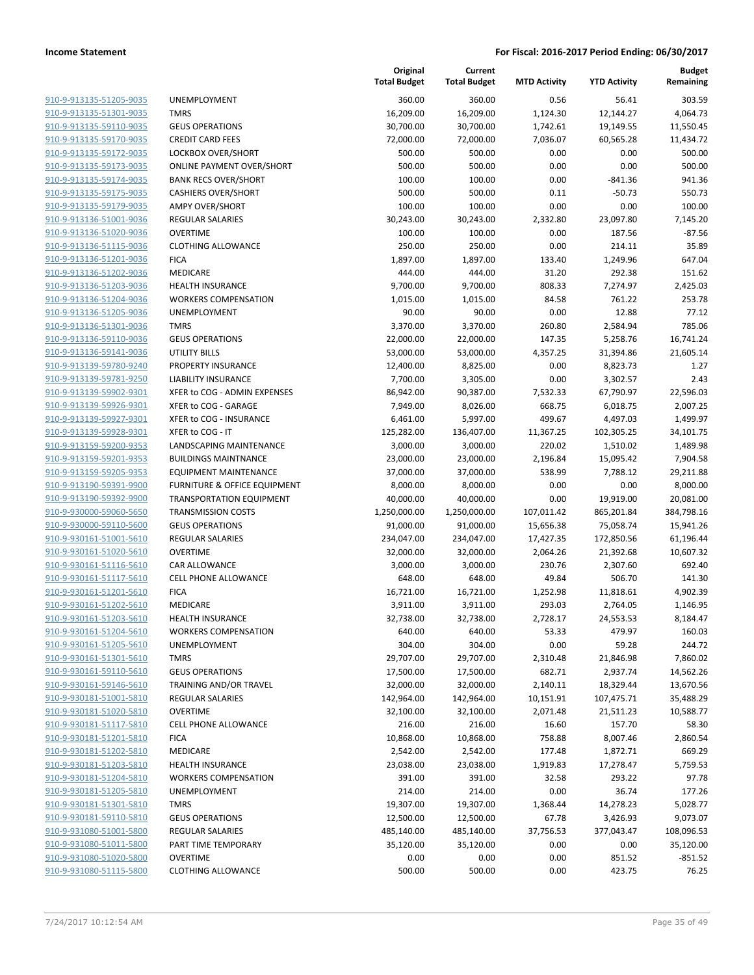| 910-9-913135-51205-9035                                          |
|------------------------------------------------------------------|
| 910-9-913135-51301-9035                                          |
| 910-9-913135-59110-9035                                          |
| 910-9-913135-59170-9035                                          |
| 910-9-913135-59172-9035                                          |
| 910-9-913135-59173-9035                                          |
| 910-9-913135-59174-9035                                          |
| 910-9-913135-59175-9035                                          |
| 910-9-913135-59179-9035                                          |
| 910-9-913136-51001-9036                                          |
| 910-9-913136-51020-9036                                          |
| 910-9-913136-51115-9036                                          |
| 910-9-913136-51201-9036                                          |
| 910-9-913136-51202-9036                                          |
| 910-9-913136-51203-9036                                          |
| 910-9-913136-51204-9036                                          |
| 910-9-913136-51205-9036                                          |
| 910-9-913136-51301-9036                                          |
|                                                                  |
| 910-9-913136-59110-9036                                          |
| 910-9-913136-59141-9036                                          |
| 910-9-913139-59780-9240                                          |
| 910-9-913139-59781-9250                                          |
| 910-9-913139-59902-9301                                          |
| 910-9-913139-59926-9301                                          |
| 910-9-913139-59927-9301                                          |
| 910-9-913139-59928-9301                                          |
| 910-9-913159-59200-9353                                          |
| 910-9-913159-59201-9353                                          |
| 910-9-913159-59205-9353                                          |
| 910-9-913190-59391-9900                                          |
| 910-9-913190-59392-9900                                          |
| 910-9-930000-59060-5650                                          |
| 910-9-930000-59110-5600                                          |
| 910-9-930161-51001-5610                                          |
| <u>910-9-930161-51020-5610</u>                                   |
|                                                                  |
| 910-9-930161-51116-5610                                          |
| 910-9-930161-51117-5610                                          |
| 910-9-930161-51201-5610                                          |
| 910-9-930161-51202-5610                                          |
| <u>910-9-930161-51203-5610</u>                                   |
| 910-9-930161-51204-5610                                          |
| <u>910-9-930161-51205-5610</u>                                   |
| 910-9-930161-51301-5610                                          |
| 910-9-930161-59110-5610                                          |
|                                                                  |
| 910-9-930161-59146-5610                                          |
| <u>910-9-930181-51001-5810</u>                                   |
| 910-9-930181-51020-5810                                          |
| <u>910-9-930181-51117-5810</u>                                   |
| <u>910-9-930181-51201-5810</u>                                   |
| <u>910-9-930181-51202-5810</u>                                   |
| <u>910-9-930181-51203-5810</u>                                   |
| 910-9-930181-51204-5810                                          |
| 910-9-930181-51205-5810                                          |
| 910-9-930181-51301-5810                                          |
| <u>910-9-930181-59110-5810</u>                                   |
| <u>910-9-931080-51001-5800</u>                                   |
| <u>910-9-931080-51011-5800</u>                                   |
| <u>910-9-931080-51020-5800</u><br><u>910-9-931080-51115-5800</u> |

|                                                    |                                    | Original<br><b>Total Budget</b> | Current<br><b>Total Budget</b> | <b>MTD Activity</b> | <b>YTD Activity</b>   | <b>Budget</b><br>Remaining |
|----------------------------------------------------|------------------------------------|---------------------------------|--------------------------------|---------------------|-----------------------|----------------------------|
| 910-9-913135-51205-9035                            | <b>UNEMPLOYMENT</b>                | 360.00                          | 360.00                         | 0.56                | 56.41                 | 303.59                     |
| 910-9-913135-51301-9035                            | <b>TMRS</b>                        | 16,209.00                       | 16,209.00                      | 1,124.30            | 12,144.27             | 4,064.73                   |
| 910-9-913135-59110-9035                            | <b>GEUS OPERATIONS</b>             | 30,700.00                       | 30,700.00                      | 1,742.61            | 19,149.55             | 11,550.45                  |
| 910-9-913135-59170-9035                            | <b>CREDIT CARD FEES</b>            | 72,000.00                       | 72,000.00                      | 7,036.07            | 60,565.28             | 11,434.72                  |
| 910-9-913135-59172-9035                            | LOCKBOX OVER/SHORT                 | 500.00                          | 500.00                         | 0.00                | 0.00                  | 500.00                     |
| 910-9-913135-59173-9035                            | <b>ONLINE PAYMENT OVER/SHORT</b>   | 500.00                          | 500.00                         | 0.00                | 0.00                  | 500.00                     |
| 910-9-913135-59174-9035                            | <b>BANK RECS OVER/SHORT</b>        | 100.00                          | 100.00                         | 0.00                | $-841.36$             | 941.36                     |
| 910-9-913135-59175-9035                            | <b>CASHIERS OVER/SHORT</b>         | 500.00                          | 500.00                         | 0.11                | $-50.73$              | 550.73                     |
| 910-9-913135-59179-9035                            | <b>AMPY OVER/SHORT</b>             | 100.00                          | 100.00                         | 0.00                | 0.00                  | 100.00                     |
| 910-9-913136-51001-9036                            | <b>REGULAR SALARIES</b>            | 30,243.00                       | 30,243.00                      | 2,332.80            | 23,097.80             | 7,145.20                   |
| 910-9-913136-51020-9036                            | <b>OVERTIME</b>                    | 100.00                          | 100.00                         | 0.00                | 187.56                | $-87.56$                   |
| 910-9-913136-51115-9036                            | <b>CLOTHING ALLOWANCE</b>          | 250.00                          | 250.00                         | 0.00                | 214.11                | 35.89                      |
| 910-9-913136-51201-9036                            | <b>FICA</b>                        | 1,897.00                        | 1,897.00                       | 133.40              | 1,249.96              | 647.04                     |
| 910-9-913136-51202-9036                            | MEDICARE                           | 444.00                          | 444.00                         | 31.20               | 292.38                | 151.62                     |
| 910-9-913136-51203-9036                            | <b>HEALTH INSURANCE</b>            | 9,700.00                        | 9,700.00                       | 808.33              | 7,274.97              | 2,425.03                   |
| 910-9-913136-51204-9036                            | <b>WORKERS COMPENSATION</b>        | 1,015.00                        | 1,015.00                       | 84.58               | 761.22                | 253.78                     |
| 910-9-913136-51205-9036                            | <b>UNEMPLOYMENT</b>                | 90.00                           | 90.00                          | 0.00                | 12.88                 | 77.12                      |
| 910-9-913136-51301-9036                            | <b>TMRS</b>                        | 3,370.00                        | 3,370.00                       | 260.80              | 2,584.94              | 785.06                     |
| 910-9-913136-59110-9036                            | <b>GEUS OPERATIONS</b>             | 22,000.00                       | 22,000.00                      | 147.35              | 5,258.76              | 16,741.24                  |
| 910-9-913136-59141-9036                            | UTILITY BILLS                      | 53,000.00                       | 53,000.00                      | 4,357.25            | 31,394.86             | 21,605.14                  |
| 910-9-913139-59780-9240                            | PROPERTY INSURANCE                 | 12,400.00                       | 8,825.00                       | 0.00                | 8,823.73              | 1.27                       |
| 910-9-913139-59781-9250                            | <b>LIABILITY INSURANCE</b>         | 7,700.00                        | 3,305.00                       | 0.00                | 3,302.57              | 2.43                       |
| 910-9-913139-59902-9301                            | XFER to COG - ADMIN EXPENSES       | 86,942.00                       | 90,387.00                      | 7,532.33            | 67,790.97             | 22,596.03                  |
| 910-9-913139-59926-9301                            | XFER to COG - GARAGE               | 7,949.00                        | 8,026.00                       | 668.75              | 6,018.75              | 2,007.25                   |
| 910-9-913139-59927-9301                            | XFER to COG - INSURANCE            | 6,461.00                        | 5,997.00                       | 499.67              | 4,497.03              | 1,499.97                   |
| 910-9-913139-59928-9301                            | XFER to COG - IT                   | 125,282.00                      | 136,407.00                     | 11,367.25           | 102,305.25            | 34,101.75                  |
| 910-9-913159-59200-9353                            | LANDSCAPING MAINTENANCE            | 3,000.00                        | 3,000.00                       | 220.02              | 1,510.02              | 1,489.98                   |
| 910-9-913159-59201-9353                            | <b>BUILDINGS MAINTNANCE</b>        | 23,000.00                       | 23,000.00                      | 2,196.84            | 15,095.42             | 7,904.58                   |
| 910-9-913159-59205-9353                            | <b>EQUIPMENT MAINTENANCE</b>       | 37,000.00                       | 37,000.00                      | 538.99              | 7,788.12              | 29,211.88                  |
| 910-9-913190-59391-9900                            | FURNITURE & OFFICE EQUIPMENT       | 8,000.00                        | 8,000.00                       | 0.00                | 0.00                  | 8,000.00                   |
| 910-9-913190-59392-9900                            | <b>TRANSPORTATION EQUIPMENT</b>    | 40,000.00                       | 40,000.00                      | 0.00                | 19,919.00             | 20,081.00                  |
| 910-9-930000-59060-5650                            | <b>TRANSMISSION COSTS</b>          | 1,250,000.00                    | 1,250,000.00                   | 107,011.42          | 865,201.84            | 384,798.16                 |
| 910-9-930000-59110-5600                            | <b>GEUS OPERATIONS</b>             | 91,000.00                       | 91,000.00                      | 15,656.38           | 75,058.74             | 15,941.26                  |
| 910-9-930161-51001-5610                            | <b>REGULAR SALARIES</b>            | 234,047.00                      | 234,047.00                     | 17,427.35           | 172,850.56            | 61,196.44                  |
| 910-9-930161-51020-5610                            | <b>OVERTIME</b>                    | 32,000.00                       | 32,000.00                      | 2,064.26            | 21,392.68             | 10,607.32                  |
| 910-9-930161-51116-5610                            | <b>CAR ALLOWANCE</b>               | 3,000.00                        | 3,000.00                       | 230.76              | 2,307.60              | 692.40                     |
| 910-9-930161-51117-5610                            | <b>CELL PHONE ALLOWANCE</b>        | 648.00                          | 648.00                         | 49.84               | 506.70                | 141.30                     |
| 910-9-930161-51201-5610                            | <b>FICA</b>                        | 16,721.00                       | 16,721.00                      | 1,252.98            | 11,818.61             | 4,902.39                   |
| 910-9-930161-51202-5610                            | MEDICARE                           | 3,911.00                        | 3,911.00                       | 293.03              | 2,764.05              | 1,146.95                   |
| 910-9-930161-51203-5610<br>910-9-930161-51204-5610 | <b>HEALTH INSURANCE</b>            | 32,738.00                       | 32,738.00                      | 2,728.17            | 24,553.53             | 8,184.47                   |
| 910-9-930161-51205-5610                            | <b>WORKERS COMPENSATION</b>        | 640.00                          | 640.00                         | 53.33               | 479.97                | 160.03                     |
| 910-9-930161-51301-5610                            | <b>UNEMPLOYMENT</b><br><b>TMRS</b> | 304.00<br>29,707.00             | 304.00                         | 0.00                | 59.28                 | 244.72<br>7,860.02         |
| 910-9-930161-59110-5610                            | <b>GEUS OPERATIONS</b>             | 17,500.00                       | 29,707.00<br>17,500.00         | 2,310.48<br>682.71  | 21,846.98<br>2,937.74 | 14,562.26                  |
| 910-9-930161-59146-5610                            | <b>TRAINING AND/OR TRAVEL</b>      | 32,000.00                       | 32,000.00                      | 2,140.11            | 18,329.44             | 13,670.56                  |
| 910-9-930181-51001-5810                            | <b>REGULAR SALARIES</b>            | 142,964.00                      | 142,964.00                     | 10,151.91           | 107,475.71            | 35,488.29                  |
| 910-9-930181-51020-5810                            | <b>OVERTIME</b>                    | 32,100.00                       | 32,100.00                      | 2,071.48            | 21,511.23             | 10,588.77                  |
| 910-9-930181-51117-5810                            | <b>CELL PHONE ALLOWANCE</b>        | 216.00                          | 216.00                         | 16.60               | 157.70                | 58.30                      |
| 910-9-930181-51201-5810                            | <b>FICA</b>                        | 10,868.00                       | 10,868.00                      | 758.88              | 8,007.46              | 2,860.54                   |
| 910-9-930181-51202-5810                            | MEDICARE                           | 2,542.00                        | 2,542.00                       | 177.48              | 1,872.71              | 669.29                     |
| 910-9-930181-51203-5810                            | <b>HEALTH INSURANCE</b>            | 23,038.00                       | 23,038.00                      | 1,919.83            | 17,278.47             | 5,759.53                   |
| 910-9-930181-51204-5810                            | <b>WORKERS COMPENSATION</b>        | 391.00                          | 391.00                         | 32.58               | 293.22                | 97.78                      |
| 910-9-930181-51205-5810                            | UNEMPLOYMENT                       | 214.00                          | 214.00                         | 0.00                | 36.74                 | 177.26                     |
| 910-9-930181-51301-5810                            | <b>TMRS</b>                        | 19,307.00                       | 19,307.00                      | 1,368.44            | 14,278.23             | 5,028.77                   |
| 910-9-930181-59110-5810                            | <b>GEUS OPERATIONS</b>             | 12,500.00                       | 12,500.00                      | 67.78               | 3,426.93              | 9,073.07                   |
| 910-9-931080-51001-5800                            | REGULAR SALARIES                   | 485,140.00                      | 485,140.00                     | 37,756.53           | 377,043.47            | 108,096.53                 |
| 910-9-931080-51011-5800                            | PART TIME TEMPORARY                | 35,120.00                       | 35,120.00                      | 0.00                | 0.00                  | 35,120.00                  |
| 910-9-931080-51020-5800                            | <b>OVERTIME</b>                    | 0.00                            | 0.00                           | 0.00                | 851.52                | $-851.52$                  |
| 910-9-931080-51115-5800                            | <b>CLOTHING ALLOWANCE</b>          | 500.00                          | 500.00                         | 0.00                | 423.75                | 76.25                      |
|                                                    |                                    |                                 |                                |                     |                       |                            |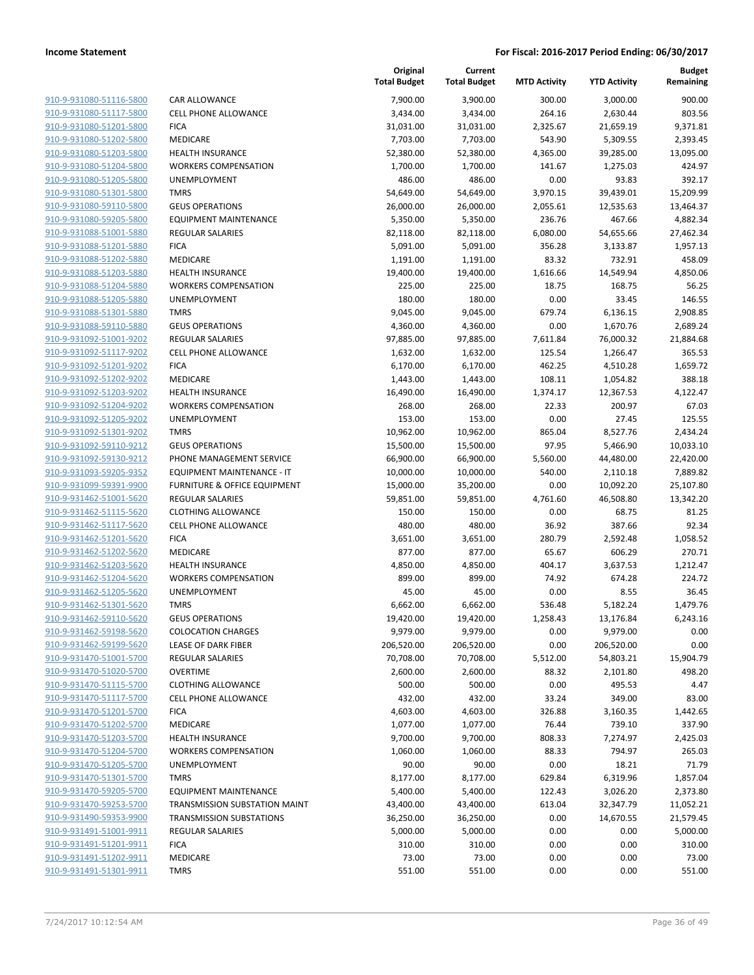| 910-9-931080-51116-5800                            |
|----------------------------------------------------|
| 910-9-931080-51117-5800                            |
| 910-9-931080-51201-5800                            |
| 910-9-931080-51202-5800                            |
| 910-9-931080-51203-5800                            |
| 910-9-931080-51204-5800                            |
| 910-9-931080-51205-5800                            |
| 910-9-931080-51301-5800                            |
| 910-9-931080-59110-5800                            |
| 910-9-931080-59205-5800                            |
| 910-9-931088-51001-5880                            |
| 910-9-931088-51201-5880                            |
| 910-9-931088-51202-5880                            |
| 910-9-931088-51203-5880                            |
| 910-9-931088-51204-5880                            |
| 910-9-931088-51205-5880                            |
|                                                    |
| 910-9-931088-51301-5880                            |
| 910-9-931088-59110-5880                            |
| 910-9-931092-51001-9202                            |
| 910-9-931092-51117-9202                            |
| 910-9-931092-51201-9202                            |
| 910-9-931092-51202-9202                            |
| 910-9-931092-51203-9202                            |
| 910-9-931092-51204-9202                            |
| 910-9-931092-51205-9202                            |
| 910-9-931092-51301-9202                            |
| 910-9-931092-59110-9212                            |
| 910-9-931092-59130-9212                            |
| 910-9-931093-59205-9352                            |
| 910-9-931099-59391-9900                            |
| 910-9-931462-51001-5620                            |
| 910-9-931462-51115-5620                            |
| 910-9-931462-51117-5620                            |
| 910-9-931462-51201-5620                            |
| 910-9-931462-51202-5620                            |
| 910-9-931462-51203-5620                            |
| 910-9-931462-51204-5620                            |
| 910-9-931462-51205-5620                            |
| 910-9-931462-51301-5620                            |
| 910-9-931462-59110-5620                            |
| 910-9-931462-59198-5620                            |
|                                                    |
| 910-9-931462-59199-5620<br>910-9-931470-51001-5700 |
|                                                    |
| 910-9-931470-51020-5700                            |
| 910-9-931470-51115-5700                            |
| 910-9-931470-51117-5700                            |
| 910-9-931470-51201-5700                            |
| 910-9-931470-51202-5700                            |
| 910-9-931470-51203-5700                            |
| 910-9-931470-51204-5700                            |
| 910-9-931470-51205-5700                            |
| 910-9-931470-51301-5700                            |
| 910-9-931470-59205-5700                            |
| 910-9-931470-59253-5700                            |
| 910-9-931490-59353-9900                            |
| 910-9-931491-51001-9911                            |
| 910-9-931491-51201-9911                            |
| 910-9-931491-51202-9911                            |
| 910-9-931491-51301-9911                            |
|                                                    |

|                         |                                 | Original<br><b>Total Budget</b> | Current<br><b>Total Budget</b> | <b>MTD Activity</b> | <b>YTD Activity</b> | <b>Budget</b><br>Remaining |
|-------------------------|---------------------------------|---------------------------------|--------------------------------|---------------------|---------------------|----------------------------|
| 910-9-931080-51116-5800 | <b>CAR ALLOWANCE</b>            | 7,900.00                        | 3,900.00                       | 300.00              | 3,000.00            | 900.00                     |
| 910-9-931080-51117-5800 | <b>CELL PHONE ALLOWANCE</b>     | 3,434.00                        | 3,434.00                       | 264.16              | 2,630.44            | 803.56                     |
| 910-9-931080-51201-5800 | <b>FICA</b>                     | 31,031.00                       | 31,031.00                      | 2,325.67            | 21,659.19           | 9,371.81                   |
| 910-9-931080-51202-5800 | MEDICARE                        | 7,703.00                        | 7,703.00                       | 543.90              | 5,309.55            | 2,393.45                   |
| 910-9-931080-51203-5800 | <b>HEALTH INSURANCE</b>         | 52,380.00                       | 52,380.00                      | 4,365.00            | 39,285.00           | 13,095.00                  |
| 910-9-931080-51204-5800 | <b>WORKERS COMPENSATION</b>     | 1,700.00                        | 1,700.00                       | 141.67              | 1,275.03            | 424.97                     |
| 910-9-931080-51205-5800 | UNEMPLOYMENT                    | 486.00                          | 486.00                         | 0.00                | 93.83               | 392.17                     |
| 910-9-931080-51301-5800 | <b>TMRS</b>                     | 54,649.00                       | 54,649.00                      | 3,970.15            | 39,439.01           | 15,209.99                  |
| 910-9-931080-59110-5800 | <b>GEUS OPERATIONS</b>          | 26,000.00                       | 26,000.00                      | 2,055.61            | 12,535.63           | 13,464.37                  |
| 910-9-931080-59205-5800 | <b>EQUIPMENT MAINTENANCE</b>    | 5,350.00                        | 5,350.00                       | 236.76              | 467.66              | 4,882.34                   |
| 910-9-931088-51001-5880 | <b>REGULAR SALARIES</b>         | 82,118.00                       | 82,118.00                      | 6,080.00            | 54,655.66           | 27,462.34                  |
| 910-9-931088-51201-5880 | <b>FICA</b>                     | 5,091.00                        | 5,091.00                       | 356.28              | 3,133.87            | 1,957.13                   |
| 910-9-931088-51202-5880 | MEDICARE                        | 1,191.00                        | 1,191.00                       | 83.32               | 732.91              | 458.09                     |
| 910-9-931088-51203-5880 | <b>HEALTH INSURANCE</b>         | 19,400.00                       | 19,400.00                      | 1,616.66            | 14,549.94           | 4,850.06                   |
| 910-9-931088-51204-5880 | <b>WORKERS COMPENSATION</b>     | 225.00                          | 225.00                         | 18.75               | 168.75              | 56.25                      |
| 910-9-931088-51205-5880 | UNEMPLOYMENT                    | 180.00                          | 180.00                         | 0.00                | 33.45               | 146.55                     |
| 910-9-931088-51301-5880 | <b>TMRS</b>                     | 9,045.00                        | 9,045.00                       | 679.74              | 6,136.15            | 2,908.85                   |
| 910-9-931088-59110-5880 | <b>GEUS OPERATIONS</b>          | 4,360.00                        | 4,360.00                       | 0.00                | 1,670.76            | 2,689.24                   |
| 910-9-931092-51001-9202 | <b>REGULAR SALARIES</b>         | 97,885.00                       | 97,885.00                      | 7,611.84            | 76,000.32           | 21,884.68                  |
| 910-9-931092-51117-9202 | CELL PHONE ALLOWANCE            | 1,632.00                        | 1,632.00                       | 125.54              | 1,266.47            | 365.53                     |
| 910-9-931092-51201-9202 | <b>FICA</b>                     | 6,170.00                        | 6,170.00                       | 462.25              | 4,510.28            | 1,659.72                   |
| 910-9-931092-51202-9202 | <b>MEDICARE</b>                 | 1,443.00                        | 1,443.00                       | 108.11              | 1,054.82            | 388.18                     |
| 910-9-931092-51203-9202 | <b>HEALTH INSURANCE</b>         | 16,490.00                       | 16,490.00                      | 1,374.17            | 12,367.53           | 4,122.47                   |
| 910-9-931092-51204-9202 | <b>WORKERS COMPENSATION</b>     | 268.00                          | 268.00                         | 22.33               | 200.97              | 67.03                      |
| 910-9-931092-51205-9202 | UNEMPLOYMENT                    | 153.00                          | 153.00                         | 0.00                | 27.45               | 125.55                     |
| 910-9-931092-51301-9202 | <b>TMRS</b>                     | 10,962.00                       | 10,962.00                      | 865.04              | 8,527.76            | 2,434.24                   |
| 910-9-931092-59110-9212 | <b>GEUS OPERATIONS</b>          | 15,500.00                       | 15,500.00                      | 97.95               | 5,466.90            | 10,033.10                  |
| 910-9-931092-59130-9212 | PHONE MANAGEMENT SERVICE        | 66,900.00                       | 66,900.00                      | 5,560.00            | 44,480.00           | 22,420.00                  |
| 910-9-931093-59205-9352 | EQUIPMENT MAINTENANCE - IT      | 10,000.00                       | 10,000.00                      | 540.00              | 2,110.18            | 7,889.82                   |
| 910-9-931099-59391-9900 | FURNITURE & OFFICE EQUIPMENT    | 15,000.00                       | 35,200.00                      | 0.00                | 10,092.20           | 25,107.80                  |
| 910-9-931462-51001-5620 | <b>REGULAR SALARIES</b>         | 59,851.00                       | 59,851.00                      | 4,761.60            | 46,508.80           | 13,342.20                  |
| 910-9-931462-51115-5620 | <b>CLOTHING ALLOWANCE</b>       | 150.00                          | 150.00                         | 0.00                | 68.75               | 81.25                      |
| 910-9-931462-51117-5620 | <b>CELL PHONE ALLOWANCE</b>     | 480.00                          | 480.00                         | 36.92               | 387.66              | 92.34                      |
| 910-9-931462-51201-5620 | <b>FICA</b>                     | 3,651.00                        | 3,651.00                       | 280.79              | 2,592.48            | 1,058.52                   |
| 910-9-931462-51202-5620 | MEDICARE                        | 877.00                          | 877.00                         | 65.67               | 606.29              | 270.71                     |
| 910-9-931462-51203-5620 | <b>HEALTH INSURANCE</b>         | 4,850.00                        | 4,850.00                       | 404.17              | 3,637.53            | 1,212.47                   |
| 910-9-931462-51204-5620 | <b>WORKERS COMPENSATION</b>     | 899.00                          | 899.00                         | 74.92               | 674.28              | 224.72                     |
| 910-9-931462-51205-5620 | UNEMPLOYMENT                    | 45.00                           | 45.00                          | 0.00                | 8.55                | 36.45                      |
| 910-9-931462-51301-5620 | <b>TMRS</b>                     | 6,662.00                        | 6,662.00                       | 536.48              | 5,182.24            | 1,479.76                   |
| 910-9-931462-59110-5620 | <b>GEUS OPERATIONS</b>          | 19,420.00                       | 19,420.00                      | 1,258.43            | 13,176.84           | 6,243.16                   |
| 910-9-931462-59198-5620 | <b>COLOCATION CHARGES</b>       | 9,979.00                        | 9,979.00                       | 0.00                | 9,979.00            | 0.00                       |
| 910-9-931462-59199-5620 | <b>LEASE OF DARK FIBER</b>      | 206,520.00                      | 206,520.00                     | 0.00                | 206,520.00          | 0.00                       |
| 910-9-931470-51001-5700 | <b>REGULAR SALARIES</b>         | 70,708.00                       | 70,708.00                      | 5,512.00            | 54,803.21           | 15,904.79                  |
| 910-9-931470-51020-5700 | <b>OVERTIME</b>                 | 2,600.00                        | 2,600.00                       | 88.32               | 2,101.80            | 498.20                     |
| 910-9-931470-51115-5700 | <b>CLOTHING ALLOWANCE</b>       | 500.00                          | 500.00                         | 0.00                | 495.53              | 4.47                       |
| 910-9-931470-51117-5700 | <b>CELL PHONE ALLOWANCE</b>     | 432.00                          | 432.00                         | 33.24               | 349.00              | 83.00                      |
| 910-9-931470-51201-5700 | <b>FICA</b>                     | 4,603.00                        | 4,603.00                       | 326.88              | 3,160.35            | 1,442.65                   |
| 910-9-931470-51202-5700 | MEDICARE                        | 1,077.00                        | 1,077.00                       | 76.44               | 739.10              | 337.90                     |
| 910-9-931470-51203-5700 | <b>HEALTH INSURANCE</b>         | 9,700.00                        | 9,700.00                       | 808.33              | 7,274.97            | 2,425.03                   |
| 910-9-931470-51204-5700 | <b>WORKERS COMPENSATION</b>     | 1,060.00                        | 1,060.00                       | 88.33               | 794.97              | 265.03                     |
| 910-9-931470-51205-5700 | UNEMPLOYMENT                    | 90.00                           | 90.00                          | 0.00                | 18.21               | 71.79                      |
| 910-9-931470-51301-5700 | <b>TMRS</b>                     | 8,177.00                        | 8,177.00                       | 629.84              | 6,319.96            | 1,857.04                   |
| 910-9-931470-59205-5700 | <b>EQUIPMENT MAINTENANCE</b>    | 5,400.00                        | 5,400.00                       | 122.43              | 3,026.20            | 2,373.80                   |
| 910-9-931470-59253-5700 | TRANSMISSION SUBSTATION MAINT   | 43,400.00                       | 43,400.00                      | 613.04              | 32,347.79           | 11,052.21                  |
| 910-9-931490-59353-9900 | <b>TRANSMISSION SUBSTATIONS</b> | 36,250.00                       | 36,250.00                      | 0.00                | 14,670.55           | 21,579.45                  |
| 910-9-931491-51001-9911 | <b>REGULAR SALARIES</b>         | 5,000.00                        | 5,000.00                       | 0.00                | 0.00                | 5,000.00                   |
| 910-9-931491-51201-9911 | <b>FICA</b>                     | 310.00                          | 310.00                         | 0.00                | 0.00                | 310.00                     |
| 910-9-931491-51202-9911 | MEDICARE                        | 73.00                           | 73.00                          | 0.00                | 0.00                | 73.00                      |
| 910-9-931491-51301-9911 | <b>TMRS</b>                     | 551.00                          | 551.00                         | 0.00                | 0.00                | 551.00                     |
|                         |                                 |                                 |                                |                     |                     |                            |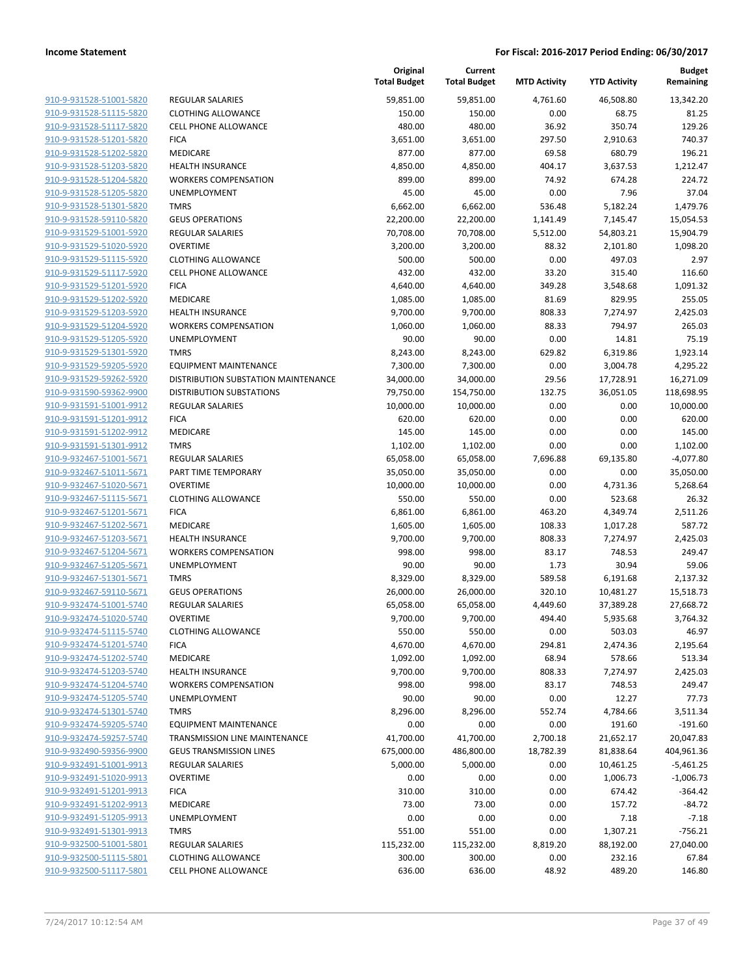|                                                    |                                                        | Original<br><b>Total Budget</b> | Current<br><b>Total Budget</b> | <b>MTD Activity</b> | <b>YTD Activity</b> | Budget<br>Remaining |
|----------------------------------------------------|--------------------------------------------------------|---------------------------------|--------------------------------|---------------------|---------------------|---------------------|
| 910-9-931528-51001-5820                            | <b>REGULAR SALARIES</b>                                | 59,851.00                       | 59,851.00                      | 4,761.60            | 46,508.80           | 13,342.20           |
| 910-9-931528-51115-5820                            | <b>CLOTHING ALLOWANCE</b>                              | 150.00                          | 150.00                         | 0.00                | 68.75               | 81.25               |
| 910-9-931528-51117-5820                            | <b>CELL PHONE ALLOWANCE</b>                            | 480.00                          | 480.00                         | 36.92               | 350.74              | 129.26              |
| 910-9-931528-51201-5820                            | <b>FICA</b>                                            | 3,651.00                        | 3,651.00                       | 297.50              | 2,910.63            | 740.37              |
| 910-9-931528-51202-5820                            | MEDICARE                                               | 877.00                          | 877.00                         | 69.58               | 680.79              | 196.21              |
| 910-9-931528-51203-5820                            | <b>HEALTH INSURANCE</b>                                | 4,850.00                        | 4,850.00                       | 404.17              | 3,637.53            | 1,212.47            |
| 910-9-931528-51204-5820                            | <b>WORKERS COMPENSATION</b>                            | 899.00                          | 899.00                         | 74.92               | 674.28              | 224.72              |
| 910-9-931528-51205-5820                            | UNEMPLOYMENT                                           | 45.00                           | 45.00                          | 0.00                | 7.96                | 37.04               |
| 910-9-931528-51301-5820                            | <b>TMRS</b>                                            | 6,662.00                        | 6,662.00                       | 536.48              | 5,182.24            | 1,479.76            |
| 910-9-931528-59110-5820                            | <b>GEUS OPERATIONS</b>                                 | 22,200.00                       | 22,200.00                      | 1,141.49            | 7,145.47            | 15,054.53           |
| 910-9-931529-51001-5920                            | <b>REGULAR SALARIES</b>                                | 70,708.00                       | 70,708.00                      | 5,512.00            | 54,803.21           | 15,904.79           |
| 910-9-931529-51020-5920                            | <b>OVERTIME</b>                                        | 3,200.00                        | 3,200.00                       | 88.32               | 2,101.80            | 1,098.20            |
| 910-9-931529-51115-5920                            | <b>CLOTHING ALLOWANCE</b>                              | 500.00                          | 500.00                         | 0.00                | 497.03              | 2.97                |
| 910-9-931529-51117-5920                            | <b>CELL PHONE ALLOWANCE</b>                            | 432.00                          | 432.00                         | 33.20               | 315.40              | 116.60              |
| 910-9-931529-51201-5920                            | <b>FICA</b>                                            | 4,640.00                        | 4,640.00                       | 349.28              | 3,548.68            | 1,091.32            |
| 910-9-931529-51202-5920<br>910-9-931529-51203-5920 | MEDICARE                                               | 1,085.00                        | 1,085.00                       | 81.69               | 829.95              | 255.05              |
| 910-9-931529-51204-5920                            | <b>HEALTH INSURANCE</b><br><b>WORKERS COMPENSATION</b> | 9,700.00                        | 9,700.00                       | 808.33<br>88.33     | 7,274.97<br>794.97  | 2,425.03<br>265.03  |
| 910-9-931529-51205-5920                            | UNEMPLOYMENT                                           | 1,060.00<br>90.00               | 1,060.00<br>90.00              | 0.00                | 14.81               | 75.19               |
| 910-9-931529-51301-5920                            | <b>TMRS</b>                                            | 8,243.00                        | 8,243.00                       | 629.82              | 6,319.86            | 1,923.14            |
| 910-9-931529-59205-5920                            | EQUIPMENT MAINTENANCE                                  | 7,300.00                        | 7,300.00                       | 0.00                | 3,004.78            | 4,295.22            |
| 910-9-931529-59262-5920                            | DISTRIBUTION SUBSTATION MAINTENANCE                    | 34,000.00                       | 34,000.00                      | 29.56               | 17,728.91           | 16,271.09           |
| 910-9-931590-59362-9900                            | <b>DISTRIBUTION SUBSTATIONS</b>                        | 79,750.00                       | 154,750.00                     | 132.75              | 36,051.05           | 118,698.95          |
| 910-9-931591-51001-9912                            | <b>REGULAR SALARIES</b>                                | 10,000.00                       | 10,000.00                      | 0.00                | 0.00                | 10,000.00           |
| 910-9-931591-51201-9912                            | <b>FICA</b>                                            | 620.00                          | 620.00                         | 0.00                | 0.00                | 620.00              |
| 910-9-931591-51202-9912                            | MEDICARE                                               | 145.00                          | 145.00                         | 0.00                | 0.00                | 145.00              |
| 910-9-931591-51301-9912                            | <b>TMRS</b>                                            | 1,102.00                        | 1,102.00                       | 0.00                | 0.00                | 1,102.00            |
| 910-9-932467-51001-5671                            | <b>REGULAR SALARIES</b>                                | 65,058.00                       | 65,058.00                      | 7,696.88            | 69,135.80           | $-4,077.80$         |
| 910-9-932467-51011-5671                            | PART TIME TEMPORARY                                    | 35,050.00                       | 35,050.00                      | 0.00                | 0.00                | 35,050.00           |
| 910-9-932467-51020-5671                            | <b>OVERTIME</b>                                        | 10,000.00                       | 10,000.00                      | 0.00                | 4,731.36            | 5,268.64            |
| 910-9-932467-51115-5671                            | <b>CLOTHING ALLOWANCE</b>                              | 550.00                          | 550.00                         | 0.00                | 523.68              | 26.32               |
| 910-9-932467-51201-5671                            | <b>FICA</b>                                            | 6,861.00                        | 6,861.00                       | 463.20              | 4,349.74            | 2,511.26            |
| 910-9-932467-51202-5671                            | MEDICARE                                               | 1,605.00                        | 1,605.00                       | 108.33              | 1,017.28            | 587.72              |
| 910-9-932467-51203-5671                            | <b>HEALTH INSURANCE</b>                                | 9,700.00                        | 9,700.00                       | 808.33              | 7,274.97            | 2,425.03            |
| 910-9-932467-51204-5671                            | <b>WORKERS COMPENSATION</b>                            | 998.00                          | 998.00                         | 83.17               | 748.53              | 249.47              |
| 910-9-932467-51205-5671                            | UNEMPLOYMENT                                           | 90.00                           | 90.00                          | 1.73                | 30.94               | 59.06               |
| 910-9-932467-51301-5671                            | <b>TMRS</b>                                            | 8,329.00                        | 8,329.00                       | 589.58              | 6,191.68            | 2,137.32            |
| 910-9-932467-59110-5671                            | <b>GEUS OPERATIONS</b>                                 | 26,000.00                       | 26,000.00                      | 320.10              | 10,481.27           | 15,518.73           |
| 910-9-932474-51001-5740                            | <b>REGULAR SALARIES</b>                                | 65,058.00                       | 65,058.00                      | 4,449.60            | 37,389.28           | 27,668.72           |
| 910-9-932474-51020-5740                            | <b>OVERTIME</b>                                        | 9,700.00                        | 9,700.00                       | 494.40              | 5,935.68            | 3,764.32            |
| 910-9-932474-51115-5740                            | <b>CLOTHING ALLOWANCE</b>                              | 550.00                          | 550.00                         | 0.00                | 503.03              | 46.97               |
| 910-9-932474-51201-5740                            | <b>FICA</b>                                            | 4,670.00                        | 4,670.00                       | 294.81              | 2,474.36            | 2,195.64            |
| 910-9-932474-51202-5740                            | MEDICARE                                               | 1,092.00                        | 1,092.00                       | 68.94               | 578.66              | 513.34              |
| 910-9-932474-51203-5740                            | <b>HEALTH INSURANCE</b>                                | 9,700.00                        | 9,700.00                       | 808.33              | 7,274.97            | 2,425.03            |
| 910-9-932474-51204-5740                            | <b>WORKERS COMPENSATION</b>                            | 998.00                          | 998.00                         | 83.17               | 748.53              | 249.47              |
| 910-9-932474-51205-5740                            | <b>UNEMPLOYMENT</b>                                    | 90.00                           | 90.00                          | 0.00                | 12.27               | 77.73               |
| 910-9-932474-51301-5740                            | <b>TMRS</b>                                            | 8,296.00                        | 8,296.00                       | 552.74              | 4,784.66            | 3,511.34            |
| 910-9-932474-59205-5740                            | <b>EQUIPMENT MAINTENANCE</b>                           | 0.00                            | 0.00                           | 0.00                | 191.60              | $-191.60$           |
| 910-9-932474-59257-5740                            | TRANSMISSION LINE MAINTENANCE                          | 41,700.00                       | 41,700.00                      | 2,700.18            | 21,652.17           | 20,047.83           |
| 910-9-932490-59356-9900                            | <b>GEUS TRANSMISSION LINES</b>                         | 675,000.00                      | 486,800.00                     | 18,782.39           | 81,838.64           | 404,961.36          |
| 910-9-932491-51001-9913                            | <b>REGULAR SALARIES</b>                                | 5,000.00                        | 5,000.00                       | 0.00                | 10,461.25           | $-5,461.25$         |
| 910-9-932491-51020-9913                            | <b>OVERTIME</b>                                        | 0.00                            | 0.00                           | 0.00                | 1,006.73            | $-1,006.73$         |
| 910-9-932491-51201-9913                            | <b>FICA</b>                                            | 310.00                          | 310.00                         | 0.00                | 674.42              | $-364.42$           |
| 910-9-932491-51202-9913                            | MEDICARE                                               | 73.00                           | 73.00                          | 0.00                | 157.72              | $-84.72$            |
| 910-9-932491-51205-9913                            | UNEMPLOYMENT                                           | 0.00                            | 0.00                           | 0.00                | 7.18                | $-7.18$             |
| 910-9-932491-51301-9913                            | <b>TMRS</b>                                            | 551.00                          | 551.00                         | 0.00                | 1,307.21            | $-756.21$           |
| 910-9-932500-51001-5801                            | <b>REGULAR SALARIES</b>                                | 115,232.00                      | 115,232.00                     | 8,819.20            | 88,192.00           | 27,040.00           |
| 910-9-932500-51115-5801                            | <b>CLOTHING ALLOWANCE</b>                              | 300.00                          | 300.00                         | 0.00                | 232.16              | 67.84               |
| 910-9-932500-51117-5801                            | <b>CELL PHONE ALLOWANCE</b>                            | 636.00                          | 636.00                         | 48.92               | 489.20              | 146.80              |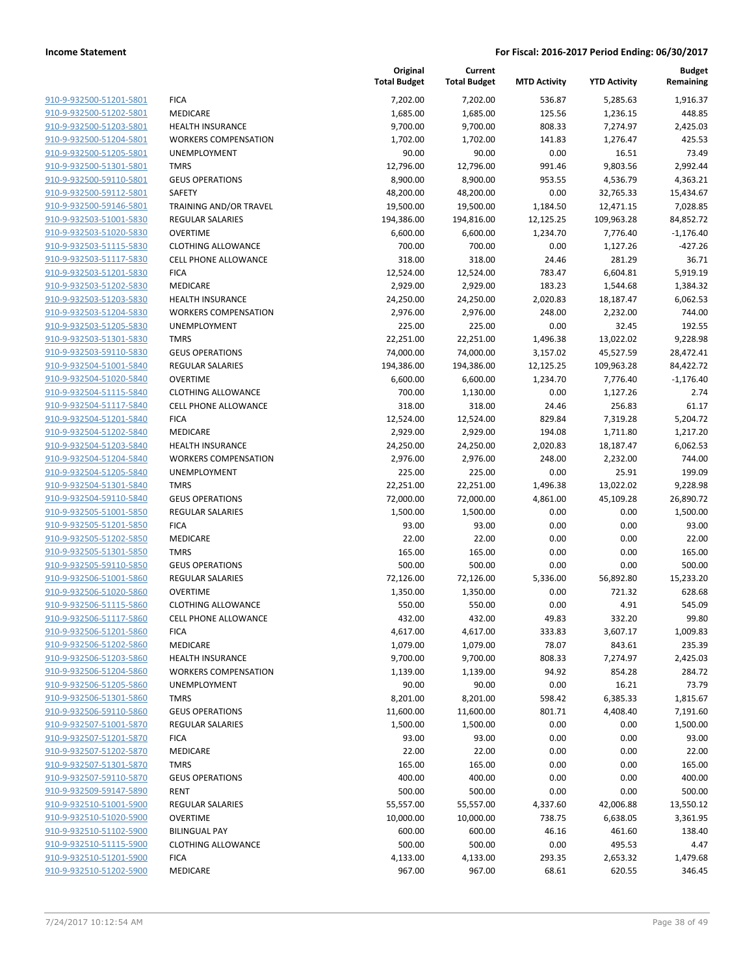|                         |                               | Original<br><b>Total Budget</b> | Current<br><b>Total Budget</b> | <b>MTD Activity</b> | <b>YTD Activity</b> | <b>Budget</b><br>Remaining |
|-------------------------|-------------------------------|---------------------------------|--------------------------------|---------------------|---------------------|----------------------------|
| 910-9-932500-51201-5801 | <b>FICA</b>                   | 7,202.00                        | 7,202.00                       | 536.87              | 5,285.63            | 1,916.37                   |
| 910-9-932500-51202-5801 | MEDICARE                      | 1,685.00                        | 1,685.00                       | 125.56              | 1,236.15            | 448.85                     |
| 910-9-932500-51203-5801 | <b>HEALTH INSURANCE</b>       | 9,700.00                        | 9,700.00                       | 808.33              | 7,274.97            | 2,425.03                   |
| 910-9-932500-51204-5801 | <b>WORKERS COMPENSATION</b>   | 1,702.00                        | 1,702.00                       | 141.83              | 1,276.47            | 425.53                     |
| 910-9-932500-51205-5801 | UNEMPLOYMENT                  | 90.00                           | 90.00                          | 0.00                | 16.51               | 73.49                      |
| 910-9-932500-51301-5801 | <b>TMRS</b>                   | 12,796.00                       | 12,796.00                      | 991.46              | 9,803.56            | 2,992.44                   |
| 910-9-932500-59110-5801 | <b>GEUS OPERATIONS</b>        | 8,900.00                        | 8,900.00                       | 953.55              | 4,536.79            | 4,363.21                   |
| 910-9-932500-59112-5801 | <b>SAFETY</b>                 | 48,200.00                       | 48,200.00                      | 0.00                | 32,765.33           | 15,434.67                  |
| 910-9-932500-59146-5801 | <b>TRAINING AND/OR TRAVEL</b> | 19,500.00                       | 19,500.00                      | 1,184.50            | 12,471.15           | 7,028.85                   |
| 910-9-932503-51001-5830 | REGULAR SALARIES              | 194,386.00                      | 194,816.00                     | 12,125.25           | 109,963.28          | 84,852.72                  |
| 910-9-932503-51020-5830 | <b>OVERTIME</b>               | 6,600.00                        | 6,600.00                       | 1,234.70            | 7,776.40            | $-1,176.40$                |
| 910-9-932503-51115-5830 | <b>CLOTHING ALLOWANCE</b>     | 700.00                          | 700.00                         | 0.00                | 1,127.26            | $-427.26$                  |
| 910-9-932503-51117-5830 | <b>CELL PHONE ALLOWANCE</b>   | 318.00                          | 318.00                         | 24.46               | 281.29              | 36.71                      |
| 910-9-932503-51201-5830 | <b>FICA</b>                   | 12,524.00                       | 12,524.00                      | 783.47              | 6,604.81            | 5,919.19                   |
| 910-9-932503-51202-5830 | MEDICARE                      | 2,929.00                        | 2,929.00                       | 183.23              | 1,544.68            | 1,384.32                   |
| 910-9-932503-51203-5830 | <b>HEALTH INSURANCE</b>       | 24,250.00                       | 24,250.00                      | 2,020.83            | 18,187.47           | 6,062.53                   |
| 910-9-932503-51204-5830 | <b>WORKERS COMPENSATION</b>   | 2,976.00                        | 2,976.00                       | 248.00              | 2,232.00            | 744.00                     |
| 910-9-932503-51205-5830 | UNEMPLOYMENT                  | 225.00                          | 225.00                         | 0.00                | 32.45               | 192.55                     |
| 910-9-932503-51301-5830 | <b>TMRS</b>                   | 22,251.00                       | 22,251.00                      | 1,496.38            | 13,022.02           | 9,228.98                   |
| 910-9-932503-59110-5830 | <b>GEUS OPERATIONS</b>        | 74,000.00                       | 74,000.00                      | 3,157.02            | 45,527.59           | 28,472.41                  |
| 910-9-932504-51001-5840 | <b>REGULAR SALARIES</b>       | 194,386.00                      | 194,386.00                     | 12,125.25           | 109,963.28          | 84,422.72                  |
| 910-9-932504-51020-5840 | <b>OVERTIME</b>               | 6,600.00                        | 6,600.00                       | 1,234.70            | 7,776.40            | $-1,176.40$                |
| 910-9-932504-51115-5840 | <b>CLOTHING ALLOWANCE</b>     | 700.00                          | 1,130.00                       | 0.00                | 1,127.26            | 2.74                       |
| 910-9-932504-51117-5840 | <b>CELL PHONE ALLOWANCE</b>   | 318.00                          | 318.00                         | 24.46               | 256.83              | 61.17                      |
| 910-9-932504-51201-5840 | <b>FICA</b>                   | 12,524.00                       | 12,524.00                      | 829.84              | 7,319.28            | 5,204.72                   |
| 910-9-932504-51202-5840 | MEDICARE                      | 2,929.00                        | 2,929.00                       | 194.08              | 1,711.80            | 1,217.20                   |
| 910-9-932504-51203-5840 | <b>HEALTH INSURANCE</b>       | 24,250.00                       | 24,250.00                      | 2,020.83            | 18,187.47           | 6,062.53                   |
| 910-9-932504-51204-5840 | <b>WORKERS COMPENSATION</b>   | 2,976.00                        | 2,976.00                       | 248.00              | 2,232.00            | 744.00                     |
| 910-9-932504-51205-5840 | UNEMPLOYMENT                  | 225.00                          | 225.00                         | 0.00                | 25.91               | 199.09                     |
| 910-9-932504-51301-5840 | <b>TMRS</b>                   | 22,251.00                       | 22,251.00                      | 1,496.38            | 13,022.02           | 9,228.98                   |
| 910-9-932504-59110-5840 | <b>GEUS OPERATIONS</b>        | 72,000.00                       | 72,000.00                      | 4,861.00            | 45,109.28           | 26,890.72                  |
| 910-9-932505-51001-5850 | <b>REGULAR SALARIES</b>       | 1,500.00                        | 1,500.00                       | 0.00                | 0.00                | 1,500.00                   |
| 910-9-932505-51201-5850 | <b>FICA</b>                   | 93.00                           | 93.00                          | 0.00                | 0.00                | 93.00                      |
| 910-9-932505-51202-5850 | <b>MEDICARE</b>               | 22.00                           | 22.00                          | 0.00                | 0.00                | 22.00                      |
| 910-9-932505-51301-5850 | <b>TMRS</b>                   | 165.00                          | 165.00                         | 0.00                | 0.00                | 165.00                     |
| 910-9-932505-59110-5850 | <b>GEUS OPERATIONS</b>        | 500.00                          | 500.00                         | 0.00                | 0.00                | 500.00                     |
| 910-9-932506-51001-5860 | <b>REGULAR SALARIES</b>       | 72,126.00                       | 72,126.00                      | 5,336.00            | 56,892.80           | 15,233.20                  |
| 910-9-932506-51020-5860 | <b>OVERTIME</b>               | 1,350.00                        | 1,350.00                       | 0.00                | 721.32              | 628.68                     |
| 910-9-932506-51115-5860 | <b>CLOTHING ALLOWANCE</b>     | 550.00                          | 550.00                         | 0.00                | 4.91                | 545.09                     |
| 910-9-932506-51117-5860 | <b>CELL PHONE ALLOWANCE</b>   | 432.00                          | 432.00                         | 49.83               | 332.20              | 99.80                      |
| 910-9-932506-51201-5860 | <b>FICA</b>                   | 4,617.00                        | 4,617.00                       | 333.83              | 3,607.17            | 1,009.83                   |
| 910-9-932506-51202-5860 | MEDICARE                      | 1,079.00                        | 1,079.00                       | 78.07               | 843.61              | 235.39                     |
| 910-9-932506-51203-5860 | <b>HEALTH INSURANCE</b>       | 9,700.00                        | 9,700.00                       | 808.33              | 7,274.97            | 2,425.03                   |
| 910-9-932506-51204-5860 | <b>WORKERS COMPENSATION</b>   | 1,139.00                        | 1,139.00                       | 94.92               | 854.28              | 284.72                     |
| 910-9-932506-51205-5860 | <b>UNEMPLOYMENT</b>           | 90.00                           | 90.00                          | 0.00                | 16.21               | 73.79                      |
| 910-9-932506-51301-5860 | <b>TMRS</b>                   | 8,201.00                        | 8,201.00                       | 598.42              | 6,385.33            | 1,815.67                   |
| 910-9-932506-59110-5860 | <b>GEUS OPERATIONS</b>        | 11,600.00                       | 11,600.00                      | 801.71              | 4,408.40            | 7,191.60                   |
| 910-9-932507-51001-5870 | <b>REGULAR SALARIES</b>       | 1,500.00                        | 1,500.00                       | 0.00                | 0.00                | 1,500.00                   |
| 910-9-932507-51201-5870 | <b>FICA</b>                   | 93.00                           | 93.00                          | 0.00                | 0.00                | 93.00                      |
| 910-9-932507-51202-5870 | MEDICARE                      | 22.00                           | 22.00                          | 0.00                | 0.00                | 22.00                      |
| 910-9-932507-51301-5870 | <b>TMRS</b>                   | 165.00                          | 165.00                         | 0.00                | 0.00                | 165.00                     |
| 910-9-932507-59110-5870 | <b>GEUS OPERATIONS</b>        | 400.00                          | 400.00                         | 0.00                | 0.00                | 400.00                     |
| 910-9-932509-59147-5890 | <b>RENT</b>                   | 500.00                          | 500.00                         | 0.00                | 0.00                | 500.00                     |
| 910-9-932510-51001-5900 | <b>REGULAR SALARIES</b>       | 55,557.00                       | 55,557.00                      | 4,337.60            | 42,006.88           | 13,550.12                  |
| 910-9-932510-51020-5900 | <b>OVERTIME</b>               | 10,000.00                       | 10,000.00                      | 738.75              | 6,638.05            | 3,361.95                   |
| 910-9-932510-51102-5900 | <b>BILINGUAL PAY</b>          | 600.00                          | 600.00                         | 46.16               | 461.60              | 138.40                     |
| 910-9-932510-51115-5900 | <b>CLOTHING ALLOWANCE</b>     | 500.00                          | 500.00                         | 0.00                | 495.53              | 4.47                       |
| 910-9-932510-51201-5900 | <b>FICA</b>                   | 4,133.00                        | 4,133.00                       | 293.35              | 2,653.32            | 1,479.68                   |
| 910-9-932510-51202-5900 | MEDICARE                      | 967.00                          | 967.00                         | 68.61               | 620.55              | 346.45                     |
|                         |                               |                                 |                                |                     |                     |                            |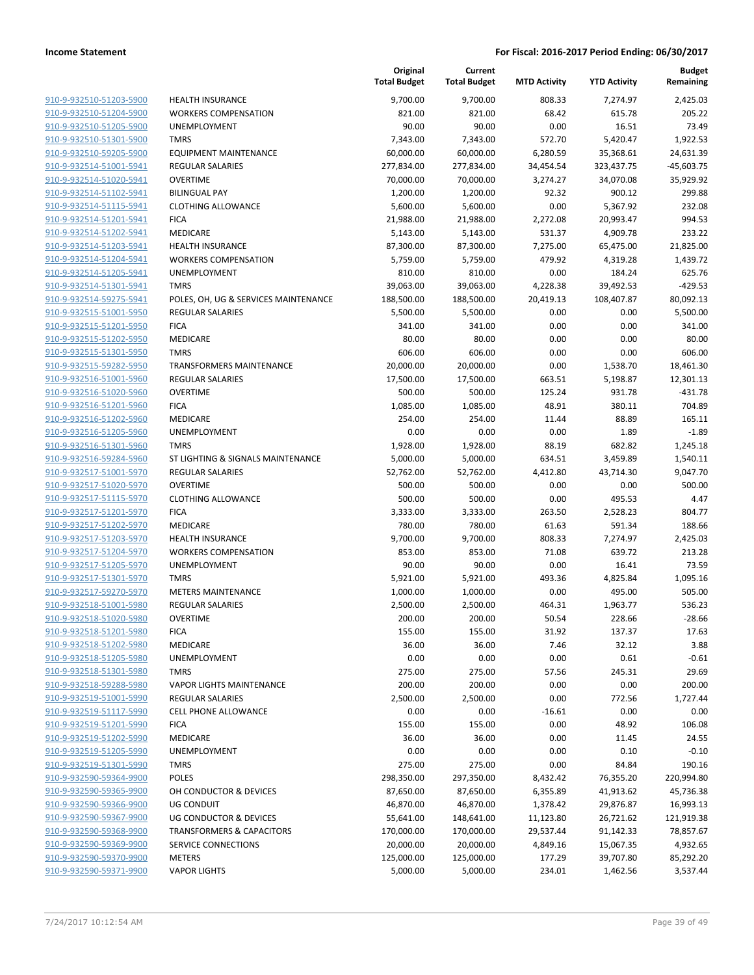|                                                    |                                                 | Original<br><b>Total Budget</b> | Current<br><b>Total Budget</b> | <b>MTD Activity</b> | <b>YTD Activity</b> | <b>Budget</b><br>Remaining |
|----------------------------------------------------|-------------------------------------------------|---------------------------------|--------------------------------|---------------------|---------------------|----------------------------|
| 910-9-932510-51203-5900                            | <b>HEALTH INSURANCE</b>                         | 9,700.00                        | 9,700.00                       | 808.33              | 7,274.97            | 2,425.03                   |
| 910-9-932510-51204-5900                            | <b>WORKERS COMPENSATION</b>                     | 821.00                          | 821.00                         | 68.42               | 615.78              | 205.22                     |
| 910-9-932510-51205-5900                            | UNEMPLOYMENT                                    | 90.00                           | 90.00                          | 0.00                | 16.51               | 73.49                      |
| 910-9-932510-51301-5900                            | <b>TMRS</b>                                     | 7,343.00                        | 7,343.00                       | 572.70              | 5,420.47            | 1.922.53                   |
| 910-9-932510-59205-5900                            | <b>EQUIPMENT MAINTENANCE</b>                    | 60,000.00                       | 60,000.00                      | 6,280.59            | 35,368.61           | 24,631.39                  |
| 910-9-932514-51001-5941                            | <b>REGULAR SALARIES</b>                         | 277,834.00                      | 277,834.00                     | 34,454.54           | 323,437.75          | $-45,603.75$               |
| 910-9-932514-51020-5941                            | <b>OVERTIME</b>                                 | 70,000.00                       | 70,000.00                      | 3,274.27            | 34,070.08           | 35,929.92                  |
| 910-9-932514-51102-5941                            | <b>BILINGUAL PAY</b>                            | 1,200.00                        | 1,200.00                       | 92.32               | 900.12              | 299.88                     |
| 910-9-932514-51115-5941                            | <b>CLOTHING ALLOWANCE</b>                       | 5,600.00                        | 5,600.00                       | 0.00                | 5,367.92            | 232.08                     |
| 910-9-932514-51201-5941                            | <b>FICA</b>                                     | 21,988.00                       | 21,988.00                      | 2,272.08            | 20,993.47           | 994.53                     |
| 910-9-932514-51202-5941                            | MEDICARE                                        | 5,143.00                        | 5,143.00                       | 531.37              | 4,909.78            | 233.22                     |
| 910-9-932514-51203-5941                            | HEALTH INSURANCE                                | 87,300.00                       | 87,300.00                      | 7,275.00            | 65,475.00           | 21,825.00                  |
| 910-9-932514-51204-5941                            | <b>WORKERS COMPENSATION</b>                     | 5,759.00                        | 5,759.00                       | 479.92              | 4,319.28            | 1,439.72                   |
| 910-9-932514-51205-5941                            | UNEMPLOYMENT                                    | 810.00                          | 810.00                         | 0.00                | 184.24              | 625.76                     |
| 910-9-932514-51301-5941                            | <b>TMRS</b>                                     | 39,063.00                       | 39,063.00                      | 4,228.38            | 39,492.53           | $-429.53$                  |
| 910-9-932514-59275-5941                            | POLES, OH, UG & SERVICES MAINTENANCE            | 188,500.00                      | 188,500.00                     | 20,419.13           | 108,407.87          | 80,092.13                  |
| 910-9-932515-51001-5950                            | <b>REGULAR SALARIES</b>                         | 5,500.00                        | 5,500.00                       | 0.00                | 0.00                | 5,500.00                   |
| 910-9-932515-51201-5950                            | <b>FICA</b>                                     | 341.00                          | 341.00                         | 0.00                | 0.00                | 341.00                     |
| 910-9-932515-51202-5950                            | MEDICARE                                        | 80.00                           | 80.00                          | 0.00                | 0.00                | 80.00                      |
| 910-9-932515-51301-5950                            | <b>TMRS</b>                                     | 606.00                          | 606.00                         | 0.00                | 0.00                | 606.00                     |
| 910-9-932515-59282-5950                            | <b>TRANSFORMERS MAINTENANCE</b>                 | 20,000.00                       | 20,000.00                      | 0.00                | 1,538.70            | 18,461.30                  |
| 910-9-932516-51001-5960                            | <b>REGULAR SALARIES</b>                         | 17,500.00                       | 17,500.00                      | 663.51              | 5,198.87            | 12,301.13                  |
| 910-9-932516-51020-5960                            | <b>OVERTIME</b>                                 | 500.00                          | 500.00                         | 125.24              | 931.78              | $-431.78$                  |
| 910-9-932516-51201-5960                            | <b>FICA</b>                                     | 1,085.00                        | 1,085.00                       | 48.91               | 380.11              | 704.89                     |
| 910-9-932516-51202-5960                            | MEDICARE                                        | 254.00                          | 254.00                         | 11.44               | 88.89               | 165.11                     |
| 910-9-932516-51205-5960                            | UNEMPLOYMENT                                    | 0.00                            | 0.00                           | 0.00                | 1.89                | $-1.89$                    |
| 910-9-932516-51301-5960                            | <b>TMRS</b>                                     | 1,928.00                        | 1,928.00                       | 88.19               | 682.82              | 1,245.18                   |
| 910-9-932516-59284-5960                            | ST LIGHTING & SIGNALS MAINTENANCE               | 5,000.00                        | 5,000.00                       | 634.51              | 3,459.89            | 1,540.11                   |
| 910-9-932517-51001-5970                            | <b>REGULAR SALARIES</b>                         | 52,762.00                       | 52,762.00                      | 4,412.80            | 43,714.30           | 9,047.70                   |
| 910-9-932517-51020-5970                            | <b>OVERTIME</b>                                 | 500.00                          | 500.00                         | 0.00                | 0.00                | 500.00                     |
| 910-9-932517-51115-5970                            | <b>CLOTHING ALLOWANCE</b>                       | 500.00                          | 500.00                         | 0.00                | 495.53              | 4.47                       |
| 910-9-932517-51201-5970                            | <b>FICA</b>                                     | 3,333.00                        | 3,333.00                       | 263.50              | 2,528.23            | 804.77                     |
| 910-9-932517-51202-5970                            | MEDICARE                                        | 780.00                          | 780.00                         | 61.63               | 591.34              | 188.66                     |
| 910-9-932517-51203-5970                            | <b>HEALTH INSURANCE</b>                         | 9,700.00                        | 9,700.00                       | 808.33              | 7,274.97            | 2,425.03                   |
| 910-9-932517-51204-5970                            | <b>WORKERS COMPENSATION</b>                     | 853.00                          | 853.00                         | 71.08               | 639.72              | 213.28                     |
| 910-9-932517-51205-5970                            | UNEMPLOYMENT                                    | 90.00                           | 90.00                          | 0.00                | 16.41               | 73.59                      |
| 910-9-932517-51301-5970                            | <b>TMRS</b>                                     | 5,921.00                        | 5,921.00                       | 493.36              | 4,825.84            | 1,095.16                   |
| 910-9-932517-59270-5970                            | <b>METERS MAINTENANCE</b>                       | 1,000.00                        | 1,000.00                       | 0.00                | 495.00              | 505.00                     |
| 910-9-932518-51001-5980                            | <b>REGULAR SALARIES</b>                         | 2,500.00                        | 2,500.00                       | 464.31              | 1,963.77            | 536.23                     |
| 910-9-932518-51020-5980                            | OVERTIME                                        | 200.00                          | 200.00                         | 50.54               | 228.66              | $-28.66$                   |
| 910-9-932518-51201-5980                            | <b>FICA</b>                                     | 155.00                          | 155.00                         | 31.92               | 137.37              | 17.63                      |
| 910-9-932518-51202-5980                            | MEDICARE                                        | 36.00                           | 36.00                          | 7.46                | 32.12               | 3.88                       |
| 910-9-932518-51205-5980<br>910-9-932518-51301-5980 | UNEMPLOYMENT                                    | 0.00                            | 0.00                           | 0.00                | 0.61                | $-0.61$<br>29.69           |
| 910-9-932518-59288-5980                            | <b>TMRS</b><br><b>VAPOR LIGHTS MAINTENANCE</b>  | 275.00<br>200.00                | 275.00<br>200.00               | 57.56<br>0.00       | 245.31<br>0.00      | 200.00                     |
| 910-9-932519-51001-5990                            |                                                 | 2,500.00                        | 2,500.00                       | 0.00                | 772.56              | 1,727.44                   |
| 910-9-932519-51117-5990                            | <b>REGULAR SALARIES</b><br>CELL PHONE ALLOWANCE | 0.00                            | 0.00                           | $-16.61$            | 0.00                | 0.00                       |
| 910-9-932519-51201-5990                            |                                                 |                                 |                                |                     |                     |                            |
| 910-9-932519-51202-5990                            | <b>FICA</b><br>MEDICARE                         | 155.00<br>36.00                 | 155.00<br>36.00                | 0.00<br>0.00        | 48.92               | 106.08<br>24.55            |
| 910-9-932519-51205-5990                            | UNEMPLOYMENT                                    | 0.00                            | 0.00                           | 0.00                | 11.45<br>0.10       | $-0.10$                    |
|                                                    |                                                 |                                 |                                |                     |                     |                            |
| 910-9-932519-51301-5990<br>910-9-932590-59364-9900 | TMRS<br><b>POLES</b>                            | 275.00                          | 275.00                         | 0.00                | 84.84               | 190.16<br>220,994.80       |
|                                                    |                                                 | 298,350.00                      | 297,350.00                     | 8,432.42            | 76,355.20           |                            |
| 910-9-932590-59365-9900                            | OH CONDUCTOR & DEVICES                          | 87,650.00                       | 87,650.00                      | 6,355.89            | 41,913.62           | 45,736.38                  |
| 910-9-932590-59366-9900<br>910-9-932590-59367-9900 | <b>UG CONDUIT</b>                               | 46,870.00                       | 46,870.00                      | 1,378.42            | 29,876.87           | 16,993.13                  |
|                                                    | UG CONDUCTOR & DEVICES                          | 55,641.00                       | 148,641.00                     | 11,123.80           | 26,721.62           | 121,919.38                 |
| 910-9-932590-59368-9900                            | <b>TRANSFORMERS &amp; CAPACITORS</b>            | 170,000.00                      | 170,000.00                     | 29,537.44           | 91,142.33           | 78,857.67                  |
| 910-9-932590-59369-9900                            | SERVICE CONNECTIONS                             | 20,000.00                       | 20,000.00                      | 4,849.16            | 15,067.35           | 4,932.65                   |
| 910-9-932590-59370-9900                            | METERS                                          | 125,000.00                      | 125,000.00                     | 177.29              | 39,707.80           | 85,292.20                  |
| 910-9-932590-59371-9900                            | <b>VAPOR LIGHTS</b>                             | 5,000.00                        | 5,000.00                       | 234.01              | 1,462.56            | 3,537.44                   |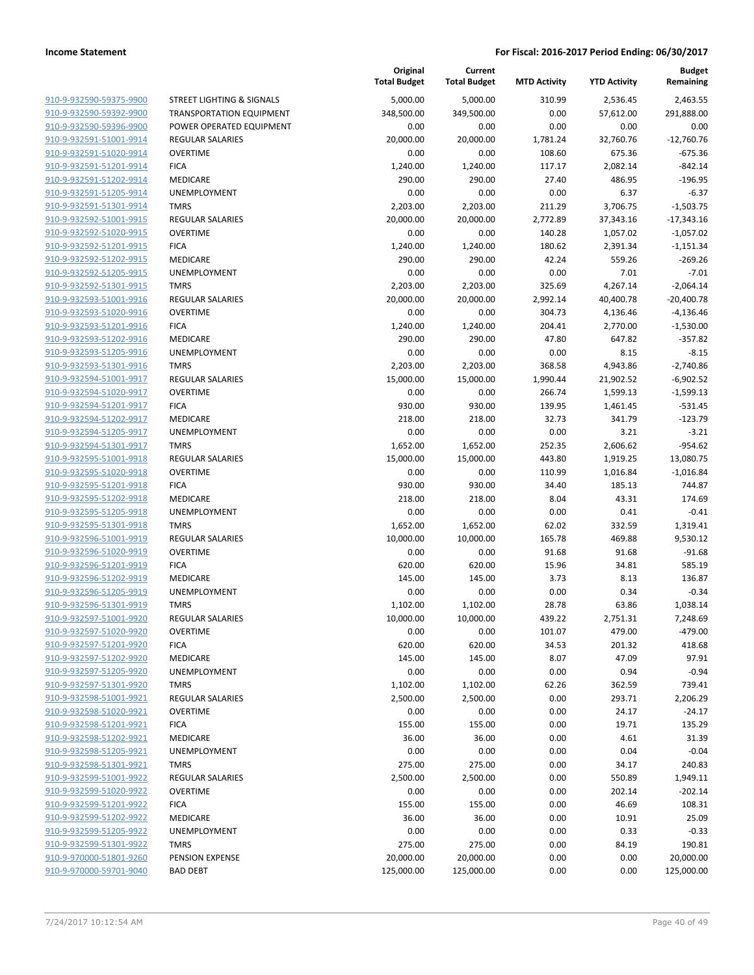|                                                                 |            |            |          |           | Remaining    |
|-----------------------------------------------------------------|------------|------------|----------|-----------|--------------|
| 910-9-932590-59375-9900<br><b>STREET LIGHTING &amp; SIGNALS</b> | 5,000.00   | 5,000.00   | 310.99   | 2,536.45  | 2,463.55     |
| 910-9-932590-59392-9900<br><b>TRANSPORTATION EQUIPMENT</b>      | 348,500.00 | 349,500.00 | 0.00     | 57,612.00 | 291,888.00   |
| 910-9-932590-59396-9900<br>POWER OPERATED EQUIPMENT             | 0.00       | 0.00       | 0.00     | 0.00      | 0.00         |
| 910-9-932591-51001-9914<br><b>REGULAR SALARIES</b>              | 20,000.00  | 20,000.00  | 1,781.24 | 32,760.76 | $-12,760.76$ |
| 910-9-932591-51020-9914<br><b>OVERTIME</b>                      | 0.00       | 0.00       | 108.60   | 675.36    | $-675.36$    |
| 910-9-932591-51201-9914<br><b>FICA</b>                          | 1,240.00   | 1,240.00   | 117.17   | 2,082.14  | $-842.14$    |
| 910-9-932591-51202-9914<br>MEDICARE                             | 290.00     | 290.00     | 27.40    | 486.95    | $-196.95$    |
| 910-9-932591-51205-9914<br><b>UNEMPLOYMENT</b>                  | 0.00       | 0.00       | 0.00     | 6.37      | $-6.37$      |
| 910-9-932591-51301-9914<br><b>TMRS</b>                          | 2,203.00   | 2,203.00   | 211.29   | 3,706.75  | $-1,503.75$  |
| 910-9-932592-51001-9915<br><b>REGULAR SALARIES</b>              | 20,000.00  | 20,000.00  | 2,772.89 | 37,343.16 | $-17,343.16$ |
| 910-9-932592-51020-9915<br><b>OVERTIME</b>                      | 0.00       | 0.00       | 140.28   | 1,057.02  | $-1,057.02$  |
| 910-9-932592-51201-9915<br><b>FICA</b>                          | 1,240.00   | 1,240.00   | 180.62   | 2,391.34  | $-1,151.34$  |
| MEDICARE<br>910-9-932592-51202-9915                             | 290.00     | 290.00     | 42.24    | 559.26    | $-269.26$    |
| 910-9-932592-51205-9915<br>UNEMPLOYMENT                         | 0.00       | 0.00       | 0.00     | 7.01      | $-7.01$      |
| 910-9-932592-51301-9915<br><b>TMRS</b>                          | 2,203.00   | 2,203.00   | 325.69   | 4,267.14  | $-2,064.14$  |
| 910-9-932593-51001-9916<br><b>REGULAR SALARIES</b>              | 20,000.00  | 20,000.00  | 2,992.14 | 40,400.78 | $-20,400.78$ |
| 910-9-932593-51020-9916<br><b>OVERTIME</b>                      | 0.00       | 0.00       | 304.73   | 4,136.46  | $-4,136.46$  |
| 910-9-932593-51201-9916<br><b>FICA</b>                          | 1,240.00   | 1,240.00   | 204.41   | 2,770.00  | $-1,530.00$  |
| 910-9-932593-51202-9916<br>MEDICARE                             | 290.00     | 290.00     | 47.80    | 647.82    | $-357.82$    |
| 910-9-932593-51205-9916<br>UNEMPLOYMENT                         | 0.00       | 0.00       | 0.00     | 8.15      | $-8.15$      |
| 910-9-932593-51301-9916<br><b>TMRS</b>                          | 2,203.00   | 2,203.00   | 368.58   | 4,943.86  | $-2,740.86$  |
| 910-9-932594-51001-9917<br><b>REGULAR SALARIES</b>              | 15,000.00  | 15,000.00  | 1,990.44 | 21,902.52 | $-6,902.52$  |
| <b>OVERTIME</b><br>910-9-932594-51020-9917                      | 0.00       | 0.00       | 266.74   | 1,599.13  | $-1,599.13$  |
| 910-9-932594-51201-9917<br><b>FICA</b>                          | 930.00     | 930.00     | 139.95   | 1,461.45  | $-531.45$    |
| 910-9-932594-51202-9917<br>MEDICARE                             | 218.00     | 218.00     | 32.73    | 341.79    | $-123.79$    |
| 910-9-932594-51205-9917<br>UNEMPLOYMENT                         | 0.00       | 0.00       | 0.00     | 3.21      | $-3.21$      |
| 910-9-932594-51301-9917<br><b>TMRS</b>                          | 1,652.00   | 1,652.00   | 252.35   | 2,606.62  | $-954.62$    |
| 910-9-932595-51001-9918<br><b>REGULAR SALARIES</b>              | 15,000.00  | 15,000.00  | 443.80   | 1,919.25  | 13,080.75    |
| 910-9-932595-51020-9918<br><b>OVERTIME</b>                      | 0.00       | 0.00       | 110.99   | 1,016.84  | $-1,016.84$  |
| 910-9-932595-51201-9918<br><b>FICA</b>                          | 930.00     | 930.00     | 34.40    | 185.13    | 744.87       |
| 910-9-932595-51202-9918<br>MEDICARE                             | 218.00     | 218.00     | 8.04     | 43.31     | 174.69       |
| 910-9-932595-51205-9918<br>UNEMPLOYMENT                         | 0.00       | 0.00       | 0.00     | 0.41      | $-0.41$      |
| <b>TMRS</b><br>910-9-932595-51301-9918                          | 1,652.00   | 1,652.00   | 62.02    | 332.59    | 1,319.41     |
| 910-9-932596-51001-9919<br><b>REGULAR SALARIES</b>              | 10,000.00  | 10,000.00  | 165.78   | 469.88    | 9,530.12     |
| 910-9-932596-51020-9919<br><b>OVERTIME</b>                      | 0.00       | 0.00       | 91.68    | 91.68     | $-91.68$     |
| 910-9-932596-51201-9919<br><b>FICA</b>                          | 620.00     | 620.00     | 15.96    | 34.81     | 585.19       |
| 910-9-932596-51202-9919<br><b>MEDICARE</b>                      | 145.00     | 145.00     | 3.73     | 8.13      | 136.87       |
| 910-9-932596-51205-9919<br>UNEMPLOYMENT                         | 0.00       | 0.00       | 0.00     | 0.34      | $-0.34$      |
| 910-9-932596-51301-9919<br><b>TMRS</b>                          | 1,102.00   | 1,102.00   | 28.78    | 63.86     | 1,038.14     |
| 910-9-932597-51001-9920<br>REGULAR SALARIES                     | 10,000.00  | 10,000.00  | 439.22   | 2,751.31  | 7,248.69     |
| 910-9-932597-51020-9920<br><b>OVERTIME</b>                      | 0.00       | 0.00       | 101.07   | 479.00    | $-479.00$    |
| 910-9-932597-51201-9920<br><b>FICA</b>                          | 620.00     | 620.00     | 34.53    | 201.32    | 418.68       |
| 910-9-932597-51202-9920<br>MEDICARE                             | 145.00     | 145.00     | 8.07     | 47.09     | 97.91        |
| 910-9-932597-51205-9920<br><b>UNEMPLOYMENT</b>                  | 0.00       | 0.00       | 0.00     | 0.94      | $-0.94$      |
| 910-9-932597-51301-9920<br><b>TMRS</b>                          | 1,102.00   | 1,102.00   | 62.26    | 362.59    | 739.41       |
| 910-9-932598-51001-9921<br><b>REGULAR SALARIES</b>              | 2,500.00   | 2,500.00   | 0.00     | 293.71    | 2,206.29     |
| 910-9-932598-51020-9921<br><b>OVERTIME</b>                      | 0.00       | 0.00       | 0.00     | 24.17     | $-24.17$     |
| 910-9-932598-51201-9921<br><b>FICA</b>                          | 155.00     | 155.00     | 0.00     | 19.71     | 135.29       |
| 910-9-932598-51202-9921<br>MEDICARE                             | 36.00      | 36.00      | 0.00     | 4.61      | 31.39        |
| 910-9-932598-51205-9921<br>UNEMPLOYMENT                         | 0.00       | 0.00       | 0.00     | 0.04      | $-0.04$      |
| 910-9-932598-51301-9921<br><b>TMRS</b>                          | 275.00     | 275.00     | 0.00     | 34.17     | 240.83       |
| 910-9-932599-51001-9922<br>REGULAR SALARIES                     | 2,500.00   | 2,500.00   | 0.00     | 550.89    | 1,949.11     |
| 910-9-932599-51020-9922<br><b>OVERTIME</b>                      | 0.00       | 0.00       | 0.00     | 202.14    | $-202.14$    |
| 910-9-932599-51201-9922<br><b>FICA</b>                          | 155.00     | 155.00     | 0.00     | 46.69     | 108.31       |
| 910-9-932599-51202-9922<br>MEDICARE                             | 36.00      | 36.00      | 0.00     | 10.91     | 25.09        |
| 910-9-932599-51205-9922<br>UNEMPLOYMENT                         | 0.00       | 0.00       | 0.00     | 0.33      | $-0.33$      |
| 910-9-932599-51301-9922<br><b>TMRS</b>                          | 275.00     | 275.00     | 0.00     | 84.19     | 190.81       |
| 910-9-970000-51801-9260<br>PENSION EXPENSE                      | 20,000.00  | 20,000.00  | 0.00     | 0.00      | 20,000.00    |
| 910-9-970000-59701-9040                                         |            |            |          |           |              |
| <b>BAD DEBT</b>                                                 | 125,000.00 | 125,000.00 | 0.00     | 0.00      | 125,000.00   |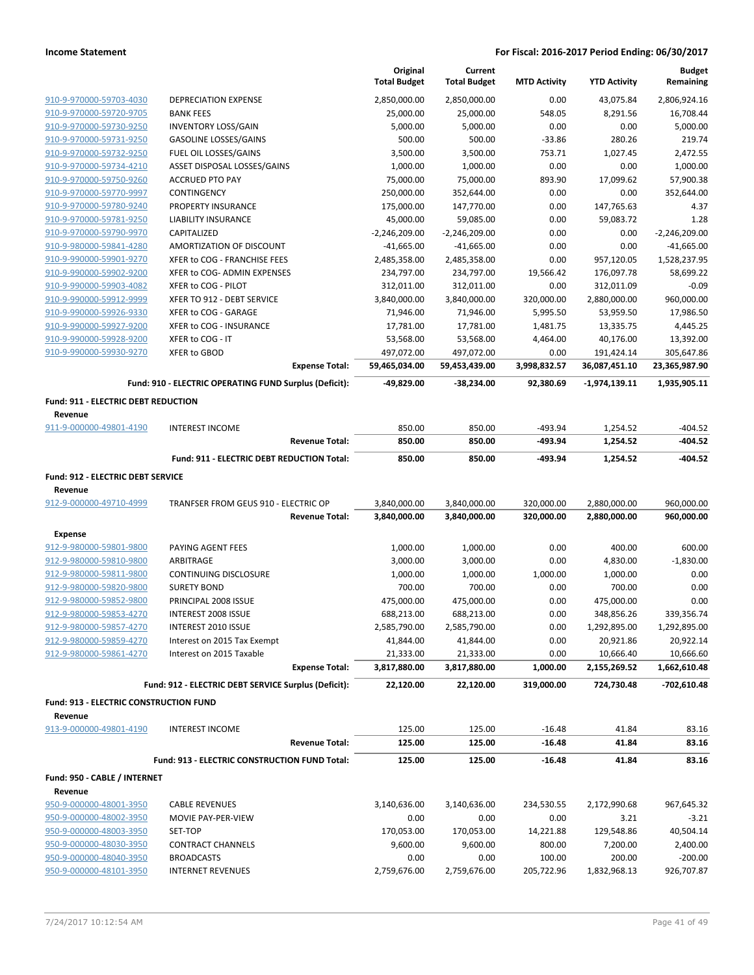|                                               |                                                        | Original<br><b>Total Budget</b> | Current<br><b>Total Budget</b> | <b>MTD Activity</b>  | <b>YTD Activity</b> | <b>Budget</b><br>Remaining |
|-----------------------------------------------|--------------------------------------------------------|---------------------------------|--------------------------------|----------------------|---------------------|----------------------------|
| 910-9-970000-59703-4030                       | <b>DEPRECIATION EXPENSE</b>                            | 2,850,000.00                    | 2,850,000.00                   | 0.00                 | 43,075.84           | 2,806,924.16               |
| 910-9-970000-59720-9705                       | <b>BANK FEES</b>                                       | 25,000.00                       | 25,000.00                      | 548.05               | 8,291.56            | 16,708.44                  |
| 910-9-970000-59730-9250                       | <b>INVENTORY LOSS/GAIN</b>                             | 5,000.00                        | 5,000.00                       | 0.00                 | 0.00                | 5,000.00                   |
| 910-9-970000-59731-9250                       | <b>GASOLINE LOSSES/GAINS</b>                           | 500.00                          | 500.00                         | $-33.86$             | 280.26              | 219.74                     |
| 910-9-970000-59732-9250                       | FUEL OIL LOSSES/GAINS                                  | 3,500.00                        | 3,500.00                       | 753.71               | 1,027.45            | 2,472.55                   |
| 910-9-970000-59734-4210                       | ASSET DISPOSAL LOSSES/GAINS                            | 1,000.00                        | 1,000.00                       | 0.00                 | 0.00                | 1,000.00                   |
| 910-9-970000-59750-9260                       | <b>ACCRUED PTO PAY</b>                                 | 75,000.00                       | 75,000.00                      | 893.90               | 17,099.62           | 57,900.38                  |
| 910-9-970000-59770-9997                       | CONTINGENCY                                            | 250,000.00                      | 352,644.00                     | 0.00                 | 0.00                | 352,644.00                 |
| 910-9-970000-59780-9240                       | <b>PROPERTY INSURANCE</b>                              | 175,000.00                      | 147,770.00                     | 0.00                 | 147,765.63          | 4.37                       |
| 910-9-970000-59781-9250                       | <b>LIABILITY INSURANCE</b>                             | 45,000.00                       | 59,085.00                      | 0.00                 | 59,083.72           | 1.28                       |
| 910-9-970000-59790-9970                       | CAPITALIZED                                            | $-2,246,209.00$                 | $-2,246,209.00$                | 0.00                 | 0.00                | $-2,246,209.00$            |
| 910-9-980000-59841-4280                       | AMORTIZATION OF DISCOUNT                               | $-41,665.00$                    | $-41,665.00$                   | 0.00                 | 0.00                | $-41,665.00$               |
| 910-9-990000-59901-9270                       | XFER to COG - FRANCHISE FEES                           | 2,485,358.00                    | 2,485,358.00                   | 0.00                 | 957,120.05          | 1,528,237.95               |
| 910-9-990000-59902-9200                       | XFER to COG- ADMIN EXPENSES                            | 234,797.00                      | 234,797.00                     | 19,566.42            | 176,097.78          | 58,699.22                  |
| 910-9-990000-59903-4082                       | XFER to COG - PILOT                                    | 312,011.00                      | 312,011.00                     | 0.00                 | 312,011.09          | $-0.09$                    |
| 910-9-990000-59912-9999                       | XFER TO 912 - DEBT SERVICE                             | 3,840,000.00                    | 3,840,000.00                   | 320,000.00           | 2,880,000.00        | 960,000.00                 |
| 910-9-990000-59926-9330                       | XFER to COG - GARAGE                                   | 71,946.00                       | 71,946.00                      | 5,995.50             | 53,959.50           | 17,986.50                  |
| 910-9-990000-59927-9200                       | XFER to COG - INSURANCE                                | 17,781.00                       | 17,781.00                      | 1,481.75             | 13,335.75           | 4,445.25                   |
| 910-9-990000-59928-9200                       | XFER to COG - IT                                       | 53,568.00                       | 53,568.00                      | 4,464.00             | 40,176.00           | 13,392.00                  |
| 910-9-990000-59930-9270                       | XFER to GBOD                                           | 497,072.00                      | 497,072.00                     | 0.00                 | 191,424.14          | 305,647.86                 |
|                                               | <b>Expense Total:</b>                                  | 59,465,034.00                   | 59,453,439.00                  | 3,998,832.57         | 36,087,451.10       | 23,365,987.90              |
|                                               | Fund: 910 - ELECTRIC OPERATING FUND Surplus (Deficit): | -49,829.00                      | -38,234.00                     | 92,380.69            | -1,974,139.11       | 1,935,905.11               |
| <b>Fund: 911 - ELECTRIC DEBT REDUCTION</b>    |                                                        |                                 |                                |                      |                     |                            |
| Revenue                                       |                                                        |                                 |                                |                      |                     |                            |
| 911-9-000000-49801-4190                       | <b>INTEREST INCOME</b>                                 | 850.00                          | 850.00                         | $-493.94$            | 1,254.52            | $-404.52$                  |
|                                               | <b>Revenue Total:</b>                                  | 850.00                          | 850.00                         | $-493.94$            | 1,254.52            | $-404.52$                  |
|                                               | <b>Fund: 911 - ELECTRIC DEBT REDUCTION Total:</b>      | 850.00                          | 850.00                         | $-493.94$            | 1,254.52            | $-404.52$                  |
| Fund: 912 - ELECTRIC DEBT SERVICE             |                                                        |                                 |                                |                      |                     |                            |
| Revenue                                       |                                                        |                                 |                                |                      |                     |                            |
| 912-9-000000-49710-4999                       | TRANFSER FROM GEUS 910 - ELECTRIC OP                   | 3,840,000.00                    | 3,840,000.00                   | 320,000.00           | 2,880,000.00        | 960,000.00                 |
|                                               | <b>Revenue Total:</b>                                  | 3,840,000.00                    | 3,840,000.00                   | 320,000.00           | 2,880,000.00        | 960,000.00                 |
| Expense                                       |                                                        |                                 |                                |                      |                     |                            |
| 912-9-980000-59801-9800                       | PAYING AGENT FEES                                      | 1,000.00                        | 1,000.00                       | 0.00                 | 400.00              | 600.00                     |
| 912-9-980000-59810-9800                       | ARBITRAGE                                              | 3,000.00                        | 3,000.00                       | 0.00                 | 4,830.00            | $-1,830.00$                |
| 912-9-980000-59811-9800                       | <b>CONTINUING DISCLOSURE</b>                           | 1,000.00                        | 1,000.00                       | 1,000.00             | 1,000.00            | 0.00                       |
| 912-9-980000-59820-9800                       | <b>SURETY BOND</b>                                     | 700.00                          | 700.00                         | 0.00                 | 700.00              | 0.00                       |
| 912-9-980000-59852-9800                       | PRINCIPAL 2008 ISSUE                                   | 475,000.00                      | 475,000.00                     |                      | 475,000.00          |                            |
| 912-9-980000-59853-4270                       | INTEREST 2008 ISSUE                                    |                                 |                                | 0.00                 |                     | 0.00                       |
| 912-9-980000-59857-4270                       |                                                        | 688,213.00                      | 688,213.00                     | 0.00                 | 348,856.26          | 339,356.74                 |
| 912-9-980000-59859-4270                       | INTEREST 2010 ISSUE                                    | 2,585,790.00                    | 2,585,790.00                   | 0.00                 | 1,292,895.00        | 1,292,895.00               |
| 912-9-980000-59861-4270                       | Interest on 2015 Tax Exempt                            | 41,844.00                       | 41,844.00                      | 0.00                 | 20,921.86           | 20,922.14                  |
|                                               | Interest on 2015 Taxable                               | 21,333.00                       | 21,333.00                      | 0.00                 | 10,666.40           | 10,666.60                  |
|                                               | <b>Expense Total:</b>                                  | 3,817,880.00                    | 3,817,880.00                   | 1,000.00             | 2,155,269.52        | 1,662,610.48               |
|                                               | Fund: 912 - ELECTRIC DEBT SERVICE Surplus (Deficit):   | 22,120.00                       | 22,120.00                      | 319,000.00           | 724,730.48          | $-702,610.48$              |
| <b>Fund: 913 - ELECTRIC CONSTRUCTION FUND</b> |                                                        |                                 |                                |                      |                     |                            |
| Revenue                                       |                                                        |                                 |                                |                      |                     |                            |
| 913-9-000000-49801-4190                       | <b>INTEREST INCOME</b><br><b>Revenue Total:</b>        | 125.00<br>125.00                | 125.00<br>125.00               | $-16.48$<br>$-16.48$ | 41.84<br>41.84      | 83.16<br>83.16             |
|                                               | Fund: 913 - ELECTRIC CONSTRUCTION FUND Total:          | 125.00                          | 125.00                         | $-16.48$             | 41.84               | 83.16                      |
| Fund: 950 - CABLE / INTERNET                  |                                                        |                                 |                                |                      |                     |                            |
| Revenue                                       |                                                        |                                 |                                |                      |                     |                            |
| 950-9-000000-48001-3950                       | <b>CABLE REVENUES</b>                                  | 3,140,636.00                    | 3,140,636.00                   | 234,530.55           | 2,172,990.68        | 967,645.32                 |
| 950-9-000000-48002-3950                       | MOVIE PAY-PER-VIEW                                     | 0.00                            | 0.00                           | 0.00                 | 3.21                | $-3.21$                    |
| 950-9-000000-48003-3950                       | SET-TOP                                                | 170,053.00                      | 170,053.00                     | 14,221.88            | 129,548.86          | 40,504.14                  |
| 950-9-000000-48030-3950                       | <b>CONTRACT CHANNELS</b>                               | 9,600.00                        | 9,600.00                       | 800.00               | 7,200.00            | 2,400.00                   |
| 950-9-000000-48040-3950                       | <b>BROADCASTS</b>                                      | 0.00                            | 0.00                           | 100.00               | 200.00              | $-200.00$                  |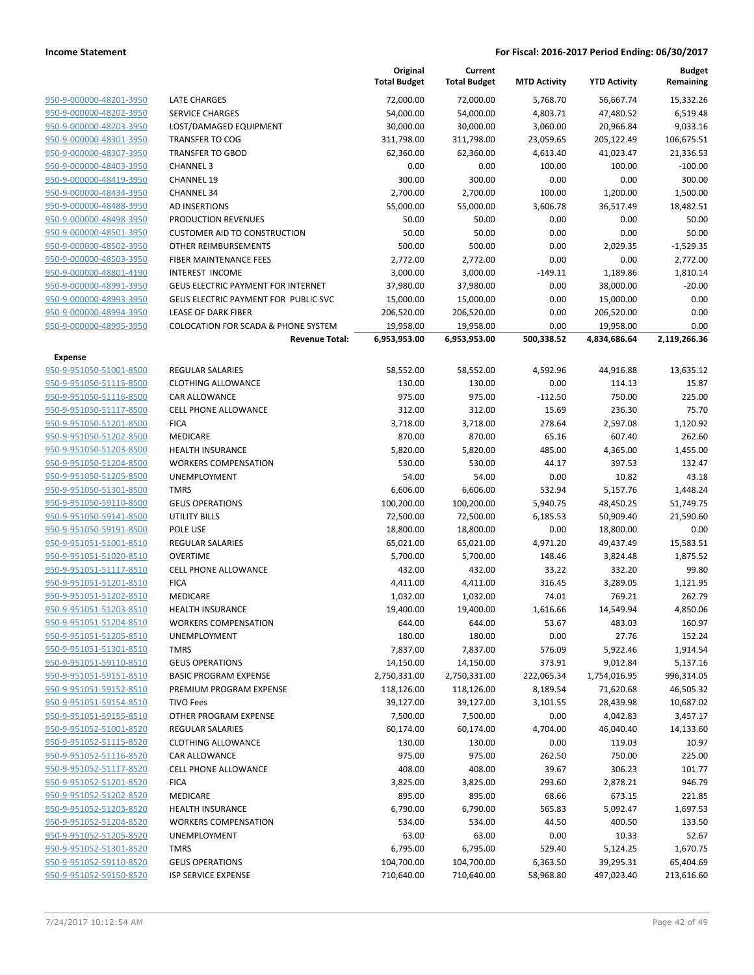|                                                    |                                                | Original<br><b>Total Budget</b> | Current<br><b>Total Budget</b> | <b>MTD Activity</b> | <b>YTD Activity</b>    | <b>Budget</b><br>Remaining |
|----------------------------------------------------|------------------------------------------------|---------------------------------|--------------------------------|---------------------|------------------------|----------------------------|
| 950-9-000000-48201-3950                            | <b>LATE CHARGES</b>                            | 72,000.00                       | 72,000.00                      | 5,768.70            | 56,667.74              | 15,332.26                  |
| 950-9-000000-48202-3950                            | <b>SERVICE CHARGES</b>                         | 54,000.00                       | 54,000.00                      | 4,803.71            | 47,480.52              | 6,519.48                   |
| 950-9-000000-48203-3950                            | LOST/DAMAGED EQUIPMENT                         | 30,000.00                       | 30,000.00                      | 3,060.00            | 20,966.84              | 9,033.16                   |
| 950-9-000000-48301-3950                            | <b>TRANSFER TO COG</b>                         | 311,798.00                      | 311,798.00                     | 23,059.65           | 205,122.49             | 106,675.51                 |
| 950-9-000000-48307-3950                            | <b>TRANSFER TO GBOD</b>                        | 62,360.00                       | 62,360.00                      | 4,613.40            | 41,023.47              | 21,336.53                  |
| 950-9-000000-48403-3950                            | <b>CHANNEL 3</b>                               | 0.00                            | 0.00                           | 100.00              | 100.00                 | $-100.00$                  |
| 950-9-000000-48419-3950                            | <b>CHANNEL 19</b>                              | 300.00                          | 300.00                         | 0.00                | 0.00                   | 300.00                     |
| 950-9-000000-48434-3950                            | <b>CHANNEL 34</b>                              | 2,700.00                        | 2,700.00                       | 100.00              | 1,200.00               | 1,500.00                   |
| 950-9-000000-48488-3950                            | AD INSERTIONS                                  | 55,000.00                       | 55,000.00                      | 3,606.78            | 36,517.49              | 18,482.51                  |
| 950-9-000000-48498-3950                            | PRODUCTION REVENUES                            | 50.00                           | 50.00                          | 0.00                | 0.00                   | 50.00                      |
| 950-9-000000-48501-3950                            | <b>CUSTOMER AID TO CONSTRUCTION</b>            | 50.00                           | 50.00                          | 0.00                | 0.00                   | 50.00                      |
| 950-9-000000-48502-3950                            | OTHER REIMBURSEMENTS                           | 500.00                          | 500.00                         | 0.00                | 2,029.35               | $-1,529.35$                |
| 950-9-000000-48503-3950                            | FIBER MAINTENANCE FEES                         | 2,772.00                        | 2,772.00                       | 0.00                | 0.00                   | 2,772.00                   |
| 950-9-000000-48801-4190                            | INTEREST INCOME                                | 3,000.00                        | 3,000.00                       | $-149.11$           | 1,189.86               | 1,810.14                   |
| 950-9-000000-48991-3950                            | <b>GEUS ELECTRIC PAYMENT FOR INTERNET</b>      | 37,980.00                       | 37,980.00                      | 0.00                | 38,000.00              | $-20.00$                   |
| 950-9-000000-48993-3950                            | GEUS ELECTRIC PAYMENT FOR PUBLIC SVC           | 15,000.00                       | 15,000.00                      | 0.00                | 15,000.00              | 0.00                       |
| 950-9-000000-48994-3950                            | <b>LEASE OF DARK FIBER</b>                     | 206,520.00                      | 206,520.00                     | 0.00                | 206,520.00             | 0.00                       |
| 950-9-000000-48995-3950                            | <b>COLOCATION FOR SCADA &amp; PHONE SYSTEM</b> | 19,958.00                       | 19,958.00                      | 0.00                | 19,958.00              | 0.00                       |
|                                                    | <b>Revenue Total:</b>                          | 6,953,953.00                    | 6,953,953.00                   | 500,338.52          | 4,834,686.64           | 2,119,266.36               |
| Expense                                            |                                                |                                 |                                |                     |                        |                            |
| 950-9-951050-51001-8500                            | <b>REGULAR SALARIES</b>                        | 58,552.00                       | 58,552.00                      | 4,592.96            | 44,916.88              | 13,635.12                  |
| 950-9-951050-51115-8500                            | <b>CLOTHING ALLOWANCE</b>                      | 130.00                          | 130.00                         | 0.00                | 114.13                 | 15.87                      |
| 950-9-951050-51116-8500                            | CAR ALLOWANCE                                  | 975.00                          | 975.00                         | $-112.50$           | 750.00                 | 225.00                     |
| 950-9-951050-51117-8500                            | <b>CELL PHONE ALLOWANCE</b>                    | 312.00                          | 312.00                         | 15.69               | 236.30                 | 75.70                      |
| 950-9-951050-51201-8500                            | <b>FICA</b>                                    | 3,718.00                        | 3,718.00                       | 278.64              | 2,597.08               | 1,120.92                   |
| 950-9-951050-51202-8500                            | MEDICARE                                       | 870.00                          | 870.00                         | 65.16               | 607.40                 | 262.60                     |
| 950-9-951050-51203-8500                            | <b>HEALTH INSURANCE</b>                        | 5,820.00                        | 5,820.00                       | 485.00              | 4,365.00               | 1,455.00                   |
| 950-9-951050-51204-8500                            | <b>WORKERS COMPENSATION</b>                    | 530.00                          | 530.00                         | 44.17               | 397.53                 | 132.47                     |
| 950-9-951050-51205-8500                            | <b>UNEMPLOYMENT</b>                            | 54.00                           | 54.00                          | 0.00                | 10.82                  | 43.18                      |
| 950-9-951050-51301-8500                            | <b>TMRS</b>                                    | 6,606.00                        | 6,606.00                       | 532.94              | 5,157.76               | 1,448.24                   |
| 950-9-951050-59110-8500<br>950-9-951050-59141-8500 | <b>GEUS OPERATIONS</b>                         | 100,200.00                      | 100,200.00                     | 5,940.75            | 48,450.25              | 51,749.75                  |
| 950-9-951050-59191-8500                            | UTILITY BILLS<br>POLE USE                      | 72,500.00<br>18,800.00          | 72,500.00<br>18,800.00         | 6,185.53<br>0.00    | 50,909.40<br>18,800.00 | 21,590.60<br>0.00          |
| 950-9-951051-51001-8510                            | REGULAR SALARIES                               | 65,021.00                       | 65,021.00                      | 4,971.20            | 49,437.49              | 15,583.51                  |
| 950-9-951051-51020-8510                            | <b>OVERTIME</b>                                | 5,700.00                        | 5,700.00                       | 148.46              | 3,824.48               | 1,875.52                   |
| 950-9-951051-51117-8510                            | <b>CELL PHONE ALLOWANCE</b>                    | 432.00                          | 432.00                         | 33.22               | 332.20                 | 99.80                      |
| 950-9-951051-51201-8510                            | <b>FICA</b>                                    | 4,411.00                        | 4,411.00                       | 316.45              | 3,289.05               | 1,121.95                   |
| 950-9-951051-51202-8510                            | MEDICARE                                       | 1,032.00                        | 1,032.00                       | 74.01               | 769.21                 | 262.79                     |
| 950-9-951051-51203-8510                            | <b>HEALTH INSURANCE</b>                        | 19,400.00                       | 19,400.00                      | 1,616.66            | 14,549.94              | 4,850.06                   |
| 950-9-951051-51204-8510                            | <b>WORKERS COMPENSATION</b>                    | 644.00                          | 644.00                         | 53.67               | 483.03                 | 160.97                     |
| 950-9-951051-51205-8510                            | <b>UNEMPLOYMENT</b>                            | 180.00                          | 180.00                         | 0.00                | 27.76                  | 152.24                     |
| 950-9-951051-51301-8510                            | <b>TMRS</b>                                    | 7,837.00                        | 7,837.00                       | 576.09              | 5,922.46               | 1,914.54                   |
| 950-9-951051-59110-8510                            | <b>GEUS OPERATIONS</b>                         | 14,150.00                       | 14,150.00                      | 373.91              | 9,012.84               | 5,137.16                   |
| 950-9-951051-59151-8510                            | <b>BASIC PROGRAM EXPENSE</b>                   | 2,750,331.00                    | 2,750,331.00                   | 222,065.34          | 1,754,016.95           | 996,314.05                 |
| 950-9-951051-59152-8510                            | PREMIUM PROGRAM EXPENSE                        | 118,126.00                      | 118,126.00                     | 8,189.54            | 71,620.68              | 46,505.32                  |
| 950-9-951051-59154-8510                            | <b>TIVO Fees</b>                               | 39,127.00                       | 39,127.00                      | 3,101.55            | 28,439.98              | 10,687.02                  |
| 950-9-951051-59155-8510                            | OTHER PROGRAM EXPENSE                          | 7,500.00                        | 7,500.00                       | 0.00                | 4,042.83               | 3,457.17                   |
| 950-9-951052-51001-8520                            | <b>REGULAR SALARIES</b>                        | 60,174.00                       | 60,174.00                      | 4,704.00            | 46,040.40              | 14,133.60                  |
| 950-9-951052-51115-8520                            | <b>CLOTHING ALLOWANCE</b>                      | 130.00                          | 130.00                         | 0.00                | 119.03                 | 10.97                      |
| 950-9-951052-51116-8520                            | CAR ALLOWANCE                                  | 975.00                          | 975.00                         | 262.50              | 750.00                 | 225.00                     |
| 950-9-951052-51117-8520                            | <b>CELL PHONE ALLOWANCE</b>                    | 408.00                          | 408.00                         | 39.67               | 306.23                 | 101.77                     |
| 950-9-951052-51201-8520                            | <b>FICA</b>                                    | 3,825.00                        | 3,825.00                       | 293.60              | 2,878.21               | 946.79                     |
| 950-9-951052-51202-8520                            | MEDICARE                                       | 895.00                          | 895.00                         | 68.66               | 673.15                 | 221.85                     |
| 950-9-951052-51203-8520                            | <b>HEALTH INSURANCE</b>                        | 6,790.00                        | 6,790.00                       | 565.83              | 5,092.47               | 1,697.53                   |
| 950-9-951052-51204-8520                            | <b>WORKERS COMPENSATION</b>                    | 534.00                          | 534.00                         | 44.50               | 400.50                 | 133.50                     |
| 950-9-951052-51205-8520                            | UNEMPLOYMENT                                   | 63.00                           | 63.00                          | 0.00                | 10.33                  | 52.67                      |
| 950-9-951052-51301-8520                            | <b>TMRS</b>                                    | 6,795.00                        | 6,795.00                       | 529.40              | 5,124.25               | 1,670.75                   |
| 950-9-951052-59110-8520                            | <b>GEUS OPERATIONS</b>                         | 104,700.00                      | 104,700.00                     | 6,363.50            | 39,295.31              | 65,404.69                  |
| 950-9-951052-59150-8520                            | <b>ISP SERVICE EXPENSE</b>                     | 710,640.00                      | 710,640.00                     | 58,968.80           | 497,023.40             | 213,616.60                 |
|                                                    |                                                |                                 |                                |                     |                        |                            |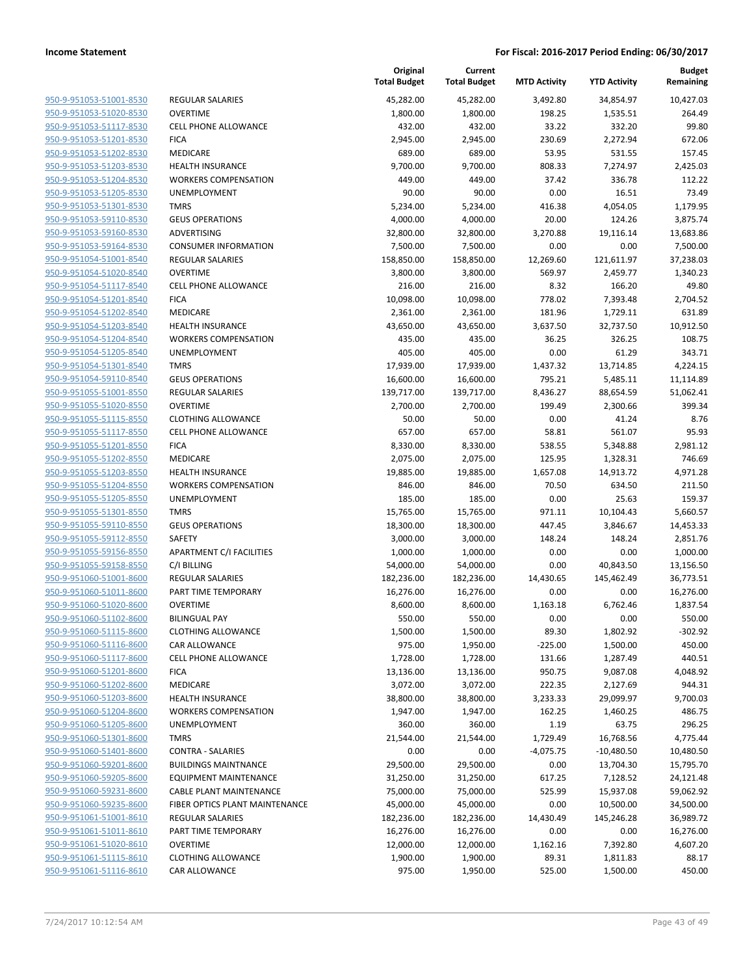**Budget Remaining**

**MTD Activity YTD Activity**

**Current Total Budget**

**Original**

|                                                    |                                        | <b>Total Budget</b>     | <b>Total Budget</b>   | <b>MTD Activity</b> | <b>YTD Activity</b> | Remaining             |
|----------------------------------------------------|----------------------------------------|-------------------------|-----------------------|---------------------|---------------------|-----------------------|
| 950-9-951053-51001-8530                            | <b>REGULAR SALARIES</b>                | 45.282.00               | 45.282.00             | 3,492.80            | 34,854.97           | 10,427.03             |
| 950-9-951053-51020-8530                            | <b>OVERTIME</b>                        | 1,800.00                | 1,800.00              | 198.25              | 1,535.51            | 264.49                |
| 950-9-951053-51117-8530                            | <b>CELL PHONE ALLOWANCE</b>            | 432.00                  | 432.00                | 33.22               | 332.20              | 99.80                 |
| 950-9-951053-51201-8530                            | <b>FICA</b>                            | 2,945.00                | 2,945.00              | 230.69              | 2,272.94            | 672.06                |
| 950-9-951053-51202-8530                            | <b>MEDICARE</b>                        | 689.00                  | 689.00                | 53.95               | 531.55              | 157.45                |
| 950-9-951053-51203-8530                            | <b>HEALTH INSURANCE</b>                | 9,700.00                | 9,700.00              | 808.33              | 7,274.97            | 2,425.03              |
| 950-9-951053-51204-8530                            | <b>WORKERS COMPENSATION</b>            | 449.00                  | 449.00                | 37.42               | 336.78              | 112.22                |
| 950-9-951053-51205-8530                            | <b>UNEMPLOYMENT</b>                    | 90.00                   | 90.00                 | 0.00                | 16.51               | 73.49                 |
| 950-9-951053-51301-8530                            | <b>TMRS</b>                            | 5,234.00                | 5,234.00              | 416.38              | 4,054.05            | 1,179.95              |
| 950-9-951053-59110-8530                            | <b>GEUS OPERATIONS</b>                 | 4,000.00                | 4,000.00              | 20.00               | 124.26              | 3,875.74              |
| 950-9-951053-59160-8530                            | ADVERTISING                            | 32,800.00               | 32,800.00             | 3,270.88            | 19,116.14           | 13,683.86             |
| 950-9-951053-59164-8530                            | <b>CONSUMER INFORMATION</b>            | 7,500.00                | 7,500.00              | 0.00                | 0.00                | 7,500.00              |
| 950-9-951054-51001-8540                            | REGULAR SALARIES                       | 158,850.00              | 158,850.00            | 12,269.60           | 121,611.97          | 37,238.03             |
| 950-9-951054-51020-8540                            | <b>OVERTIME</b>                        | 3,800.00                | 3,800.00              | 569.97              | 2,459.77            | 1,340.23              |
| 950-9-951054-51117-8540                            | <b>CELL PHONE ALLOWANCE</b>            | 216.00                  | 216.00                | 8.32                | 166.20              | 49.80                 |
| 950-9-951054-51201-8540                            | <b>FICA</b>                            | 10,098.00               | 10,098.00             | 778.02              | 7,393.48            | 2,704.52              |
| 950-9-951054-51202-8540                            | MEDICARE                               | 2,361.00                | 2,361.00              | 181.96              | 1,729.11            | 631.89                |
| 950-9-951054-51203-8540                            | HEALTH INSURANCE                       | 43,650.00               | 43,650.00             | 3,637.50            | 32,737.50           | 10,912.50             |
| 950-9-951054-51204-8540                            | <b>WORKERS COMPENSATION</b>            | 435.00                  | 435.00                | 36.25               | 326.25              | 108.75                |
| 950-9-951054-51205-8540                            | UNEMPLOYMENT                           | 405.00                  | 405.00                | 0.00                | 61.29               | 343.71                |
| 950-9-951054-51301-8540                            | <b>TMRS</b>                            | 17,939.00               | 17,939.00             | 1,437.32            | 13,714.85           | 4,224.15              |
| 950-9-951054-59110-8540                            | <b>GEUS OPERATIONS</b>                 | 16,600.00               | 16,600.00             | 795.21              | 5,485.11            | 11,114.89             |
| 950-9-951055-51001-8550                            | <b>REGULAR SALARIES</b>                | 139,717.00              | 139,717.00            | 8,436.27            | 88,654.59           | 51,062.41             |
| 950-9-951055-51020-8550                            | <b>OVERTIME</b>                        | 2,700.00                | 2,700.00              | 199.49              | 2,300.66            | 399.34                |
| 950-9-951055-51115-8550                            | <b>CLOTHING ALLOWANCE</b>              | 50.00                   | 50.00                 | 0.00                | 41.24               | 8.76                  |
| 950-9-951055-51117-8550                            | <b>CELL PHONE ALLOWANCE</b>            | 657.00                  | 657.00                | 58.81               | 561.07              | 95.93                 |
| 950-9-951055-51201-8550                            | <b>FICA</b>                            | 8,330.00                | 8,330.00              | 538.55              | 5,348.88            | 2,981.12              |
| 950-9-951055-51202-8550                            | MEDICARE                               | 2,075.00                | 2,075.00              | 125.95              | 1,328.31            | 746.69                |
| 950-9-951055-51203-8550                            | <b>HEALTH INSURANCE</b>                | 19,885.00               | 19,885.00             | 1,657.08            | 14,913.72           | 4,971.28              |
| 950-9-951055-51204-8550                            | <b>WORKERS COMPENSATION</b>            | 846.00                  | 846.00                | 70.50               | 634.50              | 211.50                |
| 950-9-951055-51205-8550                            | UNEMPLOYMENT                           | 185.00                  | 185.00                | 0.00                | 25.63               | 159.37                |
| 950-9-951055-51301-8550                            | <b>TMRS</b>                            | 15,765.00               | 15,765.00             | 971.11              | 10,104.43           | 5,660.57              |
| 950-9-951055-59110-8550                            | <b>GEUS OPERATIONS</b>                 | 18,300.00               | 18,300.00             | 447.45              | 3,846.67            | 14,453.33             |
| 950-9-951055-59112-8550                            | SAFETY                                 | 3,000.00                | 3,000.00              | 148.24              | 148.24              | 2,851.76              |
| 950-9-951055-59156-8550                            | APARTMENT C/I FACILITIES               | 1,000.00                | 1,000.00              | 0.00                | 0.00                | 1,000.00              |
| 950-9-951055-59158-8550                            | C/I BILLING                            | 54,000.00               | 54,000.00             | 0.00                | 40,843.50           | 13,156.50             |
| 950-9-951060-51001-8600<br>950-9-951060-51011-8600 | <b>REGULAR SALARIES</b>                | 182,236.00<br>16,276.00 | 182,236.00            | 14,430.65           | 145,462.49          | 36,773.51             |
| 950-9-951060-51020-8600                            | PART TIME TEMPORARY<br><b>OVERTIME</b> | 8,600.00                | 16,276.00<br>8,600.00 | 0.00<br>1,163.18    | 0.00<br>6,762.46    | 16,276.00<br>1,837.54 |
| 950-9-951060-51102-8600                            | <b>BILINGUAL PAY</b>                   | 550.00                  | 550.00                | 0.00                | 0.00                | 550.00                |
| 950-9-951060-51115-8600                            | <b>CLOTHING ALLOWANCE</b>              | 1,500.00                | 1,500.00              | 89.30               | 1,802.92            | $-302.92$             |
| 950-9-951060-51116-8600                            | CAR ALLOWANCE                          | 975.00                  | 1,950.00              | $-225.00$           | 1,500.00            | 450.00                |
| 950-9-951060-51117-8600                            | <b>CELL PHONE ALLOWANCE</b>            | 1,728.00                | 1,728.00              | 131.66              | 1,287.49            | 440.51                |
| 950-9-951060-51201-8600                            | <b>FICA</b>                            | 13,136.00               | 13,136.00             | 950.75              | 9,087.08            | 4,048.92              |
| 950-9-951060-51202-8600                            | MEDICARE                               | 3,072.00                | 3,072.00              | 222.35              | 2,127.69            | 944.31                |
| 950-9-951060-51203-8600                            | <b>HEALTH INSURANCE</b>                | 38,800.00               | 38,800.00             | 3,233.33            | 29,099.97           | 9,700.03              |
| 950-9-951060-51204-8600                            | <b>WORKERS COMPENSATION</b>            | 1,947.00                | 1,947.00              | 162.25              | 1,460.25            | 486.75                |
| 950-9-951060-51205-8600                            | <b>UNEMPLOYMENT</b>                    | 360.00                  | 360.00                | 1.19                | 63.75               | 296.25                |
| 950-9-951060-51301-8600                            | <b>TMRS</b>                            | 21,544.00               | 21,544.00             | 1,729.49            | 16,768.56           | 4,775.44              |
| 950-9-951060-51401-8600                            | <b>CONTRA - SALARIES</b>               | 0.00                    | 0.00                  | $-4,075.75$         | $-10,480.50$        | 10,480.50             |
| 950-9-951060-59201-8600                            | <b>BUILDINGS MAINTNANCE</b>            | 29,500.00               | 29,500.00             | 0.00                | 13,704.30           | 15,795.70             |
| 950-9-951060-59205-8600                            | <b>EQUIPMENT MAINTENANCE</b>           | 31,250.00               | 31,250.00             | 617.25              | 7,128.52            | 24,121.48             |
| 950-9-951060-59231-8600                            | CABLE PLANT MAINTENANCE                | 75,000.00               | 75,000.00             | 525.99              | 15,937.08           | 59,062.92             |
| 950-9-951060-59235-8600                            | FIBER OPTICS PLANT MAINTENANCE         | 45,000.00               | 45,000.00             | 0.00                | 10,500.00           | 34,500.00             |
| 950-9-951061-51001-8610                            | REGULAR SALARIES                       | 182,236.00              | 182,236.00            | 14,430.49           | 145,246.28          | 36,989.72             |
| 950-9-951061-51011-8610                            | PART TIME TEMPORARY                    | 16,276.00               | 16,276.00             | 0.00                | 0.00                | 16,276.00             |
| 950-9-951061-51020-8610                            | <b>OVERTIME</b>                        | 12,000.00               | 12,000.00             | 1,162.16            | 7,392.80            | 4,607.20              |
| 950-9-951061-51115-8610                            | <b>CLOTHING ALLOWANCE</b>              | 1,900.00                | 1,900.00              | 89.31               | 1,811.83            | 88.17                 |
| 950-9-951061-51116-8610                            | CAR ALLOWANCE                          | 975.00                  | 1,950.00              | 525.00              | 1,500.00            | 450.00                |
|                                                    |                                        |                         |                       |                     |                     |                       |
|                                                    |                                        |                         |                       |                     |                     |                       |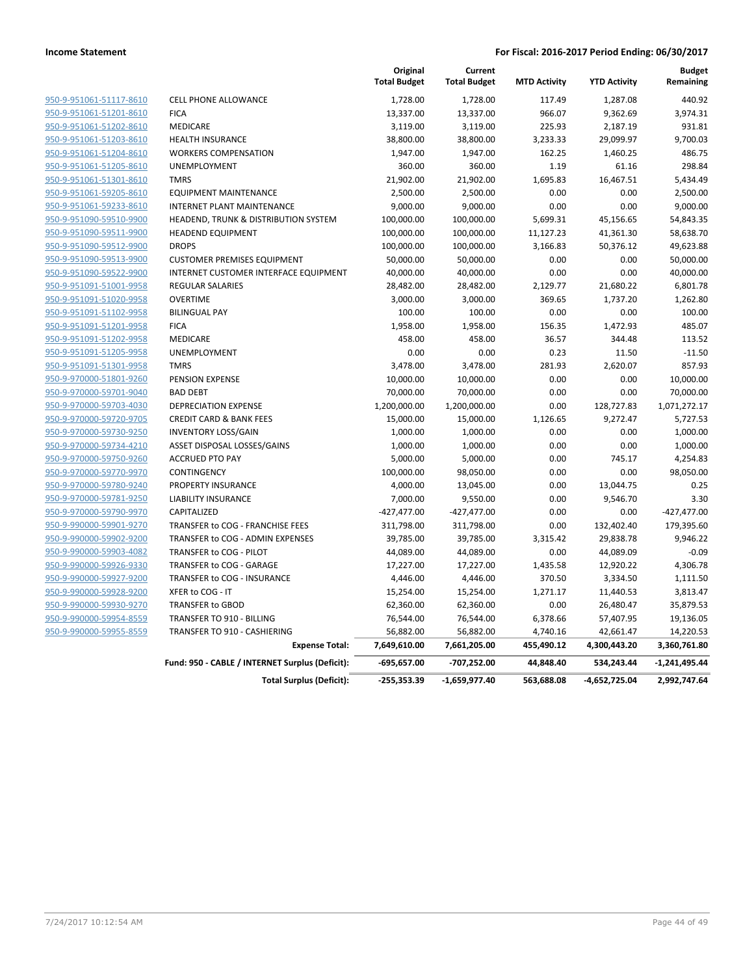|                         |                                                 | Original<br><b>Total Budget</b> | Current<br><b>Total Budget</b> | <b>MTD Activity</b> | <b>YTD Activity</b> | <b>Budget</b><br>Remaining |
|-------------------------|-------------------------------------------------|---------------------------------|--------------------------------|---------------------|---------------------|----------------------------|
| 950-9-951061-51117-8610 | <b>CELL PHONE ALLOWANCE</b>                     | 1,728.00                        | 1,728.00                       | 117.49              | 1,287.08            | 440.92                     |
| 950-9-951061-51201-8610 | <b>FICA</b>                                     | 13,337.00                       | 13,337.00                      | 966.07              | 9,362.69            | 3,974.31                   |
| 950-9-951061-51202-8610 | <b>MEDICARE</b>                                 | 3,119.00                        | 3,119.00                       | 225.93              | 2,187.19            | 931.81                     |
| 950-9-951061-51203-8610 | <b>HEALTH INSURANCE</b>                         | 38,800.00                       | 38,800.00                      | 3,233.33            | 29,099.97           | 9,700.03                   |
| 950-9-951061-51204-8610 | <b>WORKERS COMPENSATION</b>                     | 1,947.00                        | 1,947.00                       | 162.25              | 1,460.25            | 486.75                     |
| 950-9-951061-51205-8610 | <b>UNEMPLOYMENT</b>                             | 360.00                          | 360.00                         | 1.19                | 61.16               | 298.84                     |
| 950-9-951061-51301-8610 | <b>TMRS</b>                                     | 21,902.00                       | 21,902.00                      | 1,695.83            | 16,467.51           | 5,434.49                   |
| 950-9-951061-59205-8610 | <b>EQUIPMENT MAINTENANCE</b>                    | 2,500.00                        | 2,500.00                       | 0.00                | 0.00                | 2,500.00                   |
| 950-9-951061-59233-8610 | <b>INTERNET PLANT MAINTENANCE</b>               | 9,000.00                        | 9,000.00                       | 0.00                | 0.00                | 9,000.00                   |
| 950-9-951090-59510-9900 | HEADEND, TRUNK & DISTRIBUTION SYSTEM            | 100,000.00                      | 100,000.00                     | 5,699.31            | 45,156.65           | 54,843.35                  |
| 950-9-951090-59511-9900 | <b>HEADEND EQUIPMENT</b>                        | 100,000.00                      | 100,000.00                     | 11,127.23           | 41,361.30           | 58,638.70                  |
| 950-9-951090-59512-9900 | <b>DROPS</b>                                    | 100,000.00                      | 100,000.00                     | 3,166.83            | 50,376.12           | 49,623.88                  |
| 950-9-951090-59513-9900 | <b>CUSTOMER PREMISES EQUIPMENT</b>              | 50,000.00                       | 50,000.00                      | 0.00                | 0.00                | 50,000.00                  |
| 950-9-951090-59522-9900 | INTERNET CUSTOMER INTERFACE EQUIPMENT           | 40,000.00                       | 40,000.00                      | 0.00                | 0.00                | 40,000.00                  |
| 950-9-951091-51001-9958 | <b>REGULAR SALARIES</b>                         | 28,482.00                       | 28,482.00                      | 2,129.77            | 21,680.22           | 6,801.78                   |
| 950-9-951091-51020-9958 | <b>OVERTIME</b>                                 | 3,000.00                        | 3,000.00                       | 369.65              | 1,737.20            | 1,262.80                   |
| 950-9-951091-51102-9958 | <b>BILINGUAL PAY</b>                            | 100.00                          | 100.00                         | 0.00                | 0.00                | 100.00                     |
| 950-9-951091-51201-9958 | <b>FICA</b>                                     | 1,958.00                        | 1,958.00                       | 156.35              | 1,472.93            | 485.07                     |
| 950-9-951091-51202-9958 | <b>MEDICARE</b>                                 | 458.00                          | 458.00                         | 36.57               | 344.48              | 113.52                     |
| 950-9-951091-51205-9958 | <b>UNEMPLOYMENT</b>                             | 0.00                            | 0.00                           | 0.23                | 11.50               | $-11.50$                   |
| 950-9-951091-51301-9958 | <b>TMRS</b>                                     | 3,478.00                        | 3,478.00                       | 281.93              | 2,620.07            | 857.93                     |
| 950-9-970000-51801-9260 | PENSION EXPENSE                                 | 10,000.00                       | 10,000.00                      | 0.00                | 0.00                | 10,000.00                  |
| 950-9-970000-59701-9040 | <b>BAD DEBT</b>                                 | 70,000.00                       | 70,000.00                      | 0.00                | 0.00                | 70,000.00                  |
| 950-9-970000-59703-4030 | <b>DEPRECIATION EXPENSE</b>                     | 1,200,000.00                    | 1,200,000.00                   | 0.00                | 128,727.83          | 1,071,272.17               |
| 950-9-970000-59720-9705 | <b>CREDIT CARD &amp; BANK FEES</b>              | 15,000.00                       | 15,000.00                      | 1,126.65            | 9,272.47            | 5,727.53                   |
| 950-9-970000-59730-9250 | <b>INVENTORY LOSS/GAIN</b>                      | 1,000.00                        | 1,000.00                       | 0.00                | 0.00                | 1,000.00                   |
| 950-9-970000-59734-4210 | ASSET DISPOSAL LOSSES/GAINS                     | 1,000.00                        | 1,000.00                       | 0.00                | 0.00                | 1,000.00                   |
| 950-9-970000-59750-9260 | <b>ACCRUED PTO PAY</b>                          | 5,000.00                        | 5,000.00                       | 0.00                | 745.17              | 4,254.83                   |
| 950-9-970000-59770-9970 | CONTINGENCY                                     | 100,000.00                      | 98,050.00                      | 0.00                | 0.00                | 98,050.00                  |
| 950-9-970000-59780-9240 | PROPERTY INSURANCE                              | 4,000.00                        | 13,045.00                      | 0.00                | 13,044.75           | 0.25                       |
| 950-9-970000-59781-9250 | <b>LIABILITY INSURANCE</b>                      | 7,000.00                        | 9,550.00                       | 0.00                | 9,546.70            | 3.30                       |
| 950-9-970000-59790-9970 | CAPITALIZED                                     | $-427,477.00$                   | $-427,477.00$                  | 0.00                | 0.00                | $-427,477.00$              |
| 950-9-990000-59901-9270 | TRANSFER to COG - FRANCHISE FEES                | 311,798.00                      | 311,798.00                     | 0.00                | 132,402.40          | 179,395.60                 |
| 950-9-990000-59902-9200 | TRANSFER to COG - ADMIN EXPENSES                | 39,785.00                       | 39,785.00                      | 3,315.42            | 29,838.78           | 9,946.22                   |
| 950-9-990000-59903-4082 | TRANSFER to COG - PILOT                         | 44,089.00                       | 44,089.00                      | 0.00                | 44,089.09           | $-0.09$                    |
| 950-9-990000-59926-9330 | TRANSFER to COG - GARAGE                        | 17,227.00                       | 17,227.00                      | 1,435.58            | 12,920.22           | 4,306.78                   |
| 950-9-990000-59927-9200 | TRANSFER to COG - INSURANCE                     | 4,446.00                        | 4,446.00                       | 370.50              | 3,334.50            | 1,111.50                   |
| 950-9-990000-59928-9200 | XFER to COG - IT                                | 15,254.00                       | 15,254.00                      | 1,271.17            | 11,440.53           | 3,813.47                   |
| 950-9-990000-59930-9270 | <b>TRANSFER to GBOD</b>                         | 62,360.00                       | 62,360.00                      | 0.00                | 26,480.47           | 35,879.53                  |
| 950-9-990000-59954-8559 | TRANSFER TO 910 - BILLING                       | 76,544.00                       | 76,544.00                      | 6,378.66            | 57,407.95           | 19,136.05                  |
| 950-9-990000-59955-8559 | TRANSFER TO 910 - CASHIERING                    | 56,882.00                       | 56,882.00                      | 4,740.16            | 42,661.47           | 14,220.53                  |
|                         | <b>Expense Total:</b>                           | 7,649,610.00                    | 7,661,205.00                   | 455,490.12          | 4,300,443.20        | 3,360,761.80               |
|                         | Fund: 950 - CABLE / INTERNET Surplus (Deficit): | $-695,657.00$                   | -707,252.00                    | 44,848.40           | 534,243.44          | $-1,241,495.44$            |
|                         | <b>Total Surplus (Deficit):</b>                 | $-255,353.39$                   | $-1,659,977.40$                | 563,688.08          | -4,652,725.04       | 2,992,747.64               |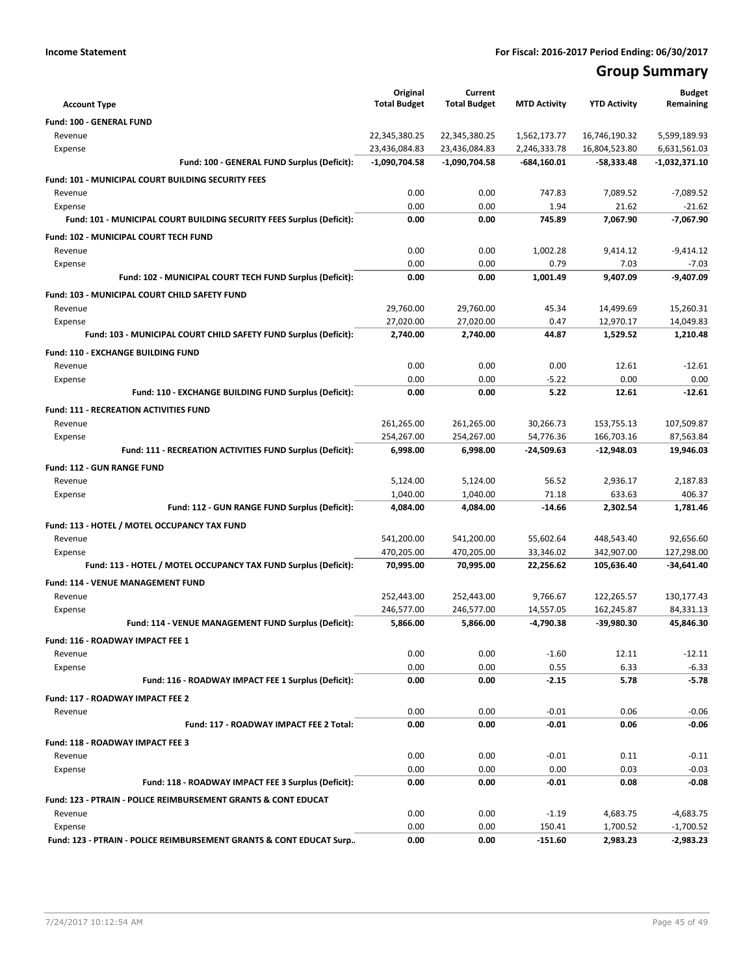## **Group Summary**

| <b>Account Type</b>                                                         | Original<br><b>Total Budget</b> | Current<br><b>Total Budget</b> | <b>MTD Activity</b> | <b>YTD Activity</b>   | <b>Budget</b><br>Remaining |
|-----------------------------------------------------------------------------|---------------------------------|--------------------------------|---------------------|-----------------------|----------------------------|
| Fund: 100 - GENERAL FUND                                                    |                                 |                                |                     |                       |                            |
| Revenue                                                                     | 22,345,380.25                   | 22,345,380.25                  | 1,562,173.77        | 16,746,190.32         | 5,599,189.93               |
| Expense                                                                     | 23,436,084.83                   | 23,436,084.83                  | 2,246,333.78        | 16,804,523.80         | 6,631,561.03               |
| Fund: 100 - GENERAL FUND Surplus (Deficit):                                 | $-1,090,704.58$                 | $-1,090,704.58$                | $-684,160.01$       | $-58,333.48$          | -1,032,371.10              |
|                                                                             |                                 |                                |                     |                       |                            |
| <b>Fund: 101 - MUNICIPAL COURT BUILDING SECURITY FEES</b><br>Revenue        | 0.00                            | 0.00                           | 747.83              | 7,089.52              |                            |
| Expense                                                                     | 0.00                            | 0.00                           | 1.94                | 21.62                 | $-7,089.52$<br>$-21.62$    |
| Fund: 101 - MUNICIPAL COURT BUILDING SECURITY FEES Surplus (Deficit):       | 0.00                            | 0.00                           | 745.89              | 7,067.90              | $-7,067.90$                |
|                                                                             |                                 |                                |                     |                       |                            |
| Fund: 102 - MUNICIPAL COURT TECH FUND                                       |                                 |                                |                     |                       |                            |
| Revenue<br>Expense                                                          | 0.00<br>0.00                    | 0.00<br>0.00                   | 1,002.28<br>0.79    | 9,414.12<br>7.03      | $-9,414.12$<br>$-7.03$     |
| Fund: 102 - MUNICIPAL COURT TECH FUND Surplus (Deficit):                    | 0.00                            | 0.00                           | 1,001.49            | 9,407.09              | $-9,407.09$                |
|                                                                             |                                 |                                |                     |                       |                            |
| Fund: 103 - MUNICIPAL COURT CHILD SAFETY FUND                               |                                 |                                |                     |                       |                            |
| Revenue                                                                     | 29,760.00                       | 29,760.00<br>27,020.00         | 45.34<br>0.47       | 14,499.69             | 15,260.31                  |
| Expense<br>Fund: 103 - MUNICIPAL COURT CHILD SAFETY FUND Surplus (Deficit): | 27,020.00<br>2,740.00           | 2,740.00                       | 44.87               | 12,970.17<br>1,529.52 | 14,049.83<br>1,210.48      |
|                                                                             |                                 |                                |                     |                       |                            |
| Fund: 110 - EXCHANGE BUILDING FUND                                          |                                 |                                |                     |                       |                            |
| Revenue                                                                     | 0.00                            | 0.00                           | 0.00                | 12.61                 | $-12.61$                   |
| Expense                                                                     | 0.00                            | 0.00                           | $-5.22$             | 0.00                  | 0.00                       |
| Fund: 110 - EXCHANGE BUILDING FUND Surplus (Deficit):                       | 0.00                            | 0.00                           | 5.22                | 12.61                 | $-12.61$                   |
| Fund: 111 - RECREATION ACTIVITIES FUND                                      |                                 |                                |                     |                       |                            |
| Revenue                                                                     | 261,265.00                      | 261,265.00                     | 30,266.73           | 153,755.13            | 107,509.87                 |
| Expense                                                                     | 254,267.00                      | 254,267.00                     | 54,776.36           | 166,703.16            | 87,563.84                  |
| Fund: 111 - RECREATION ACTIVITIES FUND Surplus (Deficit):                   | 6,998.00                        | 6,998.00                       | $-24,509.63$        | $-12,948.03$          | 19,946.03                  |
| <b>Fund: 112 - GUN RANGE FUND</b>                                           |                                 |                                |                     |                       |                            |
| Revenue                                                                     | 5,124.00                        | 5,124.00                       | 56.52               | 2,936.17              | 2,187.83                   |
| Expense                                                                     | 1,040.00                        | 1,040.00                       | 71.18               | 633.63                | 406.37                     |
| Fund: 112 - GUN RANGE FUND Surplus (Deficit):                               | 4,084.00                        | 4,084.00                       | $-14.66$            | 2,302.54              | 1,781.46                   |
| Fund: 113 - HOTEL / MOTEL OCCUPANCY TAX FUND                                |                                 |                                |                     |                       |                            |
| Revenue                                                                     | 541,200.00                      | 541,200.00                     | 55,602.64           | 448,543.40            | 92,656.60                  |
| Expense                                                                     | 470,205.00                      | 470,205.00                     | 33,346.02           | 342,907.00            | 127,298.00                 |
| Fund: 113 - HOTEL / MOTEL OCCUPANCY TAX FUND Surplus (Deficit):             | 70,995.00                       | 70,995.00                      | 22,256.62           | 105,636.40            | $-34,641.40$               |
| Fund: 114 - VENUE MANAGEMENT FUND                                           |                                 |                                |                     |                       |                            |
| Revenue                                                                     | 252,443.00                      | 252,443.00                     | 9,766.67            | 122,265.57            | 130,177.43                 |
| Expense                                                                     | 246,577.00                      | 246,577.00                     | 14,557.05           | 162,245.87            | 84,331.13                  |
| Fund: 114 - VENUE MANAGEMENT FUND Surplus (Deficit):                        | 5,866.00                        | 5,866.00                       | $-4,790.38$         | -39,980.30            | 45,846.30                  |
| Fund: 116 - ROADWAY IMPACT FEE 1                                            |                                 |                                |                     |                       |                            |
| Revenue                                                                     | 0.00                            | 0.00                           | $-1.60$             | 12.11                 | $-12.11$                   |
| Expense                                                                     | 0.00                            | 0.00                           | 0.55                | 6.33                  | $-6.33$                    |
| Fund: 116 - ROADWAY IMPACT FEE 1 Surplus (Deficit):                         | 0.00                            | 0.00                           | $-2.15$             | 5.78                  | $-5.78$                    |
| Fund: 117 - ROADWAY IMPACT FEE 2                                            |                                 |                                |                     |                       |                            |
| Revenue                                                                     | 0.00                            | 0.00                           | $-0.01$             | 0.06                  | $-0.06$                    |
| Fund: 117 - ROADWAY IMPACT FEE 2 Total:                                     | 0.00                            | 0.00                           | $-0.01$             | 0.06                  | -0.06                      |
| Fund: 118 - ROADWAY IMPACT FEE 3                                            |                                 |                                |                     |                       |                            |
| Revenue                                                                     | 0.00                            | 0.00                           | $-0.01$             | 0.11                  | $-0.11$                    |
| Expense                                                                     | 0.00                            | 0.00                           | 0.00                | 0.03                  | $-0.03$                    |
| Fund: 118 - ROADWAY IMPACT FEE 3 Surplus (Deficit):                         | 0.00                            | 0.00                           | $-0.01$             | 0.08                  | $-0.08$                    |
| Fund: 123 - PTRAIN - POLICE REIMBURSEMENT GRANTS & CONT EDUCAT              |                                 |                                |                     |                       |                            |
| Revenue                                                                     | 0.00                            | 0.00                           | $-1.19$             | 4,683.75              | $-4,683.75$                |
| Expense                                                                     | 0.00                            | 0.00                           | 150.41              | 1,700.52              | $-1,700.52$                |
| Fund: 123 - PTRAIN - POLICE REIMBURSEMENT GRANTS & CONT EDUCAT Surp         | 0.00                            | 0.00                           | $-151.60$           | 2,983.23              | $-2,983.23$                |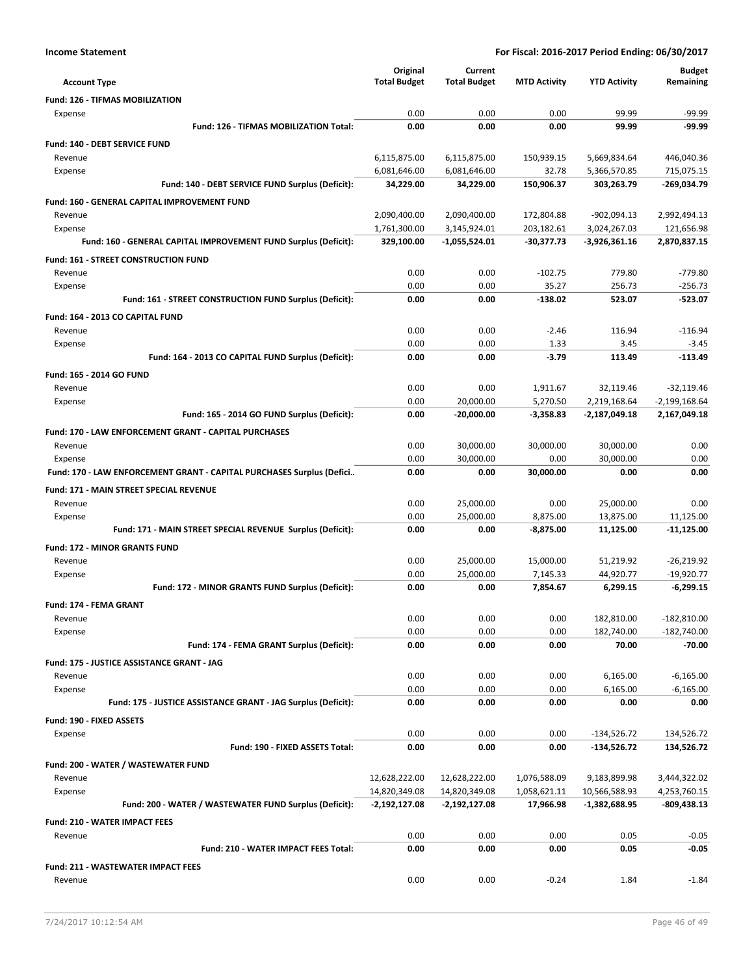| <b>Account Type</b>                                                      | Original<br><b>Total Budget</b> | Current<br><b>Total Budget</b> | <b>MTD Activity</b>   | <b>YTD Activity</b>      | <b>Budget</b><br>Remaining     |
|--------------------------------------------------------------------------|---------------------------------|--------------------------------|-----------------------|--------------------------|--------------------------------|
| <b>Fund: 126 - TIFMAS MOBILIZATION</b>                                   |                                 |                                |                       |                          |                                |
| Expense                                                                  | 0.00                            | 0.00                           | 0.00                  | 99.99                    | $-99.99$                       |
| Fund: 126 - TIFMAS MOBILIZATION Total:                                   | 0.00                            | 0.00                           | 0.00                  | 99.99                    | $-99.99$                       |
| Fund: 140 - DEBT SERVICE FUND                                            |                                 |                                |                       |                          |                                |
| Revenue                                                                  | 6,115,875.00                    | 6,115,875.00                   | 150,939.15            | 5,669,834.64             | 446,040.36                     |
| Expense                                                                  | 6,081,646.00                    | 6,081,646.00                   | 32.78                 | 5,366,570.85             | 715,075.15                     |
| Fund: 140 - DEBT SERVICE FUND Surplus (Deficit):                         | 34,229.00                       | 34,229.00                      | 150,906.37            | 303,263.79               | -269,034.79                    |
| Fund: 160 - GENERAL CAPITAL IMPROVEMENT FUND                             |                                 |                                |                       |                          |                                |
| Revenue                                                                  | 2,090,400.00                    | 2,090,400.00                   | 172,804.88            | $-902,094.13$            | 2,992,494.13                   |
| Expense                                                                  | 1,761,300.00                    | 3,145,924.01                   | 203,182.61            | 3,024,267.03             | 121,656.98                     |
| Fund: 160 - GENERAL CAPITAL IMPROVEMENT FUND Surplus (Deficit):          | 329,100.00                      | $-1,055,524.01$                | -30,377.73            | $-3,926,361.16$          | 2,870,837.15                   |
| Fund: 161 - STREET CONSTRUCTION FUND                                     |                                 |                                |                       |                          |                                |
| Revenue                                                                  | 0.00                            | 0.00                           | $-102.75$             | 779.80                   | $-779.80$                      |
| Expense                                                                  | 0.00                            | 0.00                           | 35.27                 | 256.73                   | $-256.73$                      |
| Fund: 161 - STREET CONSTRUCTION FUND Surplus (Deficit):                  | 0.00                            | 0.00                           | -138.02               | 523.07                   | $-523.07$                      |
| Fund: 164 - 2013 CO CAPITAL FUND                                         |                                 |                                |                       |                          |                                |
| Revenue                                                                  | 0.00                            | 0.00                           | $-2.46$               | 116.94                   | $-116.94$                      |
| Expense                                                                  | 0.00                            | 0.00                           | 1.33                  | 3.45                     | $-3.45$                        |
| Fund: 164 - 2013 CO CAPITAL FUND Surplus (Deficit):                      | 0.00                            | 0.00                           | $-3.79$               | 113.49                   | $-113.49$                      |
| Fund: 165 - 2014 GO FUND                                                 |                                 |                                |                       |                          |                                |
| Revenue                                                                  | 0.00                            | 0.00                           | 1,911.67              | 32,119.46                | $-32,119.46$                   |
| Expense                                                                  | 0.00                            | 20,000.00                      | 5,270.50              | 2,219,168.64             | $-2,199,168.64$                |
| Fund: 165 - 2014 GO FUND Surplus (Deficit):                              | 0.00                            | -20,000.00                     | $-3,358.83$           | -2,187,049.18            | 2,167,049.18                   |
| Fund: 170 - LAW ENFORCEMENT GRANT - CAPITAL PURCHASES                    |                                 |                                |                       |                          |                                |
| Revenue                                                                  | 0.00                            | 30,000.00                      | 30,000.00             | 30,000.00                | 0.00                           |
| Expense                                                                  | 0.00                            | 30,000.00                      | 0.00                  | 30,000.00                | 0.00                           |
| Fund: 170 - LAW ENFORCEMENT GRANT - CAPITAL PURCHASES Surplus (Defici    | 0.00                            | 0.00                           | 30,000.00             | 0.00                     | 0.00                           |
|                                                                          |                                 |                                |                       |                          |                                |
| <b>Fund: 171 - MAIN STREET SPECIAL REVENUE</b><br>Revenue                | 0.00                            | 25,000.00                      | 0.00                  | 25,000.00                | 0.00                           |
| Expense                                                                  | 0.00                            | 25,000.00                      | 8,875.00              | 13,875.00                | 11,125.00                      |
| Fund: 171 - MAIN STREET SPECIAL REVENUE Surplus (Deficit):               | 0.00                            | 0.00                           | -8,875.00             | 11,125.00                | $-11,125.00$                   |
|                                                                          |                                 |                                |                       |                          |                                |
| <b>Fund: 172 - MINOR GRANTS FUND</b>                                     |                                 |                                |                       |                          |                                |
| Revenue<br>Expense                                                       | 0.00<br>0.00                    | 25,000.00<br>25,000.00         | 15,000.00<br>7,145.33 | 51,219.92<br>44,920.77   | $-26,219.92$<br>$-19,920.77$   |
| Fund: 172 - MINOR GRANTS FUND Surplus (Deficit):                         | 0.00                            | 0.00                           | 7,854.67              | 6,299.15                 | $-6,299.15$                    |
|                                                                          |                                 |                                |                       |                          |                                |
| <b>Fund: 174 - FEMA GRANT</b>                                            |                                 |                                |                       |                          |                                |
| Revenue<br>Expense                                                       | 0.00<br>0.00                    | 0.00<br>0.00                   | 0.00<br>0.00          | 182,810.00<br>182,740.00 | $-182,810.00$<br>$-182,740.00$ |
| Fund: 174 - FEMA GRANT Surplus (Deficit):                                | 0.00                            | 0.00                           | 0.00                  | 70.00                    | $-70.00$                       |
|                                                                          |                                 |                                |                       |                          |                                |
| Fund: 175 - JUSTICE ASSISTANCE GRANT - JAG                               |                                 |                                |                       |                          |                                |
| Revenue                                                                  | 0.00<br>0.00                    | 0.00<br>0.00                   | 0.00<br>0.00          | 6,165.00<br>6,165.00     | $-6,165.00$<br>$-6,165.00$     |
| Expense<br>Fund: 175 - JUSTICE ASSISTANCE GRANT - JAG Surplus (Deficit): | 0.00                            | 0.00                           | 0.00                  | 0.00                     | 0.00                           |
|                                                                          |                                 |                                |                       |                          |                                |
| Fund: 190 - FIXED ASSETS                                                 |                                 |                                |                       |                          |                                |
| Expense                                                                  | 0.00                            | 0.00                           | 0.00                  | $-134,526.72$            | 134,526.72                     |
| Fund: 190 - FIXED ASSETS Total:                                          | 0.00                            | 0.00                           | 0.00                  | $-134,526.72$            | 134,526.72                     |
| Fund: 200 - WATER / WASTEWATER FUND                                      |                                 |                                |                       |                          |                                |
| Revenue                                                                  | 12,628,222.00                   | 12,628,222.00                  | 1,076,588.09          | 9,183,899.98             | 3,444,322.02                   |
| Expense                                                                  | 14,820,349.08                   | 14,820,349.08                  | 1,058,621.11          | 10,566,588.93            | 4,253,760.15                   |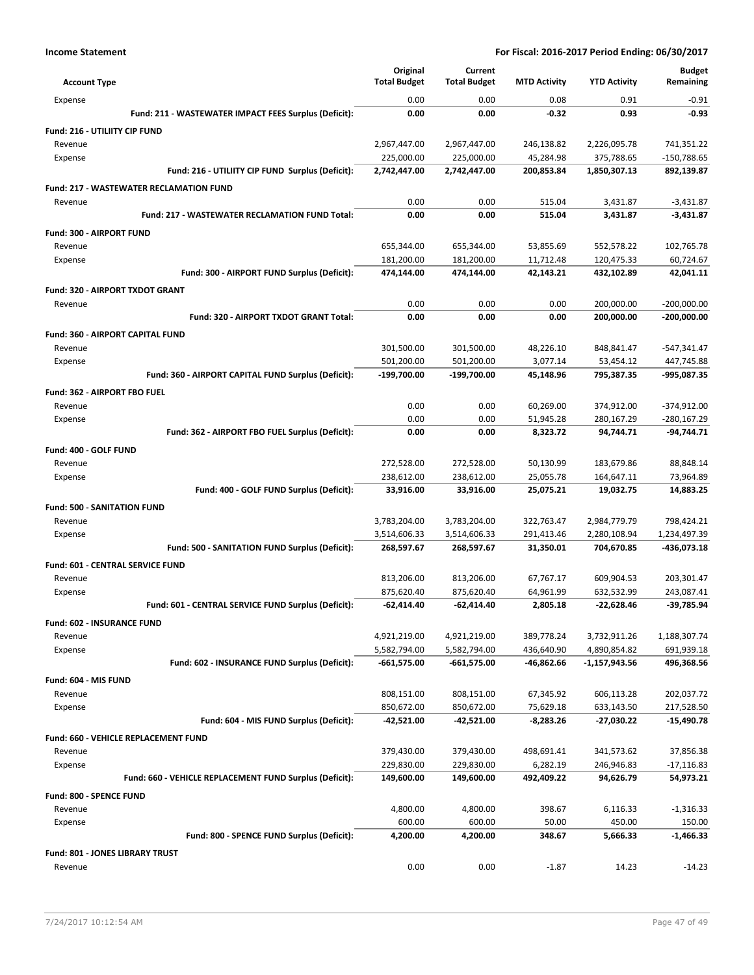| <b>Account Type</b>                                     | Original<br><b>Total Budget</b> | Current<br><b>Total Budget</b> | <b>MTD Activity</b> | <b>YTD Activity</b> | <b>Budget</b><br>Remaining |
|---------------------------------------------------------|---------------------------------|--------------------------------|---------------------|---------------------|----------------------------|
| Expense                                                 | 0.00                            | 0.00                           | 0.08                | 0.91                | $-0.91$                    |
| Fund: 211 - WASTEWATER IMPACT FEES Surplus (Deficit):   | 0.00                            | 0.00                           | $-0.32$             | 0.93                | $-0.93$                    |
| Fund: 216 - UTILIITY CIP FUND                           |                                 |                                |                     |                     |                            |
| Revenue                                                 | 2,967,447.00                    | 2,967,447.00                   | 246,138.82          | 2,226,095.78        | 741,351.22                 |
| Expense                                                 | 225,000.00                      | 225,000.00                     | 45,284.98           | 375,788.65          | -150,788.65                |
| Fund: 216 - UTILIITY CIP FUND Surplus (Deficit):        | 2,742,447.00                    | 2,742,447.00                   | 200,853.84          | 1,850,307.13        | 892,139.87                 |
| <b>Fund: 217 - WASTEWATER RECLAMATION FUND</b>          |                                 |                                |                     |                     |                            |
| Revenue                                                 | 0.00                            | 0.00                           | 515.04              | 3,431.87            | $-3,431.87$                |
| Fund: 217 - WASTEWATER RECLAMATION FUND Total:          | 0.00                            | 0.00                           | 515.04              | 3,431.87            | $-3,431.87$                |
| Fund: 300 - AIRPORT FUND                                |                                 |                                |                     |                     |                            |
| Revenue                                                 | 655,344.00                      | 655,344.00                     | 53,855.69           | 552,578.22          | 102,765.78                 |
| Expense                                                 | 181,200.00                      | 181,200.00                     | 11,712.48           | 120,475.33          | 60,724.67                  |
| Fund: 300 - AIRPORT FUND Surplus (Deficit):             | 474,144.00                      | 474,144.00                     | 42,143.21           | 432,102.89          | 42,041.11                  |
| Fund: 320 - AIRPORT TXDOT GRANT                         |                                 |                                |                     |                     |                            |
| Revenue                                                 | 0.00                            | 0.00                           | 0.00                | 200,000.00          | $-200,000.00$              |
| Fund: 320 - AIRPORT TXDOT GRANT Total:                  | 0.00                            | 0.00                           | 0.00                | 200,000.00          | $-200,000.00$              |
| Fund: 360 - AIRPORT CAPITAL FUND                        |                                 |                                |                     |                     |                            |
| Revenue                                                 | 301,500.00                      | 301,500.00                     | 48,226.10           | 848,841.47          | $-547,341.47$              |
| Expense                                                 | 501,200.00                      | 501,200.00                     | 3,077.14            | 53,454.12           | 447,745.88                 |
| Fund: 360 - AIRPORT CAPITAL FUND Surplus (Deficit):     | -199,700.00                     | -199,700.00                    | 45,148.96           | 795,387.35          | -995,087.35                |
| Fund: 362 - AIRPORT FBO FUEL                            |                                 |                                |                     |                     |                            |
| Revenue                                                 | 0.00                            | 0.00                           | 60,269.00           | 374,912.00          | $-374,912.00$              |
| Expense                                                 | 0.00                            | 0.00                           | 51,945.28           | 280,167.29          | -280,167.29                |
| Fund: 362 - AIRPORT FBO FUEL Surplus (Deficit):         | 0.00                            | 0.00                           | 8,323.72            | 94,744.71           | -94,744.71                 |
| Fund: 400 - GOLF FUND                                   |                                 |                                |                     |                     |                            |
| Revenue                                                 | 272,528.00                      | 272,528.00                     | 50,130.99           | 183,679.86          | 88,848.14                  |
| Expense                                                 | 238,612.00                      | 238,612.00                     | 25,055.78           | 164,647.11          | 73,964.89                  |
| Fund: 400 - GOLF FUND Surplus (Deficit):                | 33,916.00                       | 33,916.00                      | 25,075.21           | 19,032.75           | 14,883.25                  |
| <b>Fund: 500 - SANITATION FUND</b>                      |                                 |                                |                     |                     |                            |
| Revenue                                                 | 3,783,204.00                    | 3,783,204.00                   | 322,763.47          | 2,984,779.79        | 798,424.21                 |
| Expense                                                 | 3,514,606.33                    | 3,514,606.33                   | 291,413.46          | 2,280,108.94        | 1,234,497.39               |
| Fund: 500 - SANITATION FUND Surplus (Deficit):          | 268,597.67                      | 268,597.67                     | 31,350.01           | 704,670.85          | -436,073.18                |
| <b>Fund: 601 - CENTRAL SERVICE FUND</b>                 |                                 |                                |                     |                     |                            |
| Revenue                                                 | 813,206.00                      | 813,206.00                     | 67,767.17           | 609,904.53          | 203,301.47                 |
| Expense                                                 | 875,620.40                      | 875,620.40                     | 64,961.99           | 632,532.99          | 243,087.41                 |
| Fund: 601 - CENTRAL SERVICE FUND Surplus (Deficit):     | $-62.414.40$                    | $-62,414.40$                   | 2,805.18            | $-22.628.46$        | -39,785.94                 |
| <b>Fund: 602 - INSURANCE FUND</b>                       |                                 |                                |                     |                     |                            |
| Revenue                                                 | 4,921,219.00                    | 4,921,219.00                   | 389,778.24          | 3,732,911.26        | 1,188,307.74               |
| Expense                                                 | 5,582,794.00                    | 5,582,794.00                   | 436,640.90          | 4,890,854.82        | 691,939.18                 |
| Fund: 602 - INSURANCE FUND Surplus (Deficit):           | $-661,575.00$                   | $-661,575.00$                  | $-46,862.66$        | -1,157,943.56       | 496,368.56                 |
| Fund: 604 - MIS FUND                                    |                                 |                                |                     |                     |                            |
| Revenue                                                 | 808,151.00                      | 808,151.00                     | 67,345.92           | 606,113.28          | 202,037.72                 |
| Expense                                                 | 850,672.00                      | 850,672.00                     | 75,629.18           | 633,143.50          | 217,528.50                 |
| Fund: 604 - MIS FUND Surplus (Deficit):                 | $-42,521.00$                    | -42,521.00                     | $-8,283.26$         | -27,030.22          | $-15,490.78$               |
| Fund: 660 - VEHICLE REPLACEMENT FUND                    |                                 |                                |                     |                     |                            |
| Revenue                                                 | 379,430.00                      | 379,430.00                     | 498,691.41          | 341,573.62          | 37,856.38                  |
| Expense                                                 | 229,830.00                      | 229,830.00                     | 6,282.19            | 246,946.83          | $-17,116.83$               |
| Fund: 660 - VEHICLE REPLACEMENT FUND Surplus (Deficit): | 149,600.00                      | 149,600.00                     | 492,409.22          | 94,626.79           | 54,973.21                  |
|                                                         |                                 |                                |                     |                     |                            |
| Fund: 800 - SPENCE FUND<br>Revenue                      | 4,800.00                        | 4,800.00                       | 398.67              | 6,116.33            | $-1,316.33$                |
| Expense                                                 | 600.00                          | 600.00                         | 50.00               | 450.00              | 150.00                     |
| Fund: 800 - SPENCE FUND Surplus (Deficit):              | 4,200.00                        | 4,200.00                       | 348.67              | 5,666.33            | -1,466.33                  |
| Fund: 801 - JONES LIBRARY TRUST                         |                                 |                                |                     |                     |                            |
| Revenue                                                 | 0.00                            | 0.00                           | $-1.87$             | 14.23               | $-14.23$                   |
|                                                         |                                 |                                |                     |                     |                            |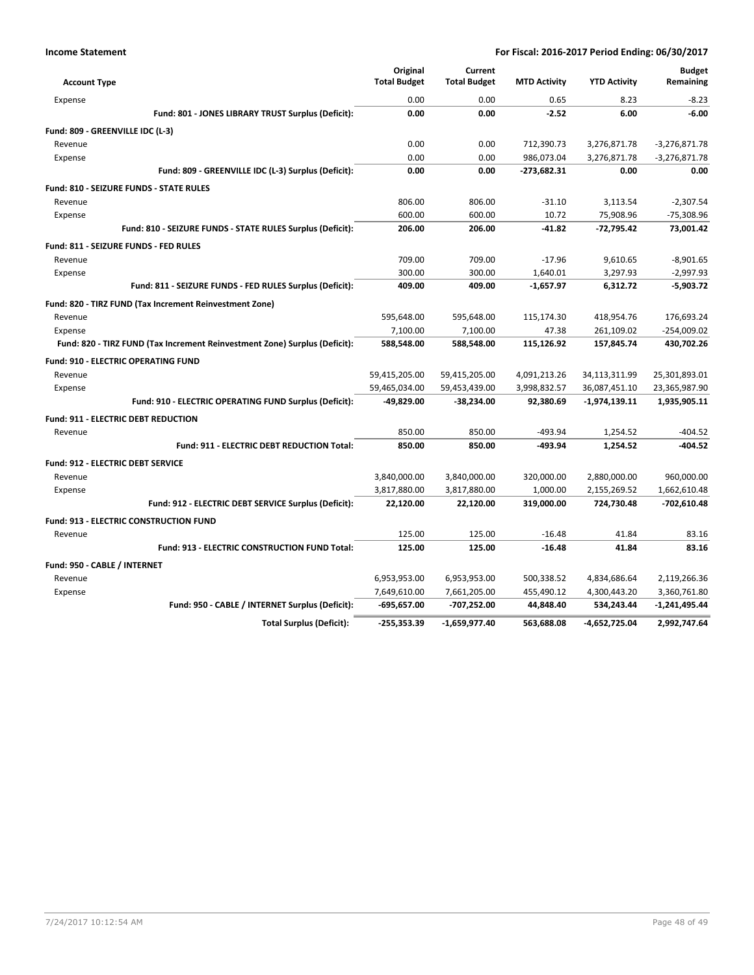| <b>Account Type</b>                                                        | Original<br><b>Total Budget</b> | Current<br><b>Total Budget</b> | <b>MTD Activity</b> | <b>YTD Activity</b> | <b>Budget</b><br>Remaining |
|----------------------------------------------------------------------------|---------------------------------|--------------------------------|---------------------|---------------------|----------------------------|
| Expense                                                                    | 0.00                            | 0.00                           | 0.65                | 8.23                | $-8.23$                    |
| Fund: 801 - JONES LIBRARY TRUST Surplus (Deficit):                         | 0.00                            | 0.00                           | $-2.52$             | 6.00                | $-6.00$                    |
| Fund: 809 - GREENVILLE IDC (L-3)                                           |                                 |                                |                     |                     |                            |
| Revenue                                                                    | 0.00                            | 0.00                           | 712,390.73          | 3,276,871.78        | $-3,276,871.78$            |
| Expense                                                                    | 0.00                            | 0.00                           | 986,073.04          | 3,276,871.78        | $-3,276,871.78$            |
| Fund: 809 - GREENVILLE IDC (L-3) Surplus (Deficit):                        | 0.00                            | 0.00                           | -273,682.31         | 0.00                | 0.00                       |
| <b>Fund: 810 - SEIZURE FUNDS - STATE RULES</b>                             |                                 |                                |                     |                     |                            |
| Revenue                                                                    | 806.00                          | 806.00                         | $-31.10$            | 3,113.54            | $-2,307.54$                |
| Expense                                                                    | 600.00                          | 600.00                         | 10.72               | 75,908.96           | $-75,308.96$               |
| Fund: 810 - SEIZURE FUNDS - STATE RULES Surplus (Deficit):                 | 206.00                          | 206.00                         | $-41.82$            | $-72.795.42$        | 73,001.42                  |
| Fund: 811 - SEIZURE FUNDS - FED RULES                                      |                                 |                                |                     |                     |                            |
| Revenue                                                                    | 709.00                          | 709.00                         | $-17.96$            | 9,610.65            | $-8,901.65$                |
| Expense                                                                    | 300.00                          | 300.00                         | 1,640.01            | 3,297.93            | $-2,997.93$                |
| Fund: 811 - SEIZURE FUNDS - FED RULES Surplus (Deficit):                   | 409.00                          | 409.00                         | $-1,657.97$         | 6,312.72            | $-5,903.72$                |
| Fund: 820 - TIRZ FUND (Tax Increment Reinvestment Zone)                    |                                 |                                |                     |                     |                            |
| Revenue                                                                    | 595,648.00                      | 595,648.00                     | 115,174.30          | 418,954.76          | 176,693.24                 |
| Expense                                                                    | 7,100.00                        | 7,100.00                       | 47.38               | 261,109.02          | $-254,009.02$              |
| Fund: 820 - TIRZ FUND (Tax Increment Reinvestment Zone) Surplus (Deficit): | 588,548.00                      | 588,548.00                     | 115,126.92          | 157,845.74          | 430,702.26                 |
| <b>Fund: 910 - ELECTRIC OPERATING FUND</b>                                 |                                 |                                |                     |                     |                            |
| Revenue                                                                    | 59,415,205.00                   | 59,415,205.00                  | 4,091,213.26        | 34,113,311.99       | 25,301,893.01              |
| Expense                                                                    | 59,465,034.00                   | 59,453,439.00                  | 3,998,832.57        | 36,087,451.10       | 23,365,987.90              |
| Fund: 910 - ELECTRIC OPERATING FUND Surplus (Deficit):                     | -49,829.00                      | $-38,234.00$                   | 92,380.69           | $-1,974,139.11$     | 1,935,905.11               |
| Fund: 911 - ELECTRIC DEBT REDUCTION                                        |                                 |                                |                     |                     |                            |
| Revenue                                                                    | 850.00                          | 850.00                         | $-493.94$           | 1,254.52            | $-404.52$                  |
| <b>Fund: 911 - ELECTRIC DEBT REDUCTION Total:</b>                          | 850.00                          | 850.00                         | $-493.94$           | 1,254.52            | $-404.52$                  |
| <b>Fund: 912 - ELECTRIC DEBT SERVICE</b>                                   |                                 |                                |                     |                     |                            |
| Revenue                                                                    | 3,840,000.00                    | 3,840,000.00                   | 320,000.00          | 2,880,000.00        | 960,000.00                 |
| Expense                                                                    | 3,817,880.00                    | 3,817,880.00                   | 1,000.00            | 2,155,269.52        | 1,662,610.48               |
| Fund: 912 - ELECTRIC DEBT SERVICE Surplus (Deficit):                       | 22,120.00                       | 22,120.00                      | 319,000.00          | 724,730.48          | $-702,610.48$              |
| <b>Fund: 913 - ELECTRIC CONSTRUCTION FUND</b>                              |                                 |                                |                     |                     |                            |
| Revenue                                                                    | 125.00                          | 125.00                         | $-16.48$            | 41.84               | 83.16                      |
| Fund: 913 - ELECTRIC CONSTRUCTION FUND Total:                              | 125.00                          | 125.00                         | $-16.48$            | 41.84               | 83.16                      |
| Fund: 950 - CABLE / INTERNET                                               |                                 |                                |                     |                     |                            |
| Revenue                                                                    | 6,953,953.00                    | 6,953,953.00                   | 500,338.52          | 4,834,686.64        | 2,119,266.36               |
| Expense                                                                    | 7,649,610.00                    | 7,661,205.00                   | 455,490.12          | 4,300,443.20        | 3,360,761.80               |
| Fund: 950 - CABLE / INTERNET Surplus (Deficit):                            | $-695,657.00$                   | -707,252.00                    | 44,848.40           | 534,243.44          | $-1,241,495.44$            |
| <b>Total Surplus (Deficit):</b>                                            | $-255.353.39$                   | $-1.659.977.40$                | 563.688.08          | -4.652.725.04       | 2,992,747.64               |